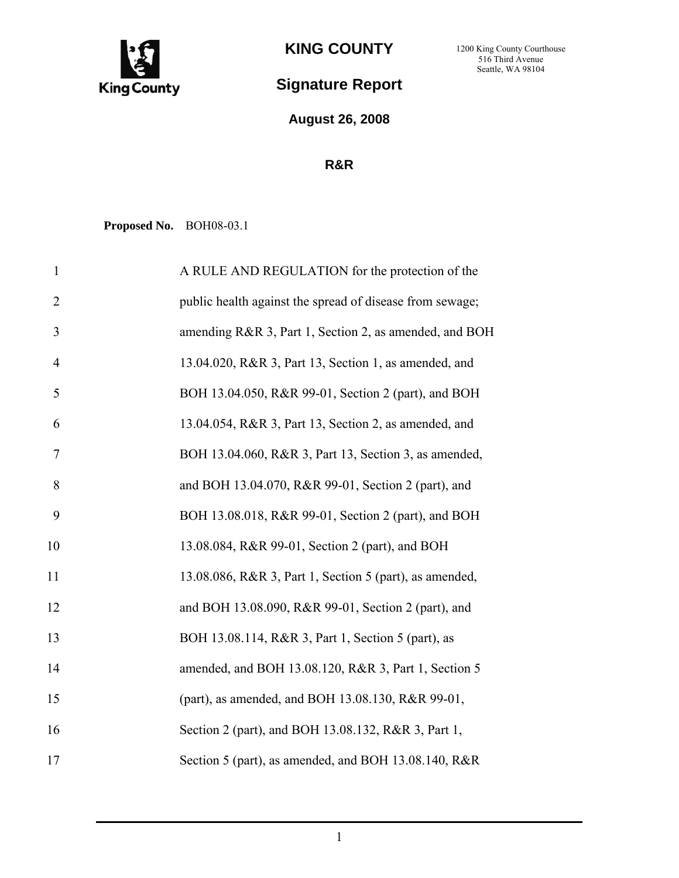

**KING COUNTY** 

## **Signature Report**

**August 26, 2008**

## **R&R**

**Proposed No.** BOH08-03.1

| $\mathbf{1}$   | A RULE AND REGULATION for the protection of the          |
|----------------|----------------------------------------------------------|
| $\overline{2}$ | public health against the spread of disease from sewage; |
| 3              | amending R&R 3, Part 1, Section 2, as amended, and BOH   |
| $\overline{4}$ | 13.04.020, R&R 3, Part 13, Section 1, as amended, and    |
| 5              | BOH 13.04.050, R&R 99-01, Section 2 (part), and BOH      |
| 6              | 13.04.054, R&R 3, Part 13, Section 2, as amended, and    |
| 7              | BOH 13.04.060, R&R 3, Part 13, Section 3, as amended,    |
| 8              | and BOH 13.04.070, R&R 99-01, Section 2 (part), and      |
| 9              | BOH 13.08.018, R&R 99-01, Section 2 (part), and BOH      |
| 10             | 13.08.084, R&R 99-01, Section 2 (part), and BOH          |
| 11             | 13.08.086, R&R 3, Part 1, Section 5 (part), as amended,  |
| 12             | and BOH 13.08.090, R&R 99-01, Section 2 (part), and      |
| 13             | BOH 13.08.114, R&R 3, Part 1, Section 5 (part), as       |
| 14             | amended, and BOH 13.08.120, R&R 3, Part 1, Section 5     |
| 15             | (part), as amended, and BOH 13.08.130, R&R 99-01,        |
| 16             | Section 2 (part), and BOH 13.08.132, R&R 3, Part 1,      |
| 17             | Section 5 (part), as amended, and BOH 13.08.140, R&R     |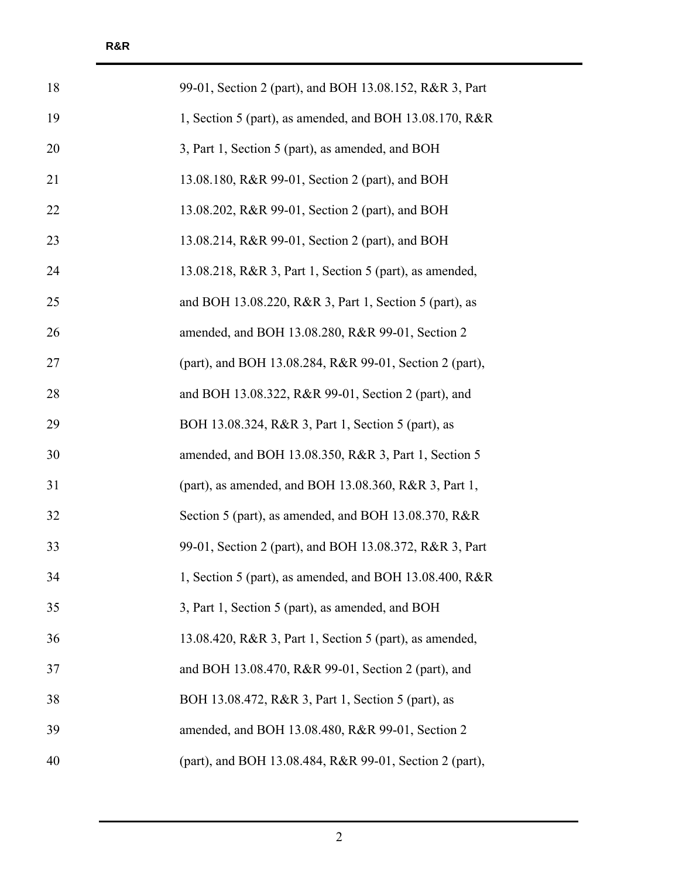| 18 | 99-01, Section 2 (part), and BOH 13.08.152, R&R 3, Part |
|----|---------------------------------------------------------|
| 19 | 1, Section 5 (part), as amended, and BOH 13.08.170, R&R |
| 20 | 3, Part 1, Section 5 (part), as amended, and BOH        |
| 21 | 13.08.180, R&R 99-01, Section 2 (part), and BOH         |
| 22 | 13.08.202, R&R 99-01, Section 2 (part), and BOH         |
| 23 | 13.08.214, R&R 99-01, Section 2 (part), and BOH         |
| 24 | 13.08.218, R&R 3, Part 1, Section 5 (part), as amended, |
| 25 | and BOH 13.08.220, R&R 3, Part 1, Section 5 (part), as  |
| 26 | amended, and BOH 13.08.280, R&R 99-01, Section 2        |
| 27 | (part), and BOH 13.08.284, R&R 99-01, Section 2 (part), |
| 28 | and BOH 13.08.322, R&R 99-01, Section 2 (part), and     |
| 29 | BOH 13.08.324, R&R 3, Part 1, Section 5 (part), as      |
| 30 | amended, and BOH 13.08.350, R&R 3, Part 1, Section 5    |
| 31 | (part), as amended, and BOH 13.08.360, R&R 3, Part 1,   |
| 32 | Section 5 (part), as amended, and BOH 13.08.370, R&R    |
| 33 | 99-01, Section 2 (part), and BOH 13.08.372, R&R 3, Part |
| 34 | 1, Section 5 (part), as amended, and BOH 13.08.400, R&R |
| 35 | 3, Part 1, Section 5 (part), as amended, and BOH        |
| 36 | 13.08.420, R&R 3, Part 1, Section 5 (part), as amended, |
| 37 | and BOH 13.08.470, R&R 99-01, Section 2 (part), and     |
| 38 | BOH 13.08.472, R&R 3, Part 1, Section 5 (part), as      |
| 39 | amended, and BOH 13.08.480, R&R 99-01, Section 2        |
| 40 | (part), and BOH 13.08.484, R&R 99-01, Section 2 (part), |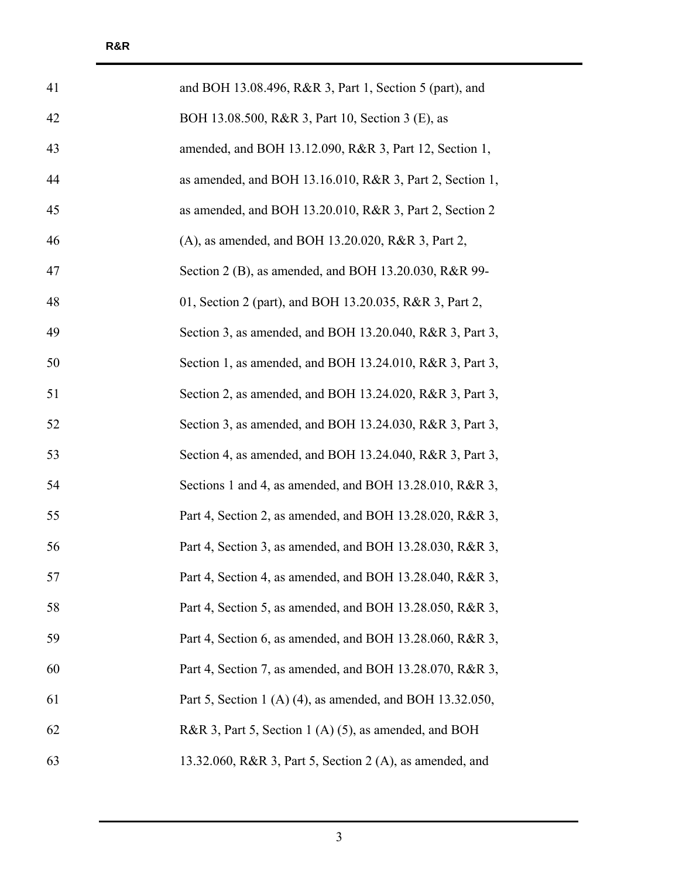| 41 | and BOH 13.08.496, R&R 3, Part 1, Section 5 (part), and   |
|----|-----------------------------------------------------------|
| 42 | BOH 13.08.500, R&R 3, Part 10, Section 3 (E), as          |
| 43 | amended, and BOH 13.12.090, R&R 3, Part 12, Section 1,    |
| 44 | as amended, and BOH 13.16.010, R&R 3, Part 2, Section 1,  |
| 45 | as amended, and BOH 13.20.010, R&R 3, Part 2, Section 2   |
| 46 | (A), as amended, and BOH 13.20.020, R&R 3, Part 2,        |
| 47 | Section 2 (B), as amended, and BOH 13.20.030, R&R 99-     |
| 48 | 01, Section 2 (part), and BOH 13.20.035, R&R 3, Part 2,   |
| 49 | Section 3, as amended, and BOH 13.20.040, R&R 3, Part 3,  |
| 50 | Section 1, as amended, and BOH 13.24.010, R&R 3, Part 3,  |
| 51 | Section 2, as amended, and BOH 13.24.020, R&R 3, Part 3,  |
| 52 | Section 3, as amended, and BOH 13.24.030, R&R 3, Part 3,  |
| 53 | Section 4, as amended, and BOH 13.24.040, R&R 3, Part 3,  |
| 54 | Sections 1 and 4, as amended, and BOH 13.28.010, R&R 3,   |
| 55 | Part 4, Section 2, as amended, and BOH 13.28.020, R&R 3,  |
| 56 | Part 4, Section 3, as amended, and BOH 13.28.030, R&R 3,  |
| 57 | Part 4, Section 4, as amended, and BOH 13.28.040, R&R 3,  |
| 58 | Part 4, Section 5, as amended, and BOH 13.28.050, R&R 3,  |
| 59 | Part 4, Section 6, as amended, and BOH 13.28.060, R&R 3,  |
| 60 | Part 4, Section 7, as amended, and BOH 13.28.070, R&R 3,  |
| 61 | Part 5, Section 1 (A) (4), as amended, and BOH 13.32.050, |
| 62 | R&R 3, Part 5, Section 1 (A) (5), as amended, and BOH     |
| 63 | 13.32.060, R&R 3, Part 5, Section 2 (A), as amended, and  |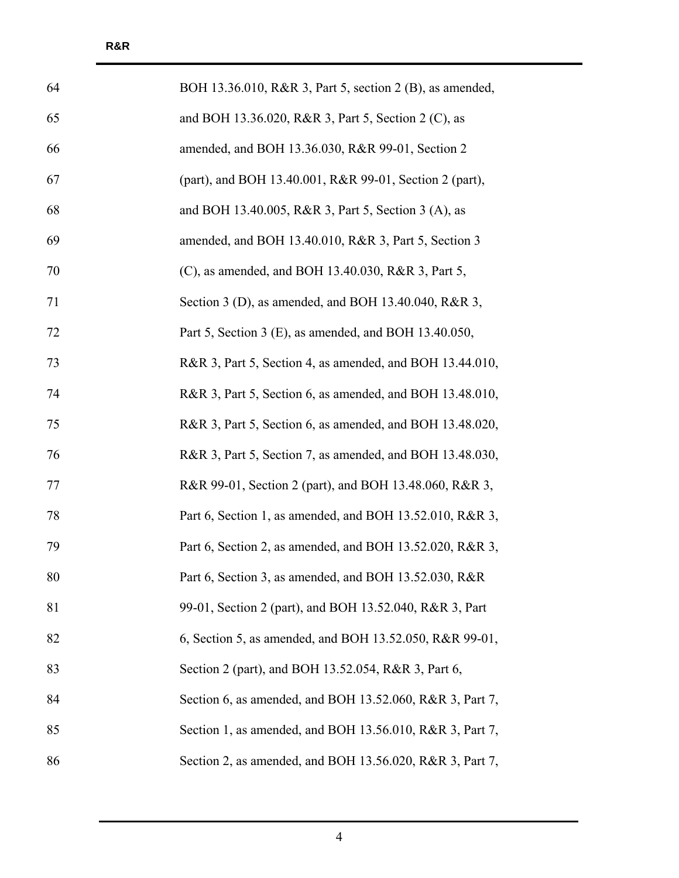| 64 | BOH 13.36.010, R&R 3, Part 5, section 2 (B), as amended, |
|----|----------------------------------------------------------|
| 65 | and BOH 13.36.020, R&R 3, Part 5, Section 2 (C), as      |
| 66 | amended, and BOH 13.36.030, R&R 99-01, Section 2         |
| 67 | (part), and BOH 13.40.001, R&R 99-01, Section 2 (part),  |
| 68 | and BOH 13.40.005, R&R 3, Part 5, Section 3 (A), as      |
| 69 | amended, and BOH 13.40.010, R&R 3, Part 5, Section 3     |
| 70 | (C), as amended, and BOH 13.40.030, R&R 3, Part 5,       |
| 71 | Section 3 (D), as amended, and BOH 13.40.040, R&R 3,     |
| 72 | Part 5, Section 3 (E), as amended, and BOH 13.40.050,    |
| 73 | R&R 3, Part 5, Section 4, as amended, and BOH 13.44.010, |
| 74 | R&R 3, Part 5, Section 6, as amended, and BOH 13.48.010, |
| 75 | R&R 3, Part 5, Section 6, as amended, and BOH 13.48.020, |
| 76 | R&R 3, Part 5, Section 7, as amended, and BOH 13.48.030, |
| 77 | R&R 99-01, Section 2 (part), and BOH 13.48.060, R&R 3,   |
| 78 | Part 6, Section 1, as amended, and BOH 13.52.010, R&R 3, |
| 79 | Part 6, Section 2, as amended, and BOH 13.52.020, R&R 3, |
| 80 | Part 6, Section 3, as amended, and BOH 13.52.030, R&R    |
| 81 | 99-01, Section 2 (part), and BOH 13.52.040, R&R 3, Part  |
| 82 | 6, Section 5, as amended, and BOH 13.52.050, R&R 99-01,  |
| 83 | Section 2 (part), and BOH 13.52.054, R&R 3, Part 6,      |
| 84 | Section 6, as amended, and BOH 13.52.060, R&R 3, Part 7, |
| 85 | Section 1, as amended, and BOH 13.56.010, R&R 3, Part 7, |
| 86 | Section 2, as amended, and BOH 13.56.020, R&R 3, Part 7, |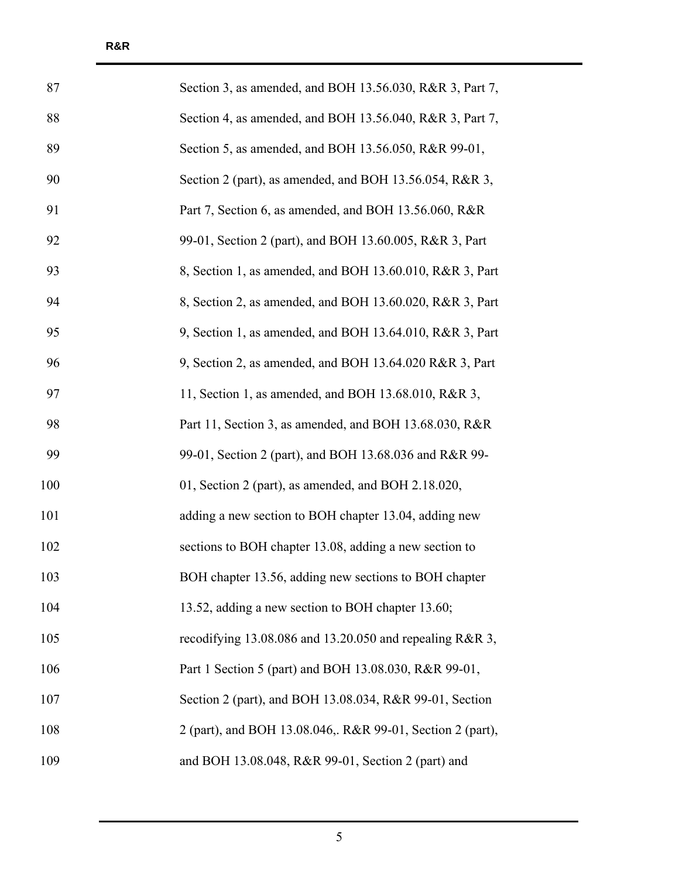| 87  | Section 3, as amended, and BOH 13.56.030, R&R 3, Part 7,   |
|-----|------------------------------------------------------------|
| 88  | Section 4, as amended, and BOH 13.56.040, R&R 3, Part 7,   |
| 89  | Section 5, as amended, and BOH 13.56.050, R&R 99-01,       |
| 90  | Section 2 (part), as amended, and BOH 13.56.054, R&R 3,    |
| 91  | Part 7, Section 6, as amended, and BOH 13.56.060, R&R      |
| 92  | 99-01, Section 2 (part), and BOH 13.60.005, R&R 3, Part    |
| 93  | 8, Section 1, as amended, and BOH 13.60.010, R&R 3, Part   |
| 94  | 8, Section 2, as amended, and BOH 13.60.020, R&R 3, Part   |
| 95  | 9, Section 1, as amended, and BOH 13.64.010, R&R 3, Part   |
| 96  | 9, Section 2, as amended, and BOH 13.64.020 R&R 3, Part    |
| 97  | 11, Section 1, as amended, and BOH 13.68.010, R&R 3,       |
| 98  | Part 11, Section 3, as amended, and BOH 13.68.030, R&R     |
| 99  | 99-01, Section 2 (part), and BOH 13.68.036 and R&R 99-     |
| 100 | 01, Section 2 (part), as amended, and BOH 2.18.020,        |
| 101 | adding a new section to BOH chapter 13.04, adding new      |
| 102 | sections to BOH chapter 13.08, adding a new section to     |
| 103 | BOH chapter 13.56, adding new sections to BOH chapter      |
| 104 | 13.52, adding a new section to BOH chapter 13.60;          |
| 105 | recodifying 13.08.086 and 13.20.050 and repealing R&R 3,   |
| 106 | Part 1 Section 5 (part) and BOH 13.08.030, R&R 99-01,      |
| 107 | Section 2 (part), and BOH 13.08.034, R&R 99-01, Section    |
| 108 | 2 (part), and BOH 13.08.046,. R&R 99-01, Section 2 (part), |
| 109 | and BOH 13.08.048, R&R 99-01, Section 2 (part) and         |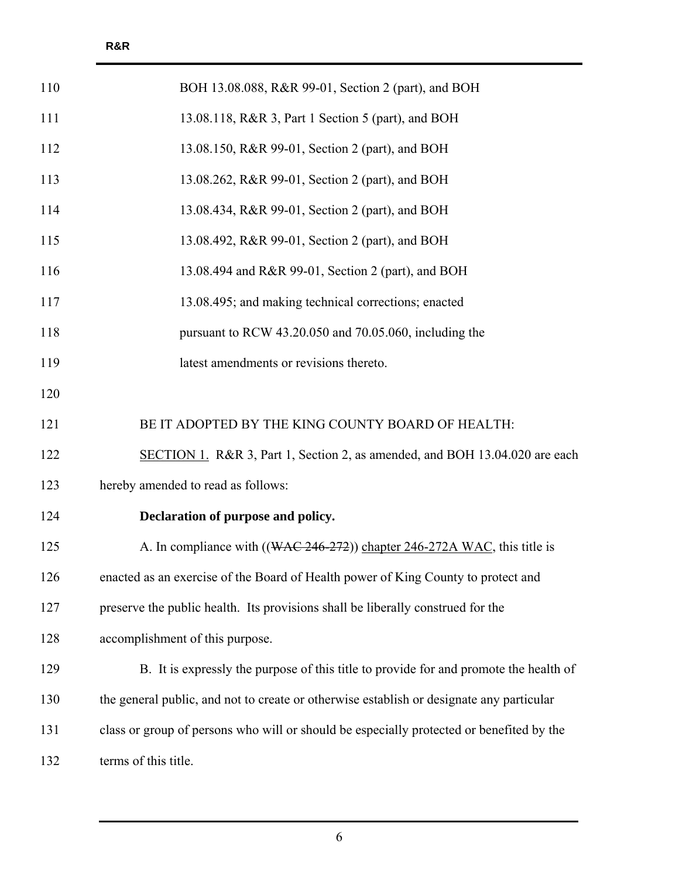| 110 | BOH 13.08.088, R&R 99-01, Section 2 (part), and BOH                                      |
|-----|------------------------------------------------------------------------------------------|
| 111 | 13.08.118, R&R 3, Part 1 Section 5 (part), and BOH                                       |
| 112 | 13.08.150, R&R 99-01, Section 2 (part), and BOH                                          |
| 113 | 13.08.262, R&R 99-01, Section 2 (part), and BOH                                          |
| 114 | 13.08.434, R&R 99-01, Section 2 (part), and BOH                                          |
| 115 | 13.08.492, R&R 99-01, Section 2 (part), and BOH                                          |
| 116 | 13.08.494 and R&R 99-01, Section 2 (part), and BOH                                       |
| 117 | 13.08.495; and making technical corrections; enacted                                     |
| 118 | pursuant to RCW 43.20.050 and 70.05.060, including the                                   |
| 119 | latest amendments or revisions thereto.                                                  |
| 120 |                                                                                          |
| 121 | BE IT ADOPTED BY THE KING COUNTY BOARD OF HEALTH:                                        |
| 122 | SECTION 1. R&R 3, Part 1, Section 2, as amended, and BOH 13.04.020 are each              |
| 123 | hereby amended to read as follows:                                                       |
| 124 | Declaration of purpose and policy.                                                       |
| 125 | A. In compliance with ((WAC 246-272)) chapter 246-272A WAC, this title is                |
| 126 | enacted as an exercise of the Board of Health power of King County to protect and        |
| 127 | preserve the public health. Its provisions shall be liberally construed for the          |
| 128 | accomplishment of this purpose.                                                          |
| 129 | B. It is expressly the purpose of this title to provide for and promote the health of    |
| 130 | the general public, and not to create or otherwise establish or designate any particular |
| 131 | class or group of persons who will or should be especially protected or benefited by the |
| 132 | terms of this title.                                                                     |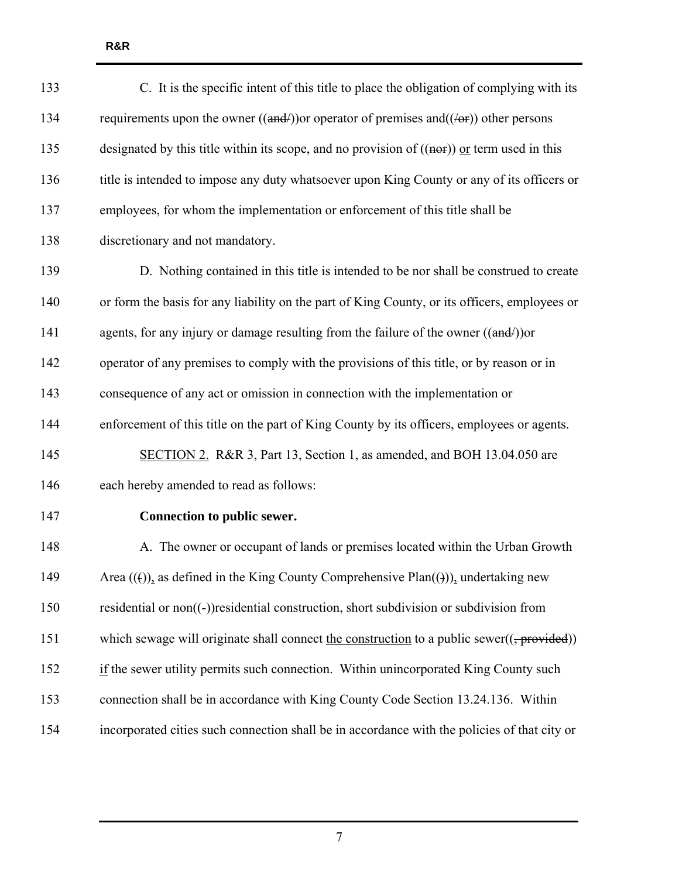| 133 | C. It is the specific intent of this title to place the obligation of complying with its                 |
|-----|----------------------------------------------------------------------------------------------------------|
| 134 | requirements upon the owner $((\text{and/}))$ or operator of premises and $((\text{let}))$ other persons |
| 135 | designated by this title within its scope, and no provision of $((nef))$ or term used in this            |
| 136 | title is intended to impose any duty whatsoever upon King County or any of its officers or               |
| 137 | employees, for whom the implementation or enforcement of this title shall be                             |
| 138 | discretionary and not mandatory.                                                                         |
| 139 | D. Nothing contained in this title is intended to be nor shall be construed to create                    |
| 140 | or form the basis for any liability on the part of King County, or its officers, employees or            |
| 141 | agents, for any injury or damage resulting from the failure of the owner ((and/)) or                     |
| 142 | operator of any premises to comply with the provisions of this title, or by reason or in                 |
| 143 | consequence of any act or omission in connection with the implementation or                              |
| 144 | enforcement of this title on the part of King County by its officers, employees or agents.               |
| 145 | SECTION 2. R&R 3, Part 13, Section 1, as amended, and BOH 13.04.050 are                                  |
| 146 | each hereby amended to read as follows:                                                                  |
| 147 | Connection to public sewer.                                                                              |
| 148 | A. The owner or occupant of lands or premises located within the Urban Growth                            |
| 149 | Area $((f))_2$ as defined in the King County Comprehensive Plan $((f))_2$ undertaking new                |
| 150 | residential or non((-))residential construction, short subdivision or subdivision from                   |
| 151 | which sewage will originate shall connect the construction to a public sewer( $($ , provided))           |
| 152 | if the sewer utility permits such connection. Within unincorporated King County such                     |
| 153 | connection shall be in accordance with King County Code Section 13.24.136. Within                        |
| 154 | incorporated cities such connection shall be in accordance with the policies of that city or             |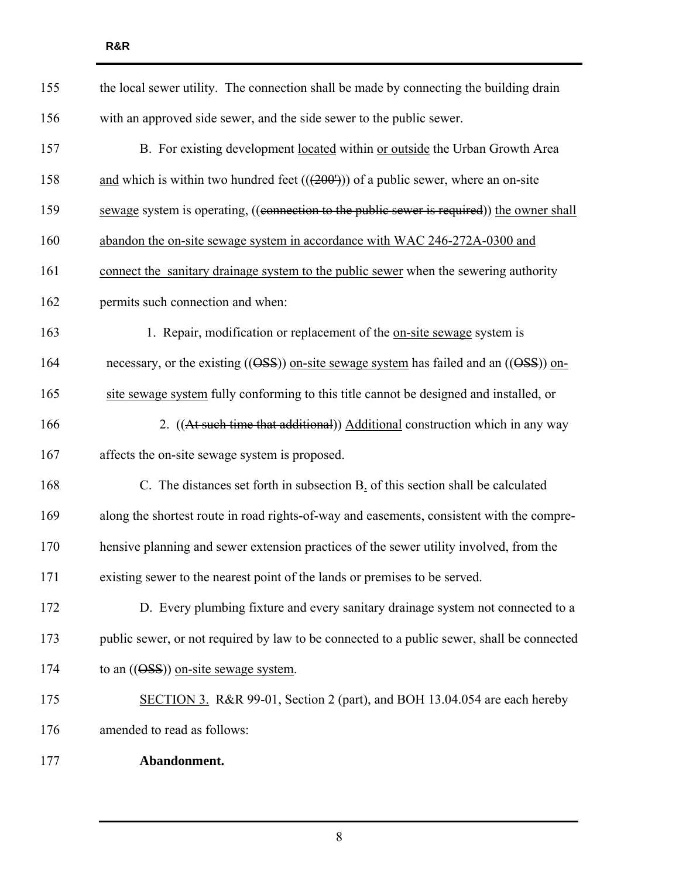| 155 | the local sewer utility. The connection shall be made by connecting the building drain     |
|-----|--------------------------------------------------------------------------------------------|
| 156 | with an approved side sewer, and the side sewer to the public sewer.                       |
| 157 | B. For existing development located within or outside the Urban Growth Area                |
| 158 | and which is within two hundred feet $((200u))$ of a public sewer, where an on-site        |
| 159 | sewage system is operating, ((connection to the public sewer is required)) the owner shall |
| 160 | abandon the on-site sewage system in accordance with WAC 246-272A-0300 and                 |
| 161 | connect the sanitary drainage system to the public sewer when the sewering authority       |
| 162 | permits such connection and when:                                                          |
| 163 | 1. Repair, modification or replacement of the on-site sewage system is                     |
| 164 | necessary, or the existing $((OSS))$ on-site sewage system has failed and an $((OSS))$ on- |
| 165 | site sewage system fully conforming to this title cannot be designed and installed, or     |
| 166 | 2. ((At such time that additional)) Additional construction which in any way               |
| 167 | affects the on-site sewage system is proposed.                                             |
| 168 | C. The distances set forth in subsection B. of this section shall be calculated            |
| 169 | along the shortest route in road rights-of-way and easements, consistent with the compre-  |
| 170 | hensive planning and sewer extension practices of the sewer utility involved, from the     |
| 171 | existing sewer to the nearest point of the lands or premises to be served.                 |
| 172 | D. Every plumbing fixture and every sanitary drainage system not connected to a            |
| 173 | public sewer, or not required by law to be connected to a public sewer, shall be connected |
| 174 | to an $((OSS))$ on-site sewage system.                                                     |
| 175 | SECTION 3. R&R 99-01, Section 2 (part), and BOH 13.04.054 are each hereby                  |
| 176 | amended to read as follows:                                                                |
| 177 | Abandonment.                                                                               |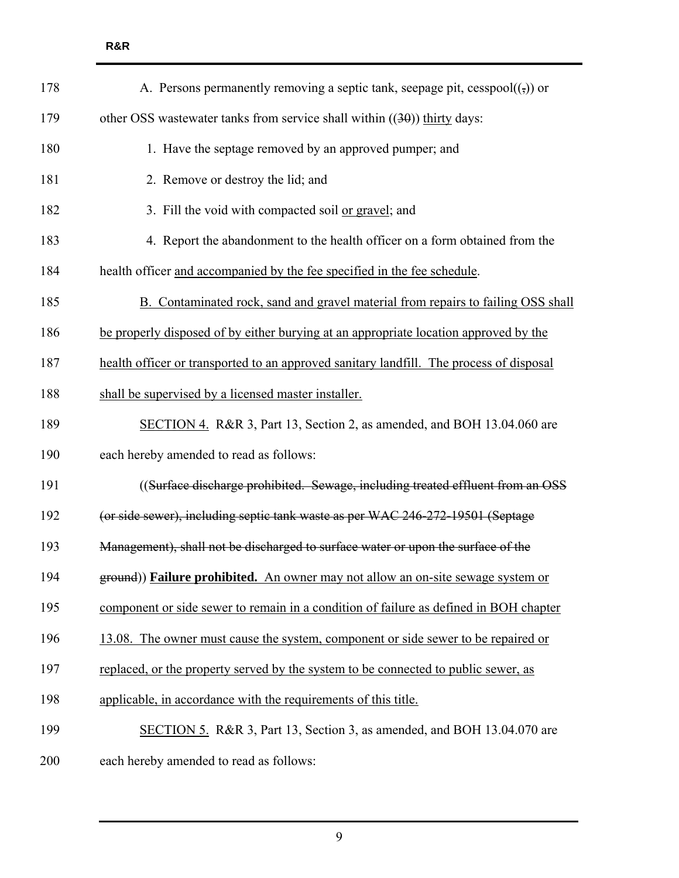| 178 | A. Persons permanently removing a septic tank, seepage pit, cesspool( $($ , $)$ ) or    |
|-----|-----------------------------------------------------------------------------------------|
| 179 | other OSS wastewater tanks from service shall within $((30))$ thirty days:              |
| 180 | 1. Have the septage removed by an approved pumper; and                                  |
| 181 | 2. Remove or destroy the lid; and                                                       |
| 182 | 3. Fill the void with compacted soil or gravel; and                                     |
| 183 | 4. Report the abandonment to the health officer on a form obtained from the             |
| 184 | health officer and accompanied by the fee specified in the fee schedule.                |
| 185 | B. Contaminated rock, sand and gravel material from repairs to failing OSS shall        |
| 186 | be properly disposed of by either burying at an appropriate location approved by the    |
| 187 | health officer or transported to an approved sanitary landfill. The process of disposal |
| 188 | shall be supervised by a licensed master installer.                                     |
| 189 | SECTION 4. R&R 3, Part 13, Section 2, as amended, and BOH 13.04.060 are                 |
| 190 | each hereby amended to read as follows:                                                 |
| 191 | ((Surface discharge prohibited. Sewage, including treated effluent from an OSS          |
| 192 | (or side sewer), including septic tank waste as per WAC 246-272-19501 (Septage          |
| 193 | Management), shall not be discharged to surface water or upon the surface of the        |
| 194 | ground)) Failure prohibited. An owner may not allow an on-site sewage system or         |
| 195 | component or side sewer to remain in a condition of failure as defined in BOH chapter   |
| 196 | 13.08. The owner must cause the system, component or side sewer to be repaired or       |
| 197 | replaced, or the property served by the system to be connected to public sewer, as      |
| 198 | applicable, in accordance with the requirements of this title.                          |
| 199 | SECTION 5. R&R 3, Part 13, Section 3, as amended, and BOH 13.04.070 are                 |
| 200 | each hereby amended to read as follows:                                                 |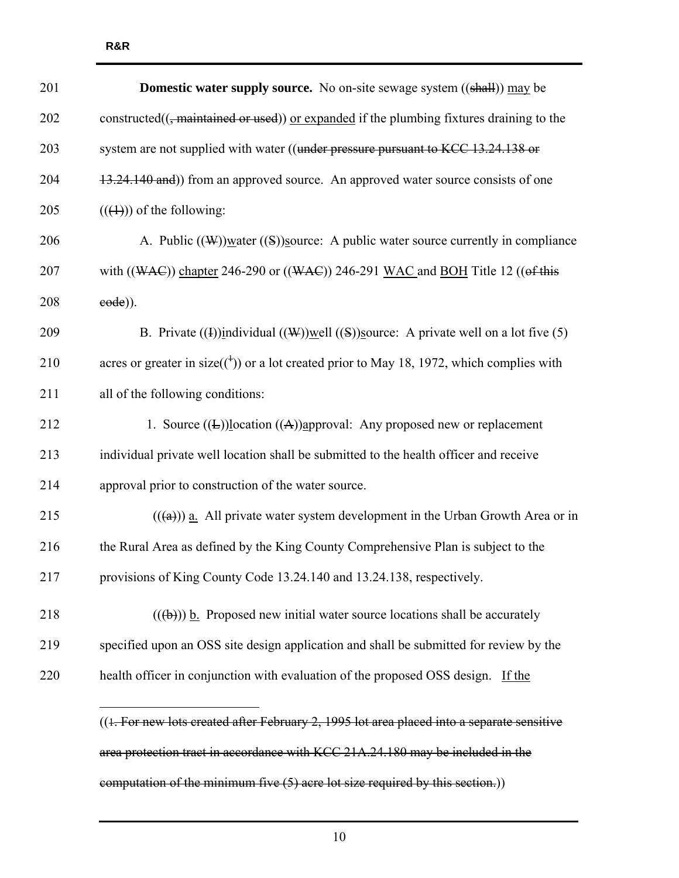| 201 | <b>Domestic water supply source.</b> No on-site sewage system ((shall)) may be                         |
|-----|--------------------------------------------------------------------------------------------------------|
| 202 | constructed $((, \text{maintained or used}))$ or expanded if the plumbing fixtures draining to the     |
| 203 | system are not supplied with water ((under pressure pursuant to KCC 13.24.138 or                       |
| 204 | 13.24.140 and)) from an approved source. An approved water source consists of one                      |
| 205 | $((\text{(+)}))$ of the following:                                                                     |
| 206 | A. Public $((\mathcal{W}))$ water $((S))$ source: A public water source currently in compliance        |
| 207 | with $((WAC))$ chapter 246-290 or $((WAC))$ 246-291 WAC and BOH Title 12 ((of this                     |
| 208 | $eode$ )).                                                                                             |
| 209 | B. Private $((1))$ individual $((\mathcal{W}))$ well $((S))$ source: A private well on a lot five (5)  |
| 210 | acres or greater in size( $\binom{+}{1}$ ) or a lot created prior to May 18, 1972, which complies with |
| 211 | all of the following conditions:                                                                       |
| 212 | 1. Source $((L))$ location $((A))$ approval: Any proposed new or replacement                           |
| 213 | individual private well location shall be submitted to the health officer and receive                  |
| 214 | approval prior to construction of the water source.                                                    |
| 215 | $((a))$ a. All private water system development in the Urban Growth Area or in                         |
| 216 | the Rural Area as defined by the King County Comprehensive Plan is subject to the                      |
| 217 | provisions of King County Code 13.24.140 and 13.24.138, respectively.                                  |
| 218 | $((a + b))$ b. Proposed new initial water source locations shall be accurately                         |
| 219 | specified upon an OSS site design application and shall be submitted for review by the                 |
| 220 | health officer in conjunction with evaluation of the proposed OSS design. If the                       |
|     | ((1. For new lots created after February 2, 1995 lot area placed into a separate sensitive             |

area protection tract in accordance with KCC 21A.24.180 may be included in the computation of the minimum five (5) acre lot size required by this section.))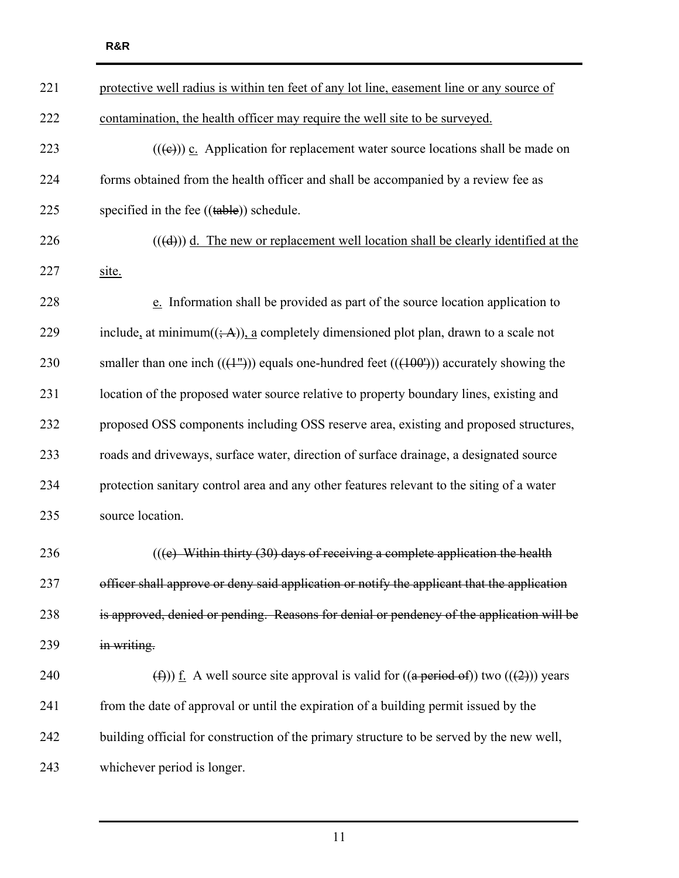| 221 | protective well radius is within ten feet of any lot line, easement line or any source of                        |
|-----|------------------------------------------------------------------------------------------------------------------|
| 222 | contamination, the health officer may require the well site to be surveyed.                                      |
| 223 | $((\epsilon))$ c. Application for replacement water source locations shall be made on                            |
| 224 | forms obtained from the health officer and shall be accompanied by a review fee as                               |
| 225 | specified in the fee $((\text{table}))$ schedule.                                                                |
| 226 | $((\text{d}))$ d. The new or replacement well location shall be clearly identified at the                        |
| 227 | site.                                                                                                            |
| 228 | e. Information shall be provided as part of the source location application to                                   |
| 229 | include, at minimum( $(\div A)$ ), a completely dimensioned plot plan, drawn to a scale not                      |
| 230 | smaller than one inch $((+^{\prime\prime})$ ) equals one-hundred feet $((+100^{\prime}))$ accurately showing the |
| 231 | location of the proposed water source relative to property boundary lines, existing and                          |
| 232 | proposed OSS components including OSS reserve area, existing and proposed structures,                            |
| 233 | roads and driveways, surface water, direction of surface drainage, a designated source                           |
| 234 | protection sanitary control area and any other features relevant to the siting of a water                        |
| 235 | source location.                                                                                                 |
| 236 | $((e)$ Within thirty (30) days of receiving a complete application the health                                    |
| 237 | officer shall approve or deny said application or notify the applicant that the application                      |
| 238 | is approved, denied or pending. Reasons for denial or pendency of the application will be                        |
| 239 | in writing.                                                                                                      |
| 240 | (f)) <u>f</u> . A well source site approval is valid for $((a period of))$ two $((2))$ years                     |
| 241 | from the date of approval or until the expiration of a building permit issued by the                             |
| 242 | building official for construction of the primary structure to be served by the new well,                        |
| 243 | whichever period is longer.                                                                                      |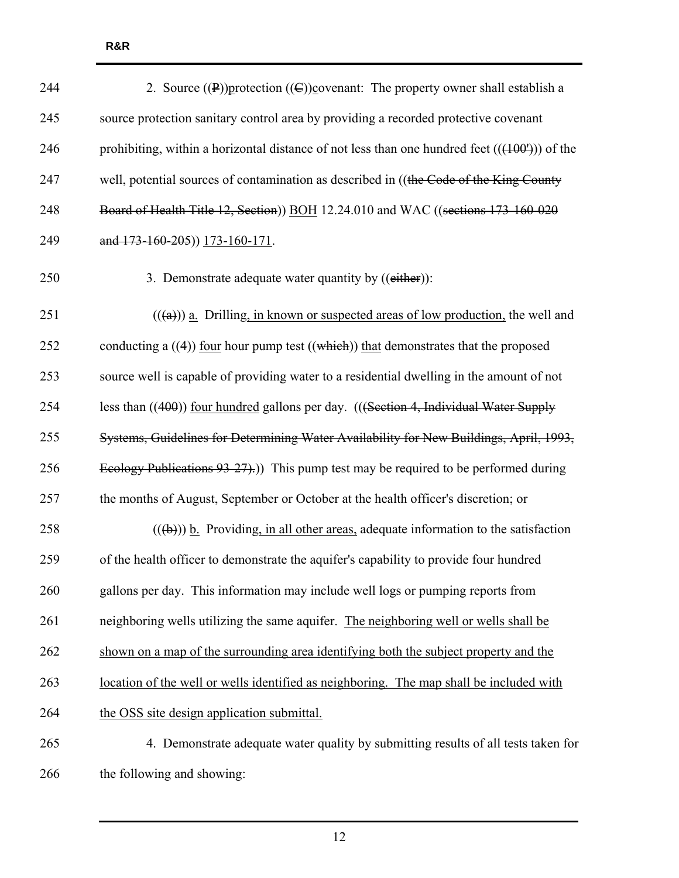| 244 | 2. Source $(\mathbf{P})$ ) protection $(\mathbf{C})$ ) covenant: The property owner shall establish a |
|-----|-------------------------------------------------------------------------------------------------------|
| 245 | source protection sanitary control area by providing a recorded protective covenant                   |
| 246 | prohibiting, within a horizontal distance of not less than one hundred feet $((400^{\circ}))$ of the  |
| 247 | well, potential sources of contamination as described in ((the Code of the King County                |
| 248 | Board of Health Title 12, Section)) BOH 12.24.010 and WAC ((sections 173-160-020                      |
| 249 | and 173-160-205)) 173-160-171.                                                                        |
| 250 | 3. Demonstrate adequate water quantity by ((either)):                                                 |
| 251 | $((a))$ a. Drilling, in known or suspected areas of low production, the well and                      |
| 252 | conducting a $((4))$ four hour pump test $((which))$ that demonstrates that the proposed              |
| 253 | source well is capable of providing water to a residential dwelling in the amount of not              |
| 254 | less than ((400)) four hundred gallons per day. (((Section 4, Individual Water Supply                 |
| 255 | Systems, Guidelines for Determining Water Availability for New Buildings, April, 1993,                |
| 256 | Ecology Publications $93-27$ ).) This pump test may be required to be performed during                |
| 257 | the months of August, September or October at the health officer's discretion; or                     |
| 258 | $((\theta))$ b. Providing, in all other areas, adequate information to the satisfaction               |
| 259 | of the health officer to demonstrate the aquifer's capability to provide four hundred                 |
| 260 | gallons per day. This information may include well logs or pumping reports from                       |
| 261 | neighboring wells utilizing the same aquifer. The neighboring well or wells shall be                  |
| 262 | shown on a map of the surrounding area identifying both the subject property and the                  |
| 263 | location of the well or wells identified as neighboring. The map shall be included with               |
| 264 | the OSS site design application submittal.                                                            |
| 265 | 4. Demonstrate adequate water quality by submitting results of all tests taken for                    |
| 266 | the following and showing:                                                                            |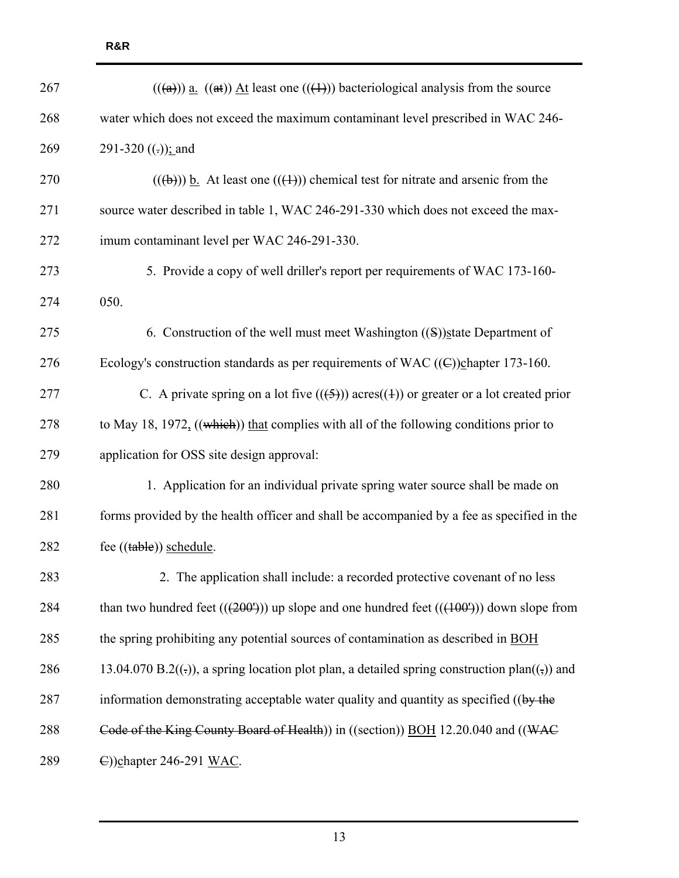| 267 | $((a))$ a. $((a))$ At least one $((+)$ ) bacteriological analysis from the source                             |
|-----|---------------------------------------------------------------------------------------------------------------|
| 268 | water which does not exceed the maximum contaminant level prescribed in WAC 246-                              |
| 269 | 291-320 $((.)$ ; and                                                                                          |
| 270 | $((a)(b))$ b. At least one $((4))$ chemical test for nitrate and arsenic from the                             |
| 271 | source water described in table 1, WAC 246-291-330 which does not exceed the max-                             |
| 272 | imum contaminant level per WAC 246-291-330.                                                                   |
| 273 | 5. Provide a copy of well driller's report per requirements of WAC 173-160-                                   |
| 274 | 050.                                                                                                          |
| 275 | 6. Construction of the well must meet Washington ((S))state Department of                                     |
| 276 | Ecology's construction standards as per requirements of WAC $((\in)$ ) $\in$ hapter 173-160.                  |
| 277 | C. A private spring on a lot five $((\frac{5}{2}))$ acres $((\frac{1}{2}))$ or greater or a lot created prior |
| 278 | to May 18, 1972, $((which))$ that complies with all of the following conditions prior to                      |
| 279 | application for OSS site design approval:                                                                     |
| 280 | 1. Application for an individual private spring water source shall be made on                                 |
| 281 | forms provided by the health officer and shall be accompanied by a fee as specified in the                    |
| 282 | fee ((table)) schedule.                                                                                       |
| 283 | 2. The application shall include: a recorded protective covenant of no less                                   |
| 284 | than two hundred feet $((200'))$ up slope and one hundred feet $((400'))$ down slope from                     |
| 285 | the spring prohibiting any potential sources of contamination as described in BOH                             |
| 286 | 13.04.070 B.2((-)), a spring location plot plan, a detailed spring construction plan((-)) and                 |
| 287 | information demonstrating acceptable water quality and quantity as specified ((by the                         |
| 288 | Code of the King County Board of Health) in ((section)) BOH 12.20.040 and ((WAC                               |
| 289 | C))chapter 246-291 WAC.                                                                                       |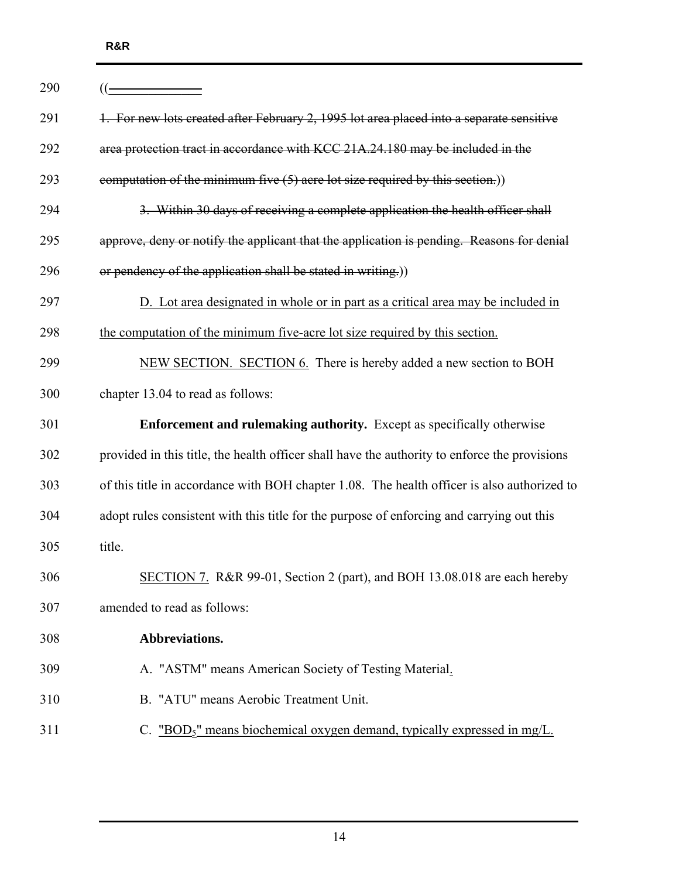| 290 |                                                                                               |
|-----|-----------------------------------------------------------------------------------------------|
| 291 | 1. For new lots created after February 2, 1995 lot area placed into a separate sensitive      |
| 292 | area protection tract in accordance with KCC 21A.24.180 may be included in the                |
| 293 | computation of the minimum five $(5)$ acre lot size required by this section.)                |
| 294 | 3. Within 30 days of receiving a complete application the health officer shall                |
| 295 | approve, deny or notify the applicant that the application is pending. Reasons for denial     |
| 296 | or pendency of the application shall be stated in writing.))                                  |
| 297 | D. Lot area designated in whole or in part as a critical area may be included in              |
| 298 | the computation of the minimum five-acre lot size required by this section.                   |
| 299 | NEW SECTION. SECTION 6. There is hereby added a new section to BOH                            |
| 300 | chapter 13.04 to read as follows:                                                             |
| 301 | <b>Enforcement and rulemaking authority.</b> Except as specifically otherwise                 |
| 302 | provided in this title, the health officer shall have the authority to enforce the provisions |
| 303 | of this title in accordance with BOH chapter 1.08. The health officer is also authorized to   |
| 304 | adopt rules consistent with this title for the purpose of enforcing and carrying out this     |
| 305 | title.                                                                                        |
| 306 | SECTION 7. R&R 99-01, Section 2 (part), and BOH 13.08.018 are each hereby                     |
| 307 | amended to read as follows:                                                                   |
| 308 | Abbreviations.                                                                                |
| 309 | A. "ASTM" means American Society of Testing Material.                                         |
| 310 | B. "ATU" means Aerobic Treatment Unit.                                                        |
| 311 | C. " $BOD_5$ " means biochemical oxygen demand, typically expressed in mg/L.                  |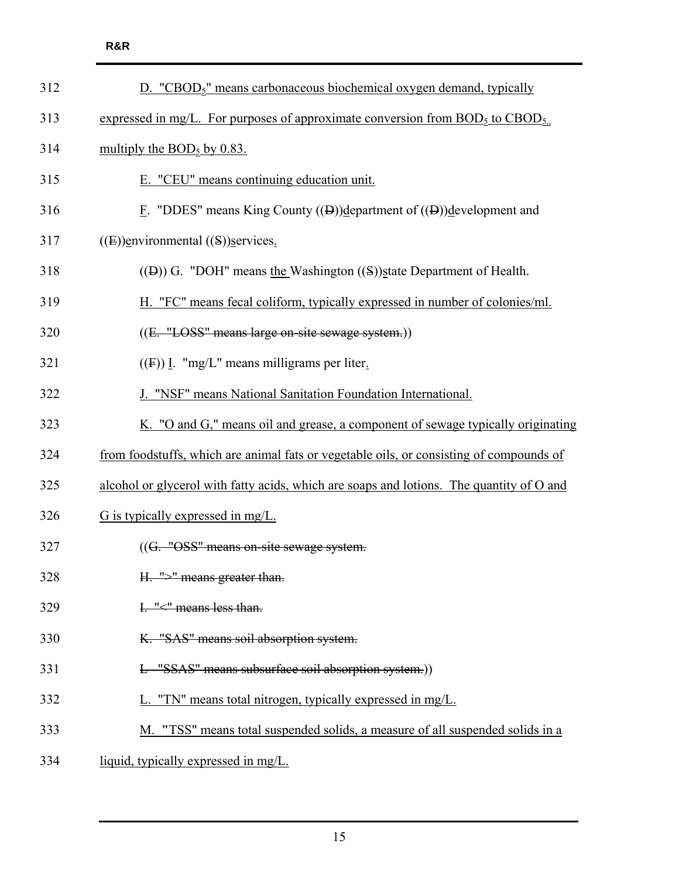| 312 | D. "CBOD <sub>5</sub> " means carbonaceous biochemical oxygen demand, typically          |
|-----|------------------------------------------------------------------------------------------|
| 313 | expressed in mg/L. For purposes of approximate conversion from $BOD5$ to $CBOD5$ .       |
| 314 | multiply the $BOD_5$ by 0.83.                                                            |
| 315 | E. "CEU" means continuing education unit.                                                |
| 316 | E. "DDES" means King County $((\theta))$ department of $((\theta))$ development and      |
| 317 | $((E))$ environmental $((S))$ services.                                                  |
| 318 | $(1)$ G. "DOH" means the Washington $(1)$ state Department of Health.                    |
| 319 | H. "FC" means fecal coliform, typically expressed in number of colonies/ml.              |
| 320 | ((E. "LOSS" means large on-site sewage system.))                                         |
| 321 | $((F))$ I. "mg/L" means milligrams per liter.                                            |
| 322 | J. "NSF" means National Sanitation Foundation International.                             |
| 323 | K. "O and G," means oil and grease, a component of sewage typically originating          |
| 324 | from foodstuffs, which are animal fats or vegetable oils, or consisting of compounds of  |
| 325 | alcohol or glycerol with fatty acids, which are soaps and lotions. The quantity of O and |
| 326 | G is typically expressed in mg/L.                                                        |
| 327 | ((G. "OSS" means on-site sewage system.                                                  |
| 328 | H. ">" means greater than.                                                               |
| 329 | I. "<" means less than.                                                                  |
| 330 | K. "SAS" means soil absorption system.                                                   |
| 331 | L "SSAS" means subsurface soil absorption system.))                                      |
| 332 | L. "TN" means total nitrogen, typically expressed in mg/L.                               |
| 333 | M. "TSS" means total suspended solids, a measure of all suspended solids in a            |
| 334 | liquid, typically expressed in mg/L.                                                     |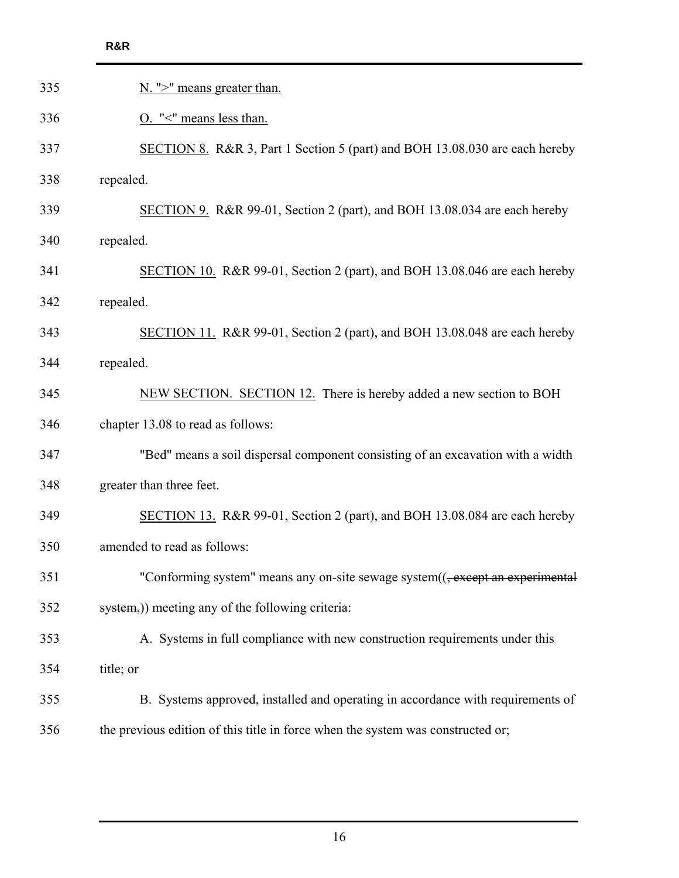| <b>R&amp;R</b>                                                                            |
|-------------------------------------------------------------------------------------------|
| N. ">" means greater than.                                                                |
| O. "<" means less than.                                                                   |
| SECTION 8. R&R 3, Part 1 Section 5 (part) and BOH 13.08.030 are each hereby               |
| repealed.                                                                                 |
| SECTION 9. R&R 99-01, Section 2 (part), and BOH 13.08.034 are each hereby                 |
| repealed.                                                                                 |
| SECTION 10. R&R 99-01, Section 2 (part), and BOH 13.08.046 are each hereby                |
| repealed.                                                                                 |
| SECTION 11. R&R 99-01, Section 2 (part), and BOH 13.08.048 are each hereby                |
| repealed.                                                                                 |
| NEW SECTION. SECTION 12. There is hereby added a new section to BOH                       |
| chapter 13.08 to read as follows:                                                         |
| "Bed" means a soil dispersal component consisting of an excavation with a width           |
| greater than three feet.                                                                  |
| SECTION 13. R&R 99-01, Section 2 (part), and BOH 13.08.084 are each hereby                |
| amended to read as follows:                                                               |
| "Conforming system" means any on-site sewage system(( <del>, except an experimental</del> |
| system,)) meeting any of the following criteria:                                          |
| A. Systems in full compliance with new construction requirements under this               |
| title; or                                                                                 |
| B. Systems approved, installed and operating in accordance with requirements of           |
| the previous edition of this title in force when the system was constructed or;           |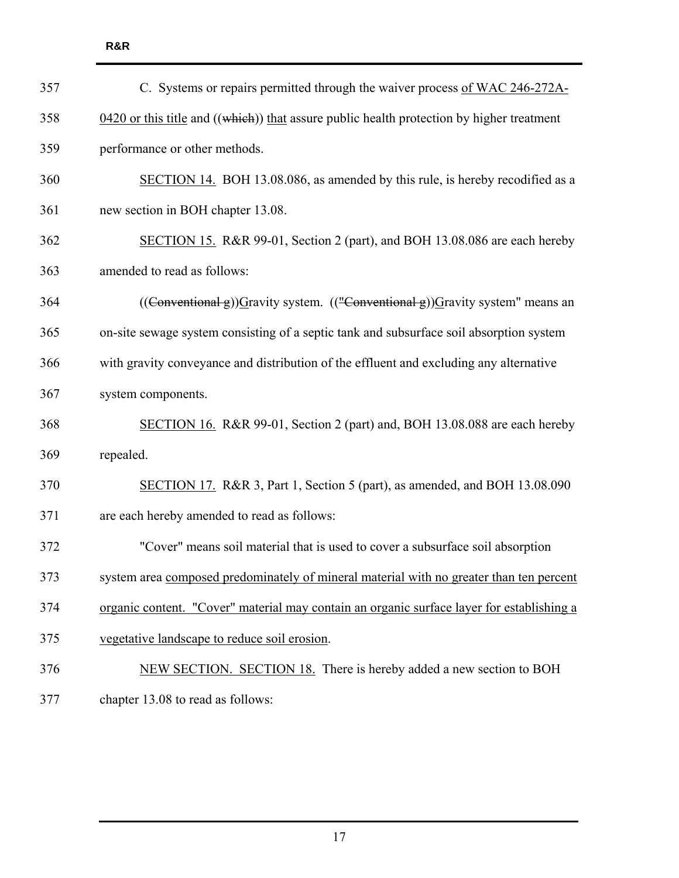| 357 | C. Systems or repairs permitted through the waiver process of WAC 246-272A-                                             |
|-----|-------------------------------------------------------------------------------------------------------------------------|
| 358 | $0.420$ or this title and ((which)) that assure public health protection by higher treatment                            |
| 359 | performance or other methods.                                                                                           |
| 360 | SECTION 14. BOH 13.08.086, as amended by this rule, is hereby recodified as a                                           |
| 361 | new section in BOH chapter 13.08.                                                                                       |
| 362 | SECTION 15. R&R 99-01, Section 2 (part), and BOH 13.08.086 are each hereby                                              |
| 363 | amended to read as follows:                                                                                             |
| 364 | $((\text{Conventional g})\text{)}\text{G}$ ravity system. $((\text{``Conventional g}))\text{G}$ ravity system" means an |
| 365 | on-site sewage system consisting of a septic tank and subsurface soil absorption system                                 |
| 366 | with gravity conveyance and distribution of the effluent and excluding any alternative                                  |
| 367 | system components.                                                                                                      |
| 368 | SECTION 16. R&R 99-01, Section 2 (part) and, BOH 13.08.088 are each hereby                                              |
| 369 | repealed.                                                                                                               |
| 370 | SECTION 17. R&R 3, Part 1, Section 5 (part), as amended, and BOH 13.08.090                                              |
| 371 | are each hereby amended to read as follows:                                                                             |
| 372 | "Cover" means soil material that is used to cover a subsurface soil absorption                                          |
| 373 | system area composed predominately of mineral material with no greater than ten percent                                 |
| 374 | organic content. "Cover" material may contain an organic surface layer for establishing a                               |
| 375 | vegetative landscape to reduce soil erosion.                                                                            |
| 376 | NEW SECTION. SECTION 18. There is hereby added a new section to BOH                                                     |
| 377 | chapter 13.08 to read as follows:                                                                                       |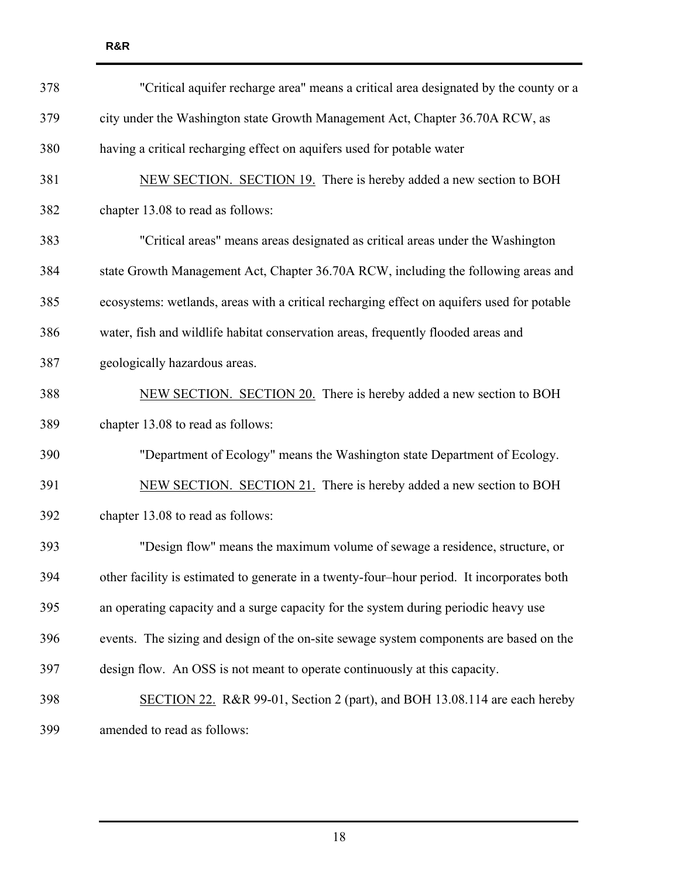| 378 | "Critical aquifer recharge area" means a critical area designated by the county or a       |
|-----|--------------------------------------------------------------------------------------------|
| 379 | city under the Washington state Growth Management Act, Chapter 36.70A RCW, as              |
| 380 | having a critical recharging effect on aquifers used for potable water                     |
| 381 | NEW SECTION. SECTION 19. There is hereby added a new section to BOH                        |
| 382 | chapter 13.08 to read as follows:                                                          |
| 383 | "Critical areas" means areas designated as critical areas under the Washington             |
| 384 | state Growth Management Act, Chapter 36.70A RCW, including the following areas and         |
| 385 | ecosystems: wetlands, areas with a critical recharging effect on aquifers used for potable |
| 386 | water, fish and wildlife habitat conservation areas, frequently flooded areas and          |
| 387 | geologically hazardous areas.                                                              |
| 388 | NEW SECTION. SECTION 20. There is hereby added a new section to BOH                        |
| 389 | chapter 13.08 to read as follows:                                                          |
| 390 | "Department of Ecology" means the Washington state Department of Ecology.                  |
| 391 | NEW SECTION. SECTION 21. There is hereby added a new section to BOH                        |
| 392 | chapter 13.08 to read as follows:                                                          |
| 393 | "Design flow" means the maximum volume of sewage a residence, structure, or                |
| 394 | other facility is estimated to generate in a twenty-four-hour period. It incorporates both |
| 395 | an operating capacity and a surge capacity for the system during periodic heavy use        |
| 396 | events. The sizing and design of the on-site sewage system components are based on the     |
| 397 | design flow. An OSS is not meant to operate continuously at this capacity.                 |
| 398 | SECTION 22. R&R 99-01, Section 2 (part), and BOH 13.08.114 are each hereby                 |
| 399 | amended to read as follows:                                                                |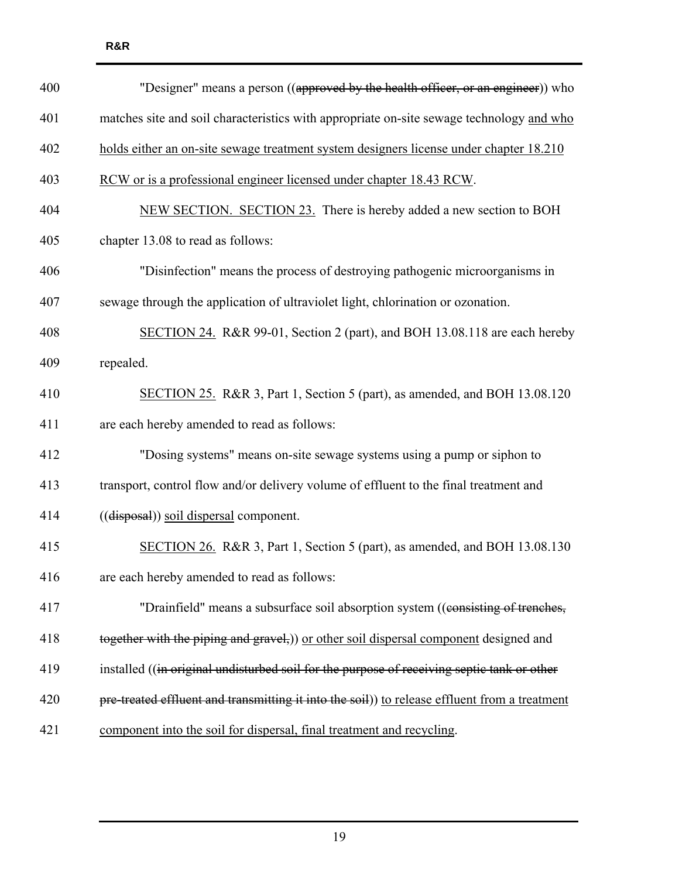| 400 | "Designer" means a person ((approved by the health officer, or an engineer)) who              |
|-----|-----------------------------------------------------------------------------------------------|
| 401 | matches site and soil characteristics with appropriate on-site sewage technology and who      |
| 402 | holds either an on-site sewage treatment system designers license under chapter 18.210        |
| 403 | RCW or is a professional engineer licensed under chapter 18.43 RCW.                           |
| 404 | NEW SECTION. SECTION 23. There is hereby added a new section to BOH                           |
| 405 | chapter 13.08 to read as follows:                                                             |
| 406 | "Disinfection" means the process of destroying pathogenic microorganisms in                   |
| 407 | sewage through the application of ultraviolet light, chlorination or ozonation.               |
| 408 | SECTION 24. R&R 99-01, Section 2 (part), and BOH 13.08.118 are each hereby                    |
| 409 | repealed.                                                                                     |
| 410 | SECTION 25. R&R 3, Part 1, Section 5 (part), as amended, and BOH 13.08.120                    |
| 411 | are each hereby amended to read as follows:                                                   |
| 412 | "Dosing systems" means on-site sewage systems using a pump or siphon to                       |
| 413 | transport, control flow and/or delivery volume of effluent to the final treatment and         |
| 414 | ((disposal)) soil dispersal component.                                                        |
| 415 | SECTION 26. R&R 3, Part 1, Section 5 (part), as amended, and BOH 13.08.130                    |
| 416 | are each hereby amended to read as follows:                                                   |
| 417 | "Drainfield" means a subsurface soil absorption system ((consisting of trenches,              |
| 418 | together with the piping and gravel,)) or other soil dispersal component designed and         |
| 419 | installed ((in original undisturbed soil for the purpose of receiving septic tank or other    |
| 420 | pre-treated effluent and transmitting it into the soil)) to release effluent from a treatment |
| 421 | component into the soil for dispersal, final treatment and recycling.                         |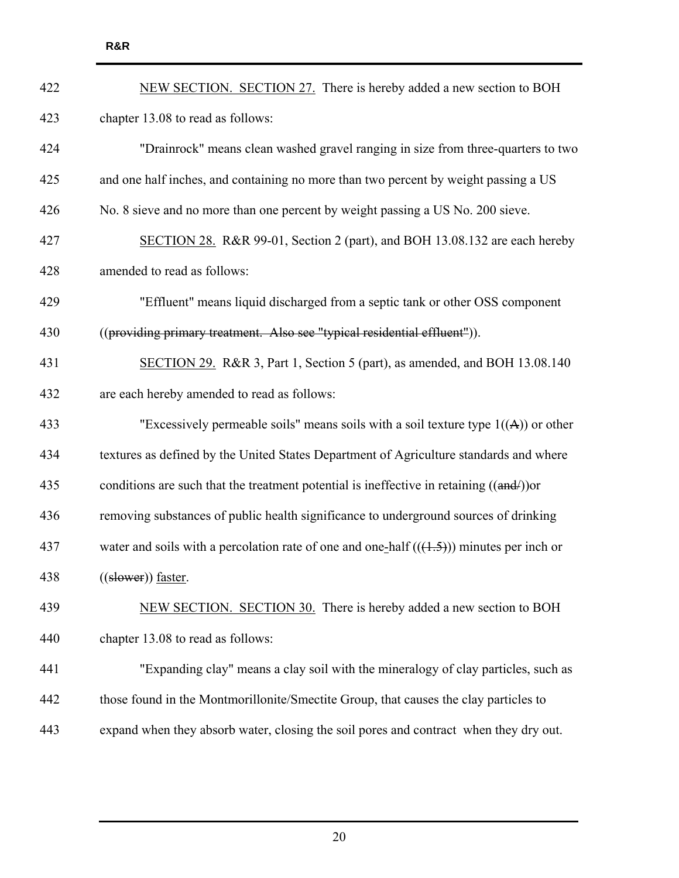| 422 | NEW SECTION. SECTION 27. There is hereby added a new section to BOH                       |
|-----|-------------------------------------------------------------------------------------------|
| 423 | chapter 13.08 to read as follows:                                                         |
| 424 | "Drainrock" means clean washed gravel ranging in size from three-quarters to two          |
| 425 | and one half inches, and containing no more than two percent by weight passing a US       |
| 426 | No. 8 sieve and no more than one percent by weight passing a US No. 200 sieve.            |
| 427 | SECTION 28. R&R 99-01, Section 2 (part), and BOH 13.08.132 are each hereby                |
| 428 | amended to read as follows:                                                               |
| 429 | "Effluent" means liquid discharged from a septic tank or other OSS component              |
| 430 | ((providing primary treatment. Also see "typical residential effluent")).                 |
| 431 | SECTION 29. R&R 3, Part 1, Section 5 (part), as amended, and BOH 13.08.140                |
| 432 | are each hereby amended to read as follows:                                               |
| 433 | "Excessively permeable soils" means soils with a soil texture type $1((A))$ or other      |
| 434 | textures as defined by the United States Department of Agriculture standards and where    |
| 435 | conditions are such that the treatment potential is ineffective in retaining $((and))$ or |
| 436 | removing substances of public health significance to underground sources of drinking      |
| 437 | water and soils with a percolation rate of one and one-half $((1.5))$ minutes per inch or |
| 438 | ((slower)) faster.                                                                        |
| 439 | NEW SECTION. SECTION 30. There is hereby added a new section to BOH                       |
| 440 | chapter 13.08 to read as follows:                                                         |
| 441 | "Expanding clay" means a clay soil with the mineralogy of clay particles, such as         |
| 442 | those found in the Montmorillonite/Smectite Group, that causes the clay particles to      |
| 443 | expand when they absorb water, closing the soil pores and contract when they dry out.     |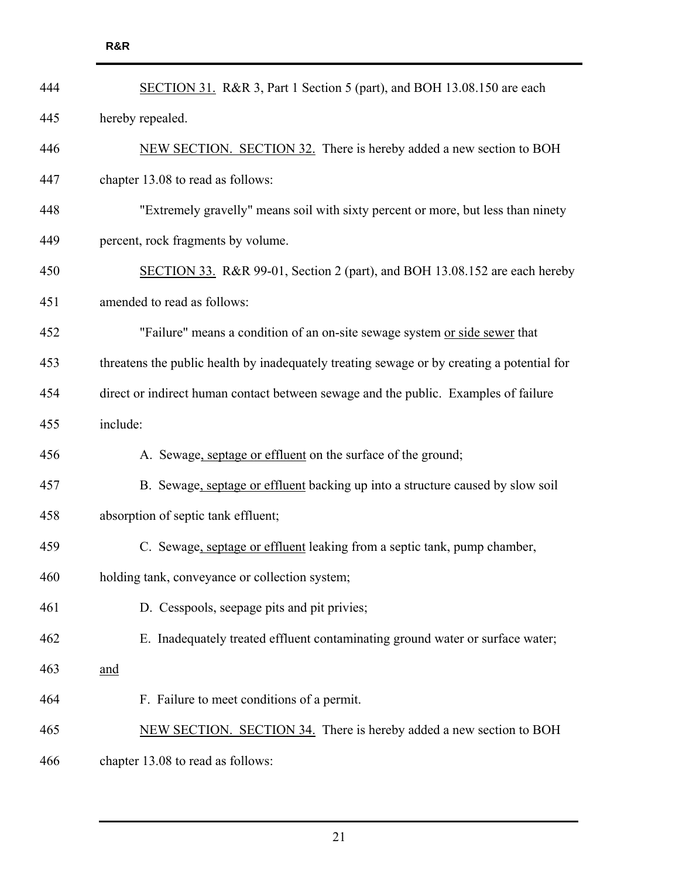| 444 | SECTION 31. R&R 3, Part 1 Section 5 (part), and BOH 13.08.150 are each                     |
|-----|--------------------------------------------------------------------------------------------|
| 445 | hereby repealed.                                                                           |
| 446 | NEW SECTION. SECTION 32. There is hereby added a new section to BOH                        |
| 447 | chapter 13.08 to read as follows:                                                          |
| 448 | "Extremely gravelly" means soil with sixty percent or more, but less than ninety           |
| 449 | percent, rock fragments by volume.                                                         |
| 450 | SECTION 33. R&R 99-01, Section 2 (part), and BOH 13.08.152 are each hereby                 |
| 451 | amended to read as follows:                                                                |
| 452 | "Failure" means a condition of an on-site sewage system or side sewer that                 |
| 453 | threatens the public health by inadequately treating sewage or by creating a potential for |
| 454 | direct or indirect human contact between sewage and the public. Examples of failure        |
| 455 | include:                                                                                   |
| 456 | A. Sewage, septage or effluent on the surface of the ground;                               |
| 457 | B. Sewage, septage or effluent backing up into a structure caused by slow soil             |
| 458 | absorption of septic tank effluent;                                                        |
| 459 | C. Sewage, septage or effluent leaking from a septic tank, pump chamber,                   |
| 460 | holding tank, conveyance or collection system;                                             |
| 461 | D. Cesspools, seepage pits and pit privies;                                                |
| 462 | E. Inadequately treated effluent contaminating ground water or surface water;              |
| 463 | <u>and</u>                                                                                 |
| 464 | F. Failure to meet conditions of a permit.                                                 |
| 465 | NEW SECTION. SECTION 34. There is hereby added a new section to BOH                        |
| 466 | chapter 13.08 to read as follows:                                                          |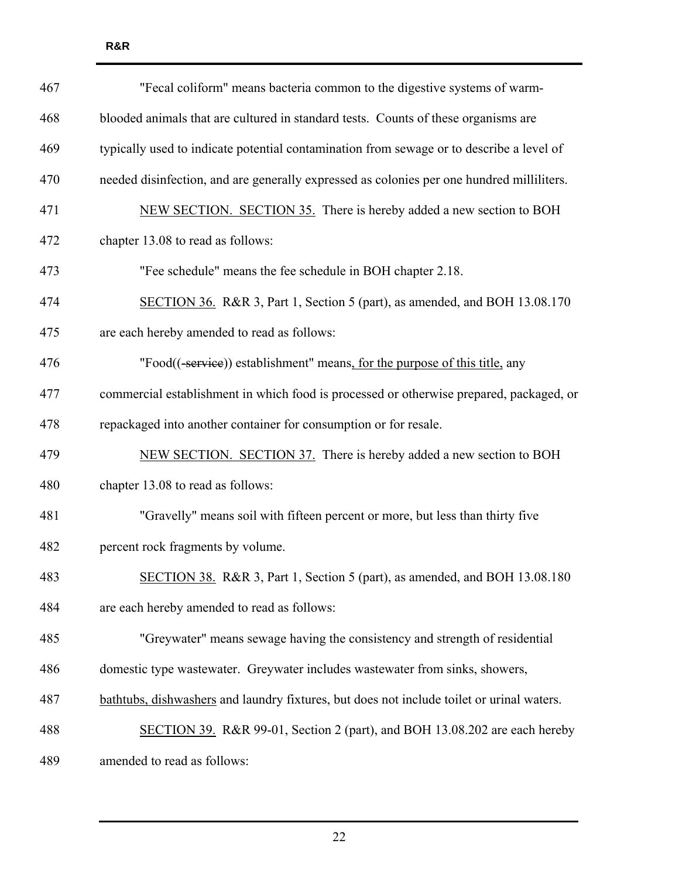| 467 | "Fecal coliform" means bacteria common to the digestive systems of warm-                  |
|-----|-------------------------------------------------------------------------------------------|
| 468 | blooded animals that are cultured in standard tests. Counts of these organisms are        |
| 469 | typically used to indicate potential contamination from sewage or to describe a level of  |
| 470 | needed disinfection, and are generally expressed as colonies per one hundred milliliters. |
| 471 | NEW SECTION. SECTION 35. There is hereby added a new section to BOH                       |
| 472 | chapter 13.08 to read as follows:                                                         |
| 473 | "Fee schedule" means the fee schedule in BOH chapter 2.18.                                |
| 474 | SECTION 36. R&R 3, Part 1, Section 5 (part), as amended, and BOH 13.08.170                |
| 475 | are each hereby amended to read as follows:                                               |
| 476 | "Food((-service)) establishment" means, for the purpose of this title, any                |
| 477 | commercial establishment in which food is processed or otherwise prepared, packaged, or   |
| 478 | repackaged into another container for consumption or for resale.                          |
| 479 | NEW SECTION. SECTION 37. There is hereby added a new section to BOH                       |
| 480 | chapter 13.08 to read as follows:                                                         |
| 481 | "Gravelly" means soil with fifteen percent or more, but less than thirty five             |
| 482 | percent rock fragments by volume.                                                         |
| 483 | SECTION 38. R&R 3, Part 1, Section 5 (part), as amended, and BOH 13.08.180                |
| 484 | are each hereby amended to read as follows:                                               |
| 485 | "Greywater" means sewage having the consistency and strength of residential               |
| 486 | domestic type wastewater. Greywater includes wastewater from sinks, showers,              |
| 487 | bathtubs, dishwashers and laundry fixtures, but does not include toilet or urinal waters. |
| 488 | SECTION 39. R&R 99-01, Section 2 (part), and BOH 13.08.202 are each hereby                |
| 489 | amended to read as follows:                                                               |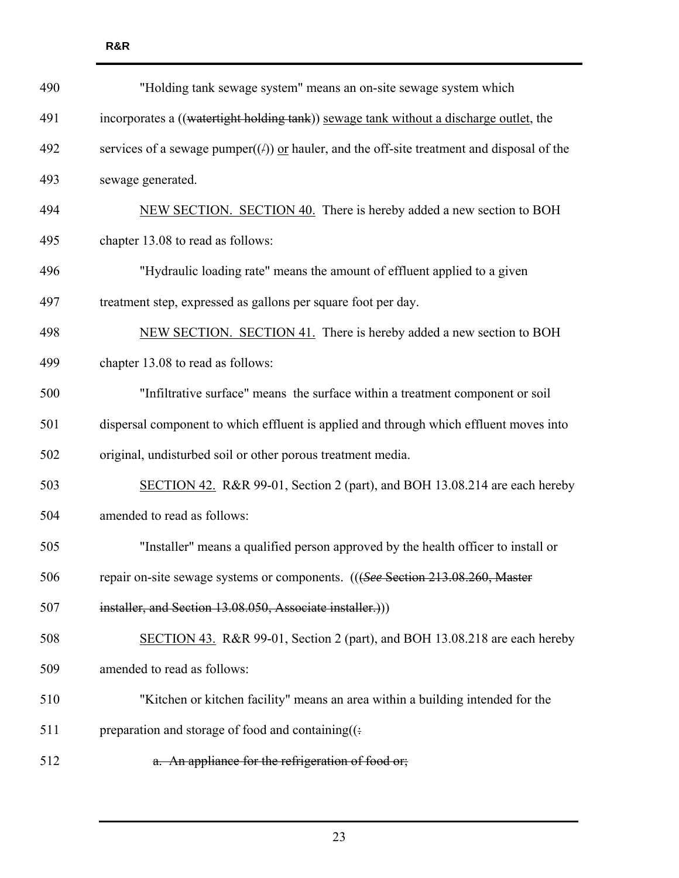| 490 | "Holding tank sewage system" means an on-site sewage system which                             |  |  |  |  |  |  |
|-----|-----------------------------------------------------------------------------------------------|--|--|--|--|--|--|
| 491 | incorporates a ((watertight holding tank)) sewage tank without a discharge outlet, the        |  |  |  |  |  |  |
| 492 | services of a sewage pumper $((f))$ or hauler, and the off-site treatment and disposal of the |  |  |  |  |  |  |
| 493 | sewage generated.                                                                             |  |  |  |  |  |  |
| 494 | NEW SECTION. SECTION 40. There is hereby added a new section to BOH                           |  |  |  |  |  |  |
| 495 | chapter 13.08 to read as follows:                                                             |  |  |  |  |  |  |
| 496 | "Hydraulic loading rate" means the amount of effluent applied to a given                      |  |  |  |  |  |  |
| 497 | treatment step, expressed as gallons per square foot per day.                                 |  |  |  |  |  |  |
| 498 | NEW SECTION. SECTION 41. There is hereby added a new section to BOH                           |  |  |  |  |  |  |
| 499 | chapter 13.08 to read as follows:                                                             |  |  |  |  |  |  |
| 500 | "Infiltrative surface" means the surface within a treatment component or soil                 |  |  |  |  |  |  |
| 501 | dispersal component to which effluent is applied and through which effluent moves into        |  |  |  |  |  |  |
| 502 | original, undisturbed soil or other porous treatment media.                                   |  |  |  |  |  |  |
| 503 | SECTION 42. R&R 99-01, Section 2 (part), and BOH 13.08.214 are each hereby                    |  |  |  |  |  |  |
| 504 | amended to read as follows:                                                                   |  |  |  |  |  |  |
| 505 | "Installer" means a qualified person approved by the health officer to install or             |  |  |  |  |  |  |
| 506 | repair on-site sewage systems or components. (((See Section 213.08.260, Master                |  |  |  |  |  |  |
| 507 | installer, and Section 13.08.050, Associate installer.))                                      |  |  |  |  |  |  |
| 508 | SECTION 43. R&R 99-01, Section 2 (part), and BOH 13.08.218 are each hereby                    |  |  |  |  |  |  |
| 509 | amended to read as follows:                                                                   |  |  |  |  |  |  |
| 510 | "Kitchen or kitchen facility" means an area within a building intended for the                |  |  |  |  |  |  |
| 511 | preparation and storage of food and containing( $($ :                                         |  |  |  |  |  |  |
| 512 | a. An appliance for the refrigeration of food or;                                             |  |  |  |  |  |  |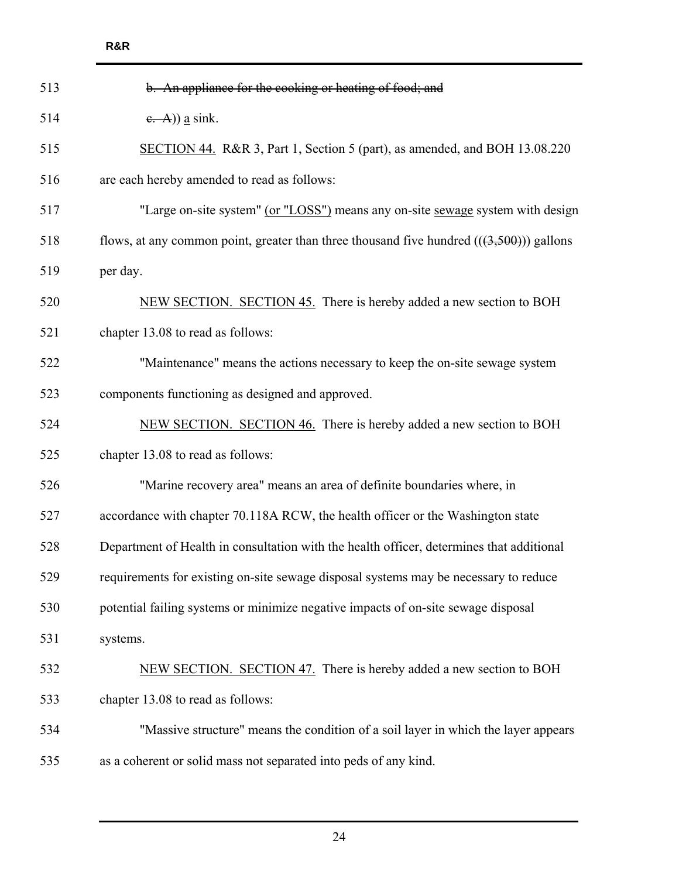| 513 | b. An appliance for the cooking or heating of food; and                                  |  |  |  |  |  |  |  |
|-----|------------------------------------------------------------------------------------------|--|--|--|--|--|--|--|
| 514 | $\epsilon$ . A)) <u>a</u> sink.                                                          |  |  |  |  |  |  |  |
| 515 | SECTION 44. R&R 3, Part 1, Section 5 (part), as amended, and BOH 13.08.220               |  |  |  |  |  |  |  |
| 516 | are each hereby amended to read as follows:                                              |  |  |  |  |  |  |  |
| 517 | "Large on-site system" (or "LOSS") means any on-site sewage system with design           |  |  |  |  |  |  |  |
| 518 | flows, at any common point, greater than three thousand five hundred $((3,500))$ gallons |  |  |  |  |  |  |  |
| 519 | per day.                                                                                 |  |  |  |  |  |  |  |
| 520 | NEW SECTION. SECTION 45. There is hereby added a new section to BOH                      |  |  |  |  |  |  |  |
| 521 | chapter 13.08 to read as follows:                                                        |  |  |  |  |  |  |  |
| 522 | "Maintenance" means the actions necessary to keep the on-site sewage system              |  |  |  |  |  |  |  |
| 523 | components functioning as designed and approved.                                         |  |  |  |  |  |  |  |
| 524 | NEW SECTION. SECTION 46. There is hereby added a new section to BOH                      |  |  |  |  |  |  |  |
| 525 | chapter 13.08 to read as follows:                                                        |  |  |  |  |  |  |  |
| 526 | "Marine recovery area" means an area of definite boundaries where, in                    |  |  |  |  |  |  |  |
| 527 | accordance with chapter 70.118A RCW, the health officer or the Washington state          |  |  |  |  |  |  |  |
| 528 | Department of Health in consultation with the health officer, determines that additional |  |  |  |  |  |  |  |
| 529 | requirements for existing on-site sewage disposal systems may be necessary to reduce     |  |  |  |  |  |  |  |
| 530 | potential failing systems or minimize negative impacts of on-site sewage disposal        |  |  |  |  |  |  |  |
| 531 | systems.                                                                                 |  |  |  |  |  |  |  |
| 532 | NEW SECTION. SECTION 47. There is hereby added a new section to BOH                      |  |  |  |  |  |  |  |
| 533 | chapter 13.08 to read as follows:                                                        |  |  |  |  |  |  |  |
| 534 | "Massive structure" means the condition of a soil layer in which the layer appears       |  |  |  |  |  |  |  |
| 535 | as a coherent or solid mass not separated into peds of any kind.                         |  |  |  |  |  |  |  |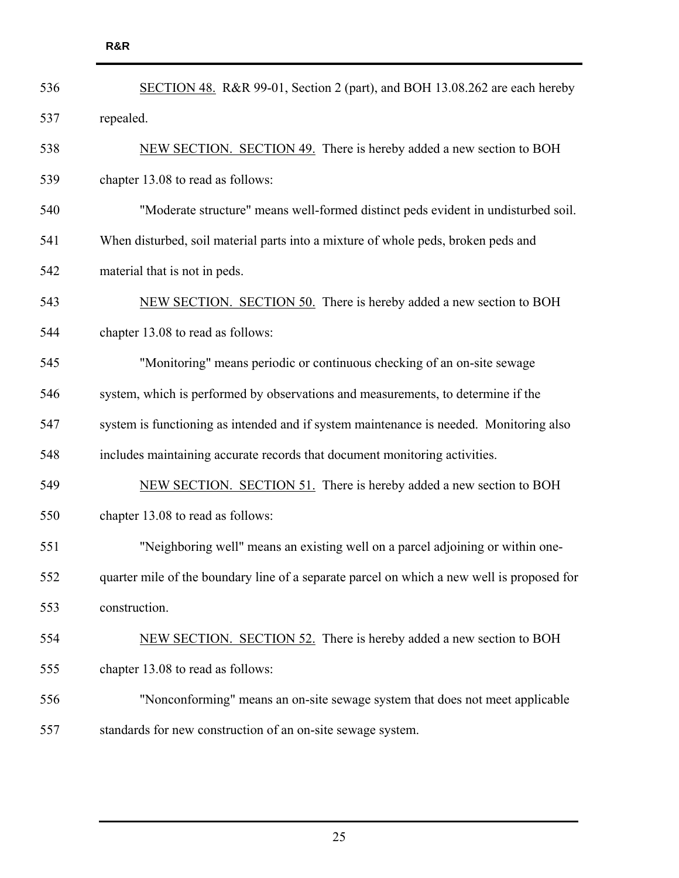| 536 | SECTION 48. R&R 99-01, Section 2 (part), and BOH 13.08.262 are each hereby                 |  |  |  |  |  |  |  |
|-----|--------------------------------------------------------------------------------------------|--|--|--|--|--|--|--|
| 537 | repealed.                                                                                  |  |  |  |  |  |  |  |
| 538 | NEW SECTION. SECTION 49. There is hereby added a new section to BOH                        |  |  |  |  |  |  |  |
| 539 | chapter 13.08 to read as follows:                                                          |  |  |  |  |  |  |  |
| 540 | "Moderate structure" means well-formed distinct peds evident in undisturbed soil.          |  |  |  |  |  |  |  |
| 541 | When disturbed, soil material parts into a mixture of whole peds, broken peds and          |  |  |  |  |  |  |  |
| 542 | material that is not in peds.                                                              |  |  |  |  |  |  |  |
| 543 | NEW SECTION. SECTION 50. There is hereby added a new section to BOH                        |  |  |  |  |  |  |  |
| 544 | chapter 13.08 to read as follows:                                                          |  |  |  |  |  |  |  |
| 545 | "Monitoring" means periodic or continuous checking of an on-site sewage                    |  |  |  |  |  |  |  |
| 546 | system, which is performed by observations and measurements, to determine if the           |  |  |  |  |  |  |  |
| 547 | system is functioning as intended and if system maintenance is needed. Monitoring also     |  |  |  |  |  |  |  |
| 548 | includes maintaining accurate records that document monitoring activities.                 |  |  |  |  |  |  |  |
| 549 | NEW SECTION. SECTION 51. There is hereby added a new section to BOH                        |  |  |  |  |  |  |  |
| 550 | chapter 13.08 to read as follows:                                                          |  |  |  |  |  |  |  |
| 551 | "Neighboring well" means an existing well on a parcel adjoining or within one-             |  |  |  |  |  |  |  |
| 552 | quarter mile of the boundary line of a separate parcel on which a new well is proposed for |  |  |  |  |  |  |  |
| 553 | construction.                                                                              |  |  |  |  |  |  |  |
| 554 | NEW SECTION. SECTION 52. There is hereby added a new section to BOH                        |  |  |  |  |  |  |  |
| 555 | chapter 13.08 to read as follows:                                                          |  |  |  |  |  |  |  |
| 556 | "Nonconforming" means an on-site sewage system that does not meet applicable               |  |  |  |  |  |  |  |
| 557 | standards for new construction of an on-site sewage system.                                |  |  |  |  |  |  |  |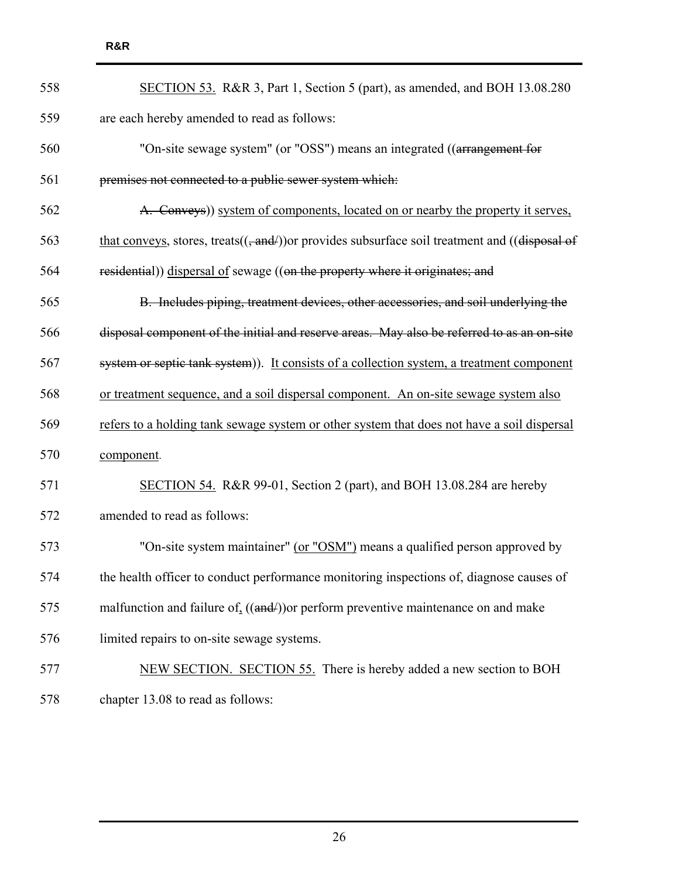| 558 | SECTION 53. R&R 3, Part 1, Section 5 (part), as amended, and BOH 13.08.280                                           |  |  |  |  |  |  |
|-----|----------------------------------------------------------------------------------------------------------------------|--|--|--|--|--|--|
| 559 | are each hereby amended to read as follows:                                                                          |  |  |  |  |  |  |
| 560 | "On-site sewage system" (or "OSS") means an integrated ((arrangement for                                             |  |  |  |  |  |  |
| 561 | premises not connected to a public sewer system which:                                                               |  |  |  |  |  |  |
| 562 | A. Conveys) system of components, located on or nearby the property it serves,                                       |  |  |  |  |  |  |
| 563 | that conveys, stores, treats( $\left($ , and $/$ )) or provides subsurface soil treatment and ( $\left($ disposal of |  |  |  |  |  |  |
| 564 | residential)) dispersal of sewage ((on the property where it originates; and                                         |  |  |  |  |  |  |
| 565 | B. Includes piping, treatment devices, other accessories, and soil underlying the                                    |  |  |  |  |  |  |
| 566 | disposal component of the initial and reserve areas. May also be referred to as an on-site                           |  |  |  |  |  |  |
| 567 | system or septic tank system)). It consists of a collection system, a treatment component                            |  |  |  |  |  |  |
| 568 | or treatment sequence, and a soil dispersal component. An on-site sewage system also                                 |  |  |  |  |  |  |
| 569 | refers to a holding tank sewage system or other system that does not have a soil dispersal                           |  |  |  |  |  |  |
| 570 | component.                                                                                                           |  |  |  |  |  |  |
| 571 | SECTION 54. R&R 99-01, Section 2 (part), and BOH 13.08.284 are hereby                                                |  |  |  |  |  |  |
| 572 | amended to read as follows:                                                                                          |  |  |  |  |  |  |
| 573 | "On-site system maintainer" (or "OSM") means a qualified person approved by                                          |  |  |  |  |  |  |
| 574 | the health officer to conduct performance monitoring inspections of, diagnose causes of                              |  |  |  |  |  |  |
| 575 | malfunction and failure of $((and))$ or perform preventive maintenance on and make                                   |  |  |  |  |  |  |
| 576 | limited repairs to on-site sewage systems.                                                                           |  |  |  |  |  |  |
| 577 | NEW SECTION. SECTION 55. There is hereby added a new section to BOH                                                  |  |  |  |  |  |  |
| 578 | chapter 13.08 to read as follows:                                                                                    |  |  |  |  |  |  |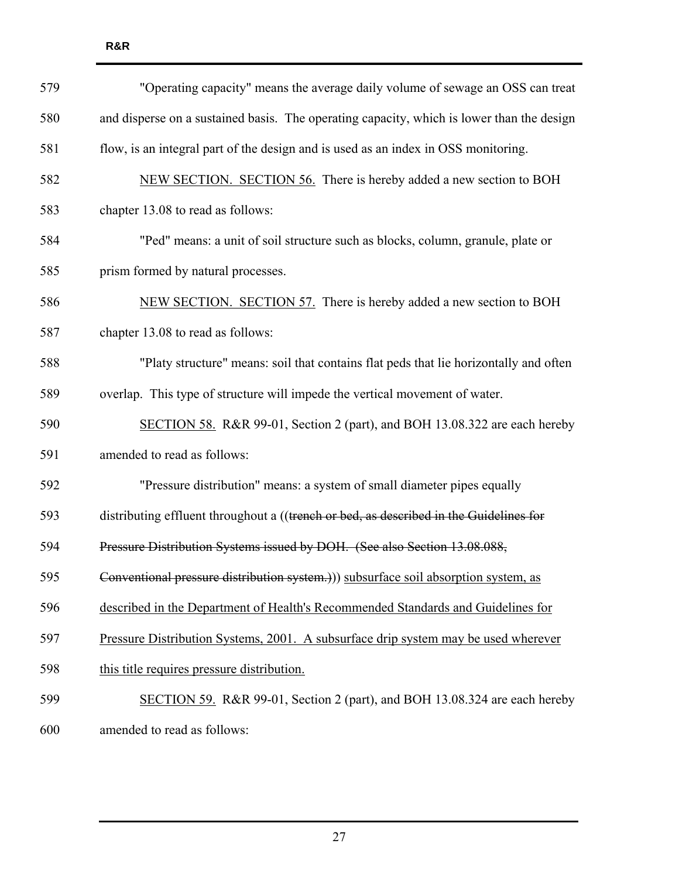| 579 | "Operating capacity" means the average daily volume of sewage an OSS can treat            |  |  |  |  |  |  |  |
|-----|-------------------------------------------------------------------------------------------|--|--|--|--|--|--|--|
| 580 | and disperse on a sustained basis. The operating capacity, which is lower than the design |  |  |  |  |  |  |  |
| 581 | flow, is an integral part of the design and is used as an index in OSS monitoring.        |  |  |  |  |  |  |  |
| 582 | NEW SECTION. SECTION 56. There is hereby added a new section to BOH                       |  |  |  |  |  |  |  |
| 583 | chapter 13.08 to read as follows:                                                         |  |  |  |  |  |  |  |
| 584 | "Ped" means: a unit of soil structure such as blocks, column, granule, plate or           |  |  |  |  |  |  |  |
| 585 | prism formed by natural processes.                                                        |  |  |  |  |  |  |  |
| 586 | NEW SECTION. SECTION 57. There is hereby added a new section to BOH                       |  |  |  |  |  |  |  |
| 587 | chapter 13.08 to read as follows:                                                         |  |  |  |  |  |  |  |
| 588 | "Platy structure" means: soil that contains flat peds that lie horizontally and often     |  |  |  |  |  |  |  |
| 589 | overlap. This type of structure will impede the vertical movement of water.               |  |  |  |  |  |  |  |
| 590 | SECTION 58. R&R 99-01, Section 2 (part), and BOH 13.08.322 are each hereby                |  |  |  |  |  |  |  |
| 591 | amended to read as follows:                                                               |  |  |  |  |  |  |  |
| 592 | "Pressure distribution" means: a system of small diameter pipes equally                   |  |  |  |  |  |  |  |
| 593 | distributing effluent throughout a ((trench or bed, as described in the Guidelines for    |  |  |  |  |  |  |  |
| 594 | Pressure Distribution Systems issued by DOH. (See also Section 13.08.088,                 |  |  |  |  |  |  |  |
| 595 | Conventional pressure distribution system.))) subsurface soil absorption system, as       |  |  |  |  |  |  |  |
| 596 | described in the Department of Health's Recommended Standards and Guidelines for          |  |  |  |  |  |  |  |
| 597 | Pressure Distribution Systems, 2001. A subsurface drip system may be used wherever        |  |  |  |  |  |  |  |
| 598 | this title requires pressure distribution.                                                |  |  |  |  |  |  |  |
| 599 | SECTION 59. R&R 99-01, Section 2 (part), and BOH 13.08.324 are each hereby                |  |  |  |  |  |  |  |
| 600 | amended to read as follows:                                                               |  |  |  |  |  |  |  |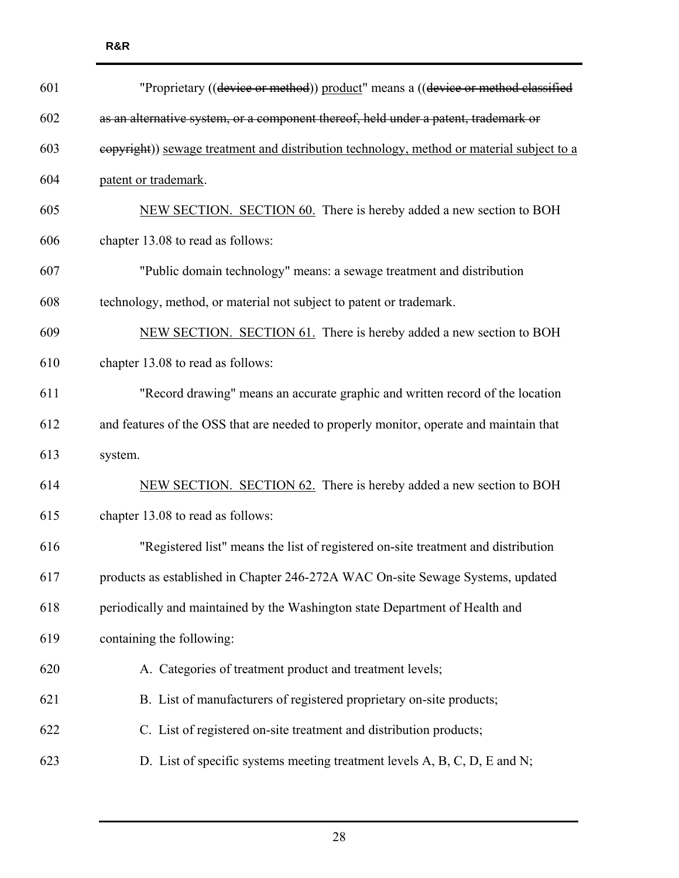| 601 | "Proprietary ((device or method)) product" means a ((device or method classified          |  |  |  |  |  |  |  |
|-----|-------------------------------------------------------------------------------------------|--|--|--|--|--|--|--|
| 602 | as an alternative system, or a component thereof, held under a patent, trademark or       |  |  |  |  |  |  |  |
| 603 | eopyright)) sewage treatment and distribution technology, method or material subject to a |  |  |  |  |  |  |  |
| 604 | patent or trademark.                                                                      |  |  |  |  |  |  |  |
| 605 | NEW SECTION. SECTION 60. There is hereby added a new section to BOH                       |  |  |  |  |  |  |  |
| 606 | chapter 13.08 to read as follows:                                                         |  |  |  |  |  |  |  |
| 607 | "Public domain technology" means: a sewage treatment and distribution                     |  |  |  |  |  |  |  |
| 608 | technology, method, or material not subject to patent or trademark.                       |  |  |  |  |  |  |  |
| 609 | NEW SECTION. SECTION 61. There is hereby added a new section to BOH                       |  |  |  |  |  |  |  |
| 610 | chapter 13.08 to read as follows:                                                         |  |  |  |  |  |  |  |
| 611 | "Record drawing" means an accurate graphic and written record of the location             |  |  |  |  |  |  |  |
| 612 | and features of the OSS that are needed to properly monitor, operate and maintain that    |  |  |  |  |  |  |  |
| 613 | system.                                                                                   |  |  |  |  |  |  |  |
| 614 | NEW SECTION. SECTION 62. There is hereby added a new section to BOH                       |  |  |  |  |  |  |  |
| 615 | chapter 13.08 to read as follows:                                                         |  |  |  |  |  |  |  |
| 616 | "Registered list" means the list of registered on-site treatment and distribution         |  |  |  |  |  |  |  |
| 617 | products as established in Chapter 246-272A WAC On-site Sewage Systems, updated           |  |  |  |  |  |  |  |
| 618 | periodically and maintained by the Washington state Department of Health and              |  |  |  |  |  |  |  |
| 619 | containing the following:                                                                 |  |  |  |  |  |  |  |
| 620 | A. Categories of treatment product and treatment levels;                                  |  |  |  |  |  |  |  |
| 621 | B. List of manufacturers of registered proprietary on-site products;                      |  |  |  |  |  |  |  |
| 622 | C. List of registered on-site treatment and distribution products;                        |  |  |  |  |  |  |  |
| 623 | D. List of specific systems meeting treatment levels A, B, C, D, E and N;                 |  |  |  |  |  |  |  |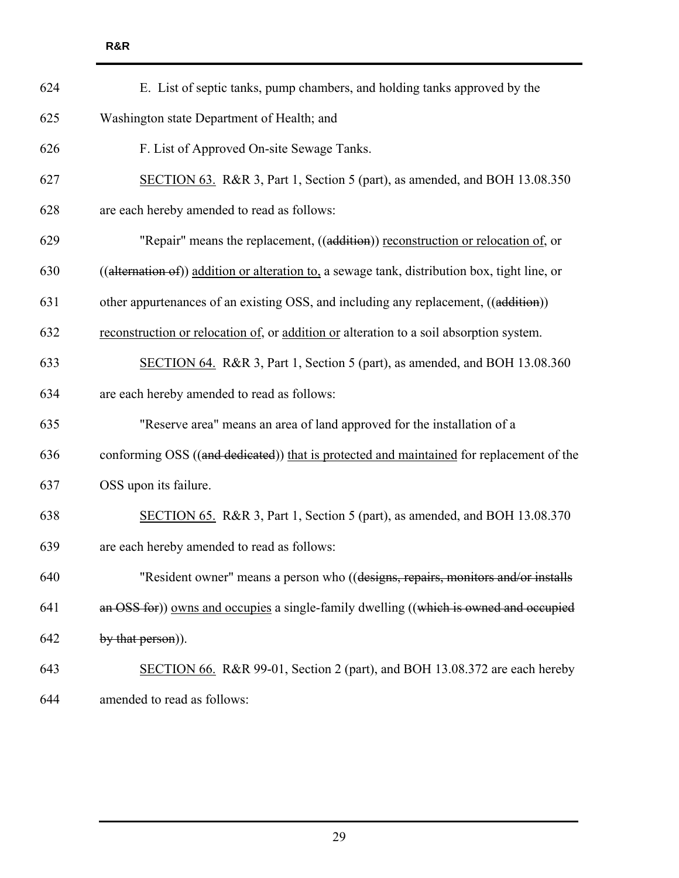| 624 | E. List of septic tanks, pump chambers, and holding tanks approved by the                     |  |  |  |  |  |  |
|-----|-----------------------------------------------------------------------------------------------|--|--|--|--|--|--|
| 625 | Washington state Department of Health; and                                                    |  |  |  |  |  |  |
| 626 | F. List of Approved On-site Sewage Tanks.                                                     |  |  |  |  |  |  |
| 627 | SECTION 63. R&R 3, Part 1, Section 5 (part), as amended, and BOH 13.08.350                    |  |  |  |  |  |  |
| 628 | are each hereby amended to read as follows:                                                   |  |  |  |  |  |  |
| 629 | "Repair" means the replacement, ((addition)) reconstruction or relocation of, or              |  |  |  |  |  |  |
| 630 | ((alternation of)) addition or alteration to, a sewage tank, distribution box, tight line, or |  |  |  |  |  |  |
| 631 | other appurtenances of an existing OSS, and including any replacement, ((addition))           |  |  |  |  |  |  |
| 632 | reconstruction or relocation of, or addition or alteration to a soil absorption system.       |  |  |  |  |  |  |
| 633 | SECTION 64. R&R 3, Part 1, Section 5 (part), as amended, and BOH 13.08.360                    |  |  |  |  |  |  |
| 634 | are each hereby amended to read as follows:                                                   |  |  |  |  |  |  |
| 635 | "Reserve area" means an area of land approved for the installation of a                       |  |  |  |  |  |  |
| 636 | conforming OSS ((and dedicated)) that is protected and maintained for replacement of the      |  |  |  |  |  |  |
| 637 | OSS upon its failure.                                                                         |  |  |  |  |  |  |
| 638 | SECTION 65. R&R 3, Part 1, Section 5 (part), as amended, and BOH 13.08.370                    |  |  |  |  |  |  |
| 639 | are each hereby amended to read as follows:                                                   |  |  |  |  |  |  |
| 640 | "Resident owner" means a person who ((designs, repairs, monitors and/or installs              |  |  |  |  |  |  |
| 641 | an OSS for)) owns and occupies a single-family dwelling ((which is owned and occupied         |  |  |  |  |  |  |
| 642 | by that person).                                                                              |  |  |  |  |  |  |
| 643 | SECTION 66. R&R 99-01, Section 2 (part), and BOH 13.08.372 are each hereby                    |  |  |  |  |  |  |
| 644 | amended to read as follows:                                                                   |  |  |  |  |  |  |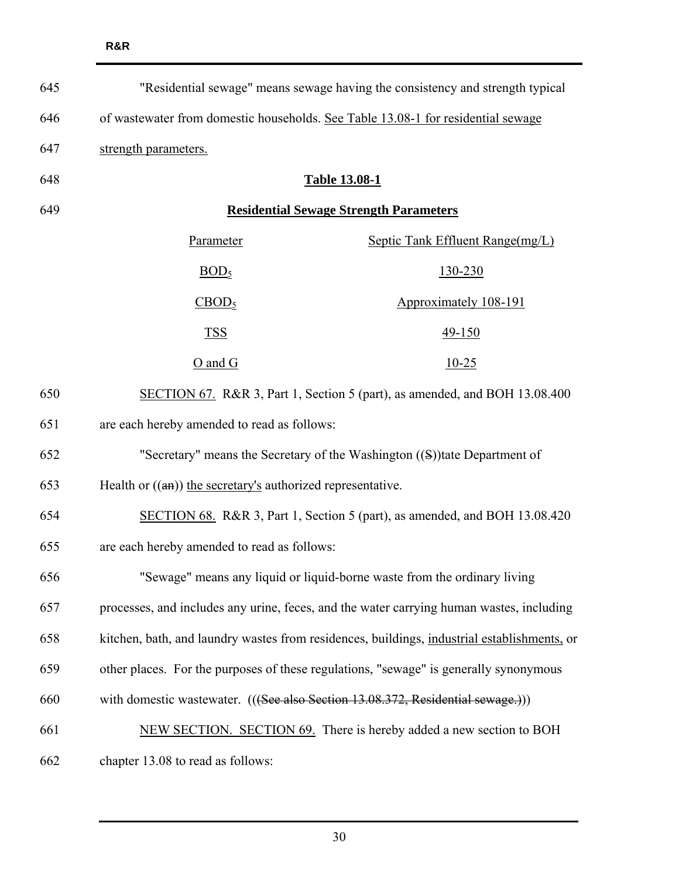| 645 | "Residential sewage" means sewage having the consistency and strength typical               |                                                                                 |  |  |  |  |
|-----|---------------------------------------------------------------------------------------------|---------------------------------------------------------------------------------|--|--|--|--|
| 646 | of wastewater from domestic households. See Table 13.08-1 for residential sewage            |                                                                                 |  |  |  |  |
| 647 | strength parameters.                                                                        |                                                                                 |  |  |  |  |
| 648 | <b>Table 13.08-1</b>                                                                        |                                                                                 |  |  |  |  |
| 649 | <b>Residential Sewage Strength Parameters</b>                                               |                                                                                 |  |  |  |  |
|     | Parameter                                                                                   | Septic Tank Effluent Range(mg/L)                                                |  |  |  |  |
|     | BOD <sub>5</sub>                                                                            | 130-230                                                                         |  |  |  |  |
|     | CBOD <sub>5</sub>                                                                           | Approximately 108-191                                                           |  |  |  |  |
|     | <b>TSS</b>                                                                                  | 49-150                                                                          |  |  |  |  |
|     | $O$ and $G$                                                                                 | $10-25$                                                                         |  |  |  |  |
| 650 | SECTION 67. R&R 3, Part 1, Section 5 (part), as amended, and BOH 13.08.400                  |                                                                                 |  |  |  |  |
| 651 | are each hereby amended to read as follows:                                                 |                                                                                 |  |  |  |  |
| 652 |                                                                                             | "Secretary" means the Secretary of the Washington $((S))$ tate Department of    |  |  |  |  |
| 653 |                                                                                             | Health or $((a n))$ the secretary's authorized representative.                  |  |  |  |  |
| 654 | SECTION 68. R&R 3, Part 1, Section 5 (part), as amended, and BOH 13.08.420                  |                                                                                 |  |  |  |  |
| 655 | are each hereby amended to read as follows:                                                 |                                                                                 |  |  |  |  |
| 656 | "Sewage" means any liquid or liquid-borne waste from the ordinary living                    |                                                                                 |  |  |  |  |
| 657 | processes, and includes any urine, feces, and the water carrying human wastes, including    |                                                                                 |  |  |  |  |
| 658 | kitchen, bath, and laundry wastes from residences, buildings, industrial establishments, or |                                                                                 |  |  |  |  |
| 659 | other places. For the purposes of these regulations, "sewage" is generally synonymous       |                                                                                 |  |  |  |  |
| 660 |                                                                                             | with domestic wastewater. (((See also Section 13.08.372, Residential sewage.))) |  |  |  |  |
| 661 |                                                                                             | NEW SECTION. SECTION 69. There is hereby added a new section to BOH             |  |  |  |  |
| 662 | chapter 13.08 to read as follows:                                                           |                                                                                 |  |  |  |  |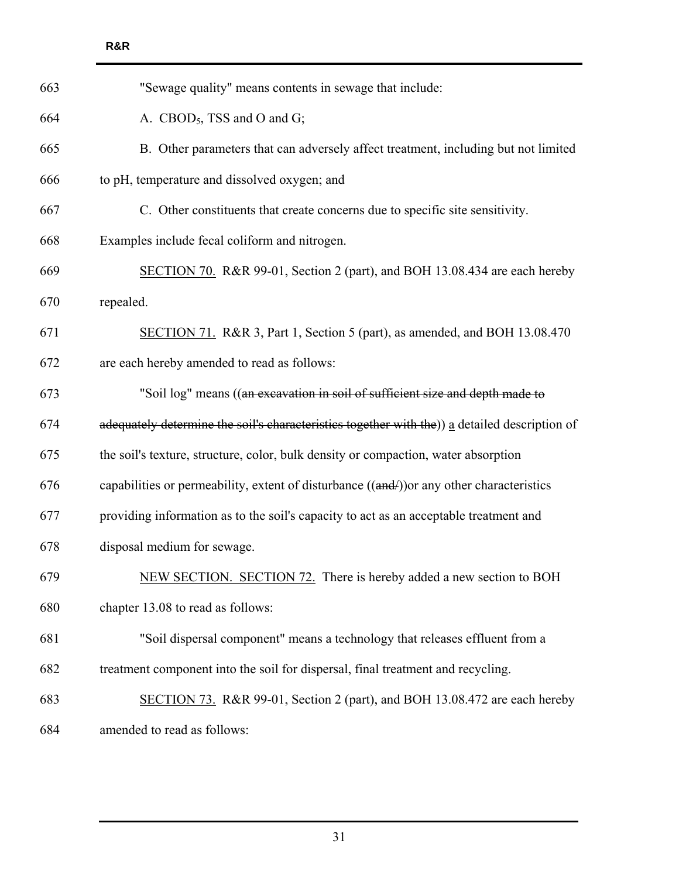| 663 | "Sewage quality" means contents in sewage that include:                                       |  |  |  |  |  |  |
|-----|-----------------------------------------------------------------------------------------------|--|--|--|--|--|--|
| 664 | A. CBOD <sub>5</sub> , TSS and O and G;                                                       |  |  |  |  |  |  |
| 665 | B. Other parameters that can adversely affect treatment, including but not limited            |  |  |  |  |  |  |
| 666 | to pH, temperature and dissolved oxygen; and                                                  |  |  |  |  |  |  |
| 667 | C. Other constituents that create concerns due to specific site sensitivity.                  |  |  |  |  |  |  |
| 668 | Examples include fecal coliform and nitrogen.                                                 |  |  |  |  |  |  |
| 669 | SECTION 70. R&R 99-01, Section 2 (part), and BOH 13.08.434 are each hereby                    |  |  |  |  |  |  |
| 670 | repealed.                                                                                     |  |  |  |  |  |  |
| 671 | SECTION 71. R&R 3, Part 1, Section 5 (part), as amended, and BOH 13.08.470                    |  |  |  |  |  |  |
| 672 | are each hereby amended to read as follows:                                                   |  |  |  |  |  |  |
| 673 | "Soil log" means ((an excavation in soil of sufficient size and depth made to                 |  |  |  |  |  |  |
| 674 | adequately determine the soil's characteristics together with the)) a detailed description of |  |  |  |  |  |  |
| 675 | the soil's texture, structure, color, bulk density or compaction, water absorption            |  |  |  |  |  |  |
| 676 | capabilities or permeability, extent of disturbance $((and))$ or any other characteristics    |  |  |  |  |  |  |
| 677 | providing information as to the soil's capacity to act as an acceptable treatment and         |  |  |  |  |  |  |
| 678 | disposal medium for sewage.                                                                   |  |  |  |  |  |  |
| 679 | NEW SECTION. SECTION 72. There is hereby added a new section to BOH                           |  |  |  |  |  |  |
| 680 | chapter 13.08 to read as follows:                                                             |  |  |  |  |  |  |
| 681 | "Soil dispersal component" means a technology that releases effluent from a                   |  |  |  |  |  |  |
| 682 | treatment component into the soil for dispersal, final treatment and recycling.               |  |  |  |  |  |  |
| 683 | SECTION 73. R&R 99-01, Section 2 (part), and BOH 13.08.472 are each hereby                    |  |  |  |  |  |  |
| 684 | amended to read as follows:                                                                   |  |  |  |  |  |  |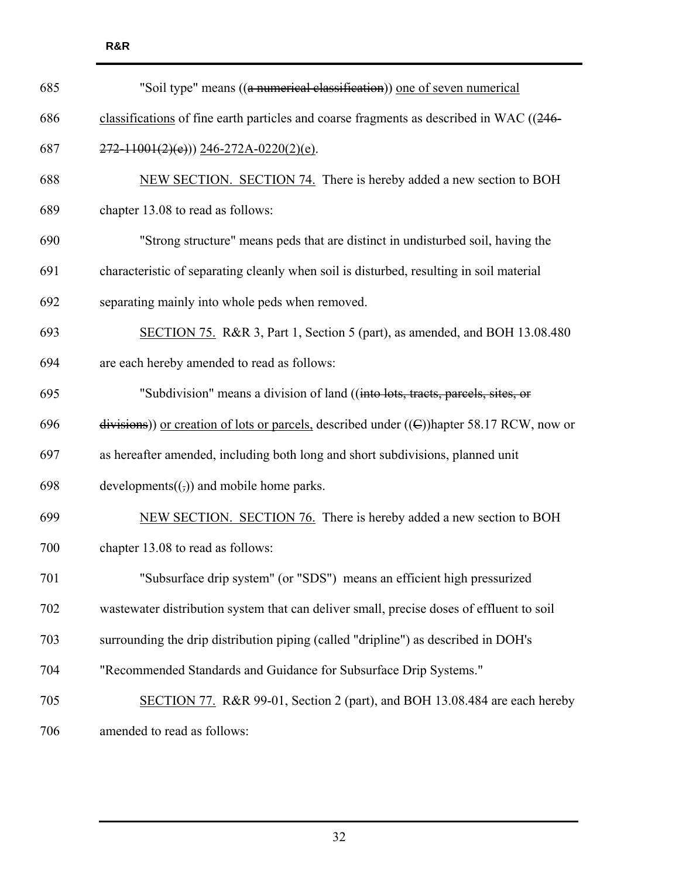| 685 | "Soil type" means ((a numerical classification)) one of seven numerical                        |  |  |  |  |  |  |
|-----|------------------------------------------------------------------------------------------------|--|--|--|--|--|--|
| 686 | classifications of fine earth particles and coarse fragments as described in WAC ((246-        |  |  |  |  |  |  |
| 687 | $272 - 11001(2)(e))$ 246-272A-0220(2)(e).                                                      |  |  |  |  |  |  |
| 688 | NEW SECTION. SECTION 74. There is hereby added a new section to BOH                            |  |  |  |  |  |  |
| 689 | chapter 13.08 to read as follows:                                                              |  |  |  |  |  |  |
| 690 | "Strong structure" means peds that are distinct in undisturbed soil, having the                |  |  |  |  |  |  |
| 691 | characteristic of separating cleanly when soil is disturbed, resulting in soil material        |  |  |  |  |  |  |
| 692 | separating mainly into whole peds when removed.                                                |  |  |  |  |  |  |
| 693 | SECTION 75. R&R 3, Part 1, Section 5 (part), as amended, and BOH 13.08.480                     |  |  |  |  |  |  |
| 694 | are each hereby amended to read as follows:                                                    |  |  |  |  |  |  |
| 695 | "Subdivision" means a division of land ((into lots, tracts, parcels, sites, or                 |  |  |  |  |  |  |
| 696 | divisions)) or creation of lots or parcels, described under $((\in)$ )hapter 58.17 RCW, now or |  |  |  |  |  |  |
| 697 | as hereafter amended, including both long and short subdivisions, planned unit                 |  |  |  |  |  |  |
| 698 | developments $((,))$ and mobile home parks.                                                    |  |  |  |  |  |  |
| 699 | NEW SECTION. SECTION 76. There is hereby added a new section to BOH                            |  |  |  |  |  |  |
| 700 | chapter 13.08 to read as follows:                                                              |  |  |  |  |  |  |
| 701 | "Subsurface drip system" (or "SDS") means an efficient high pressurized                        |  |  |  |  |  |  |
| 702 | wastewater distribution system that can deliver small, precise doses of effluent to soil       |  |  |  |  |  |  |
| 703 | surrounding the drip distribution piping (called "dripline") as described in DOH's             |  |  |  |  |  |  |
| 704 | "Recommended Standards and Guidance for Subsurface Drip Systems."                              |  |  |  |  |  |  |
| 705 | SECTION 77. R&R 99-01, Section 2 (part), and BOH 13.08.484 are each hereby                     |  |  |  |  |  |  |
| 706 | amended to read as follows:                                                                    |  |  |  |  |  |  |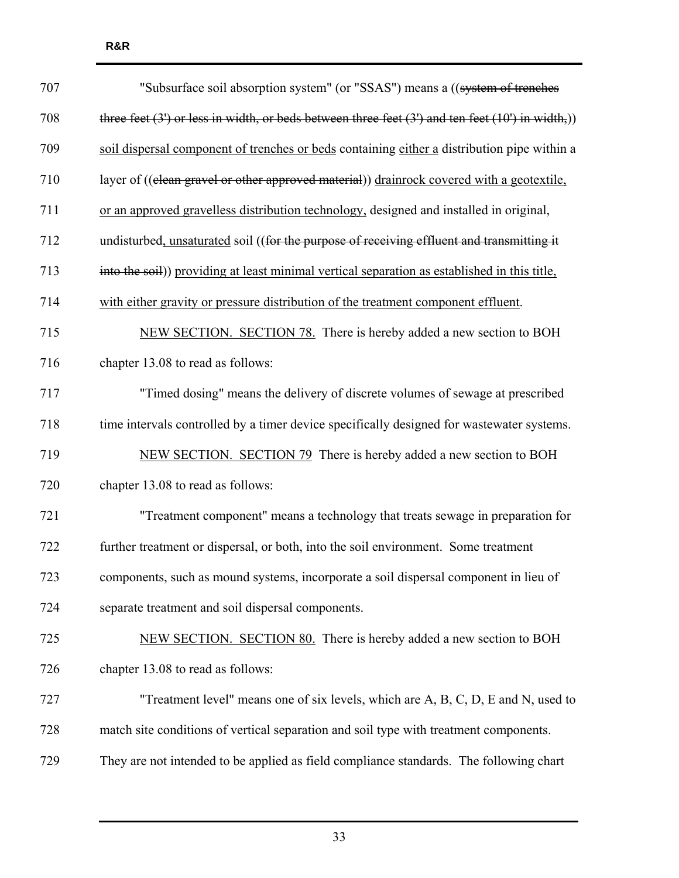| 707 | "Subsurface soil absorption system" (or "SSAS") means a ((system of trenches                           |
|-----|--------------------------------------------------------------------------------------------------------|
| 708 | three feet $(3')$ or less in width, or beds between three feet $(3')$ and ten feet $(10')$ in width,)) |
| 709 | soil dispersal component of trenches or beds containing either a distribution pipe within a            |
| 710 | layer of ((clean gravel or other approved material)) drainrock covered with a geotextile,              |
| 711 | or an approved gravelless distribution technology, designed and installed in original,                 |
| 712 | undisturbed, unsaturated soil ((for the purpose of receiving effluent and transmitting it              |
| 713 | into the soil)) providing at least minimal vertical separation as established in this title,           |
| 714 | with either gravity or pressure distribution of the treatment component effluent.                      |
| 715 | NEW SECTION. SECTION 78. There is hereby added a new section to BOH                                    |
| 716 | chapter 13.08 to read as follows:                                                                      |
| 717 | "Timed dosing" means the delivery of discrete volumes of sewage at prescribed                          |
| 718 | time intervals controlled by a timer device specifically designed for wastewater systems.              |
| 719 | NEW SECTION. SECTION 79 There is hereby added a new section to BOH                                     |
| 720 | chapter 13.08 to read as follows:                                                                      |
| 721 | "Treatment component" means a technology that treats sewage in preparation for                         |
| 722 | further treatment or dispersal, or both, into the soil environment. Some treatment                     |
| 723 | components, such as mound systems, incorporate a soil dispersal component in lieu of                   |
| 724 | separate treatment and soil dispersal components.                                                      |
| 725 | NEW SECTION. SECTION 80. There is hereby added a new section to BOH                                    |
| 726 | chapter 13.08 to read as follows:                                                                      |
| 727 | "Treatment level" means one of six levels, which are $A, B, C, D, E$ and $N$ , used to                 |
| 728 | match site conditions of vertical separation and soil type with treatment components.                  |
| 729 | They are not intended to be applied as field compliance standards. The following chart                 |

**R&R**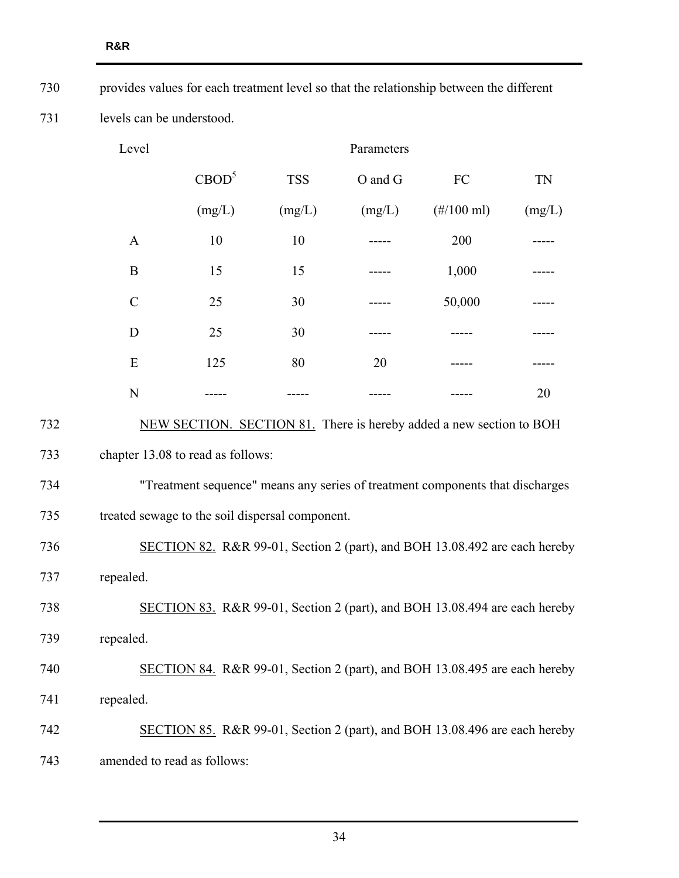| 730                 | provides values for each treatment level so that the relationship between the different |                                                 |            |         |                                                                               |        |  |  |
|---------------------|-----------------------------------------------------------------------------------------|-------------------------------------------------|------------|---------|-------------------------------------------------------------------------------|--------|--|--|
| 731                 |                                                                                         | levels can be understood.                       |            |         |                                                                               |        |  |  |
| Level<br>Parameters |                                                                                         |                                                 |            |         |                                                                               |        |  |  |
|                     |                                                                                         | CBOD <sup>5</sup>                               | <b>TSS</b> | O and G | FC                                                                            | TN     |  |  |
|                     |                                                                                         | (mg/L)                                          | (mg/L)     | (mg/L)  | $(\#/100 \text{ ml})$                                                         | (mg/L) |  |  |
|                     | $\mathbf{A}$                                                                            | 10                                              | 10         |         | 200                                                                           |        |  |  |
|                     | B                                                                                       | 15                                              | 15         |         | 1,000                                                                         |        |  |  |
|                     | $\mathcal{C}$                                                                           | 25                                              | 30         |         | 50,000                                                                        |        |  |  |
|                     | D                                                                                       | 25                                              | 30         |         |                                                                               |        |  |  |
|                     | E                                                                                       | 125                                             | 80         | 20      |                                                                               |        |  |  |
|                     | N                                                                                       |                                                 |            |         |                                                                               | 20     |  |  |
| 732                 |                                                                                         |                                                 |            |         | NEW SECTION. SECTION 81. There is hereby added a new section to BOH           |        |  |  |
| 733                 |                                                                                         | chapter 13.08 to read as follows:               |            |         |                                                                               |        |  |  |
| 734                 |                                                                                         |                                                 |            |         | "Treatment sequence" means any series of treatment components that discharges |        |  |  |
| 735                 |                                                                                         | treated sewage to the soil dispersal component. |            |         |                                                                               |        |  |  |
| 736                 | SECTION 82. R&R 99-01, Section 2 (part), and BOH 13.08.492 are each hereby              |                                                 |            |         |                                                                               |        |  |  |
| 737                 | repealed.                                                                               |                                                 |            |         |                                                                               |        |  |  |
| 738                 | SECTION 83. R&R 99-01, Section 2 (part), and BOH 13.08.494 are each hereby              |                                                 |            |         |                                                                               |        |  |  |
| 739                 | repealed.                                                                               |                                                 |            |         |                                                                               |        |  |  |
| 740                 | SECTION 84. R&R 99-01, Section 2 (part), and BOH 13.08.495 are each hereby              |                                                 |            |         |                                                                               |        |  |  |
| 741                 | repealed.                                                                               |                                                 |            |         |                                                                               |        |  |  |
| 742                 | SECTION 85. R&R 99-01, Section 2 (part), and BOH 13.08.496 are each hereby              |                                                 |            |         |                                                                               |        |  |  |
| 743                 | amended to read as follows:                                                             |                                                 |            |         |                                                                               |        |  |  |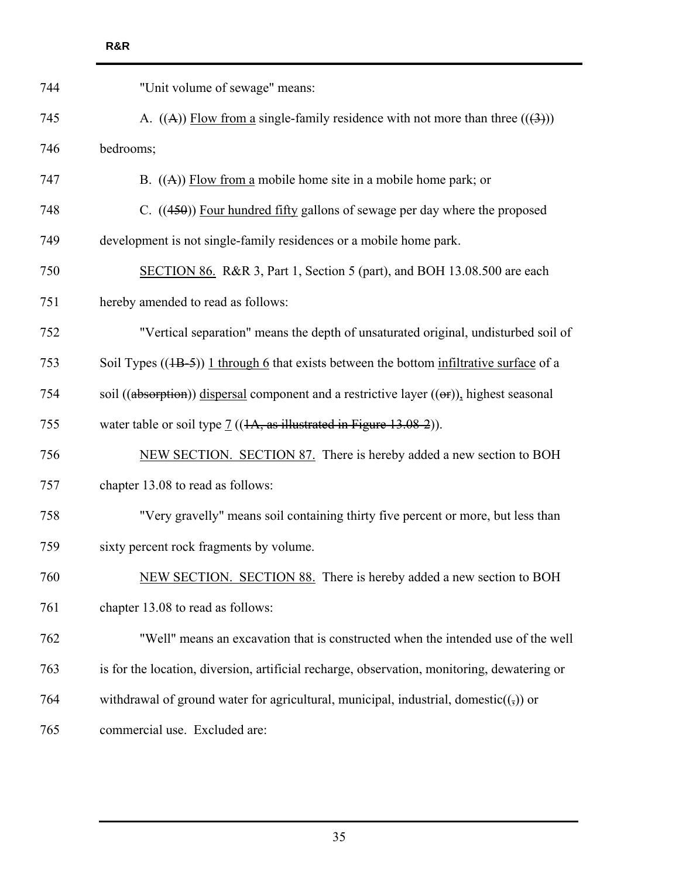| 744 | "Unit volume of sewage" means:                                                                    |
|-----|---------------------------------------------------------------------------------------------------|
| 745 | A. $((A))$ Flow from a single-family residence with not more than three $((3))$                   |
| 746 | bedrooms;                                                                                         |
| 747 | B. $((A))$ Flow from a mobile home site in a mobile home park; or                                 |
| 748 | C. $((450))$ Four hundred fifty gallons of sewage per day where the proposed                      |
| 749 | development is not single-family residences or a mobile home park.                                |
| 750 | SECTION 86. R&R 3, Part 1, Section 5 (part), and BOH 13.08.500 are each                           |
| 751 | hereby amended to read as follows:                                                                |
| 752 | "Vertical separation" means the depth of unsaturated original, undisturbed soil of                |
| 753 | Soil Types $((1B-5))$ 1 through 6 that exists between the bottom infiltrative surface of a        |
| 754 | soil ((absorption)) dispersal component and a restrictive layer $((\theta F)$ ), highest seasonal |
| 755 | water table or soil type $\underline{7}$ ((1A, as illustrated in Figure 13.08-2)).                |
| 756 | NEW SECTION. SECTION 87. There is hereby added a new section to BOH                               |
| 757 | chapter 13.08 to read as follows:                                                                 |
| 758 | "Very gravelly" means soil containing thirty five percent or more, but less than                  |
| 759 | sixty percent rock fragments by volume.                                                           |
| 760 | NEW SECTION. SECTION 88. There is hereby added a new section to BOH                               |
| 761 | chapter 13.08 to read as follows:                                                                 |
| 762 | "Well" means an excavation that is constructed when the intended use of the well                  |
| 763 | is for the location, diversion, artificial recharge, observation, monitoring, dewatering or       |
| 764 | withdrawal of ground water for agricultural, municipal, industrial, domestic( $($ , $)$ ) or      |
| 765 | commercial use. Excluded are:                                                                     |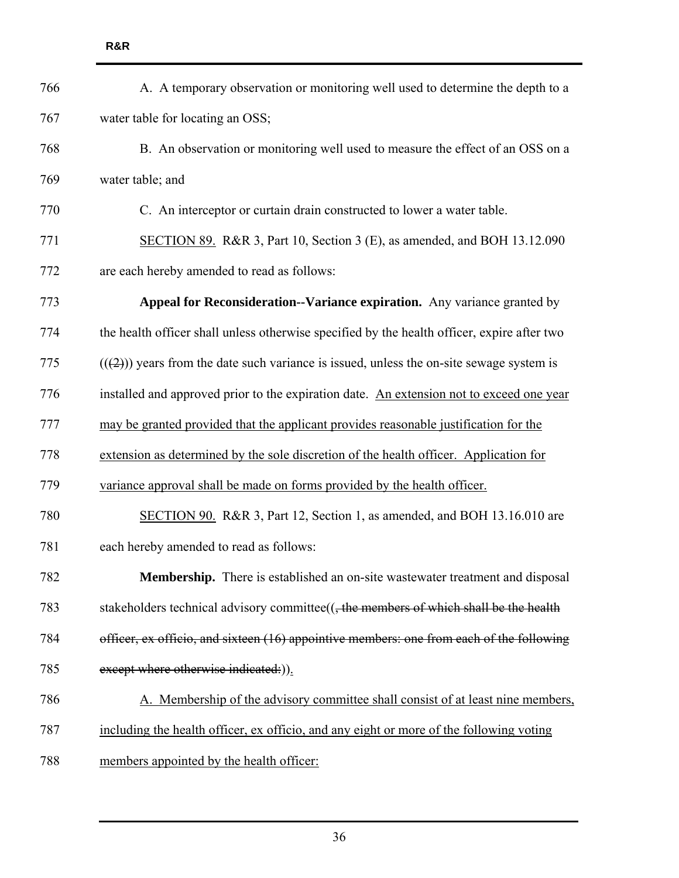| 766 | A. A temporary observation or monitoring well used to determine the depth to a              |
|-----|---------------------------------------------------------------------------------------------|
| 767 | water table for locating an OSS;                                                            |
| 768 | B. An observation or monitoring well used to measure the effect of an OSS on a              |
| 769 | water table; and                                                                            |
| 770 | C. An interceptor or curtain drain constructed to lower a water table.                      |
| 771 | SECTION 89. R&R 3, Part 10, Section 3 (E), as amended, and BOH 13.12.090                    |
| 772 | are each hereby amended to read as follows:                                                 |
| 773 | Appeal for Reconsideration--Variance expiration. Any variance granted by                    |
| 774 | the health officer shall unless otherwise specified by the health officer, expire after two |
| 775 | $((2))$ years from the date such variance is issued, unless the on-site sewage system is    |
| 776 | installed and approved prior to the expiration date. An extension not to exceed one year    |
| 777 | may be granted provided that the applicant provides reasonable justification for the        |
| 778 | extension as determined by the sole discretion of the health officer. Application for       |
| 779 | variance approval shall be made on forms provided by the health officer.                    |
| 780 | SECTION 90. R&R 3, Part 12, Section 1, as amended, and BOH 13.16.010 are                    |
| 781 | each hereby amended to read as follows:                                                     |
| 782 | Membership. There is established an on-site wastewater treatment and disposal               |
| 783 | stakeholders technical advisory committee $((,$ the members of which shall be the health    |
| 784 | officer, ex officio, and sixteen (16) appointive members: one from each of the following    |
| 785 | except where otherwise indicated:)).                                                        |
| 786 | A. Membership of the advisory committee shall consist of at least nine members,             |
| 787 | including the health officer, ex officio, and any eight or more of the following voting     |
| 788 | members appointed by the health officer:                                                    |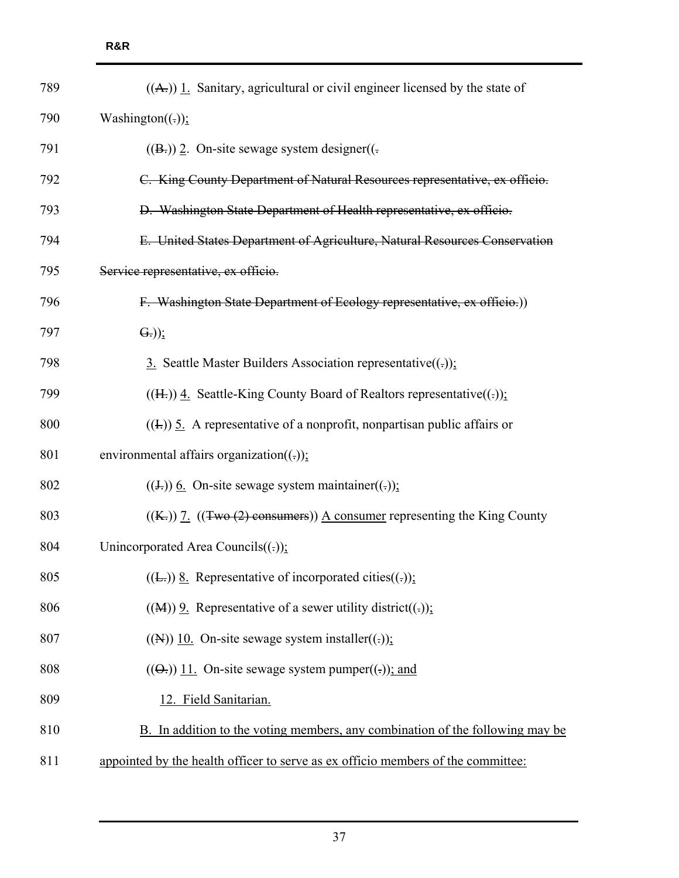| 789 | $((A))$ 1. Sanitary, agricultural or civil engineer licensed by the state of     |
|-----|----------------------------------------------------------------------------------|
| 790 | Washington( $(\cdot)$ );                                                         |
| 791 | $((B))$ 2. On-site sewage system designer( $($ .                                 |
| 792 | C. King County Department of Natural Resources representative, ex officio.       |
| 793 | D. Washington State Department of Health representative, ex officio.             |
| 794 | E. United States Department of Agriculture, Natural Resources Conservation       |
| 795 | Service representative, ex officio.                                              |
| 796 | F. Washington State Department of Ecology representative, ex officio.)           |
| 797 | $\left( \overline{G_{\tau }}\right)$ );                                          |
| 798 | 3. Seattle Master Builders Association representative( $(.)$ ):                  |
| 799 | $((H))$ 4. Seattle-King County Board of Realtors representative((-));            |
| 800 | $((\text{L}))$ 5. A representative of a nonprofit, nonpartisan public affairs or |
| 801 | environmental affairs organization( $(.))$ ;                                     |
| 802 | $((\pm))$ 6. On-site sewage system maintainer((.));                              |
| 803 | $((K))$ 7. $((Two (2) consumers))$ A consumer representing the King County       |
| 804 | Unincorporated Area Councils( $(.))$ ;                                           |
| 805 | $((E))$ 8. Representative of incorporated cities((.)):                           |
| 806 | $((M))$ 9. Representative of a sewer utility district((-));                      |
| 807 | $((N))$ 10. On-site sewage system installer $((.)$ ;                             |
| 808 | $((\Theta))$ 11. On-site sewage system pumper $((.)$ ; and                       |
| 809 | 12. Field Sanitarian.                                                            |
| 810 | B. In addition to the voting members, any combination of the following may be    |
| 811 | appointed by the health officer to serve as ex officio members of the committee: |
|     |                                                                                  |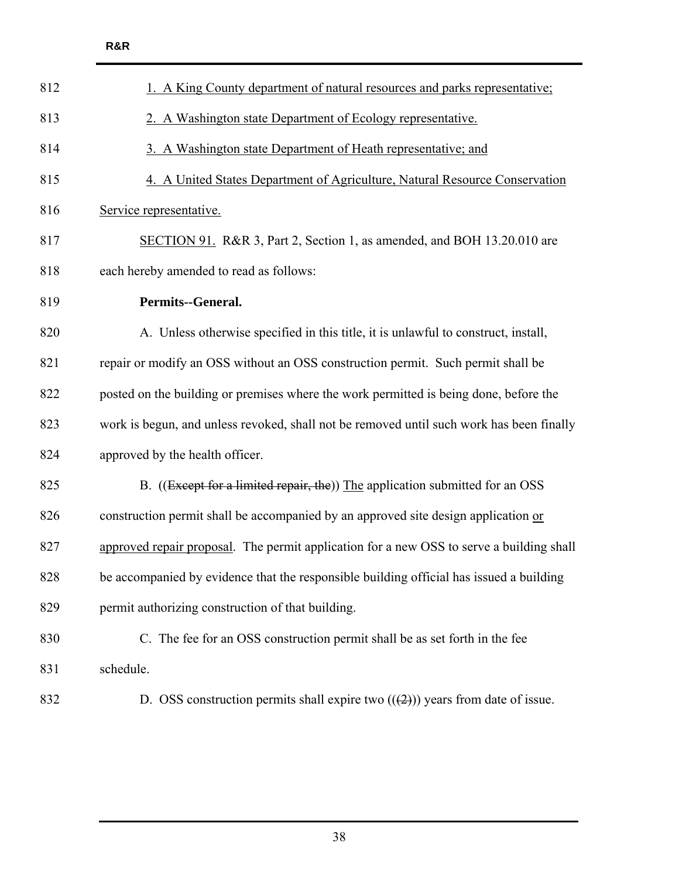| 1. A King County department of natural resources and parks representative;               |
|------------------------------------------------------------------------------------------|
| 2. A Washington state Department of Ecology representative.                              |
| 3. A Washington state Department of Heath representative; and                            |
| 4. A United States Department of Agriculture, Natural Resource Conservation              |
| Service representative.                                                                  |
| SECTION 91. R&R 3, Part 2, Section 1, as amended, and BOH 13.20.010 are                  |
| each hereby amended to read as follows:                                                  |
| Permits--General.                                                                        |
| A. Unless otherwise specified in this title, it is unlawful to construct, install,       |
| repair or modify an OSS without an OSS construction permit. Such permit shall be         |
| posted on the building or premises where the work permitted is being done, before the    |
| work is begun, and unless revoked, shall not be removed until such work has been finally |
| approved by the health officer.                                                          |
| B. ((Except for a limited repair, the)) The application submitted for an OSS             |
| construction permit shall be accompanied by an approved site design application or       |
| approved repair proposal. The permit application for a new OSS to serve a building shall |
| be accompanied by evidence that the responsible building official has issued a building  |
| permit authorizing construction of that building.                                        |
| C. The fee for an OSS construction permit shall be as set forth in the fee               |
| schedule.                                                                                |
| D. OSS construction permits shall expire two $((2))$ years from date of issue.           |
|                                                                                          |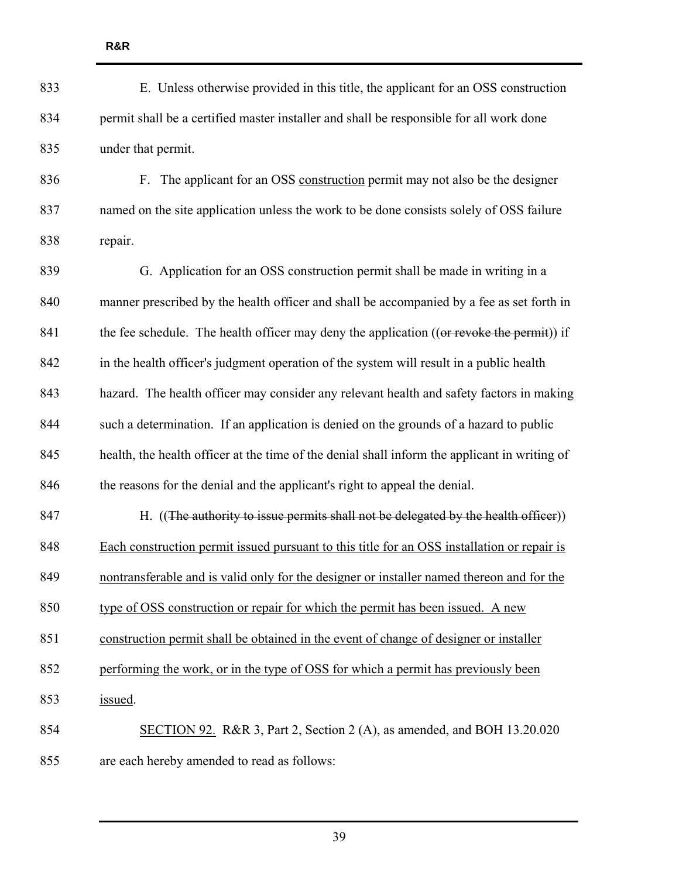| 833 | E. Unless otherwise provided in this title, the applicant for an OSS construction             |
|-----|-----------------------------------------------------------------------------------------------|
| 834 | permit shall be a certified master installer and shall be responsible for all work done       |
| 835 | under that permit.                                                                            |
| 836 | F. The applicant for an OSS construction permit may not also be the designer                  |
| 837 | named on the site application unless the work to be done consists solely of OSS failure       |
| 838 | repair.                                                                                       |
| 839 | G. Application for an OSS construction permit shall be made in writing in a                   |
| 840 | manner prescribed by the health officer and shall be accompanied by a fee as set forth in     |
| 841 | the fee schedule. The health officer may deny the application ((or revoke the permit)) if     |
| 842 | in the health officer's judgment operation of the system will result in a public health       |
| 843 | hazard. The health officer may consider any relevant health and safety factors in making      |
| 844 | such a determination. If an application is denied on the grounds of a hazard to public        |
| 845 | health, the health officer at the time of the denial shall inform the applicant in writing of |
| 846 | the reasons for the denial and the applicant's right to appeal the denial.                    |
| 847 | H. ((The authority to issue permits shall not be delegated by the health officer))            |
| 848 | Each construction permit issued pursuant to this title for an OSS installation or repair is   |
| 849 | nontransferable and is valid only for the designer or installer named thereon and for the     |
| 850 | type of OSS construction or repair for which the permit has been issued. A new                |
| 851 | construction permit shall be obtained in the event of change of designer or installer         |
| 852 | performing the work, or in the type of OSS for which a permit has previously been             |
| 853 | issued.                                                                                       |
| 854 | SECTION 92. R&R 3, Part 2, Section 2 (A), as amended, and BOH 13.20.020                       |
| 855 | are each hereby amended to read as follows:                                                   |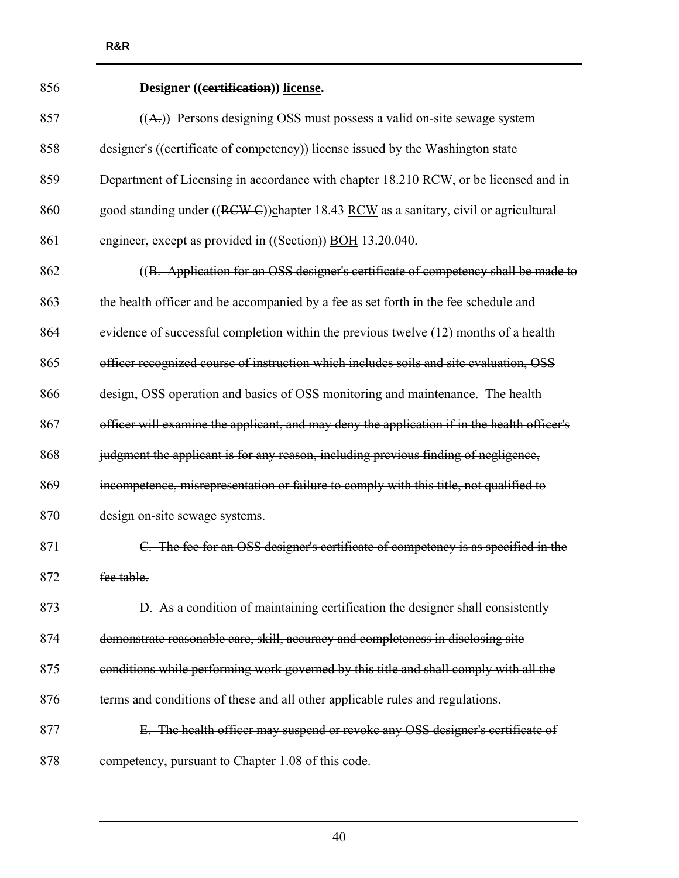| 856 | Designer ((certification)) license.                                                         |
|-----|---------------------------------------------------------------------------------------------|
| 857 | $((A))$ Persons designing OSS must possess a valid on-site sewage system                    |
| 858 | designer's ((certificate of competency)) license issued by the Washington state             |
| 859 | Department of Licensing in accordance with chapter 18.210 RCW, or be licensed and in        |
| 860 | good standing under ((RCW-C))chapter 18.43 RCW as a sanitary, civil or agricultural         |
| 861 | engineer, except as provided in ((Section)) BOH 13.20.040.                                  |
| 862 | ((B. Application for an OSS designer's certificate of competency shall be made to           |
| 863 | the health officer and be accompanied by a fee as set forth in the fee schedule and         |
| 864 | evidence of successful completion within the previous twelve (12) months of a health        |
| 865 | officer recognized course of instruction which includes soils and site evaluation, OSS      |
| 866 | design, OSS operation and basics of OSS monitoring and maintenance. The health              |
| 867 | officer will examine the applicant, and may deny the application if in the health officer's |
| 868 | judgment the applicant is for any reason, including previous finding of negligence,         |
| 869 | incompetence, misrepresentation or failure to comply with this title, not qualified to      |
| 870 | design on-site sewage systems.                                                              |
| 871 | C. The fee for an OSS designer's certificate of competency is as specified in the           |
| 872 | fee table.                                                                                  |
| 873 | D. As a condition of maintaining certification the designer shall consistently              |
| 874 | demonstrate reasonable care, skill, accuracy and completeness in disclosing site            |
| 875 | conditions while performing work governed by this title and shall comply with all the       |
| 876 | terms and conditions of these and all other applicable rules and regulations.               |
| 877 | E. The health officer may suspend or revoke any OSS designer's certificate of               |
| 878 | competency, pursuant to Chapter 1.08 of this code.                                          |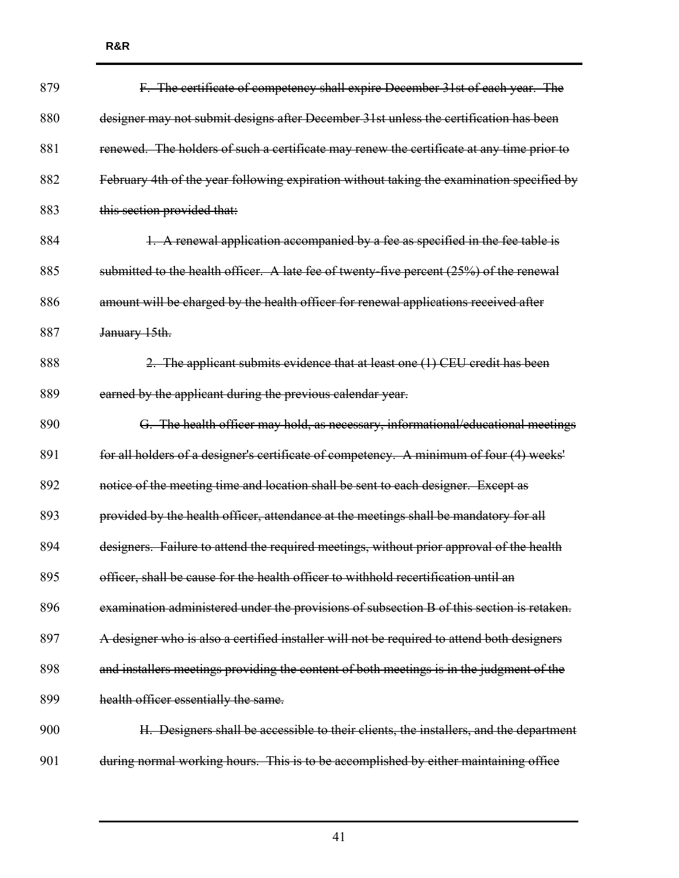| 879 | F. The certificate of competency shall expire December 31st of each year. The              |
|-----|--------------------------------------------------------------------------------------------|
| 880 | designer may not submit designs after December 31st unless the certification has been      |
| 881 | renewed. The holders of such a certificate may renew the certificate at any time prior to  |
| 882 | February 4th of the year following expiration without taking the examination specified by  |
| 883 | this section provided that:                                                                |
| 884 | 1. A renewal application accompanied by a fee as specified in the fee table is             |
| 885 | submitted to the health officer. A late fee of twenty-five percent $(25%)$ of the renewal  |
| 886 | amount will be charged by the health officer for renewal applications received after       |
| 887 | January 15th.                                                                              |
| 888 | 2. The applicant submits evidence that at least one (1) CEU credit has been                |
| 889 | earned by the applicant during the previous calendar year.                                 |
| 890 | G. The health officer may hold, as necessary, informational/educational meetings           |
| 891 | for all holders of a designer's certificate of competency. A minimum of four (4) weeks'    |
| 892 | notice of the meeting time and location shall be sent to each designer. Except as          |
| 893 | provided by the health officer, attendance at the meetings shall be mandatory for all      |
| 894 | designers. Failure to attend the required meetings, without prior approval of the health   |
| 895 | officer, shall be cause for the health officer to withhold recertification until an        |
| 896 | examination administered under the provisions of subsection B of this section is retaken.  |
| 897 | A designer who is also a certified installer will not be required to attend both designers |
| 898 | and installers meetings providing the content of both meetings is in the judgment of the   |
| 899 | health officer essentially the same.                                                       |
| 900 | H. Designers shall be accessible to their clients, the installers, and the department      |
| 901 | during normal working hours. This is to be accomplished by either maintaining office       |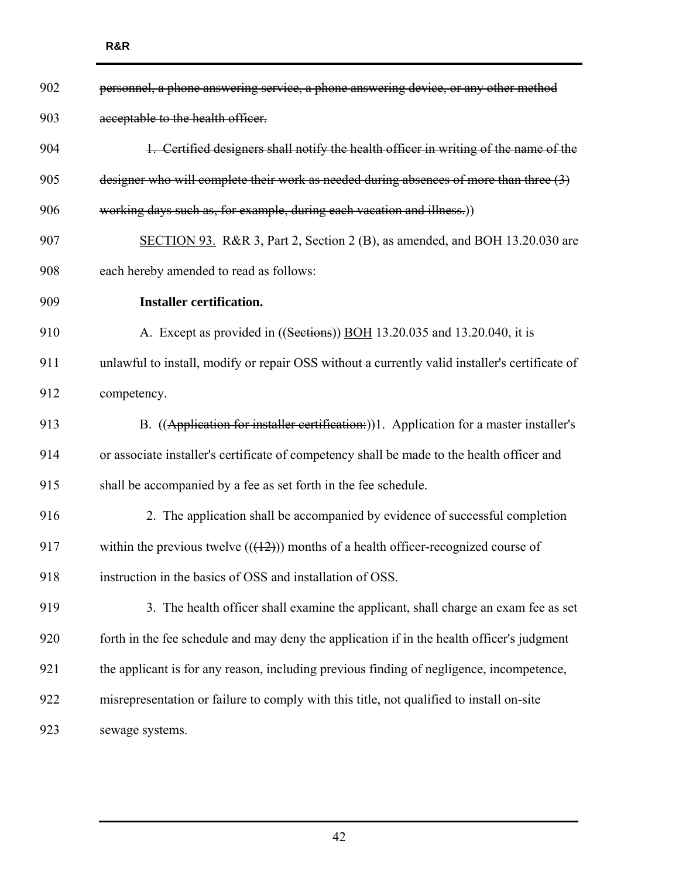| 902 | personnel, a phone answering service, a phone answering device, or any other method            |
|-----|------------------------------------------------------------------------------------------------|
| 903 | acceptable to the health officer.                                                              |
| 904 | 1. Certified designers shall notify the health officer in writing of the name of the           |
| 905 | designer who will complete their work as needed during absences of more than three (3)         |
| 906 | working days such as, for example, during each vacation and illness.))                         |
| 907 | SECTION 93. R&R 3, Part 2, Section 2 (B), as amended, and BOH 13.20.030 are                    |
| 908 | each hereby amended to read as follows:                                                        |
| 909 | <b>Installer certification.</b>                                                                |
| 910 | A. Except as provided in ((Sections)) BOH 13.20.035 and 13.20.040, it is                       |
| 911 | unlawful to install, modify or repair OSS without a currently valid installer's certificate of |
| 912 | competency.                                                                                    |
| 913 | B. ((Application for installer certification:))1. Application for a master installer's         |
| 914 | or associate installer's certificate of competency shall be made to the health officer and     |
| 915 | shall be accompanied by a fee as set forth in the fee schedule.                                |
| 916 | 2. The application shall be accompanied by evidence of successful completion                   |
| 917 | within the previous twelve $((12))$ months of a health officer-recognized course of            |
| 918 | instruction in the basics of OSS and installation of OSS.                                      |
| 919 | 3. The health officer shall examine the applicant, shall charge an exam fee as set             |
| 920 | forth in the fee schedule and may deny the application if in the health officer's judgment     |
| 921 | the applicant is for any reason, including previous finding of negligence, incompetence,       |
| 922 | misrepresentation or failure to comply with this title, not qualified to install on-site       |
| 923 | sewage systems.                                                                                |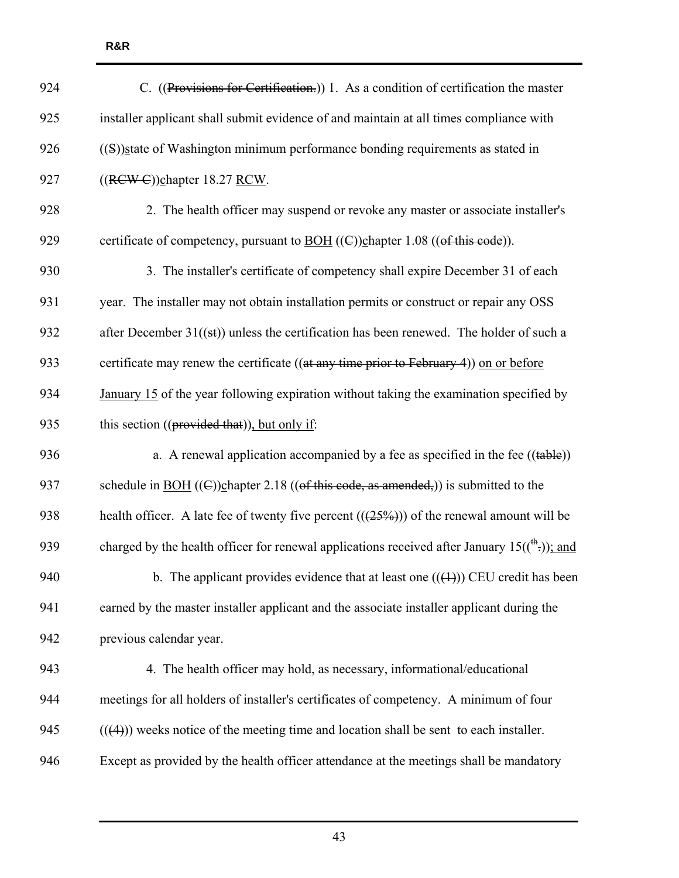| 924 | C. ((Provisions for Certification.)) 1. As a condition of certification the master                      |
|-----|---------------------------------------------------------------------------------------------------------|
| 925 | installer applicant shall submit evidence of and maintain at all times compliance with                  |
| 926 | ((S)) state of Washington minimum performance bonding requirements as stated in                         |
| 927 | $((RCW - C))$ chapter 18.27 RCW.                                                                        |
| 928 | 2. The health officer may suspend or revoke any master or associate installer's                         |
| 929 | certificate of competency, pursuant to $\underline{BOH}$ ((C))chapter 1.08 ((of this code)).            |
| 930 | 3. The installer's certificate of competency shall expire December 31 of each                           |
| 931 | year. The installer may not obtain installation permits or construct or repair any OSS                  |
| 932 | after December $31((st))$ unless the certification has been renewed. The holder of such a               |
| 933 | certificate may renew the certificate ((at any time prior to February 4)) on or before                  |
| 934 | January 15 of the year following expiration without taking the examination specified by                 |
| 935 | this section ((provided that)), but only if:                                                            |
| 936 | a. A renewal application accompanied by a fee as specified in the fee $((table))$                       |
| 937 | schedule in <u>BOH</u> ((C))chapter 2.18 (( $\Theta$ f this code, as amended,)) is submitted to the     |
| 938 | health officer. A late fee of twenty five percent $((25\%)$ ) of the renewal amount will be             |
| 939 | charged by the health officer for renewal applications received after January $15(\binom{4h}{2})$ ; and |
| 940 | b. The applicant provides evidence that at least one $((+))$ CEU credit has been                        |
| 941 | earned by the master installer applicant and the associate installer applicant during the               |
| 942 | previous calendar year.                                                                                 |
| 943 | 4. The health officer may hold, as necessary, informational/educational                                 |
| 944 | meetings for all holders of installer's certificates of competency. A minimum of four                   |
| 945 | $((4))$ weeks notice of the meeting time and location shall be sent to each installer.                  |
| 946 | Except as provided by the health officer attendance at the meetings shall be mandatory                  |
|     |                                                                                                         |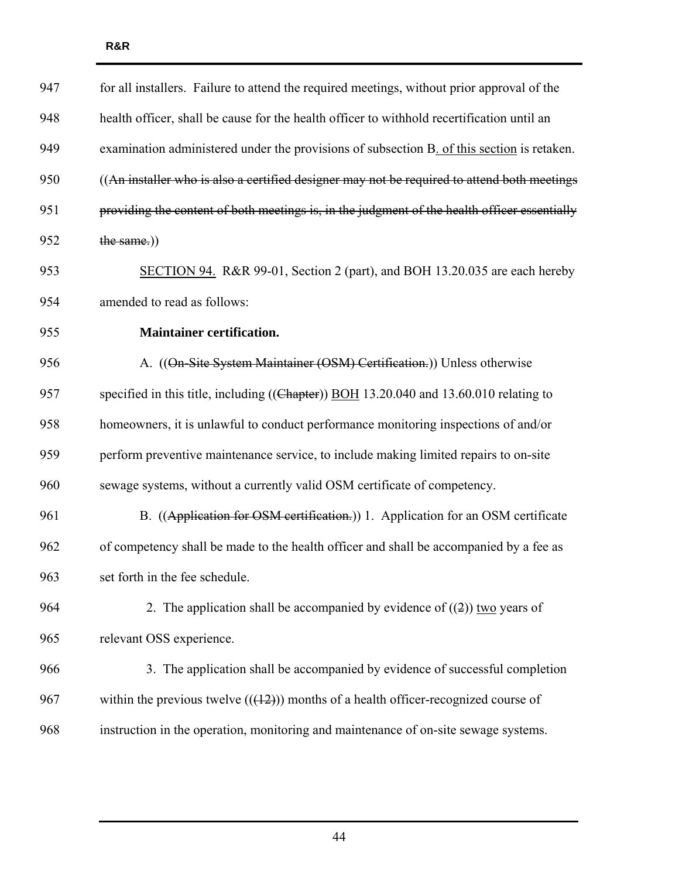| 947 | for all installers. Failure to attend the required meetings, without prior approval of the   |
|-----|----------------------------------------------------------------------------------------------|
| 948 | health officer, shall be cause for the health officer to withhold recertification until an   |
| 949 | examination administered under the provisions of subsection B. of this section is retaken.   |
| 950 | ((An installer who is also a certified designer may not be required to attend both meetings  |
| 951 | providing the content of both meetings is, in the judgment of the health officer essentially |
| 952 | the same.))                                                                                  |
| 953 | SECTION 94. R&R 99-01, Section 2 (part), and BOH 13.20.035 are each hereby                   |
| 954 | amended to read as follows:                                                                  |
| 955 | <b>Maintainer certification.</b>                                                             |
| 956 | A. ((On-Site System Maintainer (OSM) Certification.)) Unless otherwise                       |
| 957 | specified in this title, including ((Chapter)) BOH 13.20.040 and 13.60.010 relating to       |
| 958 | homeowners, it is unlawful to conduct performance monitoring inspections of and/or           |
| 959 | perform preventive maintenance service, to include making limited repairs to on-site         |
| 960 | sewage systems, without a currently valid OSM certificate of competency.                     |
| 961 | B. ((Application for OSM certification.)) 1. Application for an OSM certificate              |
| 962 | of competency shall be made to the health officer and shall be accompanied by a fee as       |
| 963 | set forth in the fee schedule.                                                               |
| 964 | 2. The application shall be accompanied by evidence of $((2))$ two years of                  |
| 965 | relevant OSS experience.                                                                     |
| 966 | 3. The application shall be accompanied by evidence of successful completion                 |
| 967 | within the previous twelve $((12))$ months of a health officer-recognized course of          |
| 968 | instruction in the operation, monitoring and maintenance of on-site sewage systems.          |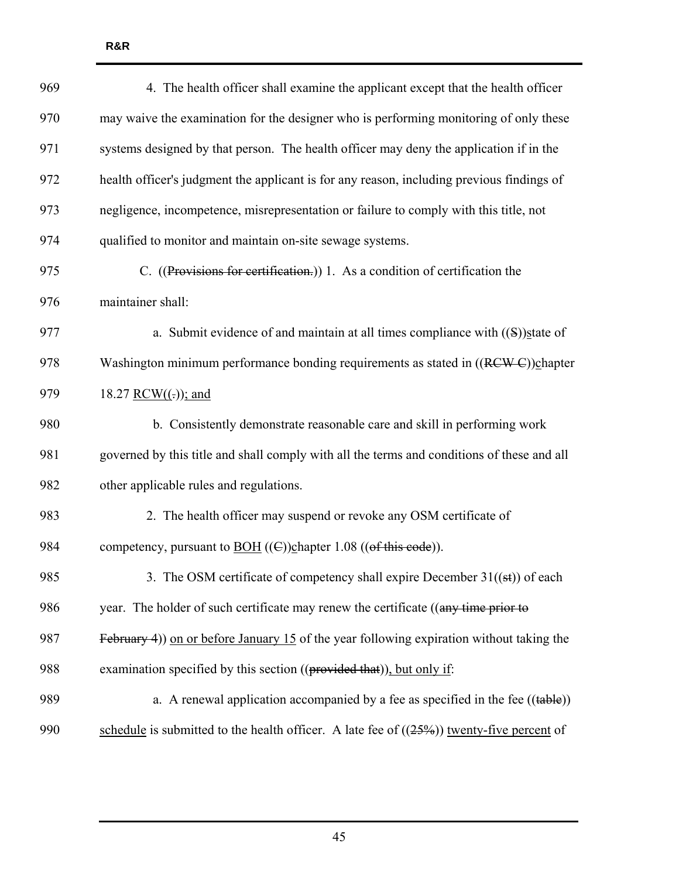| 969 | 4. The health officer shall examine the applicant except that the health officer                             |
|-----|--------------------------------------------------------------------------------------------------------------|
| 970 | may waive the examination for the designer who is performing monitoring of only these                        |
| 971 | systems designed by that person. The health officer may deny the application if in the                       |
| 972 | health officer's judgment the applicant is for any reason, including previous findings of                    |
| 973 | negligence, incompetence, misrepresentation or failure to comply with this title, not                        |
| 974 | qualified to monitor and maintain on-site sewage systems.                                                    |
| 975 | C. ((Provisions for certification.)) 1. As a condition of certification the                                  |
| 976 | maintainer shall:                                                                                            |
| 977 | a. Submit evidence of and maintain at all times compliance with $((S))$ state of                             |
| 978 | Washington minimum performance bonding requirements as stated in ((RCW-C))chapter                            |
| 979 | 18.27 RCW $((.)$ ; and                                                                                       |
| 980 | b. Consistently demonstrate reasonable care and skill in performing work                                     |
| 981 | governed by this title and shall comply with all the terms and conditions of these and all                   |
| 982 | other applicable rules and regulations.                                                                      |
| 983 | 2. The health officer may suspend or revoke any OSM certificate of                                           |
| 984 | competency, pursuant to $\underline{BOH}$ (( $\bigoplus$ )) $\underline{ch}$ apter 1.08 (( $of$ this code)). |
| 985 | 3. The OSM certificate of competency shall expire December $31((\text{st}))$ of each                         |
| 986 | year. The holder of such certificate may renew the certificate ((any time prior to                           |
| 987 | February 4) on or before January 15 of the year following expiration without taking the                      |
| 988 | examination specified by this section ((provided that)), but only if:                                        |
| 989 | a. A renewal application accompanied by a fee as specified in the fee $((table))$                            |
| 990 | schedule is submitted to the health officer. A late fee of $((25%)$ twenty-five percent of                   |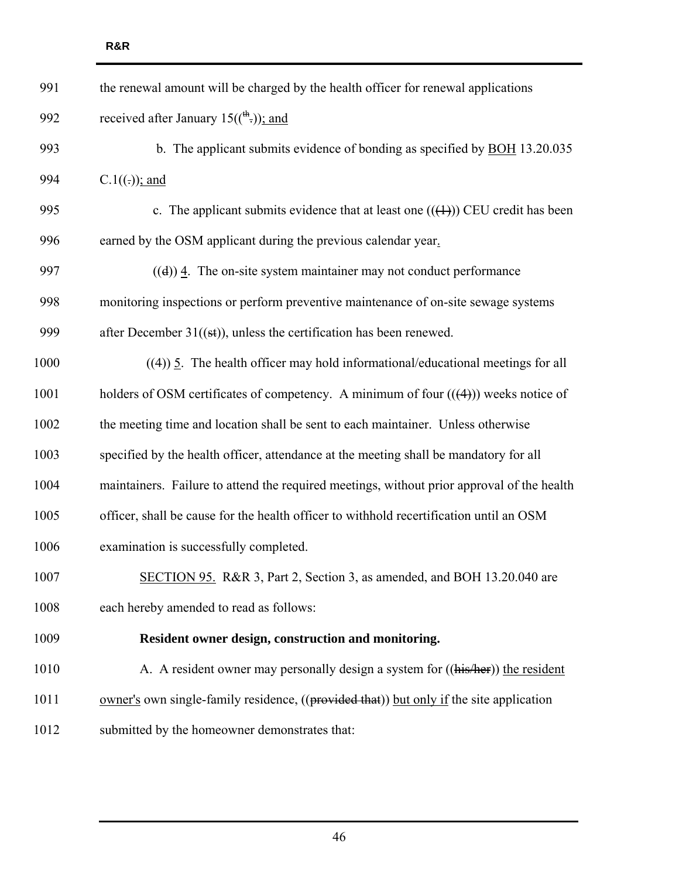| 991  | the renewal amount will be charged by the health officer for renewal applications          |
|------|--------------------------------------------------------------------------------------------|
| 992  | received after January $15(\binom{th}{r})$ ; and                                           |
| 993  | b. The applicant submits evidence of bonding as specified by <b>BOH</b> 13.20.035          |
| 994  | $C.1((.));$ and                                                                            |
| 995  | c. The applicant submits evidence that at least one $((+))$ CEU credit has been            |
| 996  | earned by the OSM applicant during the previous calendar year.                             |
| 997  | $((d))$ 4. The on-site system maintainer may not conduct performance                       |
| 998  | monitoring inspections or perform preventive maintenance of on-site sewage systems         |
| 999  | after December $31((st))$ , unless the certification has been renewed.                     |
| 1000 | $((4))$ 5. The health officer may hold informational/educational meetings for all          |
| 1001 | holders of OSM certificates of competency. A minimum of four $((4))$ weeks notice of       |
| 1002 | the meeting time and location shall be sent to each maintainer. Unless otherwise           |
| 1003 | specified by the health officer, attendance at the meeting shall be mandatory for all      |
| 1004 | maintainers. Failure to attend the required meetings, without prior approval of the health |
| 1005 | officer, shall be cause for the health officer to withhold recertification until an OSM    |
| 1006 | examination is successfully completed.                                                     |
| 1007 | SECTION 95. R&R 3, Part 2, Section 3, as amended, and BOH 13.20.040 are                    |
| 1008 | each hereby amended to read as follows:                                                    |
| 1009 | Resident owner design, construction and monitoring.                                        |
| 1010 | A. A resident owner may personally design a system for ((his/her)) the resident            |
| 1011 | owner's own single-family residence, ((provided that)) but only if the site application    |
| 1012 | submitted by the homeowner demonstrates that:                                              |
|      |                                                                                            |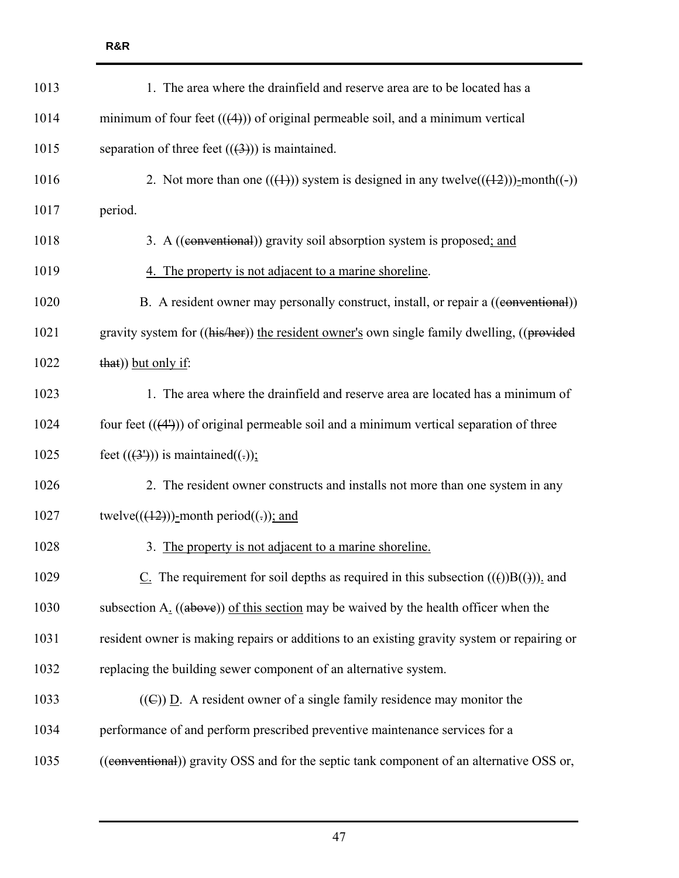| 1013 | 1. The area where the drainfield and reserve area are to be located has a                   |
|------|---------------------------------------------------------------------------------------------|
| 1014 | minimum of four feet $((4))$ of original permeable soil, and a minimum vertical             |
| 1015 | separation of three feet $((3))$ is maintained.                                             |
| 1016 | 2. Not more than one $((+))$ system is designed in any twelve $(((+2)))$ -month $((-))$     |
| 1017 | period.                                                                                     |
| 1018 | 3. A ((conventional)) gravity soil absorption system is proposed; and                       |
| 1019 | 4. The property is not adjacent to a marine shoreline.                                      |
| 1020 | B. A resident owner may personally construct, install, or repair a ((eonventional))         |
| 1021 | gravity system for ((his/her)) the resident owner's own single family dwelling, ((provided  |
| 1022 | that)) but only if:                                                                         |
| 1023 | 1. The area where the drainfield and reserve area are located has a minimum of              |
| 1024 | four feet $((41))$ of original permeable soil and a minimum vertical separation of three    |
| 1025 | feet $((31))$ is maintained $((.)$ ;                                                        |
| 1026 | 2. The resident owner constructs and installs not more than one system in any               |
| 1027 | twelve( $((12))$ )-month period((.)); and                                                   |
| 1028 | 3. The property is not adjacent to a marine shoreline.                                      |
| 1029 | $Cz$ . The requirement for soil depths as required in this subsection ((())B(())), and      |
| 1030 | subsection $A_1$ ((above)) of this section may be waived by the health officer when the     |
| 1031 | resident owner is making repairs or additions to an existing gravity system or repairing or |
| 1032 | replacing the building sewer component of an alternative system.                            |
| 1033 | $((\mathbb{C}))$ D. A resident owner of a single family residence may monitor the           |
| 1034 | performance of and perform prescribed preventive maintenance services for a                 |
| 1035 | ((conventional)) gravity OSS and for the septic tank component of an alternative OSS or,    |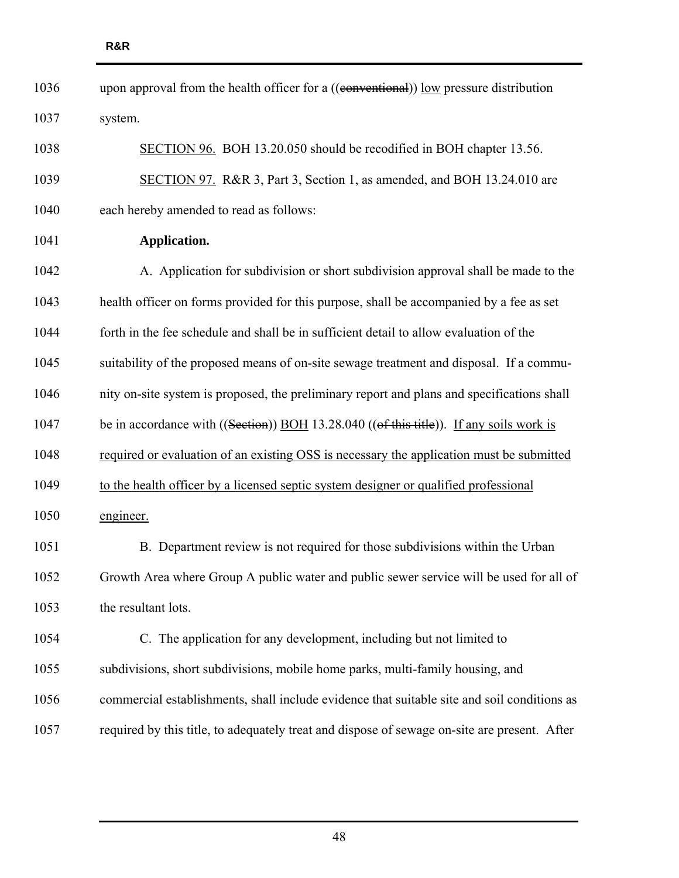| 1036 | upon approval from the health officer for a ((conventional)) low pressure distribution       |
|------|----------------------------------------------------------------------------------------------|
| 1037 | system.                                                                                      |
| 1038 | SECTION 96. BOH 13.20.050 should be recodified in BOH chapter 13.56.                         |
| 1039 | SECTION 97. R&R 3, Part 3, Section 1, as amended, and BOH 13.24.010 are                      |
| 1040 | each hereby amended to read as follows:                                                      |
| 1041 | Application.                                                                                 |
| 1042 | A. Application for subdivision or short subdivision approval shall be made to the            |
| 1043 | health officer on forms provided for this purpose, shall be accompanied by a fee as set      |
| 1044 | forth in the fee schedule and shall be in sufficient detail to allow evaluation of the       |
| 1045 | suitability of the proposed means of on-site sewage treatment and disposal. If a commu-      |
| 1046 | nity on-site system is proposed, the preliminary report and plans and specifications shall   |
| 1047 | be in accordance with ((Section)) BOH 13.28.040 ((of this title)). If any soils work is      |
| 1048 | required or evaluation of an existing OSS is necessary the application must be submitted     |
| 1049 | to the health officer by a licensed septic system designer or qualified professional         |
| 1050 | engineer.                                                                                    |
| 1051 | B. Department review is not required for those subdivisions within the Urban                 |
| 1052 | Growth Area where Group A public water and public sewer service will be used for all of      |
| 1053 | the resultant lots.                                                                          |
| 1054 | C. The application for any development, including but not limited to                         |
| 1055 | subdivisions, short subdivisions, mobile home parks, multi-family housing, and               |
| 1056 | commercial establishments, shall include evidence that suitable site and soil conditions as  |
| 1057 | required by this title, to adequately treat and dispose of sewage on-site are present. After |
|      |                                                                                              |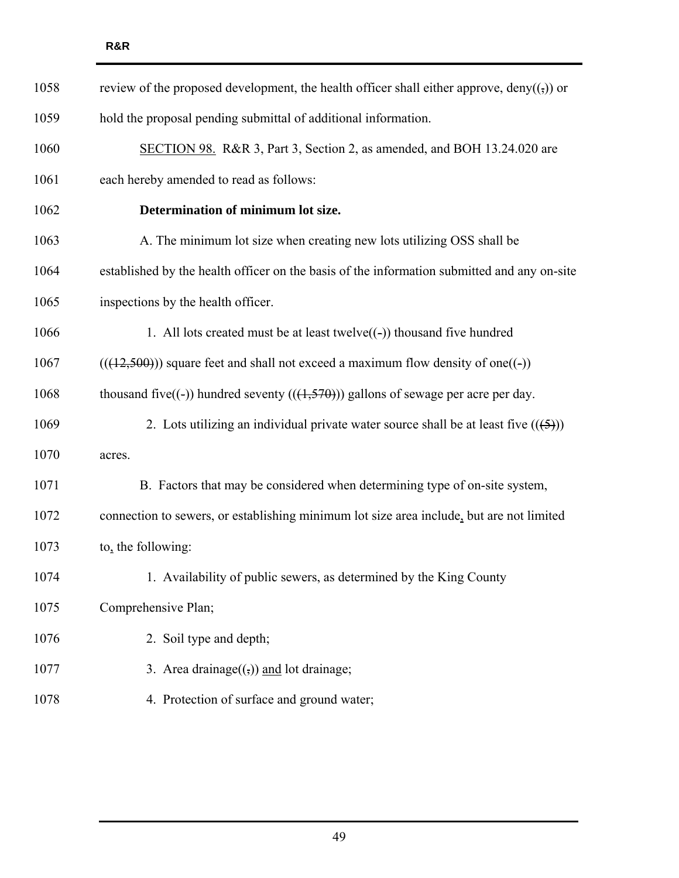| 1058 | review of the proposed development, the health officer shall either approve, deny $((\cdot))$ or |
|------|--------------------------------------------------------------------------------------------------|
| 1059 | hold the proposal pending submittal of additional information.                                   |
| 1060 | SECTION 98. R&R 3, Part 3, Section 2, as amended, and BOH 13.24.020 are                          |
| 1061 | each hereby amended to read as follows:                                                          |
| 1062 | Determination of minimum lot size.                                                               |
| 1063 | A. The minimum lot size when creating new lots utilizing OSS shall be                            |
| 1064 | established by the health officer on the basis of the information submitted and any on-site      |
| 1065 | inspections by the health officer.                                                               |
| 1066 | 1. All lots created must be at least twelve $((-)$ ) thousand five hundred                       |
| 1067 | $(((12,500))$ square feet and shall not exceed a maximum flow density of one((-))                |
| 1068 | thousand five((-)) hundred seventy $(((1,570))$ gallons of sewage per acre per day.              |
| 1069 | 2. Lots utilizing an individual private water source shall be at least five $((5))$              |
| 1070 | acres.                                                                                           |
| 1071 | B. Factors that may be considered when determining type of on-site system,                       |
| 1072 | connection to sewers, or establishing minimum lot size area include, but are not limited         |
| 1073 | to, the following:                                                                               |
| 1074 | 1. Availability of public sewers, as determined by the King County                               |
| 1075 | Comprehensive Plan;                                                                              |
| 1076 | 2. Soil type and depth;                                                                          |
| 1077 | 3. Area drainage $((,))$ and lot drainage;                                                       |
| 1078 | 4. Protection of surface and ground water;                                                       |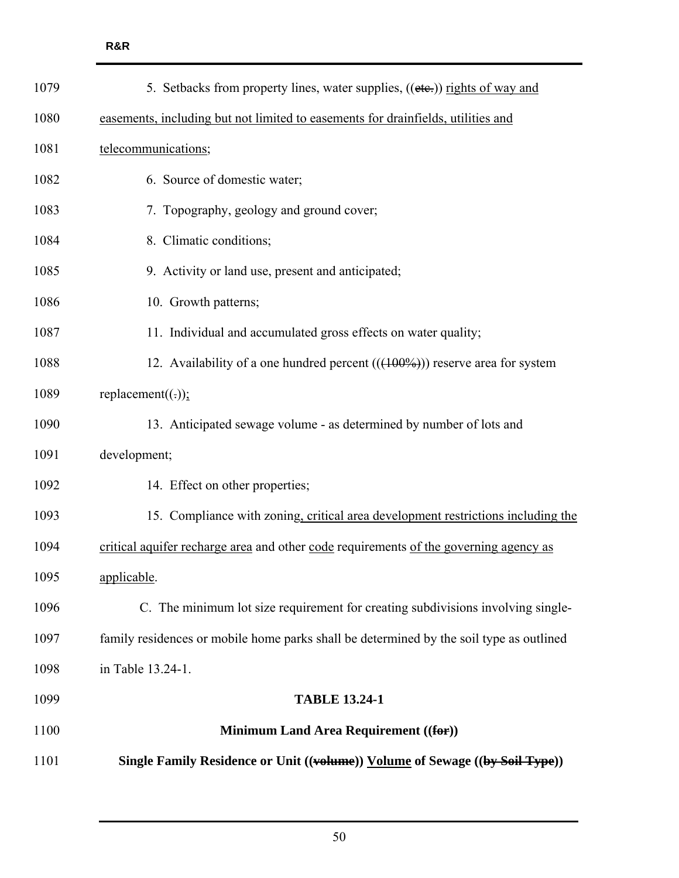| 1079 | 5. Setbacks from property lines, water supplies, ((etc.)) rights of way and             |
|------|-----------------------------------------------------------------------------------------|
| 1080 | easements, including but not limited to easements for drainfields, utilities and        |
| 1081 | telecommunications;                                                                     |
| 1082 | 6. Source of domestic water;                                                            |
| 1083 | 7. Topography, geology and ground cover;                                                |
| 1084 | 8. Climatic conditions;                                                                 |
| 1085 | 9. Activity or land use, present and anticipated;                                       |
| 1086 | 10. Growth patterns;                                                                    |
| 1087 | 11. Individual and accumulated gross effects on water quality;                          |
| 1088 | 12. Availability of a one hundred percent $((100\%))$ reserve area for system           |
| 1089 | replacement $((.)$ ;                                                                    |
| 1090 | 13. Anticipated sewage volume - as determined by number of lots and                     |
| 1091 | development;                                                                            |
| 1092 | 14. Effect on other properties;                                                         |
| 1093 | 15. Compliance with zoning, critical area development restrictions including the        |
| 1094 | critical aquifer recharge area and other code requirements of the governing agency as   |
| 1095 | applicable.                                                                             |
| 1096 | C. The minimum lot size requirement for creating subdivisions involving single-         |
| 1097 | family residences or mobile home parks shall be determined by the soil type as outlined |
| 1098 | in Table 13.24-1.                                                                       |
| 1099 | <b>TABLE 13.24-1</b>                                                                    |
| 1100 | <b>Minimum Land Area Requirement ((for))</b>                                            |
| 1101 | Single Family Residence or Unit ((volume)) Volume of Sewage ((by Soil Type))            |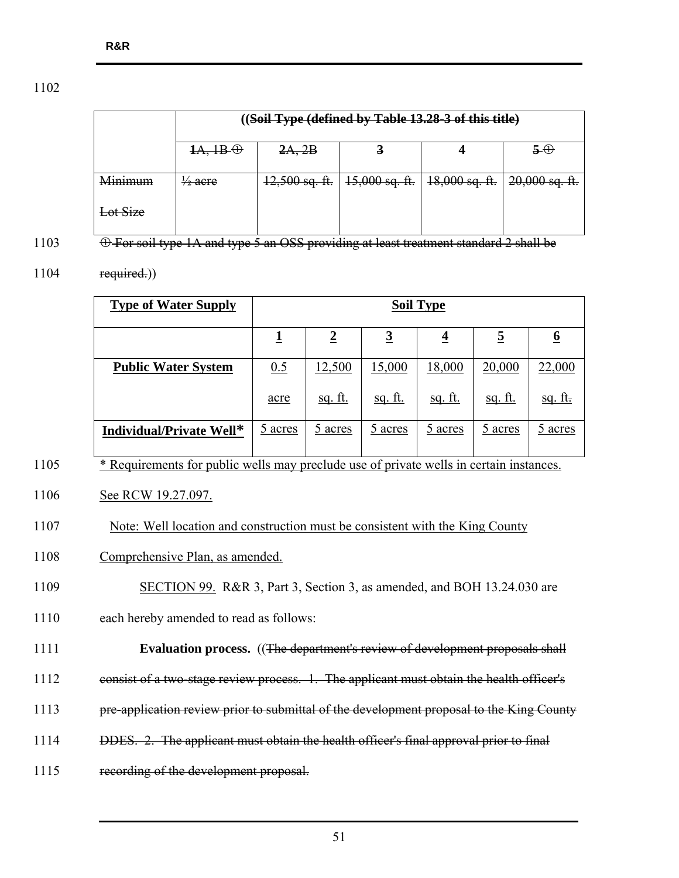|          |                                      | ((Soil Type (defined by Table 13.28-3 of this title) |                                                                           |  |    |
|----------|--------------------------------------|------------------------------------------------------|---------------------------------------------------------------------------|--|----|
|          | $\overline{AA, \overline{AB}\oplus}$ | 2A, 2B                                               |                                                                           |  | 50 |
| Minimum  | $\frac{1}{2}$ acre                   |                                                      | $12,500$ sq. ft.   $15,000$ sq. ft.   $18,000$ sq. ft.   $20,000$ sq. ft. |  |    |
| Lot Size |                                      |                                                      |                                                                           |  |    |

1103 <del>C For soil type 1A and type 5 an OSS providing at least treatment standard 2 shall be</del>

## $1104$  required.)

| <b>Type of Water Supply</b> | <b>Soil Type</b> |                |                |                         |                |                         |
|-----------------------------|------------------|----------------|----------------|-------------------------|----------------|-------------------------|
|                             |                  | $\overline{2}$ | $\overline{3}$ | $\overline{\mathbf{r}}$ | <u>5</u>       | $\overline{\mathbf{p}}$ |
| <b>Public Water System</b>  | 0.5              | 12,500         | 15,000         | 18,000                  | 20,000         | 22,000                  |
|                             | acre             | <u>sq. ft.</u> | <u>sq. ft.</u> | <u>sq. ft.</u>          | <u>sq. ft.</u> | <u>sq. ft.</u>          |
| Individual/Private Well*    | 5 acres          | 5 acres        | 5 acres        | 5 acres                 | 5 acres        | 5 acres                 |

- <sup>\*</sup> Requirements for public wells may preclude use of private wells in certain instances.
- 1106 See RCW 19.27.097.
- 1107 Note: Well location and construction must be consistent with the King County
- 1108 Comprehensive Plan, as amended.
- 1109 SECTION 99. R&R 3, Part 3, Section 3, as amended, and BOH 13.24.030 are
- 1110 each hereby amended to read as follows:
- 1111 **Evaluation process.** ((The department's review of development proposals shall
- 1112 consist of a two-stage review process. 1. The applicant must obtain the health officer's
- 1113 pre-application review prior to submittal of the development proposal to the King County
- 1114 DDES. 2. The applicant must obtain the health officer's final approval prior to final
- 1115 recording of the development proposal.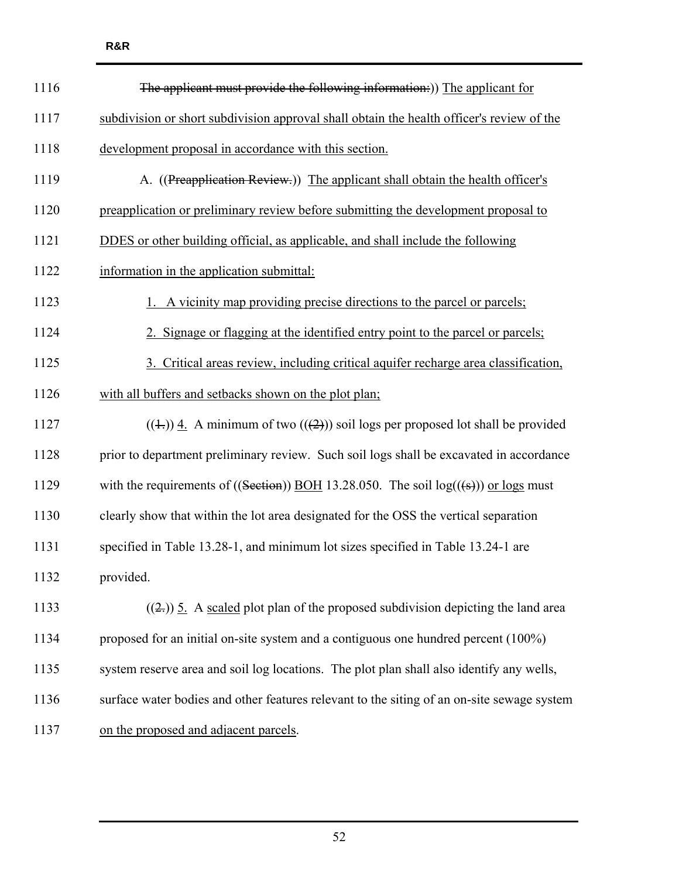| 1116 | The applicant must provide the following information:)) The applicant for                      |
|------|------------------------------------------------------------------------------------------------|
| 1117 | subdivision or short subdivision approval shall obtain the health officer's review of the      |
| 1118 | development proposal in accordance with this section.                                          |
| 1119 | A. ((Preapplication Review.)) The applicant shall obtain the health officer's                  |
| 1120 | preapplication or preliminary review before submitting the development proposal to             |
| 1121 | DDES or other building official, as applicable, and shall include the following                |
| 1122 | information in the application submittal:                                                      |
| 1123 | 1. A vicinity map providing precise directions to the parcel or parcels;                       |
| 1124 | 2. Signage or flagging at the identified entry point to the parcel or parcels;                 |
| 1125 | 3. Critical areas review, including critical aquifer recharge area classification,             |
| 1126 | with all buffers and setbacks shown on the plot plan;                                          |
| 1127 | $((\pm))$ 4. A minimum of two $((2))$ soil logs per proposed lot shall be provided             |
| 1128 | prior to department preliminary review. Such soil logs shall be excavated in accordance        |
| 1129 | with the requirements of ((Section)) BOH 13.28.050. The soil $log((\frac{1}{5}))$ or logs must |
| 1130 | clearly show that within the lot area designated for the OSS the vertical separation           |
| 1131 | specified in Table 13.28-1, and minimum lot sizes specified in Table 13.24-1 are               |
| 1132 | provided.                                                                                      |
| 1133 | $((2))$ 5. A scaled plot plan of the proposed subdivision depicting the land area              |
| 1134 | proposed for an initial on-site system and a contiguous one hundred percent (100%)             |
| 1135 | system reserve area and soil log locations. The plot plan shall also identify any wells,       |
| 1136 | surface water bodies and other features relevant to the siting of an on-site sewage system     |
| 1137 | on the proposed and adjacent parcels.                                                          |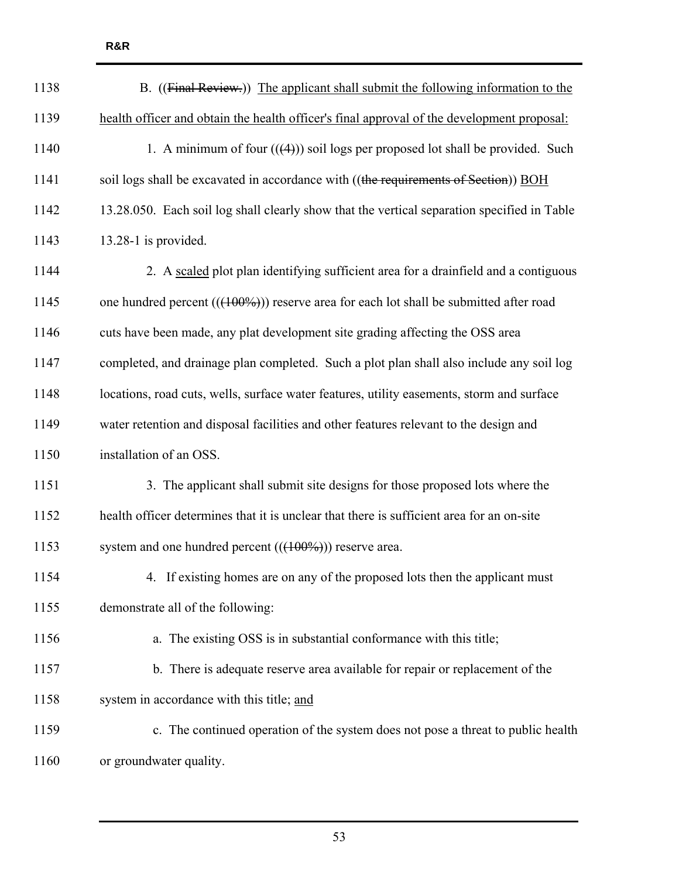| 1138 | B. ((Final Review.)) The applicant shall submit the following information to the            |
|------|---------------------------------------------------------------------------------------------|
| 1139 | health officer and obtain the health officer's final approval of the development proposal:  |
| 1140 | 1. A minimum of four $((4))$ soil logs per proposed lot shall be provided. Such             |
| 1141 | soil logs shall be excavated in accordance with ((the requirements of Section)) BOH         |
| 1142 | 13.28.050. Each soil log shall clearly show that the vertical separation specified in Table |
| 1143 | $13.28-1$ is provided.                                                                      |
| 1144 | 2. A scaled plot plan identifying sufficient area for a drainfield and a contiguous         |
| 1145 | one hundred percent $((100\%))$ reserve area for each lot shall be submitted after road     |
| 1146 | cuts have been made, any plat development site grading affecting the OSS area               |
| 1147 | completed, and drainage plan completed. Such a plot plan shall also include any soil log    |
| 1148 | locations, road cuts, wells, surface water features, utility easements, storm and surface   |
| 1149 | water retention and disposal facilities and other features relevant to the design and       |
| 1150 | installation of an OSS.                                                                     |
| 1151 | 3. The applicant shall submit site designs for those proposed lots where the                |
| 1152 | health officer determines that it is unclear that there is sufficient area for an on-site   |
| 1153 | system and one hundred percent $((400\%))$ reserve area.                                    |
| 1154 | 4. If existing homes are on any of the proposed lots then the applicant must                |
| 1155 | demonstrate all of the following:                                                           |
| 1156 | a. The existing OSS is in substantial conformance with this title;                          |
| 1157 | b. There is adequate reserve area available for repair or replacement of the                |
| 1158 | system in accordance with this title; and                                                   |
| 1159 | c. The continued operation of the system does not pose a threat to public health            |
| 1160 | or groundwater quality.                                                                     |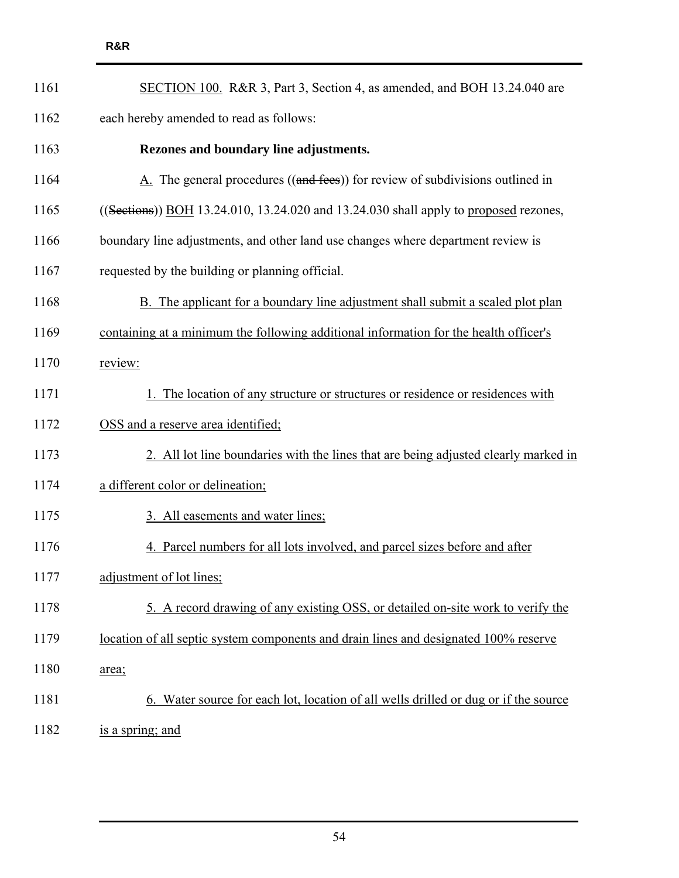| 1161 | SECTION 100. R&R 3, Part 3, Section 4, as amended, and BOH 13.24.040 are                      |
|------|-----------------------------------------------------------------------------------------------|
| 1162 | each hereby amended to read as follows:                                                       |
| 1163 | Rezones and boundary line adjustments.                                                        |
| 1164 | $\underline{A}$ . The general procedures ((and fees)) for review of subdivisions outlined in  |
| 1165 | $((\text{Sections}))$ BOH 13.24.010, 13.24.020 and 13.24.030 shall apply to proposed rezones, |
| 1166 | boundary line adjustments, and other land use changes where department review is              |
| 1167 | requested by the building or planning official.                                               |
| 1168 | B. The applicant for a boundary line adjustment shall submit a scaled plot plan               |
| 1169 | containing at a minimum the following additional information for the health officer's         |
| 1170 | review:                                                                                       |
| 1171 | 1. The location of any structure or structures or residence or residences with                |
| 1172 | OSS and a reserve area identified;                                                            |
| 1173 | 2. All lot line boundaries with the lines that are being adjusted clearly marked in           |
| 1174 | a different color or delineation;                                                             |
| 1175 | 3. All easements and water lines;                                                             |
| 1176 | 4. Parcel numbers for all lots involved, and parcel sizes before and after                    |
| 1177 | adjustment of lot lines;                                                                      |
| 1178 | 5. A record drawing of any existing OSS, or detailed on-site work to verify the               |
| 1179 | location of all septic system components and drain lines and designated 100% reserve          |
| 1180 | area;                                                                                         |
| 1181 | 6. Water source for each lot, location of all wells drilled or dug or if the source           |
|      |                                                                                               |

1182 is a spring; and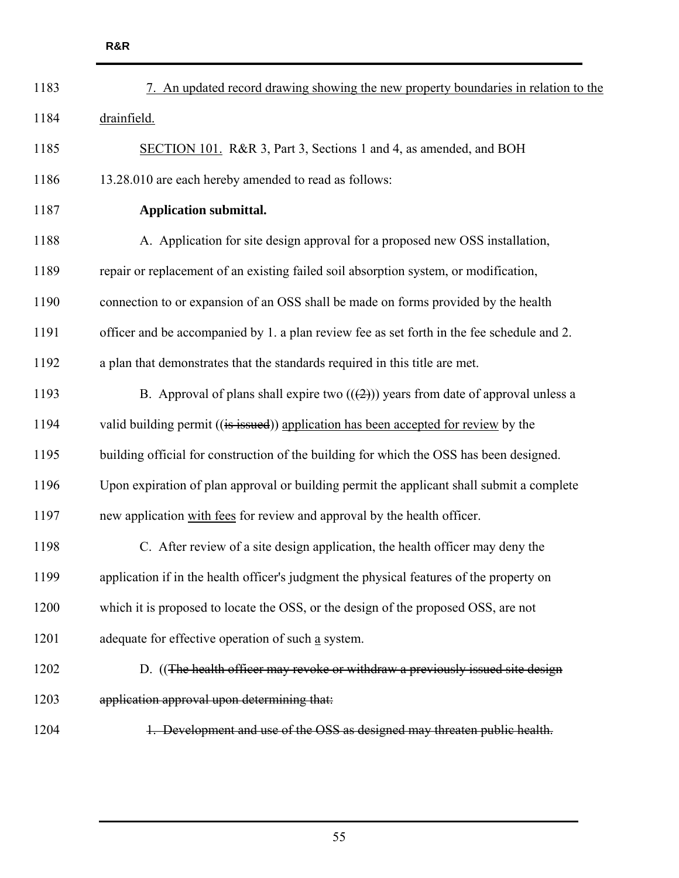| 1183 | 7. An updated record drawing showing the new property boundaries in relation to the        |
|------|--------------------------------------------------------------------------------------------|
| 1184 | drainfield.                                                                                |
| 1185 | SECTION 101. R&R 3, Part 3, Sections 1 and 4, as amended, and BOH                          |
| 1186 | 13.28.010 are each hereby amended to read as follows:                                      |
| 1187 | <b>Application submittal.</b>                                                              |
| 1188 | A. Application for site design approval for a proposed new OSS installation,               |
| 1189 | repair or replacement of an existing failed soil absorption system, or modification,       |
| 1190 | connection to or expansion of an OSS shall be made on forms provided by the health         |
| 1191 | officer and be accompanied by 1. a plan review fee as set forth in the fee schedule and 2. |
| 1192 | a plan that demonstrates that the standards required in this title are met.                |
| 1193 | B. Approval of plans shall expire two $((2))$ years from date of approval unless a         |
| 1194 | valid building permit ((is issued)) application has been accepted for review by the        |
| 1195 | building official for construction of the building for which the OSS has been designed.    |
| 1196 | Upon expiration of plan approval or building permit the applicant shall submit a complete  |
| 1197 | new application with fees for review and approval by the health officer.                   |
| 1198 | C. After review of a site design application, the health officer may deny the              |
| 1199 | application if in the health officer's judgment the physical features of the property on   |
| 1200 | which it is proposed to locate the OSS, or the design of the proposed OSS, are not         |
| 1201 | adequate for effective operation of such a system.                                         |
| 1202 | D. ((The health officer may revoke or withdraw a previously issued site design             |
| 1203 | application approval upon determining that:                                                |
| 1204 | 1. Development and use of the OSS as designed may threaten public health.                  |
|      |                                                                                            |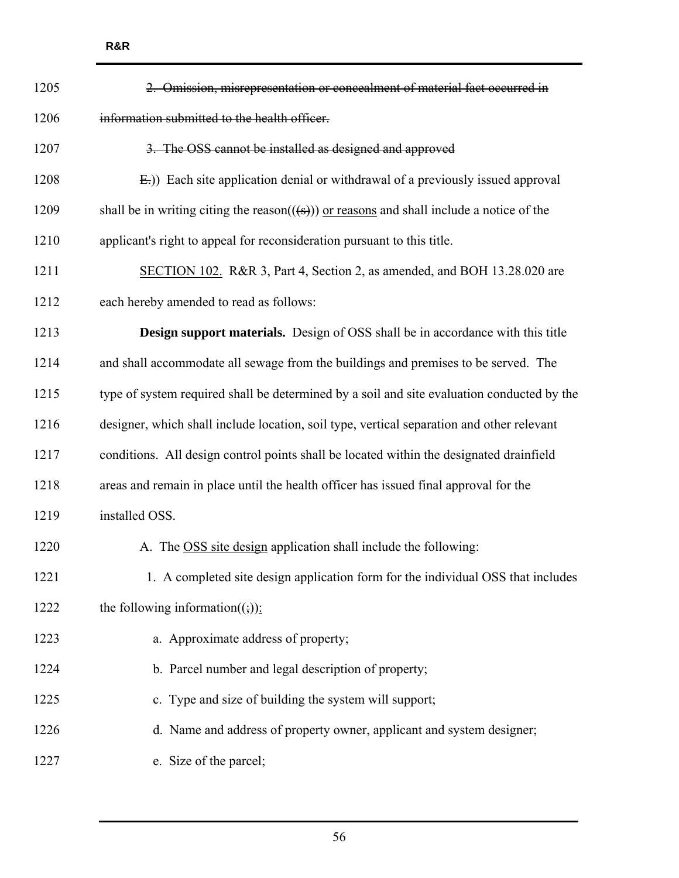| 1205 | Omission, misrepresentation or concealment of material fact occurred in                                |
|------|--------------------------------------------------------------------------------------------------------|
| 1206 | information submitted to the health officer.                                                           |
| 1207 | 3. The OSS cannot be installed as designed and approved                                                |
| 1208 | E.)) Each site application denial or withdrawal of a previously issued approval                        |
| 1209 | shall be in writing citing the reason( $(\textbf{(s)})$ ) or reasons and shall include a notice of the |
| 1210 | applicant's right to appeal for reconsideration pursuant to this title.                                |
| 1211 | SECTION 102. R&R 3, Part 4, Section 2, as amended, and BOH 13.28.020 are                               |
| 1212 | each hereby amended to read as follows:                                                                |
| 1213 | <b>Design support materials.</b> Design of OSS shall be in accordance with this title                  |
| 1214 | and shall accommodate all sewage from the buildings and premises to be served. The                     |
| 1215 | type of system required shall be determined by a soil and site evaluation conducted by the             |
| 1216 | designer, which shall include location, soil type, vertical separation and other relevant              |
| 1217 | conditions. All design control points shall be located within the designated drainfield                |
| 1218 | areas and remain in place until the health officer has issued final approval for the                   |
| 1219 | installed OSS.                                                                                         |
| 1220 | The OSS site design application shall include the following:                                           |
| 1221 | 1. A completed site design application form for the individual OSS that includes                       |
| 1222 | the following information( $\left(\frac{1}{2}\right)$ ):                                               |
| 1223 | a. Approximate address of property;                                                                    |
| 1224 | b. Parcel number and legal description of property;                                                    |
| 1225 | c. Type and size of building the system will support;                                                  |
| 1226 | d. Name and address of property owner, applicant and system designer;                                  |
| 1227 | e. Size of the parcel;                                                                                 |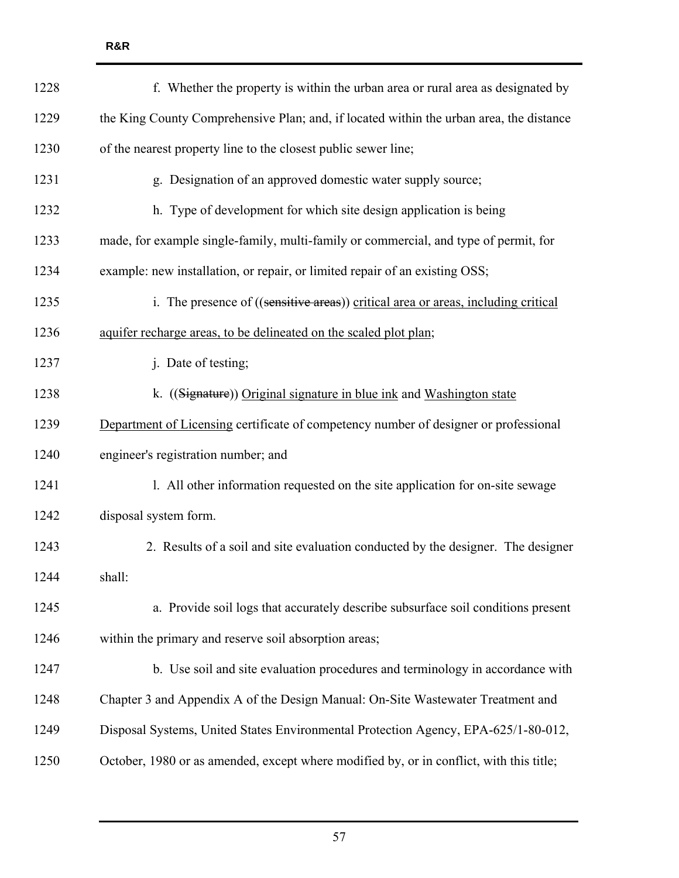| 1228 | f. Whether the property is within the urban area or rural area as designated by         |
|------|-----------------------------------------------------------------------------------------|
| 1229 | the King County Comprehensive Plan; and, if located within the urban area, the distance |
| 1230 | of the nearest property line to the closest public sewer line;                          |
| 1231 | g. Designation of an approved domestic water supply source;                             |
| 1232 | h. Type of development for which site design application is being                       |
| 1233 | made, for example single-family, multi-family or commercial, and type of permit, for    |
| 1234 | example: new installation, or repair, or limited repair of an existing OSS;             |
| 1235 | i. The presence of ((sensitive areas)) critical area or areas, including critical       |
| 1236 | aquifer recharge areas, to be delineated on the scaled plot plan;                       |
| 1237 | j. Date of testing;                                                                     |
| 1238 | k. ((Signature)) Original signature in blue ink and Washington state                    |
| 1239 | Department of Licensing certificate of competency number of designer or professional    |
| 1240 | engineer's registration number; and                                                     |
| 1241 | 1. All other information requested on the site application for on-site sewage           |
| 1242 | disposal system form.                                                                   |
| 1243 | 2. Results of a soil and site evaluation conducted by the designer. The designer        |
| 1244 | shall:                                                                                  |
| 1245 | a. Provide soil logs that accurately describe subsurface soil conditions present        |
| 1246 | within the primary and reserve soil absorption areas;                                   |
| 1247 | b. Use soil and site evaluation procedures and terminology in accordance with           |
| 1248 | Chapter 3 and Appendix A of the Design Manual: On-Site Wastewater Treatment and         |
| 1249 | Disposal Systems, United States Environmental Protection Agency, EPA-625/1-80-012,      |
| 1250 | October, 1980 or as amended, except where modified by, or in conflict, with this title; |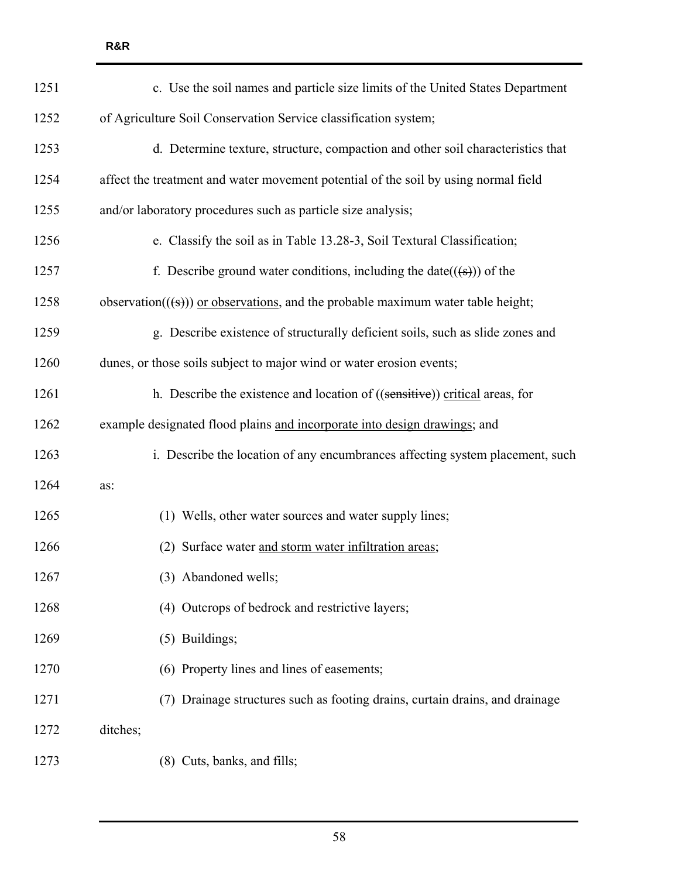| 1251 | c. Use the soil names and particle size limits of the United States Department               |
|------|----------------------------------------------------------------------------------------------|
| 1252 | of Agriculture Soil Conservation Service classification system;                              |
| 1253 | d. Determine texture, structure, compaction and other soil characteristics that              |
| 1254 | affect the treatment and water movement potential of the soil by using normal field          |
| 1255 | and/or laboratory procedures such as particle size analysis;                                 |
| 1256 | e. Classify the soil as in Table 13.28-3, Soil Textural Classification;                      |
| 1257 | f. Describe ground water conditions, including the date( $((\xi))$ ) of the                  |
| 1258 | observation( $((\frac{1}{5}))$ or observations, and the probable maximum water table height; |
| 1259 | g. Describe existence of structurally deficient soils, such as slide zones and               |
| 1260 | dunes, or those soils subject to major wind or water erosion events;                         |
| 1261 | h. Describe the existence and location of ((sensitive)) critical areas, for                  |
| 1262 | example designated flood plains and incorporate into design drawings; and                    |
| 1263 | i. Describe the location of any encumbrances affecting system placement, such                |
| 1264 | as:                                                                                          |
| 1265 | (1) Wells, other water sources and water supply lines;                                       |
| 1266 | Surface water and storm water infiltration areas;<br>(2)                                     |
| 1267 | (3) Abandoned wells;                                                                         |
| 1268 | (4) Outcrops of bedrock and restrictive layers;                                              |
| 1269 | (5) Buildings;                                                                               |
| 1270 | (6) Property lines and lines of easements;                                                   |
| 1271 | (7) Drainage structures such as footing drains, curtain drains, and drainage                 |
| 1272 | ditches;                                                                                     |
| 1273 | (8) Cuts, banks, and fills;                                                                  |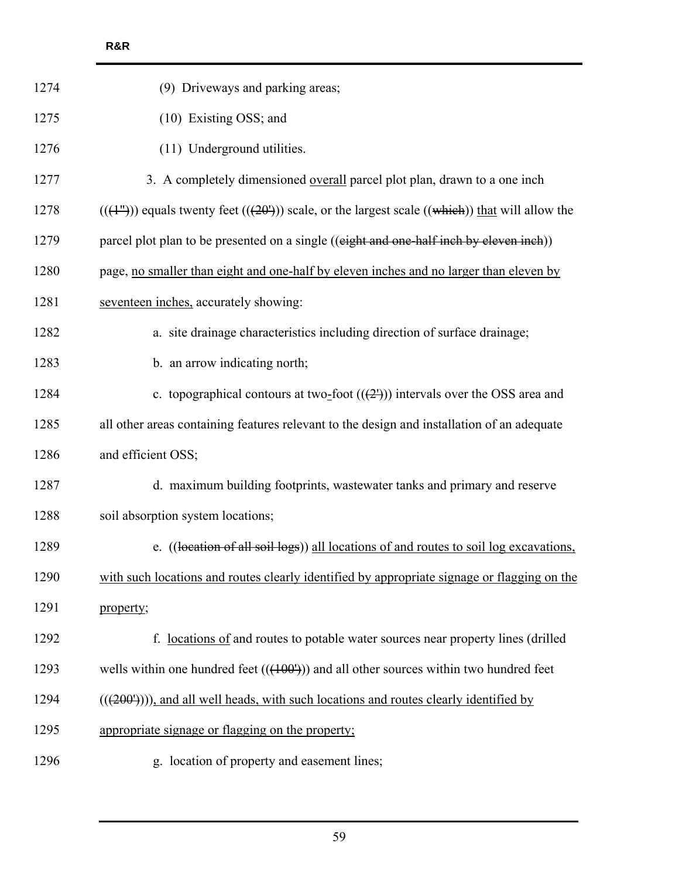| (9) Driveways and parking areas;                                                                  |
|---------------------------------------------------------------------------------------------------|
| (10) Existing OSS; and                                                                            |
| (11) Underground utilities.                                                                       |
| 3. A completely dimensioned overall parcel plot plan, drawn to a one inch                         |
| $((+1))$ equals twenty feet $((+20))$ scale, or the largest scale $((which))$ that will allow the |
| parcel plot plan to be presented on a single ((eight and one-half inch by eleven inch))           |
| page, no smaller than eight and one-half by eleven inches and no larger than eleven by            |
| seventeen inches, accurately showing:                                                             |
| a. site drainage characteristics including direction of surface drainage;                         |
| b. an arrow indicating north;                                                                     |
| c. topographical contours at two-foot $((2'))$ intervals over the OSS area and                    |
| all other areas containing features relevant to the design and installation of an adequate        |
| and efficient OSS;                                                                                |
| d. maximum building footprints, wastewater tanks and primary and reserve                          |
| soil absorption system locations;                                                                 |
| e. ((location of all soil logs)) all locations of and routes to soil log excavations,             |
| with such locations and routes clearly identified by appropriate signage or flagging on the       |
| property;                                                                                         |
| f. <u>locations of</u> and routes to potable water sources near property lines (drilled           |
| wells within one hundred feet $((+00^{\circ}))$ and all other sources within two hundred feet     |
| $(((200')))$ , and all well heads, with such locations and routes clearly identified by           |
| appropriate signage or flagging on the property;                                                  |
| g. location of property and easement lines;                                                       |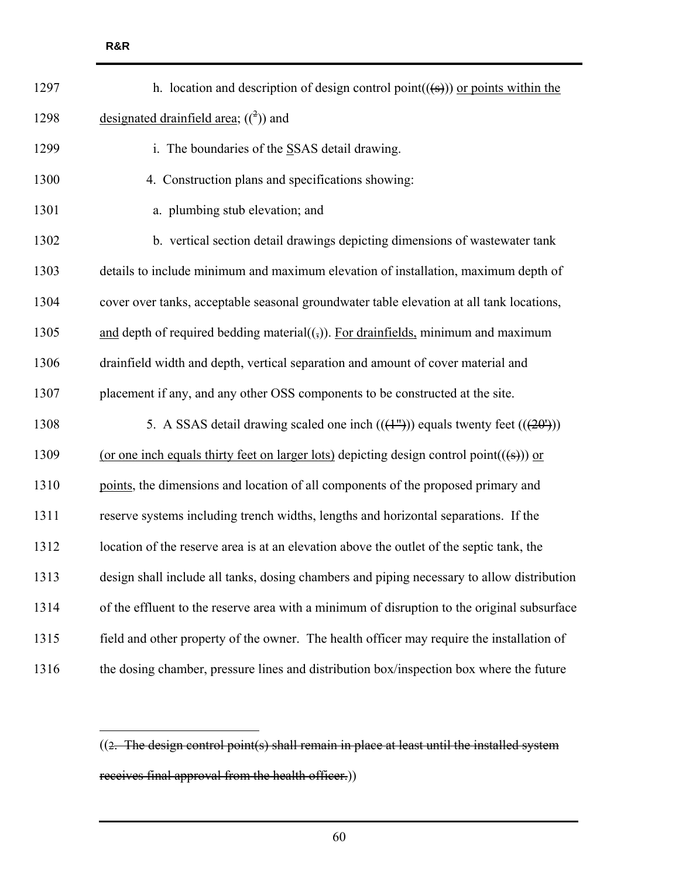| 1297 | h. location and description of design control point( $((s))$ ) or points within the                        |
|------|------------------------------------------------------------------------------------------------------------|
| 1298 | designated drainfield area; $({}^{2})$ ) and                                                               |
| 1299 | i. The boundaries of the SSAS detail drawing.                                                              |
| 1300 | 4. Construction plans and specifications showing:                                                          |
| 1301 | a. plumbing stub elevation; and                                                                            |
| 1302 | b. vertical section detail drawings depicting dimensions of wastewater tank                                |
| 1303 | details to include minimum and maximum elevation of installation, maximum depth of                         |
| 1304 | cover over tanks, acceptable seasonal groundwater table elevation at all tank locations,                   |
| 1305 | and depth of required bedding material( $\left(\frac{1}{2}\right)$ ). For drainfields, minimum and maximum |
| 1306 | drainfield width and depth, vertical separation and amount of cover material and                           |
| 1307 | placement if any, and any other OSS components to be constructed at the site.                              |
| 1308 | 5. A SSAS detail drawing scaled one inch $((1^{\prime\prime}))$ equals twenty feet $((20^{\prime}))$       |
| 1309 | (or one inch equals thirty feet on larger lots) depicting design control point( $(\text{(*)})$ ) or        |
| 1310 | points, the dimensions and location of all components of the proposed primary and                          |
| 1311 | reserve systems including trench widths, lengths and horizontal separations. If the                        |
| 1312 | location of the reserve area is at an elevation above the outlet of the septic tank, the                   |
| 1313 | design shall include all tanks, dosing chambers and piping necessary to allow distribution                 |
| 1314 | of the effluent to the reserve area with a minimum of disruption to the original subsurface                |
| 1315 | field and other property of the owner. The health officer may require the installation of                  |
| 1316 | the dosing chamber, pressure lines and distribution box/inspection box where the future                    |
|      |                                                                                                            |

 $\overline{a}$ 

<sup>((2.</sup> The design control point(s) shall remain in place at least until the installed system receives final approval from the health officer.))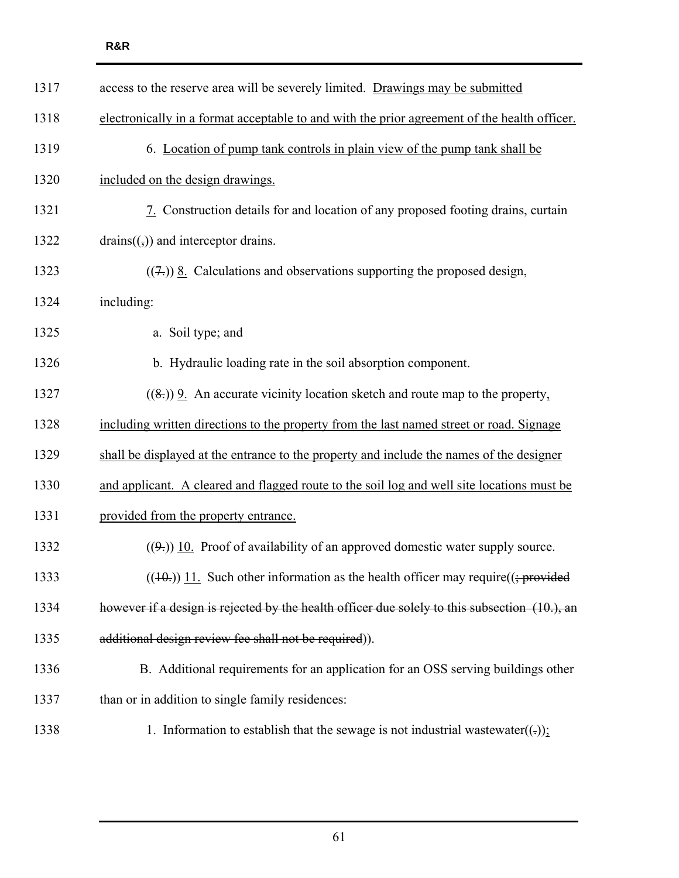| 1317 | access to the reserve area will be severely limited. Drawings may be submitted                |
|------|-----------------------------------------------------------------------------------------------|
| 1318 | electronically in a format acceptable to and with the prior agreement of the health officer.  |
| 1319 | 6. Location of pump tank controls in plain view of the pump tank shall be                     |
| 1320 | included on the design drawings.                                                              |
| 1321 | 7. Construction details for and location of any proposed footing drains, curtain              |
| 1322 | $drains((\frac{1}{2}))$ and interceptor drains.                                               |
| 1323 | $((7))$ <u>8</u> . Calculations and observations supporting the proposed design,              |
| 1324 | including:                                                                                    |
| 1325 | a. Soil type; and                                                                             |
| 1326 | b. Hydraulic loading rate in the soil absorption component.                                   |
| 1327 | $((8))$ 9. An accurate vicinity location sketch and route map to the property,                |
| 1328 | including written directions to the property from the last named street or road. Signage      |
| 1329 | shall be displayed at the entrance to the property and include the names of the designer      |
| 1330 | and applicant. A cleared and flagged route to the soil log and well site locations must be    |
| 1331 | provided from the property entrance.                                                          |
| 1332 | $((9))$ 10. Proof of availability of an approved domestic water supply source.                |
| 1333 | $((10.1)$ ) 11. Such other information as the health officer may require( $($ ; provided      |
| 1334 | however if a design is rejected by the health officer due solely to this subsection (10.), an |
| 1335 | additional design review fee shall not be required)).                                         |
| 1336 | B. Additional requirements for an application for an OSS serving buildings other              |
| 1337 | than or in addition to single family residences:                                              |
| 1338 | 1. Information to establish that the sewage is not industrial wastewater( $(.)$ ):            |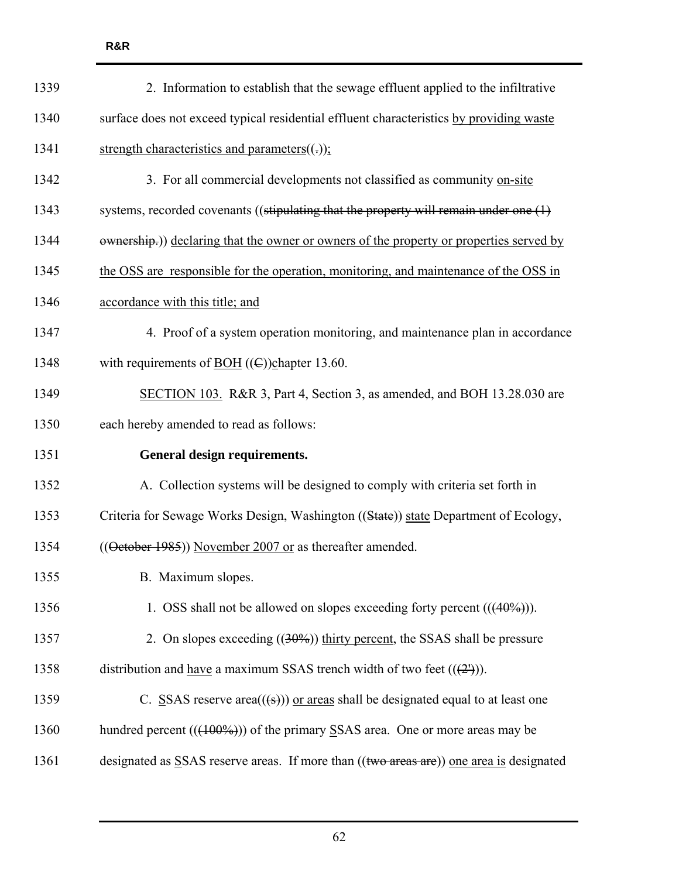| 1339 | 2. Information to establish that the sewage effluent applied to the infiltrative            |
|------|---------------------------------------------------------------------------------------------|
| 1340 | surface does not exceed typical residential effluent characteristics by providing waste     |
| 1341 | strength characteristics and parameters $((.)$ ;                                            |
| 1342 | 3. For all commercial developments not classified as community on-site                      |
| 1343 | systems, recorded covenants ((stipulating that the property will remain under one $(1)$ )   |
| 1344 | ewnership.)) declaring that the owner or owners of the property or properties served by     |
| 1345 | the OSS are responsible for the operation, monitoring, and maintenance of the OSS in        |
| 1346 | accordance with this title; and                                                             |
| 1347 | 4. Proof of a system operation monitoring, and maintenance plan in accordance               |
| 1348 | with requirements of <u>BOH</u> (( $\epsilon$ )) chapter 13.60.                             |
| 1349 | SECTION 103. R&R 3, Part 4, Section 3, as amended, and BOH 13.28.030 are                    |
| 1350 | each hereby amended to read as follows:                                                     |
| 1351 | General design requirements.                                                                |
| 1352 | A. Collection systems will be designed to comply with criteria set forth in                 |
| 1353 | Criteria for Sewage Works Design, Washington ((State)) state Department of Ecology,         |
| 1354 | ((October 1985)) November 2007 or as thereafter amended.                                    |
| 1355 | B. Maximum slopes.                                                                          |
| 1356 | 1. OSS shall not be allowed on slopes exceeding forty percent $((40\%))$ .                  |
| 1357 | 2. On slopes exceeding $((30\%)$ thirty percent, the SSAS shall be pressure                 |
| 1358 | distribution and <u>have</u> a maximum SSAS trench width of two feet $((2^x))$ .            |
| 1359 | C. SSAS reserve area( $(\textbf{(s)})$ ) or areas shall be designated equal to at least one |
| 1360 | hundred percent $((100\%))$ of the primary SSAS area. One or more areas may be              |
| 1361 | designated as SSAS reserve areas. If more than ((two areas are)) one area is designated     |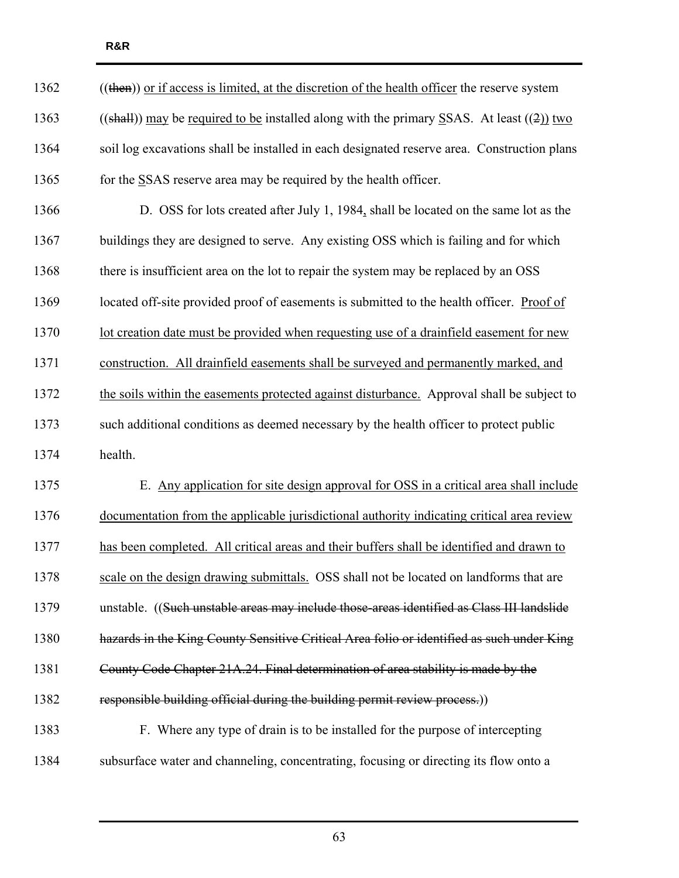| 1362 | $((then))$ or if access is limited, at the discretion of the health officer the reserve system |
|------|------------------------------------------------------------------------------------------------|
| 1363 | $((shall))$ may be required to be installed along with the primary SSAS. At least $((2))$ two  |
| 1364 | soil log excavations shall be installed in each designated reserve area. Construction plans    |
| 1365 | for the SSAS reserve area may be required by the health officer.                               |
| 1366 | D. OSS for lots created after July 1, 1984, shall be located on the same lot as the            |
| 1367 | buildings they are designed to serve. Any existing OSS which is failing and for which          |
| 1368 | there is insufficient area on the lot to repair the system may be replaced by an OSS           |
| 1369 | located off-site provided proof of easements is submitted to the health officer. Proof of      |
| 1370 | lot creation date must be provided when requesting use of a drainfield easement for new        |
| 1371 | construction. All drainfield easements shall be surveyed and permanently marked, and           |
| 1372 | the soils within the easements protected against disturbance. Approval shall be subject to     |
| 1373 | such additional conditions as deemed necessary by the health officer to protect public         |
| 1374 | health.                                                                                        |
| 1375 | E. Any application for site design approval for OSS in a critical area shall include           |
| 1376 | documentation from the applicable jurisdictional authority indicating critical area review     |
| 1377 | has been completed. All critical areas and their buffers shall be identified and drawn to      |
| 1378 | scale on the design drawing submittals. OSS shall not be located on landforms that are         |
| 1379 | unstable. ((Such unstable areas may include those-areas identified as Class III landslide      |
| 1380 | hazards in the King County Sensitive Critical Area folio or identified as such under King      |
| 1381 | County Code Chapter 21A.24. Final determination of area stability is made by the               |
| 1382 | responsible building official during the building permit review process.)                      |
| 1383 | F. Where any type of drain is to be installed for the purpose of intercepting                  |
| 1384 | subsurface water and channeling, concentrating, focusing or directing its flow onto a          |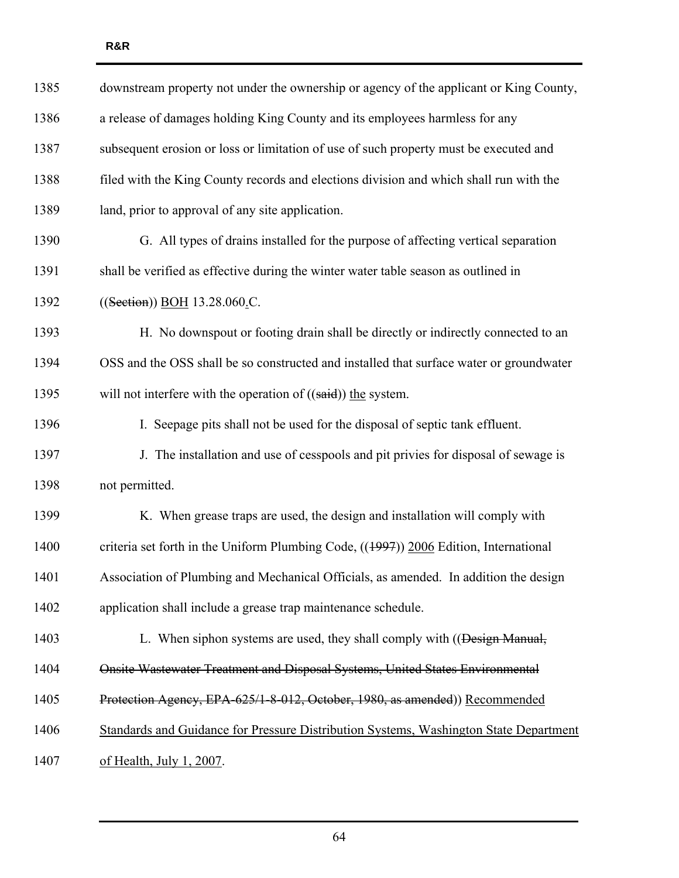| 1385 | downstream property not under the ownership or agency of the applicant or King County,  |
|------|-----------------------------------------------------------------------------------------|
| 1386 | a release of damages holding King County and its employees harmless for any             |
| 1387 | subsequent erosion or loss or limitation of use of such property must be executed and   |
| 1388 | filed with the King County records and elections division and which shall run with the  |
| 1389 | land, prior to approval of any site application.                                        |
| 1390 | G. All types of drains installed for the purpose of affecting vertical separation       |
| 1391 | shall be verified as effective during the winter water table season as outlined in      |
| 1392 | ((Section)) BOH 13.28.060 C.                                                            |
| 1393 | H. No downspout or footing drain shall be directly or indirectly connected to an        |
| 1394 | OSS and the OSS shall be so constructed and installed that surface water or groundwater |
| 1395 | will not interfere with the operation of $((said))$ the system.                         |
| 1396 | I. Seepage pits shall not be used for the disposal of septic tank effluent.             |
| 1397 | J. The installation and use of cesspools and pit privies for disposal of sewage is      |
| 1398 | not permitted.                                                                          |
| 1399 | K. When grease traps are used, the design and installation will comply with             |
| 1400 | criteria set forth in the Uniform Plumbing Code, $((1997))$ 2006 Edition, International |
| 1401 | Association of Plumbing and Mechanical Officials, as amended. In addition the design    |
| 1402 | application shall include a grease trap maintenance schedule.                           |
| 1403 | L. When siphon systems are used, they shall comply with ((Design Manual,                |
| 1404 | Onsite Wastewater Treatment and Disposal Systems, United States Environmental           |
| 1405 | Protection Agency, EPA-625/1-8-012, October, 1980, as amended)) Recommended             |
| 1406 | Standards and Guidance for Pressure Distribution Systems, Washington State Department   |
| 1407 | of Health, July 1, 2007.                                                                |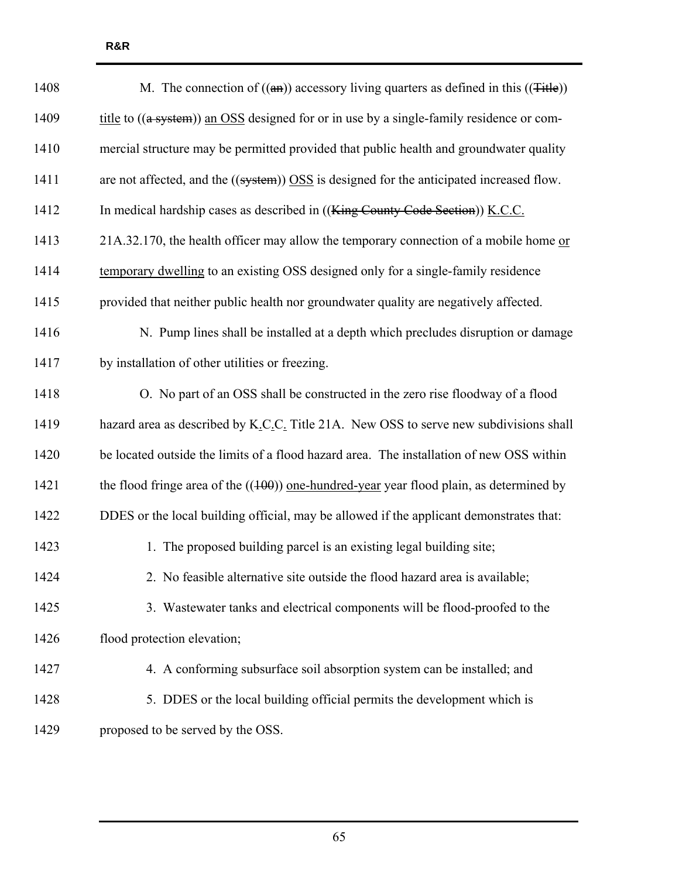| 1408 | M. The connection of $((a\text{H}))$ accessory living quarters as defined in this $((\text{Title}))$    |
|------|---------------------------------------------------------------------------------------------------------|
| 1409 | title to $((a$ system)) an OSS designed for or in use by a single-family residence or com-              |
| 1410 | mercial structure may be permitted provided that public health and groundwater quality                  |
| 1411 | are not affected, and the $((system))$ $\overline{OSS}$ is designed for the anticipated increased flow. |
| 1412 | In medical hardship cases as described in ((King County Code Section)) K.C.C.                           |
| 1413 | 21A.32.170, the health officer may allow the temporary connection of a mobile home or                   |
| 1414 | temporary dwelling to an existing OSS designed only for a single-family residence                       |
| 1415 | provided that neither public health nor groundwater quality are negatively affected.                    |
| 1416 | N. Pump lines shall be installed at a depth which precludes disruption or damage                        |
| 1417 | by installation of other utilities or freezing.                                                         |
| 1418 | O. No part of an OSS shall be constructed in the zero rise floodway of a flood                          |
| 1419 | hazard area as described by K.C.C. Title 21A. New OSS to serve new subdivisions shall                   |
| 1420 | be located outside the limits of a flood hazard area. The installation of new OSS within                |
| 1421 | the flood fringe area of the $((100))$ one-hundred-year year flood plain, as determined by              |
| 1422 | DDES or the local building official, may be allowed if the applicant demonstrates that:                 |
| 1423 | 1. The proposed building parcel is an existing legal building site;                                     |
| 1424 | 2. No feasible alternative site outside the flood hazard area is available;                             |
| 1425 | 3. Wastewater tanks and electrical components will be flood-proofed to the                              |
| 1426 | flood protection elevation;                                                                             |
| 1427 | 4. A conforming subsurface soil absorption system can be installed; and                                 |
| 1428 | 5. DDES or the local building official permits the development which is                                 |
| 1429 | proposed to be served by the OSS.                                                                       |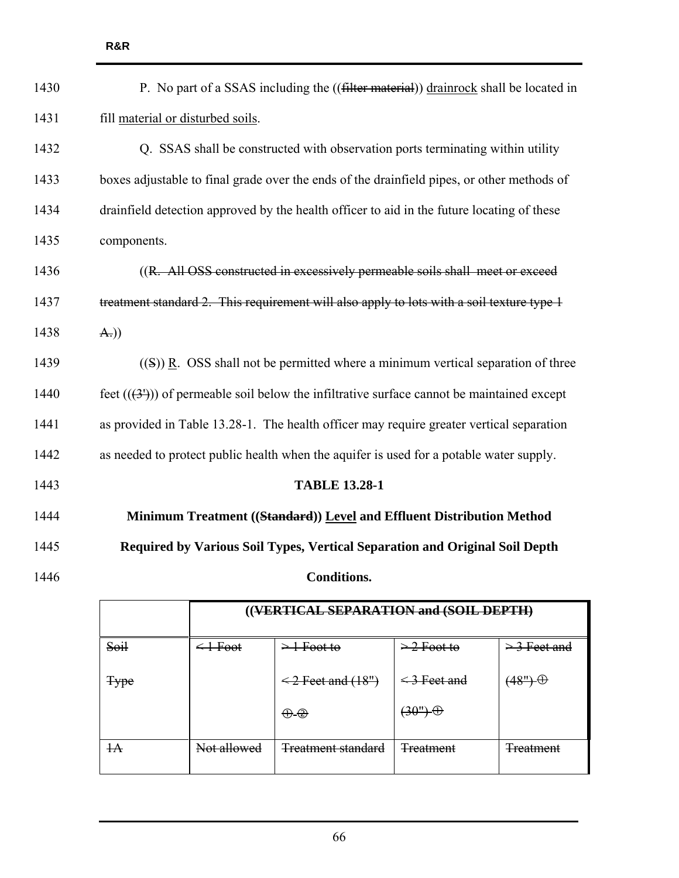| 1430 | P. No part of a SSAS including the ((filter material)) drainrock shall be located in       |  |  |  |  |  |  |
|------|--------------------------------------------------------------------------------------------|--|--|--|--|--|--|
| 1431 | fill material or disturbed soils.                                                          |  |  |  |  |  |  |
| 1432 | Q. SSAS shall be constructed with observation ports terminating within utility             |  |  |  |  |  |  |
| 1433 | boxes adjustable to final grade over the ends of the drainfield pipes, or other methods of |  |  |  |  |  |  |
| 1434 | drainfield detection approved by the health officer to aid in the future locating of these |  |  |  |  |  |  |
| 1435 | components.                                                                                |  |  |  |  |  |  |
| 1436 | ((R. All OSS constructed in excessively permeable soils shall meet or exceed               |  |  |  |  |  |  |
| 1437 | treatment standard 2. This requirement will also apply to lots with a soil texture type 1  |  |  |  |  |  |  |
| 1438 | $Az$ )                                                                                     |  |  |  |  |  |  |
| 1439 | $(5)$ ) R. OSS shall not be permitted where a minimum vertical separation of three         |  |  |  |  |  |  |
| 1440 | feet $((3))$ of permeable soil below the infiltrative surface cannot be maintained except  |  |  |  |  |  |  |
| 1441 | as provided in Table 13.28-1. The health officer may require greater vertical separation   |  |  |  |  |  |  |
| 1442 | as needed to protect public health when the aquifer is used for a potable water supply.    |  |  |  |  |  |  |
| 1443 | <b>TABLE 13.28-1</b>                                                                       |  |  |  |  |  |  |
| 1444 | Minimum Treatment ((Standard)) Level and Effluent Distribution Method                      |  |  |  |  |  |  |
| 1445 | Required by Various Soil Types, Vertical Separation and Original Soil Depth                |  |  |  |  |  |  |
| 1446 | <b>Conditions.</b>                                                                         |  |  |  |  |  |  |
|      | ((VERTICAL SEPARATION and (SOIL DEPTH)                                                     |  |  |  |  |  |  |

| Soil        | <del>l Foot</del> | Foot to                                        | $\geq 2$ Foot to | $\geq$ 3 Feet and |
|-------------|-------------------|------------------------------------------------|------------------|-------------------|
| <b>Type</b> |                   | $\leq$ 2 Feet and $(18")$<br>$\leq$ 3 Feet and |                  | $(48")\oplus$     |
|             |                   | $\oplus$ $\oplus$                              | $(30")$ $\oplus$ |                   |
| $+A$        | Not allowed       | <b>Treatment standard</b>                      | <b>Treatment</b> | <b>Treatment</b>  |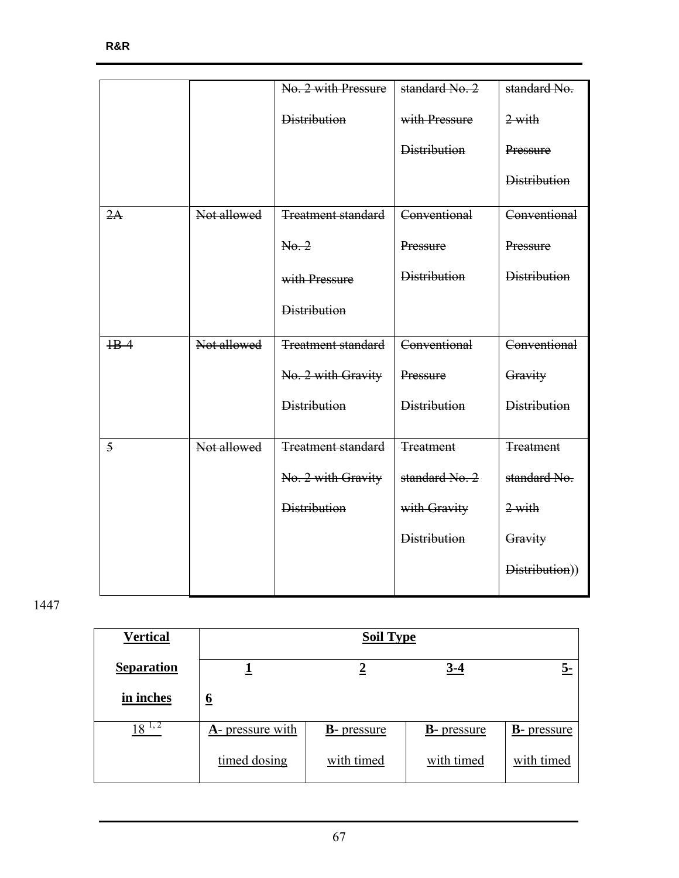|                |             | No. 2 with Pressure       | standard No. 2      | standard No.        |
|----------------|-------------|---------------------------|---------------------|---------------------|
|                |             | <b>Distribution</b>       | with Pressure       | $2$ with            |
|                |             |                           | <b>Distribution</b> | Pressure            |
|                |             |                           |                     | <b>Distribution</b> |
| 2A             | Not allowed | <b>Treatment standard</b> | Conventional        | Conventional        |
|                |             | No. 2                     | Pressure            | Pressure            |
|                |             | with Pressure             | <b>Distribution</b> | <b>Distribution</b> |
|                |             | <b>Distribution</b>       |                     |                     |
| $HB-4$         | Not allowed | <b>Treatment standard</b> | Conventional        | Conventional        |
|                |             | No. 2 with Gravity        | Pressure            | Gravity             |
|                |             | <b>Distribution</b>       | <b>Distribution</b> | <b>Distribution</b> |
| $\overline{5}$ | Not allowed | <b>Treatment standard</b> | <b>Treatment</b>    | <b>Treatment</b>    |
|                |             | No. 2 with Gravity        | standard No. 2      | standard No.        |
|                |             | <b>Distribution</b>       | with Gravity        | $2$ with            |
|                |             |                           | <b>Distribution</b> | Gravity             |
|                |             |                           |                     | Distribution))      |
|                |             |                           |                     |                     |

| <b>Vertical</b>   | <b>Soil Type</b>             |                     |                     |                     |  |
|-------------------|------------------------------|---------------------|---------------------|---------------------|--|
| <b>Separation</b> |                              |                     | $3-4$               | 5-                  |  |
| in inches         | $\underline{6}$              |                     |                     |                     |  |
| 8                 | $\mathbf{A}$ - pressure with | <b>B</b> - pressure | <b>B</b> - pressure | <b>B</b> - pressure |  |
|                   | timed dosing                 | with timed          | with timed          | with timed          |  |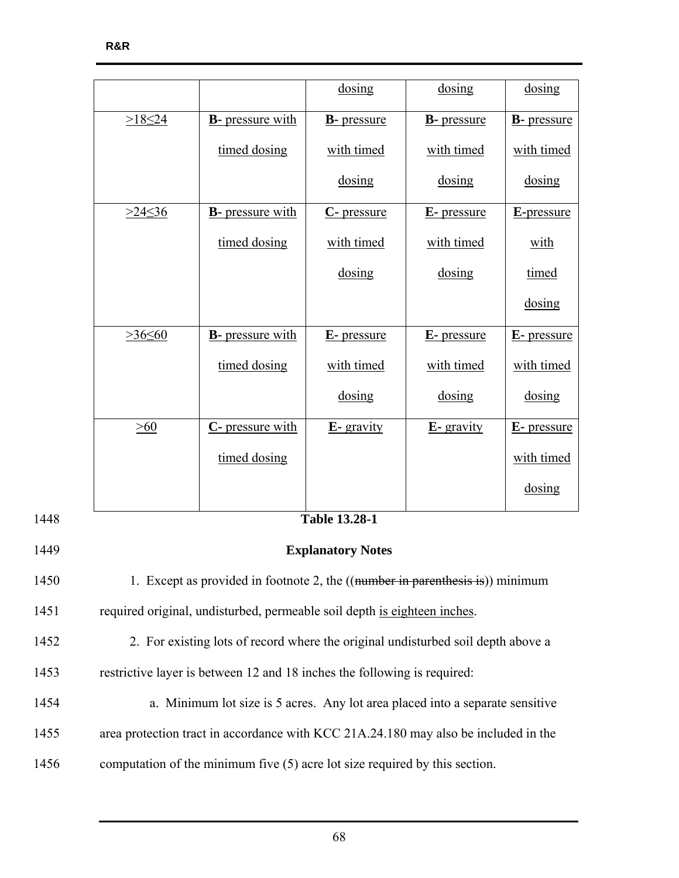|      |                                                                                  |                          | dosing               | dosing              | dosing              |  |
|------|----------------------------------------------------------------------------------|--------------------------|----------------------|---------------------|---------------------|--|
|      | $>18 \le 24$                                                                     | <b>B</b> - pressure with | <b>B</b> - pressure  | <b>B</b> - pressure | <b>B</b> - pressure |  |
|      |                                                                                  | timed dosing             | with timed           | with timed          | with timed          |  |
|      |                                                                                  |                          | dosing               | dosing              | dosing              |  |
|      | $>24 \le 36$                                                                     | <b>B</b> - pressure with | C- pressure          | <b>E</b> -pressure  | E-pressure          |  |
|      |                                                                                  | timed dosing             | with timed           | with timed          | with                |  |
|      |                                                                                  |                          | dosing               | dosing              | timed               |  |
|      |                                                                                  |                          |                      |                     | dosing              |  |
|      | $>36 \leq 60$                                                                    | <b>B</b> - pressure with | <b>E</b> -pressure   | <b>E</b> -pressure  | <b>E</b> - pressure |  |
|      |                                                                                  | timed dosing             | with timed           | with timed          | with timed          |  |
|      |                                                                                  |                          | dosing               | dosing              | dosing              |  |
|      | >60<br>C- pressure with                                                          |                          | $E$ - gravity        | $E$ - gravity       | <b>E</b> -pressure  |  |
|      |                                                                                  |                          | with timed           |                     |                     |  |
|      |                                                                                  |                          |                      |                     | dosing              |  |
| 1448 |                                                                                  |                          | <b>Table 13.28-1</b> |                     |                     |  |
| 1449 | <b>Explanatory Notes</b>                                                         |                          |                      |                     |                     |  |
| 1450 | 1. Except as provided in footnote 2, the $((number in parentheses is))$ minimum  |                          |                      |                     |                     |  |
| 1451 | required original, undisturbed, permeable soil depth is eighteen inches.         |                          |                      |                     |                     |  |
| 1452 | 2. For existing lots of record where the original undisturbed soil depth above a |                          |                      |                     |                     |  |
| 1453 | restrictive layer is between 12 and 18 inches the following is required:         |                          |                      |                     |                     |  |
| 1454 | a. Minimum lot size is 5 acres. Any lot area placed into a separate sensitive    |                          |                      |                     |                     |  |

1455 area protection tract in accordance with KCC 21A.24.180 may also be included in the

1456 computation of the minimum five (5) acre lot size required by this section.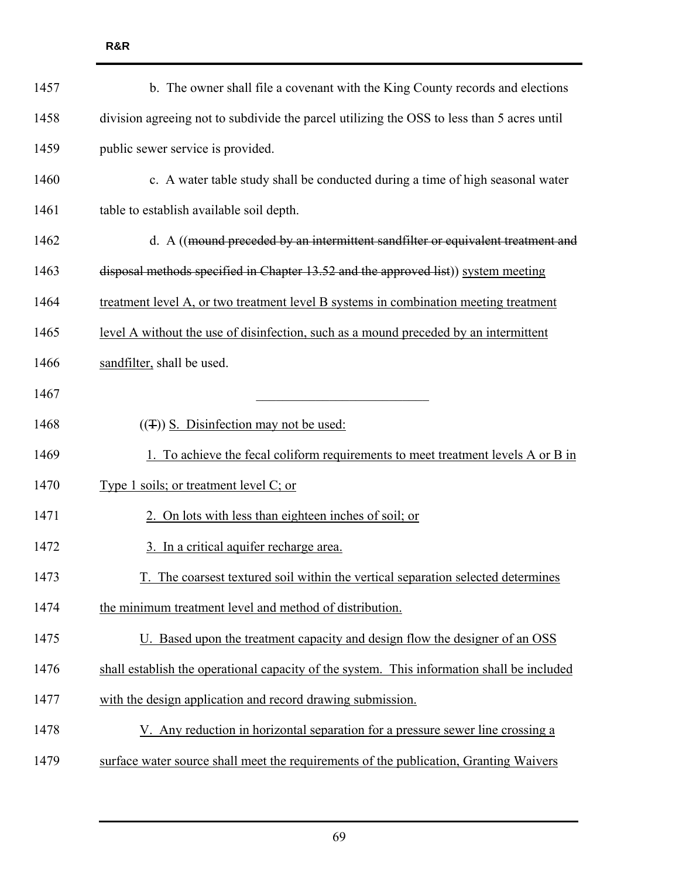| 1457 | b. The owner shall file a covenant with the King County records and elections              |
|------|--------------------------------------------------------------------------------------------|
| 1458 | division agreeing not to subdivide the parcel utilizing the OSS to less than 5 acres until |
| 1459 | public sewer service is provided.                                                          |
| 1460 | c. A water table study shall be conducted during a time of high seasonal water             |
| 1461 | table to establish available soil depth.                                                   |
| 1462 | d. A ((mound preceded by an intermittent sandfilter or equivalent treatment and            |
| 1463 | disposal methods specified in Chapter 13.52 and the approved list)) system meeting         |
| 1464 | treatment level A, or two treatment level B systems in combination meeting treatment       |
| 1465 | level A without the use of disinfection, such as a mound preceded by an intermittent       |
| 1466 | sandfilter, shall be used.                                                                 |
| 1467 |                                                                                            |
| 1468 | $((\pm))$ S. Disinfection may not be used:                                                 |
| 1469 | 1. To achieve the fecal coliform requirements to meet treatment levels A or B in           |
| 1470 | Type 1 soils; or treatment level C; or                                                     |
| 1471 | 2. On lots with less than eighteen inches of soil; or                                      |
| 1472 | 3. In a critical aquifer recharge area.                                                    |
| 1473 | The coarsest textured soil within the vertical separation selected determines              |
| 1474 | the minimum treatment level and method of distribution.                                    |
| 1475 | U. Based upon the treatment capacity and design flow the designer of an OSS                |
| 1476 | shall establish the operational capacity of the system. This information shall be included |
| 1477 | with the design application and record drawing submission.                                 |
| 1478 | V. Any reduction in horizontal separation for a pressure sewer line crossing a             |
| 1479 | surface water source shall meet the requirements of the publication, Granting Waivers      |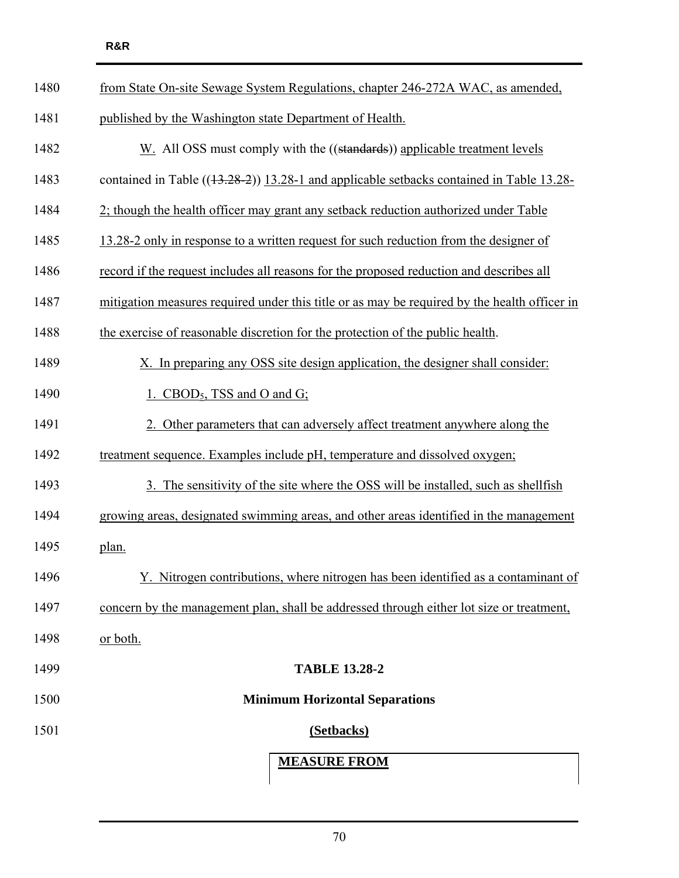| 1480 | from State On-site Sewage System Regulations, chapter 246-272A WAC, as amended,              |  |  |  |
|------|----------------------------------------------------------------------------------------------|--|--|--|
| 1481 | published by the Washington state Department of Health.                                      |  |  |  |
| 1482 | W. All OSS must comply with the ((standards)) applicable treatment levels                    |  |  |  |
| 1483 | contained in Table $((13.28-2))$ 13.28-1 and applicable setbacks contained in Table 13.28-   |  |  |  |
| 1484 | 2; though the health officer may grant any setback reduction authorized under Table          |  |  |  |
| 1485 | 13.28-2 only in response to a written request for such reduction from the designer of        |  |  |  |
| 1486 | record if the request includes all reasons for the proposed reduction and describes all      |  |  |  |
| 1487 | mitigation measures required under this title or as may be required by the health officer in |  |  |  |
| 1488 | the exercise of reasonable discretion for the protection of the public health.               |  |  |  |
| 1489 | X. In preparing any OSS site design application, the designer shall consider:                |  |  |  |
| 1490 | 1. CBOD <sub>5</sub> , TSS and O and G;                                                      |  |  |  |
| 1491 | 2. Other parameters that can adversely affect treatment anywhere along the                   |  |  |  |
| 1492 | treatment sequence. Examples include pH, temperature and dissolved oxygen;                   |  |  |  |
| 1493 | 3. The sensitivity of the site where the OSS will be installed, such as shellfish            |  |  |  |
| 1494 | growing areas, designated swimming areas, and other areas identified in the management       |  |  |  |
| 1495 | plan.                                                                                        |  |  |  |
| 1496 | <u>Y. Nitrogen contributions, where nitrogen has been identified as a contaminant of</u>     |  |  |  |
| 1497 | concern by the management plan, shall be addressed through either lot size or treatment,     |  |  |  |
| 1498 | or both.                                                                                     |  |  |  |
| 1499 | <b>TABLE 13.28-2</b>                                                                         |  |  |  |
| 1500 | <b>Minimum Horizontal Separations</b>                                                        |  |  |  |
| 1501 | (Setbacks)                                                                                   |  |  |  |
|      | <b>MEASURE FROM</b>                                                                          |  |  |  |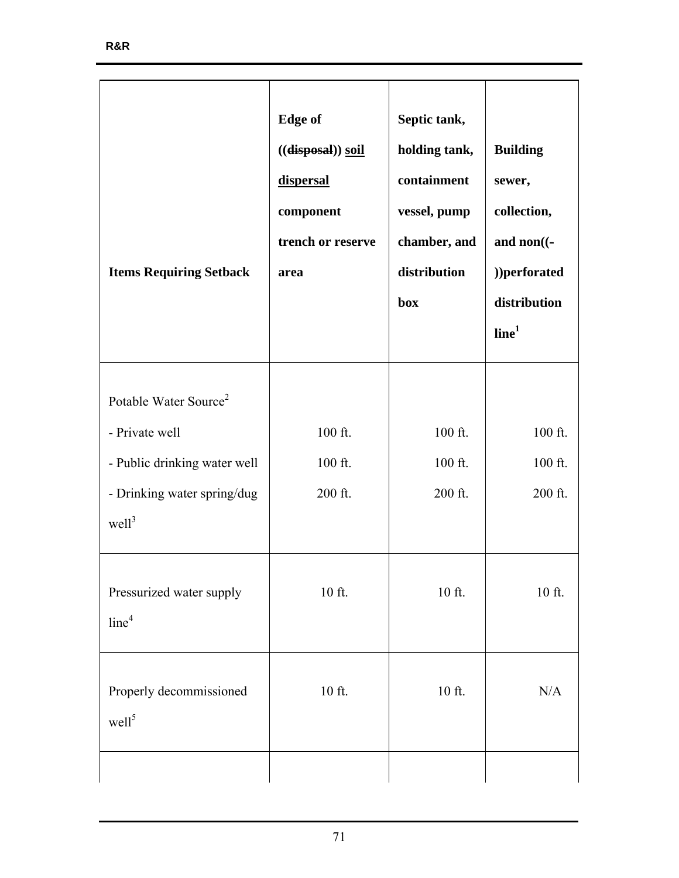| <b>Items Requiring Setback</b>                                                                                                          | <b>Edge</b> of<br>$((\textbf{disposal}))$ soil<br>dispersal<br>component<br>trench or reserve<br>area | Septic tank,<br>holding tank,<br>containment<br>vessel, pump<br>chamber, and<br>distribution<br>box | <b>Building</b><br>sewer,<br>collection,<br>and $non($ .<br>))perforated<br>distribution<br>line <sup>1</sup> |
|-----------------------------------------------------------------------------------------------------------------------------------------|-------------------------------------------------------------------------------------------------------|-----------------------------------------------------------------------------------------------------|---------------------------------------------------------------------------------------------------------------|
| Potable Water Source <sup>2</sup><br>- Private well<br>- Public drinking water well<br>- Drinking water spring/dug<br>well <sup>3</sup> | 100 ft.<br>100 ft.<br>200 ft.                                                                         | 100 ft.<br>100 ft.<br>200 ft.                                                                       | 100 ft.<br>100 ft.<br>200 ft.                                                                                 |
| Pressurized water supply<br>line <sup>4</sup>                                                                                           | $10$ ft.                                                                                              | $10$ ft.                                                                                            | $10$ ft.                                                                                                      |
| Properly decommissioned<br>well <sup>5</sup>                                                                                            | $10$ ft.                                                                                              | $10$ ft.                                                                                            | N/A                                                                                                           |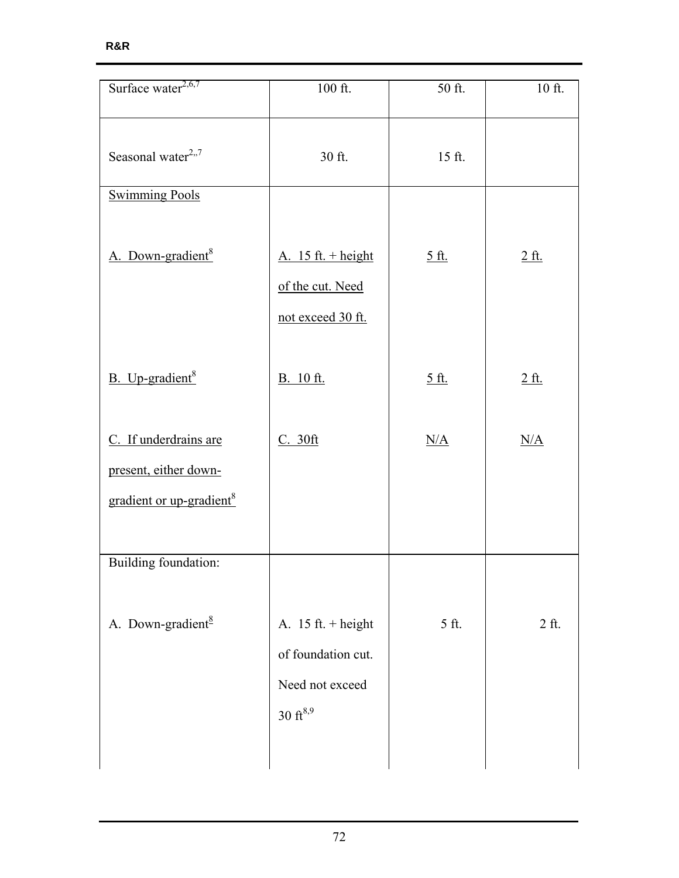| Surface water $^{2,6,7}$                                                               | $100$ ft.                                                                              | 50 ft.       | $10$ ft. |
|----------------------------------------------------------------------------------------|----------------------------------------------------------------------------------------|--------------|----------|
| Seasonal water <sup>2,,7</sup>                                                         | 30 ft.                                                                                 | 15 ft.       |          |
| <b>Swimming Pools</b>                                                                  |                                                                                        |              |          |
| A. Down-gradient <sup>8</sup>                                                          | A. $15 \text{ ft.} + \text{height}$<br>of the cut. Need<br>not exceed 30 ft.           | <u>5 ft.</u> | $2$ ft.  |
| B. Up-gradient <sup>8</sup>                                                            | B. 10 ft.                                                                              | <u>5 ft.</u> | 2ft.     |
| C. If underdrains are<br>present, either down-<br>gradient or up-gradient <sup>8</sup> | C. 30ft                                                                                | N/A          | N/A      |
| Building foundation:                                                                   |                                                                                        |              |          |
| A. Down-gradient <sup>8</sup>                                                          | A. $15$ ft. + height<br>of foundation cut.<br>Need not exceed<br>$30 \text{ ft}^{8,9}$ | 5 ft.        | 2 ft.    |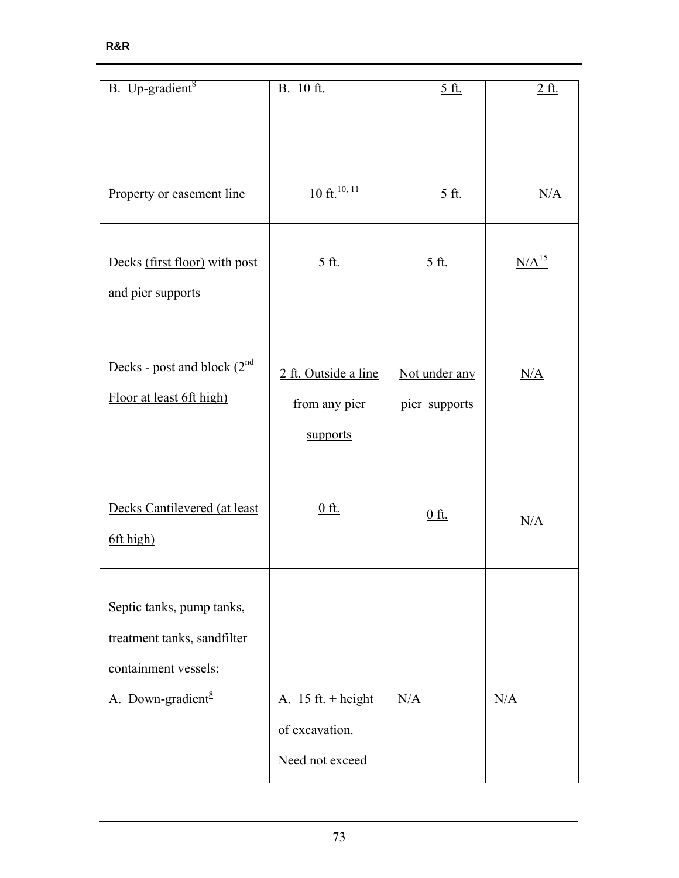| R&R |  |  |
|-----|--|--|
|     |  |  |

| B. Up-gradient <sup>8</sup>                                                                                       | B. 10 ft.                                                                | <u>5 ft.</u>                   | <u>2 ft.</u> |
|-------------------------------------------------------------------------------------------------------------------|--------------------------------------------------------------------------|--------------------------------|--------------|
|                                                                                                                   |                                                                          |                                |              |
|                                                                                                                   |                                                                          |                                |              |
| Property or easement line                                                                                         | $10$ ft. <sup>10, 11</sup>                                               | 5 ft.                          | N/A          |
| Decks (first floor) with post<br>and pier supports                                                                | 5 ft.                                                                    | 5 ft.                          | $N/A^{15}$   |
| Decks - post and block $(2^{nd}$<br>Floor at least 6ft high)                                                      | 2 ft. Outside a line<br>from any pier<br>supports                        | Not under any<br>pier supports | N/A          |
| Decks Cantilevered (at least<br>6ft high)                                                                         | <u>0 ft.</u>                                                             | <u>0 ft.</u>                   | N/A          |
| Septic tanks, pump tanks,<br>treatment tanks, sandfilter<br>containment vessels:<br>A. Down-gradient <sup>8</sup> | A. $15 \text{ ft.} + \text{height}$<br>of excavation.<br>Need not exceed | N/A                            | N/A          |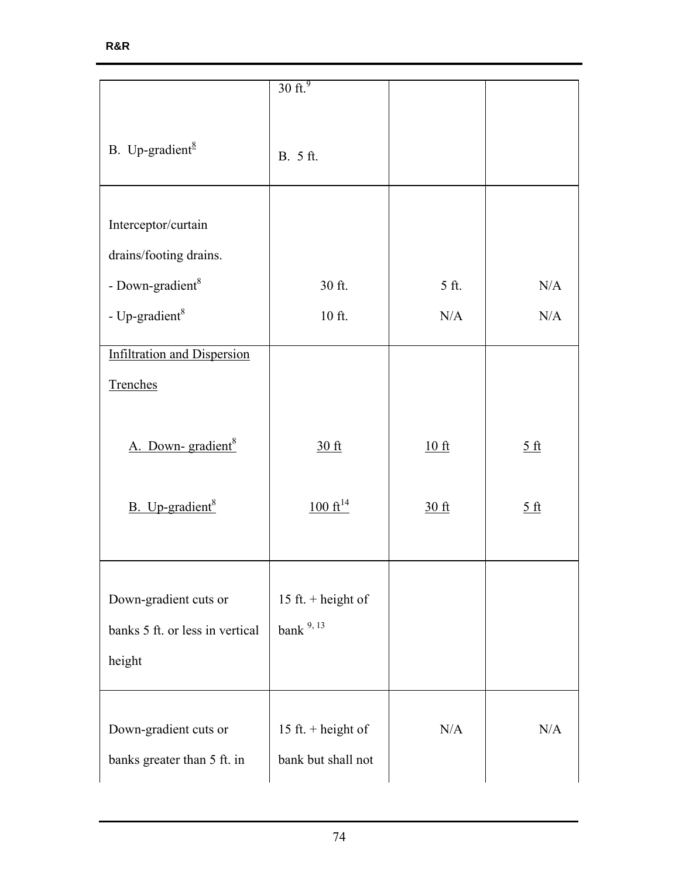|                                                                    | $30$ ft. <sup>9</sup>                    |       |                        |
|--------------------------------------------------------------------|------------------------------------------|-------|------------------------|
| B. Up-gradient $\frac{8}{3}$                                       | B. 5 ft.                                 |       |                        |
| Interceptor/curtain<br>drains/footing drains.                      |                                          |       |                        |
| - Down-gradient <sup>8</sup>                                       | 30 ft.                                   | 5 ft. | N/A                    |
| - Up-gradient $8$                                                  | 10 ft.                                   | N/A   | N/A                    |
| <b>Infiltration and Dispersion</b><br>Trenches                     |                                          |       |                        |
| A. Down-gradient <sup>8</sup>                                      | 30 ft                                    | 10 ft | 5ft                    |
| B. Up-gradient <sup>8</sup>                                        | $100 \text{ ft}^{14}$                    | 30 ft | $rac{5 \text{ ft}}{2}$ |
| Down-gradient cuts or<br>banks 5 ft. or less in vertical<br>height | 15 ft. + height of<br>bank $9, 13$       |       |                        |
| Down-gradient cuts or<br>banks greater than 5 ft. in               | 15 ft. + height of<br>bank but shall not | N/A   | N/A                    |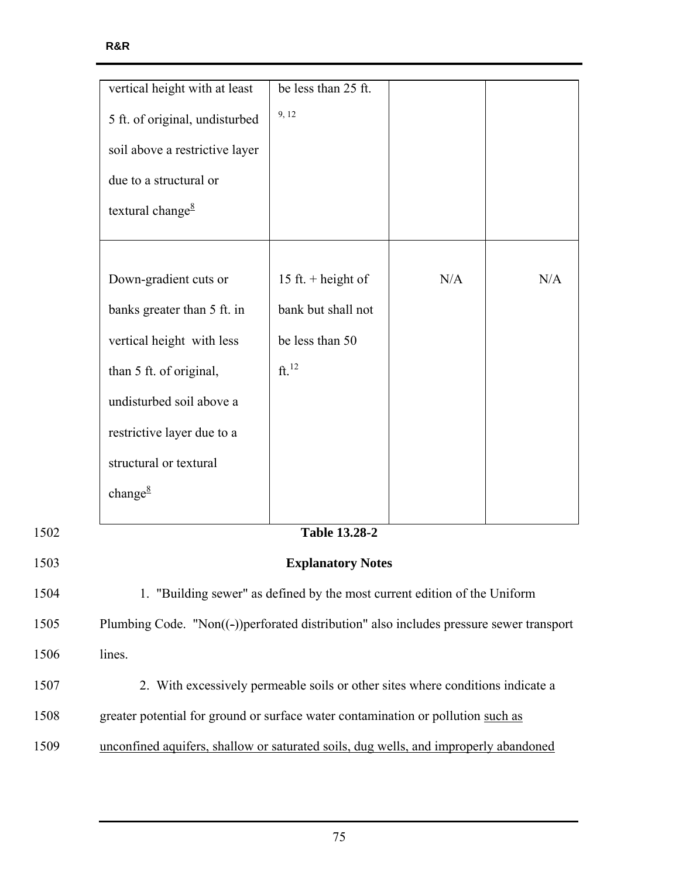|      | vertical height with at least                                                           | be less than 25 ft.  |     |     |
|------|-----------------------------------------------------------------------------------------|----------------------|-----|-----|
|      | 5 ft. of original, undisturbed                                                          | 9, 12                |     |     |
|      | soil above a restrictive layer                                                          |                      |     |     |
|      | due to a structural or                                                                  |                      |     |     |
|      | textural change <sup>8</sup>                                                            |                      |     |     |
|      |                                                                                         |                      |     |     |
|      | Down-gradient cuts or                                                                   | 15 ft. + height of   | N/A | N/A |
|      | banks greater than 5 ft. in                                                             | bank but shall not   |     |     |
|      | vertical height with less                                                               | be less than 50      |     |     |
|      | than 5 ft. of original,                                                                 | ft. <sup>12</sup>    |     |     |
|      | undisturbed soil above a                                                                |                      |     |     |
|      | restrictive layer due to a                                                              |                      |     |     |
|      | structural or textural                                                                  |                      |     |     |
|      | change $\frac{8}{3}$                                                                    |                      |     |     |
| 1502 |                                                                                         | <b>Table 13.28-2</b> |     |     |
| 1503 | <b>Explanatory Notes</b>                                                                |                      |     |     |
| 1504 | 1. "Building sewer" as defined by the most current edition of the Uniform               |                      |     |     |
| 1505 | Plumbing Code. "Non((-))perforated distribution" also includes pressure sewer transport |                      |     |     |
| 1506 | lines.                                                                                  |                      |     |     |
| 1507 | 2. With excessively permeable soils or other sites where conditions indicate a          |                      |     |     |
| 1508 | greater potential for ground or surface water contamination or pollution such as        |                      |     |     |
| 1509 | unconfined aquifers, shallow or saturated soils, dug wells, and improperly abandoned    |                      |     |     |
|      |                                                                                         |                      |     |     |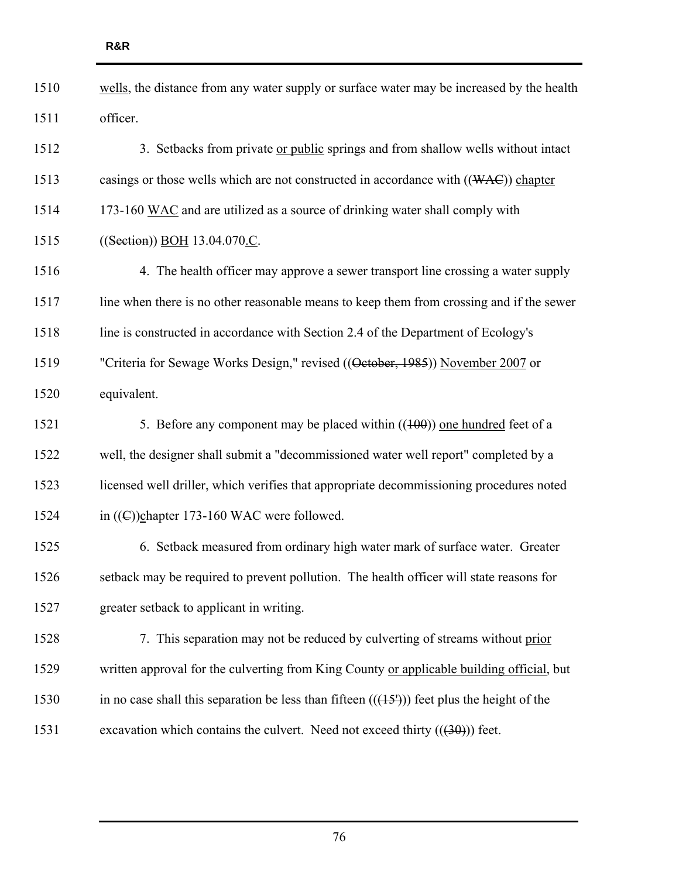| 1510 | wells, the distance from any water supply or surface water may be increased by the health   |
|------|---------------------------------------------------------------------------------------------|
| 1511 | officer.                                                                                    |
| 1512 | 3. Setbacks from private or public springs and from shallow wells without intact            |
| 1513 | casings or those wells which are not constructed in accordance with $((WAC))$ chapter       |
| 1514 | 173-160 WAC and are utilized as a source of drinking water shall comply with                |
| 1515 | ((Section)) BOH 13.04.070.C.                                                                |
| 1516 | 4. The health officer may approve a sewer transport line crossing a water supply            |
| 1517 | line when there is no other reasonable means to keep them from crossing and if the sewer    |
| 1518 | line is constructed in accordance with Section 2.4 of the Department of Ecology's           |
| 1519 | "Criteria for Sewage Works Design," revised ((Oetober, 1985)) November 2007 or              |
| 1520 | equivalent.                                                                                 |
| 1521 | 5. Before any component may be placed within $((100))$ one hundred feet of a                |
| 1522 | well, the designer shall submit a "decommissioned water well report" completed by a         |
| 1523 | licensed well driller, which verifies that appropriate decommissioning procedures noted     |
| 1524 | in $((\infty))$ chapter 173-160 WAC were followed.                                          |
| 1525 | 6. Setback measured from ordinary high water mark of surface water. Greater                 |
| 1526 | setback may be required to prevent pollution. The health officer will state reasons for     |
| 1527 | greater setback to applicant in writing.                                                    |
| 1528 | 7. This separation may not be reduced by culverting of streams without prior                |
| 1529 | written approval for the culverting from King County or applicable building official, but   |
| 1530 | in no case shall this separation be less than fifteen $((151))$ feet plus the height of the |
| 1531 | excavation which contains the culvert. Need not exceed thirty $((30))$ feet.                |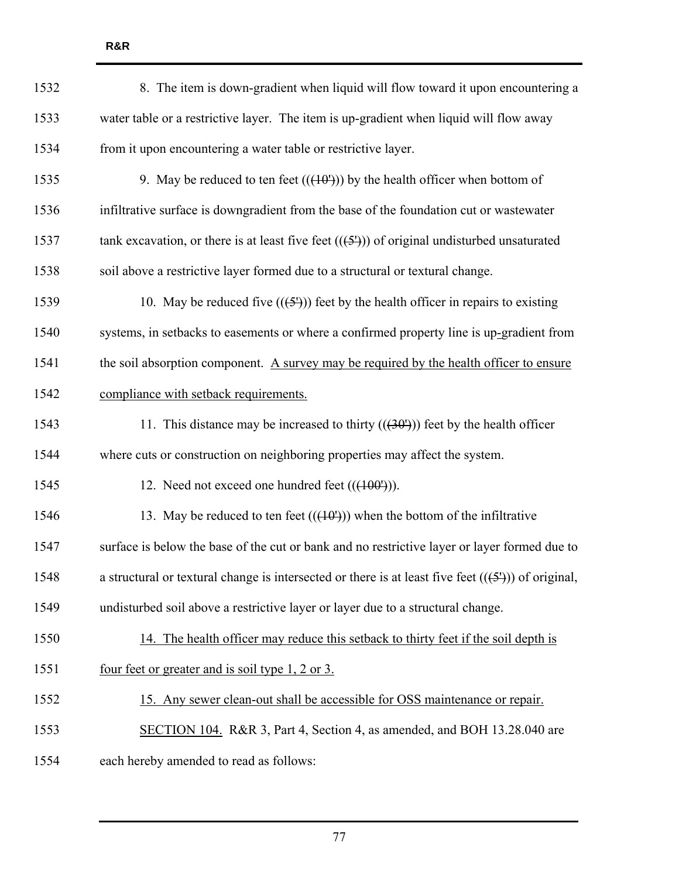| 1532 | 8. The item is down-gradient when liquid will flow toward it upon encountering a                    |
|------|-----------------------------------------------------------------------------------------------------|
| 1533 | water table or a restrictive layer. The item is up-gradient when liquid will flow away              |
| 1534 | from it upon encountering a water table or restrictive layer.                                       |
| 1535 | 9. May be reduced to ten feet $((40^{\circ}))$ by the health officer when bottom of                 |
| 1536 | infiltrative surface is downgradient from the base of the foundation cut or wastewater              |
| 1537 | tank excavation, or there is at least five feet $((5'))$ of original undisturbed unsaturated        |
| 1538 | soil above a restrictive layer formed due to a structural or textural change.                       |
| 1539 | 10. May be reduced five $((\frac{5}{2}))$ feet by the health officer in repairs to existing         |
| 1540 | systems, in setbacks to easements or where a confirmed property line is up-gradient from            |
| 1541 | the soil absorption component. A survey may be required by the health officer to ensure             |
| 1542 | compliance with setback requirements.                                                               |
| 1543 | 11. This distance may be increased to thirty $((30'))$ feet by the health officer                   |
| 1544 | where cuts or construction on neighboring properties may affect the system.                         |
| 1545 | 12. Need not exceed one hundred feet $((400^{\circ}))$ .                                            |
| 1546 | 13. May be reduced to ten feet $((+10^1))$ when the bottom of the infiltrative                      |
| 1547 | surface is below the base of the cut or bank and no restrictive layer or layer formed due to        |
| 1548 | a structural or textural change is intersected or there is at least five feet $((5'))$ of original, |
| 1549 | undisturbed soil above a restrictive layer or layer due to a structural change.                     |
| 1550 | 14. The health officer may reduce this setback to thirty feet if the soil depth is                  |
| 1551 | <u>four feet or greater and is soil type 1, 2 or 3.</u>                                             |
| 1552 | 15. Any sewer clean-out shall be accessible for OSS maintenance or repair.                          |
| 1553 | SECTION 104. R&R 3, Part 4, Section 4, as amended, and BOH 13.28.040 are                            |
| 1554 | each hereby amended to read as follows:                                                             |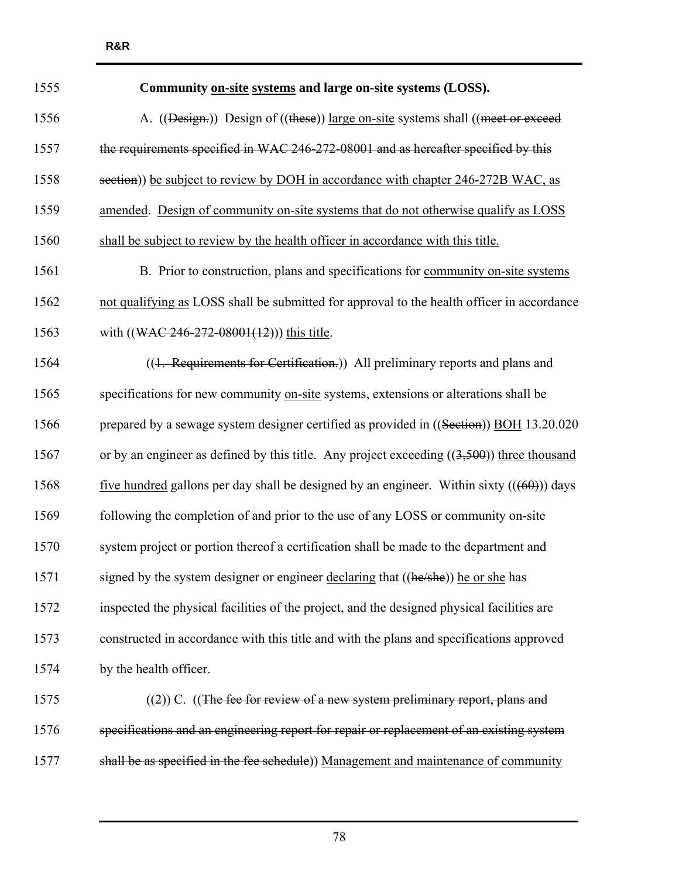| 1555 | Community on-site systems and large on-site systems (LOSS).                                  |
|------|----------------------------------------------------------------------------------------------|
| 1556 | A. ((Design.)) Design of ((these)) large on-site systems shall ((meet or exceed              |
| 1557 | the requirements specified in WAC 246-272-08001 and as hereafter specified by this           |
| 1558 | section)) be subject to review by DOH in accordance with chapter 246-272B WAC, as            |
| 1559 | amended. Design of community on-site systems that do not otherwise qualify as LOSS           |
| 1560 | shall be subject to review by the health officer in accordance with this title.              |
| 1561 | B. Prior to construction, plans and specifications for community on-site systems             |
| 1562 | not qualifying as LOSS shall be submitted for approval to the health officer in accordance   |
| 1563 | with $((\text{WAC } 246-272-08001(12)))$ this title.                                         |
| 1564 | ((1. Requirements for Certification.)) All preliminary reports and plans and                 |
| 1565 | specifications for new community on-site systems, extensions or alterations shall be         |
| 1566 | prepared by a sewage system designer certified as provided in ((Section)) BOH 13.20.020      |
| 1567 | or by an engineer as defined by this title. Any project exceeding $((3,500))$ three thousand |
| 1568 | five hundred gallons per day shall be designed by an engineer. Within sixty $((60))$ days    |
| 1569 | following the completion of and prior to the use of any LOSS or community on-site            |
| 1570 | system project or portion thereof a certification shall be made to the department and        |
| 1571 | signed by the system designer or engineer declaring that ((he/she)) he or she has            |
| 1572 | inspected the physical facilities of the project, and the designed physical facilities are   |
| 1573 | constructed in accordance with this title and with the plans and specifications approved     |
| 1574 | by the health officer.                                                                       |
| 1575 | $((2))$ C. $((The fee for review of a new system preliminary report, plans and$              |
| 1576 | specifications and an engineering report for repair or replacement of an existing system     |
| 1577 | shall be as specified in the fee schedule)) Management and maintenance of community          |

**R&R**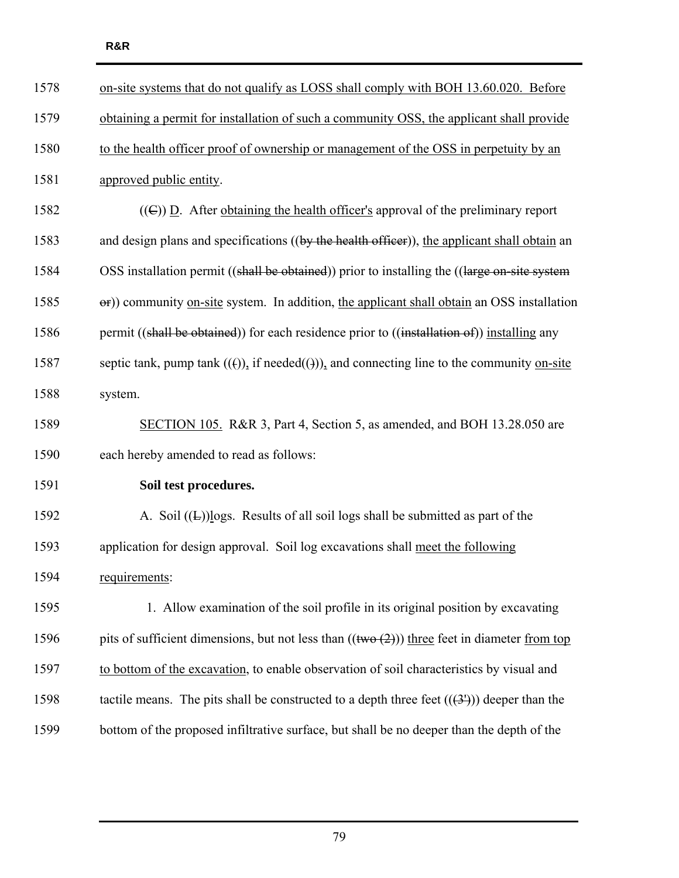| 1578 | on-site systems that do not qualify as LOSS shall comply with BOH 13.60.020. Before                     |
|------|---------------------------------------------------------------------------------------------------------|
| 1579 | obtaining a permit for installation of such a community OSS, the applicant shall provide                |
| 1580 | to the health officer proof of ownership or management of the OSS in perpetuity by an                   |
| 1581 | approved public entity.                                                                                 |
| 1582 | $((\infty)$ D. After obtaining the health officer's approval of the preliminary report                  |
| 1583 | and design plans and specifications ((by the health officer)), the applicant shall obtain an            |
| 1584 | OSS installation permit ((shall be obtained)) prior to installing the ((large on-site system            |
| 1585 | $\Theta$ ) community <u>on-site</u> system. In addition, the applicant shall obtain an OSS installation |
| 1586 | permit ((shall be obtained)) for each residence prior to ((installation of)) installing any             |
| 1587 | septic tank, pump tank $((f))$ , if needed $((f))$ , and connecting line to the community on-site       |
| 1588 | system.                                                                                                 |
| 1589 | SECTION 105. R&R 3, Part 4, Section 5, as amended, and BOH 13.28.050 are                                |
| 1590 | each hereby amended to read as follows:                                                                 |
| 1591 | Soil test procedures.                                                                                   |
| 1592 | A. Soil $((E))$ logs. Results of all soil logs shall be submitted as part of the                        |
| 1593 | application for design approval. Soil log excavations shall meet the following                          |
| 1594 | requirements:                                                                                           |
| 1595 | 1. Allow examination of the soil profile in its original position by excavating                         |
| 1596 | pits of sufficient dimensions, but not less than $((\text{two} (2)))$ three feet in diameter from top   |
| 1597 | to bottom of the excavation, to enable observation of soil characteristics by visual and                |
| 1598 | tactile means. The pits shall be constructed to a depth three feet $((3'))$ deeper than the             |
| 1599 | bottom of the proposed infiltrative surface, but shall be no deeper than the depth of the               |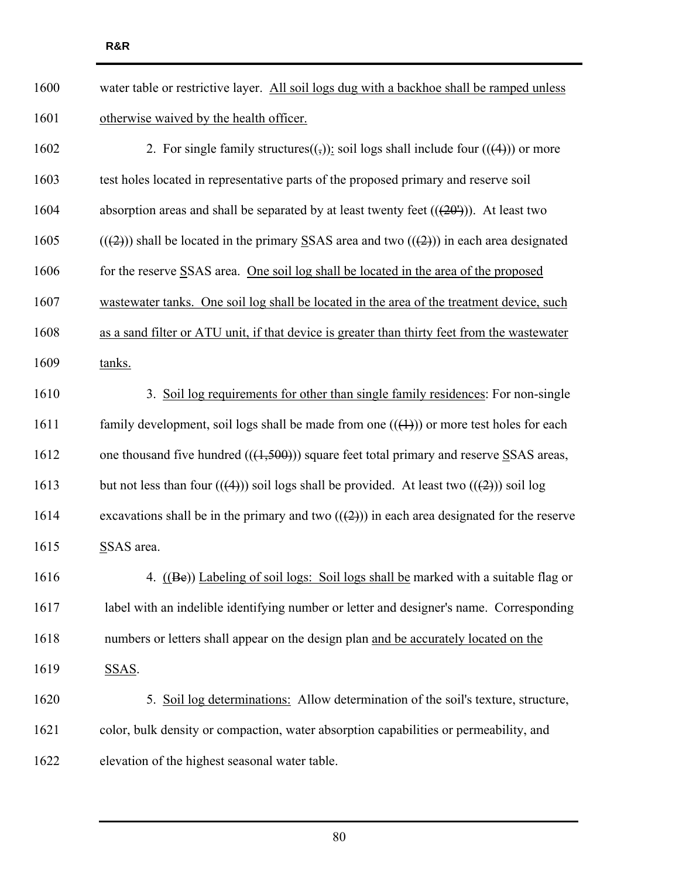| 1600 | water table or restrictive layer. All soil logs dug with a backhoe shall be ramped unless                                           |
|------|-------------------------------------------------------------------------------------------------------------------------------------|
| 1601 | otherwise waived by the health officer.                                                                                             |
| 1602 | 2. For single family structures( $\left(\frac{1}{2}\right)$ ): soil logs shall include four (( $\left(\frac{4}{2}\right)$ ) or more |
| 1603 | test holes located in representative parts of the proposed primary and reserve soil                                                 |
| 1604 | absorption areas and shall be separated by at least twenty feet $((20^1))$ . At least two                                           |
| 1605 | $((2))$ shall be located in the primary SSAS area and two $((2))$ in each area designated                                           |
| 1606 | for the reserve SSAS area. One soil log shall be located in the area of the proposed                                                |
| 1607 | wastewater tanks. One soil log shall be located in the area of the treatment device, such                                           |
| 1608 | as a sand filter or ATU unit, if that device is greater than thirty feet from the wastewater                                        |
| 1609 | tanks.                                                                                                                              |
| 1610 | 3. Soil log requirements for other than single family residences: For non-single                                                    |
| 1611 | family development, soil logs shall be made from one $((+))$ or more test holes for each                                            |
| 1612 | one thousand five hundred $((1,500))$ square feet total primary and reserve SSAS areas,                                             |
| 1613 | but not less than four $(((4))$ soil logs shall be provided. At least two $(((2))$ soil log                                         |
| 1614 | excavations shall be in the primary and two $((2))$ in each area designated for the reserve                                         |
| 1615 | SSAS area.                                                                                                                          |
| 1616 | 4. ((Be)) Labeling of soil logs: Soil logs shall be marked with a suitable flag or                                                  |
| 1617 | label with an indelible identifying number or letter and designer's name. Corresponding                                             |
| 1618 | numbers or letters shall appear on the design plan and be accurately located on the                                                 |
| 1619 | SSAS.                                                                                                                               |
| 1620 | 5. Soil log determinations: Allow determination of the soil's texture, structure,                                                   |
| 1621 | color, bulk density or compaction, water absorption capabilities or permeability, and                                               |
| 1622 | elevation of the highest seasonal water table.                                                                                      |
|      |                                                                                                                                     |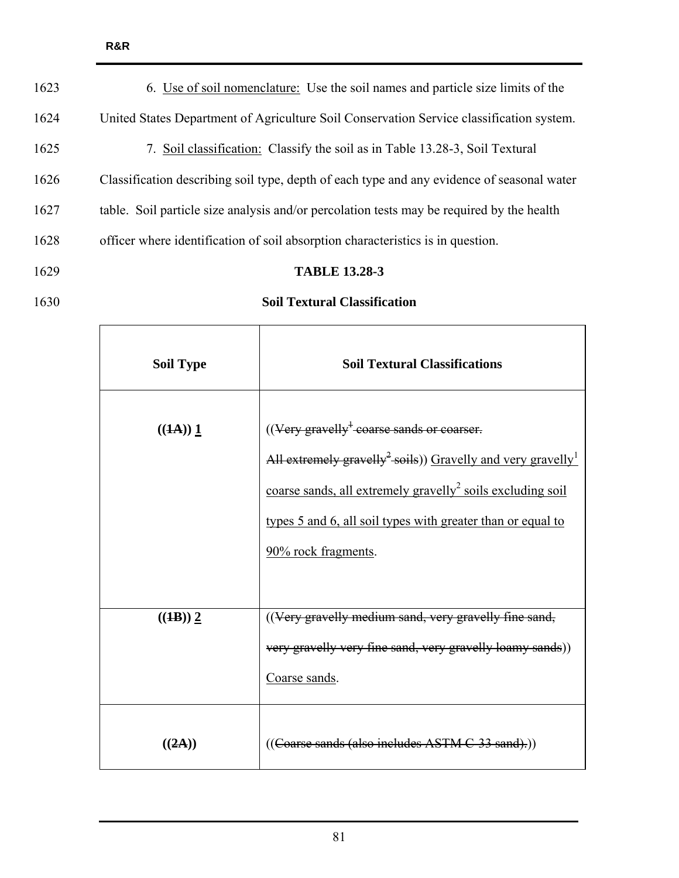| 6. Use of soil nomenclature: Use the soil names and particle size limits of the            |
|--------------------------------------------------------------------------------------------|
| United States Department of Agriculture Soil Conservation Service classification system.   |
| Soil classification: Classify the soil as in Table 13.28-3, Soil Textural<br>7.            |
| Classification describing soil type, depth of each type and any evidence of seasonal water |
| table. Soil particle size analysis and/or percolation tests may be required by the health  |
| officer where identification of soil absorption characteristics is in question.            |
| <b>TABLE 13.28-3</b>                                                                       |
|                                                                                            |

| 1630 | <b>Soil Textural Classification</b> |
|------|-------------------------------------|
|      |                                     |

| <b>Soil Type</b> | <b>Soil Textural Classifications</b>                                                                                                                                                                                                                                                                                  |
|------------------|-----------------------------------------------------------------------------------------------------------------------------------------------------------------------------------------------------------------------------------------------------------------------------------------------------------------------|
| ((1A)) 1         | $((\text{Very}$ gravelly <sup>+</sup> coarse sands or coarser.<br>All extremely gravelly <sup>2</sup> soils)) Gravelly and very gravelly <sup>1</sup><br>coarse sands, all extremely gravelly <sup>2</sup> soils excluding soil<br>types 5 and 6, all soil types with greater than or equal to<br>90% rock fragments. |
| ((1B)) 2         | ((Very gravelly medium sand, very gravelly fine sand,<br>very gravelly very fine sand, very gravelly loamy sands))<br>Coarse sands.                                                                                                                                                                                   |
| ((2A))           | ((Coarse sands (also includes ASTM C-33 sand).))                                                                                                                                                                                                                                                                      |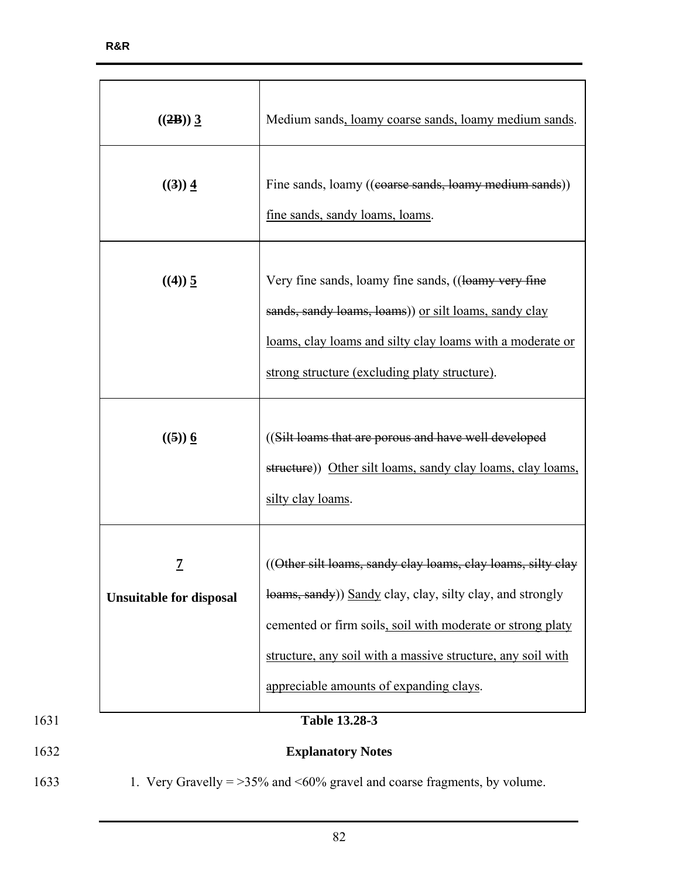|              | $((2B))$ 3                                 | Medium sands, loamy coarse sands, loamy medium sands.                                                                                                                                                                                                                                            |  |
|--------------|--------------------------------------------|--------------------------------------------------------------------------------------------------------------------------------------------------------------------------------------------------------------------------------------------------------------------------------------------------|--|
|              | ((3)) 4                                    | Fine sands, loamy ((coarse sands, loamy medium sands))<br>fine sands, sandy loams, loams.                                                                                                                                                                                                        |  |
|              | $((4)) \underline{5}$                      | Very fine sands, loamy fine sands, ((loamy very fine<br>sands, sandy loams, loams)) or silt loams, sandy clay<br>loams, clay loams and silty clay loams with a moderate or<br>strong structure (excluding platy structure).                                                                      |  |
|              | $((5))$ 6                                  | ((Silt loams that are porous and have well developed<br>structure)) Other silt loams, sandy clay loams, clay loams,<br>silty clay loams.                                                                                                                                                         |  |
|              | <u>7</u><br><b>Unsuitable for disposal</b> | ((Other silt loams, sandy clay loams, clay loams, silty clay<br>loams, sandy) Sandy clay, clay, silty clay, and strongly<br>cemented or firm soils, soil with moderate or strong platy<br>structure, any soil with a massive structure, any soil with<br>appreciable amounts of expanding clays. |  |
| 1631<br>1632 |                                            | Table 13.28-3<br><b>Explanatory Notes</b>                                                                                                                                                                                                                                                        |  |

1633 1. Very Gravelly = >35% and <60% gravel and coarse fragments, by volume.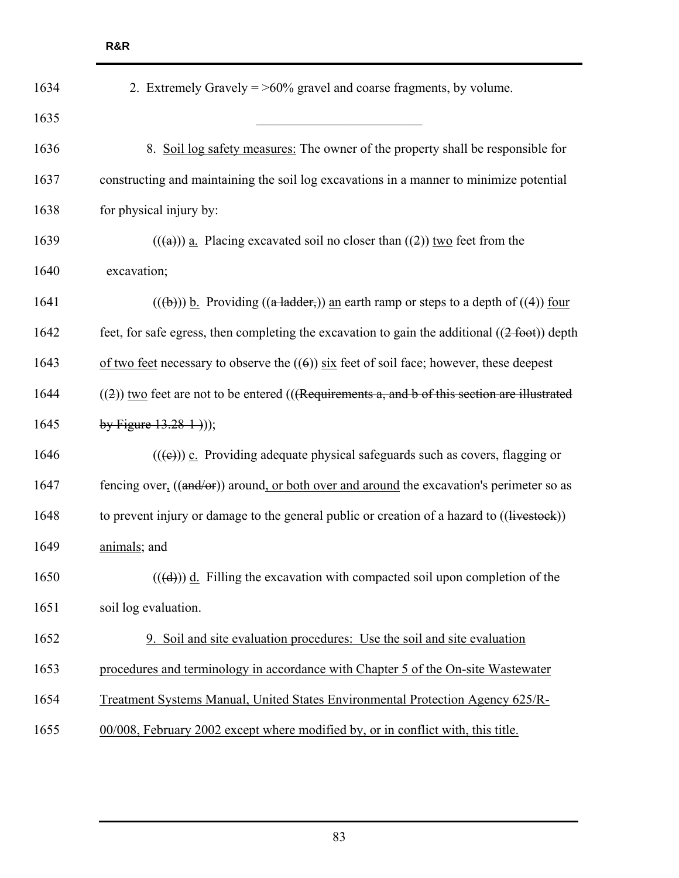| 1634 | 2. Extremely Gravely $=$ >60% gravel and coarse fragments, by volume.                                   |  |  |
|------|---------------------------------------------------------------------------------------------------------|--|--|
| 1635 |                                                                                                         |  |  |
| 1636 | 8. Soil log safety measures: The owner of the property shall be responsible for                         |  |  |
| 1637 | constructing and maintaining the soil log excavations in a manner to minimize potential                 |  |  |
| 1638 | for physical injury by:                                                                                 |  |  |
| 1639 | $((a))$ a. Placing excavated soil no closer than $((2))$ two feet from the                              |  |  |
| 1640 | excavation;                                                                                             |  |  |
| 1641 | $((a + b))$ b. Providing $((a + adder))$ an earth ramp or steps to a depth of $((4))$ four              |  |  |
| 1642 | feet, for safe egress, then completing the excavation to gain the additional $((2 \text{ foot}))$ depth |  |  |
| 1643 | of two feet necessary to observe the $((6))$ six feet of soil face; however, these deepest              |  |  |
| 1644 | $((2))$ two feet are not to be entered (((Requirements a, and b of this section are illustrated         |  |  |
| 1645 | by Figure $13.28-1$ ));                                                                                 |  |  |
| 1646 | $((\epsilon))$ c. Providing adequate physical safeguards such as covers, flagging or                    |  |  |
| 1647 | fencing over, ((and/or)) around, or both over and around the excavation's perimeter so as               |  |  |
| 1648 | to prevent injury or damage to the general public or creation of a hazard to ((livestock))              |  |  |
| 1649 | animals; and                                                                                            |  |  |
| 1650 | $((\text{d}))$ d. Filling the excavation with compacted soil upon completion of the                     |  |  |
| 1651 | soil log evaluation.                                                                                    |  |  |
| 1652 | 9. Soil and site evaluation procedures: Use the soil and site evaluation                                |  |  |
| 1653 | procedures and terminology in accordance with Chapter 5 of the On-site Wastewater                       |  |  |
| 1654 | Treatment Systems Manual, United States Environmental Protection Agency 625/R-                          |  |  |
| 1655 | 00/008, February 2002 except where modified by, or in conflict with, this title.                        |  |  |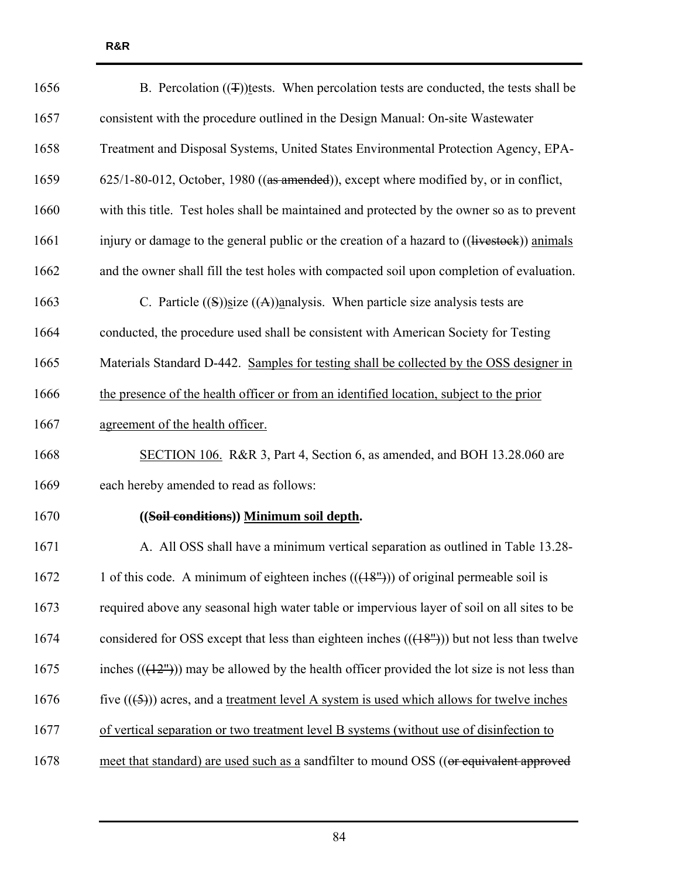| 1656 | B. Percolation $(\textcircled{1})$ tests. When percolation tests are conducted, the tests shall be  |
|------|-----------------------------------------------------------------------------------------------------|
| 1657 | consistent with the procedure outlined in the Design Manual: On-site Wastewater                     |
| 1658 | Treatment and Disposal Systems, United States Environmental Protection Agency, EPA-                 |
| 1659 | 625/1-80-012, October, 1980 ((as amended)), except where modified by, or in conflict,               |
| 1660 | with this title. Test holes shall be maintained and protected by the owner so as to prevent         |
| 1661 | injury or damage to the general public or the creation of a hazard to ((livestock)) animals         |
| 1662 | and the owner shall fill the test holes with compacted soil upon completion of evaluation.          |
| 1663 | C. Particle $((S))$ size $((A))$ analysis. When particle size analysis tests are                    |
| 1664 | conducted, the procedure used shall be consistent with American Society for Testing                 |
| 1665 | Materials Standard D-442. Samples for testing shall be collected by the OSS designer in             |
| 1666 | the presence of the health officer or from an identified location, subject to the prior             |
| 1667 | agreement of the health officer.                                                                    |
| 1668 | SECTION 106. R&R 3, Part 4, Section 6, as amended, and BOH 13.28.060 are                            |
| 1669 | each hereby amended to read as follows:                                                             |
| 1670 | ((Soil conditions)) Minimum soil depth.                                                             |
| 1671 | A. All OSS shall have a minimum vertical separation as outlined in Table 13.28-                     |
| 1672 | 1 of this code. A minimum of eighteen inches $((+8m))$ of original permeable soil is                |
| 1673 | required above any seasonal high water table or impervious layer of soil on all sites to be         |
| 1674 | considered for OSS except that less than eighteen inches $((48m))$ but not less than twelve         |
| 1675 | inches $((12^{\circ}))$ may be allowed by the health officer provided the lot size is not less than |
| 1676 | five $((5))$ acres, and a treatment level A system is used which allows for twelve inches           |
| 1677 | of vertical separation or two treatment level B systems (without use of disinfection to             |
| 1678 | meet that standard) are used such as a sandfilter to mound OSS ((or equivalent approved             |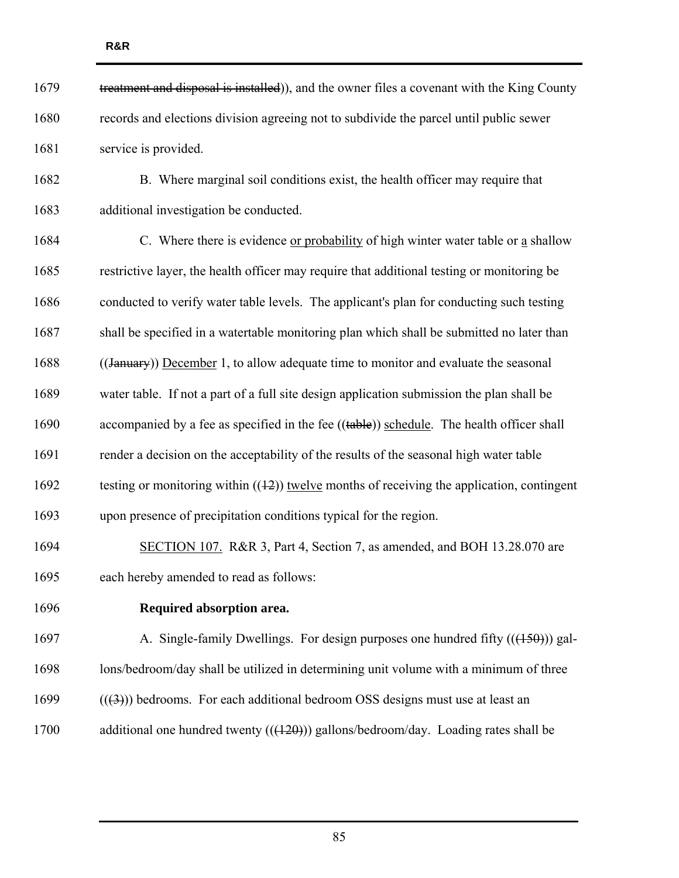| 1679 | treatment and disposal is installed)), and the owner files a covenant with the King County         |
|------|----------------------------------------------------------------------------------------------------|
| 1680 | records and elections division agreeing not to subdivide the parcel until public sewer             |
| 1681 | service is provided.                                                                               |
| 1682 | B. Where marginal soil conditions exist, the health officer may require that                       |
| 1683 | additional investigation be conducted.                                                             |
| 1684 | C. Where there is evidence or probability of high winter water table or a shallow                  |
| 1685 | restrictive layer, the health officer may require that additional testing or monitoring be         |
| 1686 | conducted to verify water table levels. The applicant's plan for conducting such testing           |
| 1687 | shall be specified in a watertable monitoring plan which shall be submitted no later than          |
| 1688 | ((January)) December 1, to allow adequate time to monitor and evaluate the seasonal                |
| 1689 | water table. If not a part of a full site design application submission the plan shall be          |
| 1690 | accompanied by a fee as specified in the fee $((\text{table}))$ schedule. The health officer shall |
| 1691 | render a decision on the acceptability of the results of the seasonal high water table             |
| 1692 | testing or monitoring within $((12))$ twelve months of receiving the application, contingent       |
| 1693 | upon presence of precipitation conditions typical for the region.                                  |
| 1694 | SECTION 107. R&R 3, Part 4, Section 7, as amended, and BOH 13.28.070 are                           |
| 1695 | each hereby amended to read as follows:                                                            |
| 1696 | Required absorption area.                                                                          |
| 1697 | A. Single-family Dwellings. For design purposes one hundred fifty $((150))$ gal-                   |
| 1698 | lons/bedroom/day shall be utilized in determining unit volume with a minimum of three              |
| 1699 | $((3))$ bedrooms. For each additional bedroom OSS designs must use at least an                     |
| 1700 | additional one hundred twenty $((+20))$ gallons/bedroom/day. Loading rates shall be                |
|      |                                                                                                    |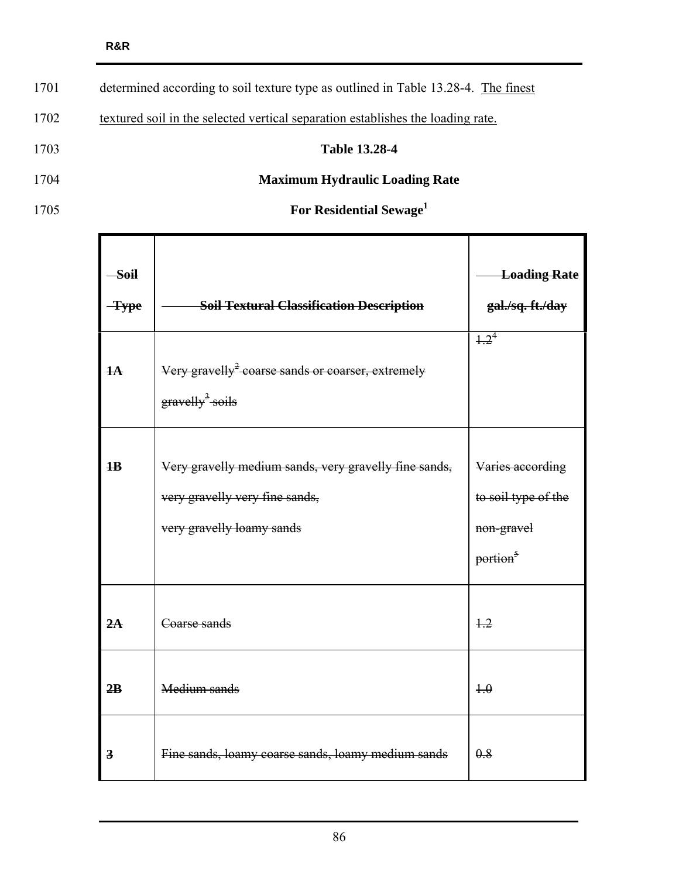| 1701 | determined according to soil texture type as outlined in Table 13.28-4. The finest |
|------|------------------------------------------------------------------------------------|
| 1702 | textured soil in the selected vertical separation establishes the loading rate.    |
| 1703 | <b>Table 13.28-4</b>                                                               |
| 1704 | <b>Maximum Hydraulic Loading Rate</b>                                              |
| 1705 | For Residential Sewage <sup>1</sup>                                                |

| <b>Soil</b><br>$\frac{1}{\sqrt{2}}$ | <b>Soil Textural Classification Description</b>                                                                      | <b>Loading Rate</b><br>gal./sq.ft./day                                        |
|-------------------------------------|----------------------------------------------------------------------------------------------------------------------|-------------------------------------------------------------------------------|
| $H\rightarrow$                      | Very gravelly <sup>2</sup> -coarse sands or coarser, extremely<br>gravelly <sup>3</sup> -soils                       | $\frac{1}{2^4}$                                                               |
| $\mathbf{1}$                        | Very gravelly medium sands, very gravelly fine sands,<br>very gravelly very fine sands,<br>very gravelly loamy sands | Varies according<br>to soil type of the<br>non-gravel<br>portion <sup>5</sup> |
| 2A                                  | Coarse sands                                                                                                         | $+2$                                                                          |
| 2B                                  | Medium sands                                                                                                         | $+ \theta$                                                                    |
| $\overline{\mathbf{3}}$             | Fine sands, loamy coarse sands, loamy medium sands                                                                   | 0.8                                                                           |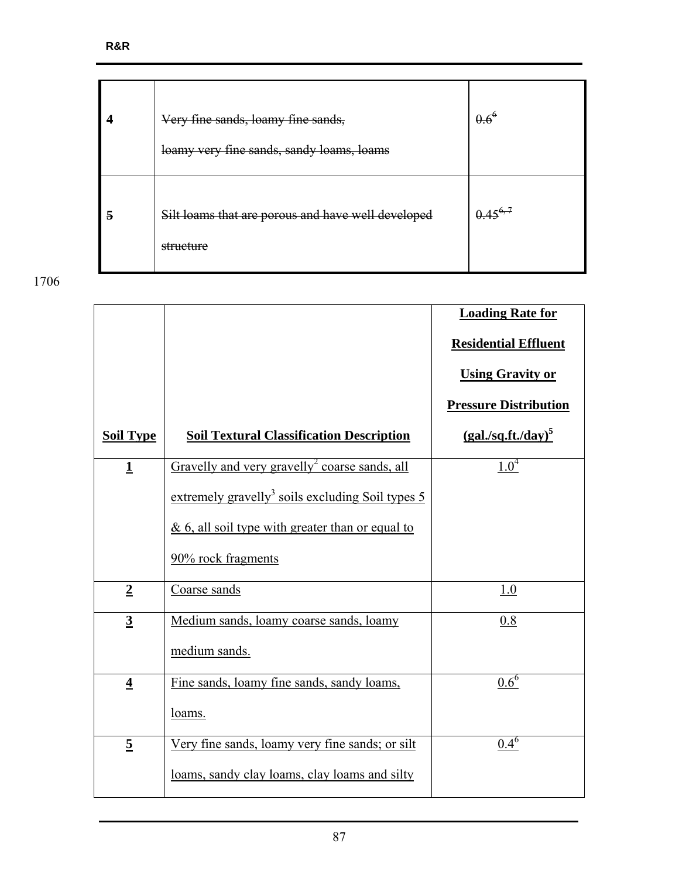|   | Very fine sands, loamy fine sands,<br>loamy very fine sands, sandy loams, loams | $0.6^6$      |
|---|---------------------------------------------------------------------------------|--------------|
| 5 | Silt loams that are porous and have well developed<br>structure                 | $0.45^{6,7}$ |

|                  |                                                                | <b>Loading Rate for</b><br><b>Residential Effluent</b> |
|------------------|----------------------------------------------------------------|--------------------------------------------------------|
|                  |                                                                | <b>Using Gravity or</b>                                |
|                  |                                                                | <b>Pressure Distribution</b>                           |
| <b>Soil Type</b> | <b>Soil Textural Classification Description</b>                | $(gal./sq.fit./day)^5$                                 |
| $\mathbf{1}$     | Gravelly and very gravelly <sup>2</sup> coarse sands, all      | $1.0^{4}$                                              |
|                  | extremely gravelly <sup>3</sup> soils excluding Soil types $5$ |                                                        |
|                  | $& 6$ , all soil type with greater than or equal to            |                                                        |
|                  | 90% rock fragments                                             |                                                        |
| $\overline{2}$   | Coarse sands                                                   | 1.0                                                    |
| $\overline{3}$   | Medium sands, loamy coarse sands, loamy                        | 0.8                                                    |
|                  | medium sands.                                                  |                                                        |
| $\overline{4}$   | Fine sands, loamy fine sands, sandy loams,                     | $0.6^6$                                                |
|                  | loams.                                                         |                                                        |
| $\overline{5}$   | Very fine sands, loamy very fine sands; or silt                | $0.4^{6}$                                              |
|                  | loams, sandy clay loams, clay loams and silty                  |                                                        |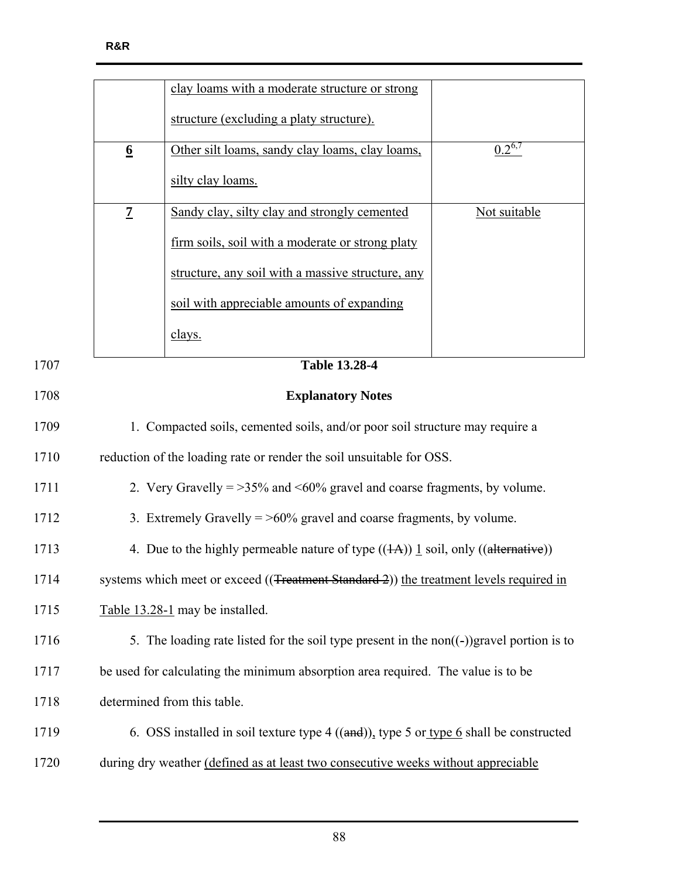|      |                                                                                              | clay loams with a moderate structure or strong                                                |              |
|------|----------------------------------------------------------------------------------------------|-----------------------------------------------------------------------------------------------|--------------|
|      |                                                                                              | structure (excluding a platy structure).                                                      |              |
|      | $6 \overline{6}$                                                                             | Other silt loams, sandy clay loams, clay loams,                                               | $0.2^{6,7}$  |
|      |                                                                                              | silty clay loams.                                                                             |              |
|      | $\overline{z}$                                                                               | Sandy clay, silty clay and strongly cemented                                                  | Not suitable |
|      |                                                                                              | firm soils, soil with a moderate or strong platy                                              |              |
|      |                                                                                              | structure, any soil with a massive structure, any                                             |              |
|      |                                                                                              | soil with appreciable amounts of expanding                                                    |              |
|      |                                                                                              | clays.                                                                                        |              |
| 1707 |                                                                                              | <b>Table 13.28-4</b>                                                                          |              |
| 1708 |                                                                                              | <b>Explanatory Notes</b>                                                                      |              |
| 1709 | 1. Compacted soils, cemented soils, and/or poor soil structure may require a                 |                                                                                               |              |
| 1710 | reduction of the loading rate or render the soil unsuitable for OSS.                         |                                                                                               |              |
| 1711 | 2. Very Gravelly = $>35\%$ and <60% gravel and coarse fragments, by volume.                  |                                                                                               |              |
| 1712 | 3. Extremely Gravelly $=$ >60% gravel and coarse fragments, by volume.                       |                                                                                               |              |
| 1713 | 4. Due to the highly permeable nature of type $((1A))$ 1 soil, only $((\text{alternative}))$ |                                                                                               |              |
| 1714 |                                                                                              | systems which meet or exceed ((Treatment Standard 2)) the treatment levels required in        |              |
| 1715 | Table 13.28-1 may be installed.                                                              |                                                                                               |              |
| 1716 |                                                                                              | 5. The loading rate listed for the soil type present in the non $((-) )$ gravel portion is to |              |
| 1717 | be used for calculating the minimum absorption area required. The value is to be             |                                                                                               |              |
| 1718 | determined from this table.                                                                  |                                                                                               |              |
| 1719 | 6. OSS installed in soil texture type $4$ ((and)), type 5 or type 6 shall be constructed     |                                                                                               |              |
| 1720 | during dry weather (defined as at least two consecutive weeks without appreciable            |                                                                                               |              |
|      |                                                                                              |                                                                                               |              |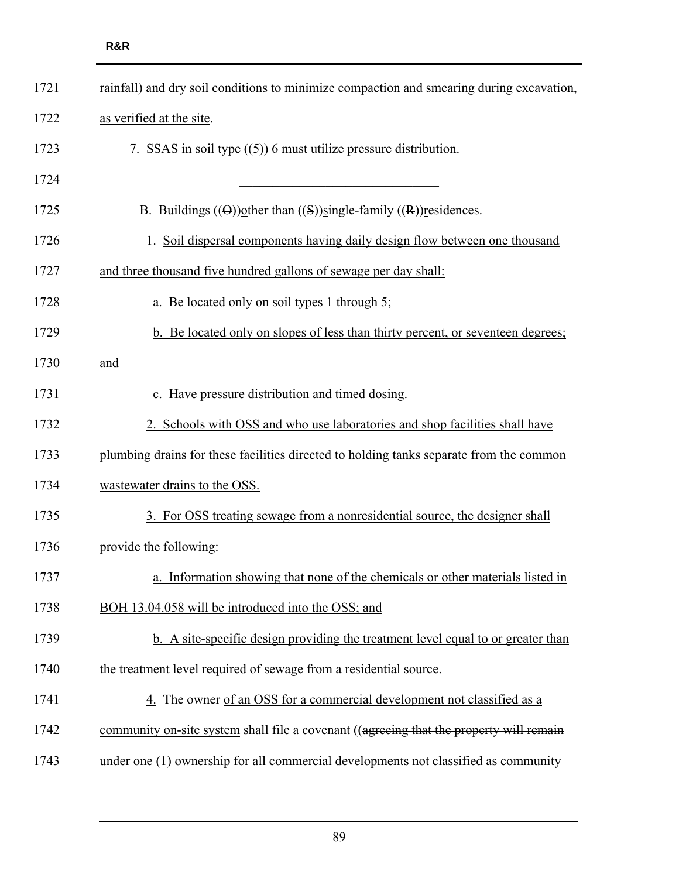| 1721 | rainfall) and dry soil conditions to minimize compaction and smearing during excavation, |  |  |
|------|------------------------------------------------------------------------------------------|--|--|
| 1722 | as verified at the site.                                                                 |  |  |
| 1723 | 7. SSAS in soil type $((5))$ 6 must utilize pressure distribution.                       |  |  |
| 1724 |                                                                                          |  |  |
| 1725 | B. Buildings $((\Theta))$ other than $((S))$ single-family $((R))$ residences.           |  |  |
| 1726 | 1. Soil dispersal components having daily design flow between one thousand               |  |  |
| 1727 | and three thousand five hundred gallons of sewage per day shall:                         |  |  |
| 1728 | a. Be located only on soil types 1 through 5;                                            |  |  |
| 1729 | b. Be located only on slopes of less than thirty percent, or seventeen degrees;          |  |  |
| 1730 | and                                                                                      |  |  |
| 1731 | c. Have pressure distribution and timed dosing.                                          |  |  |
| 1732 | 2. Schools with OSS and who use laboratories and shop facilities shall have              |  |  |
| 1733 | plumbing drains for these facilities directed to holding tanks separate from the common  |  |  |
| 1734 | wastewater drains to the OSS.                                                            |  |  |
| 1735 | 3. For OSS treating sewage from a nonresidential source, the designer shall              |  |  |
| 1736 | provide the following:                                                                   |  |  |
| 1737 | Information showing that none of the chemicals or other materials listed in<br>a.        |  |  |
| 1738 | BOH 13.04.058 will be introduced into the OSS; and                                       |  |  |
| 1739 | b. A site-specific design providing the treatment level equal to or greater than         |  |  |
| 1740 | the treatment level required of sewage from a residential source.                        |  |  |
| 1741 | 4. The owner of an OSS for a commercial development not classified as a                  |  |  |
| 1742 | community on-site system shall file a covenant ((agreeing that the property will remain  |  |  |
| 1743 | under one (1) ownership for all commercial developments not classified as community      |  |  |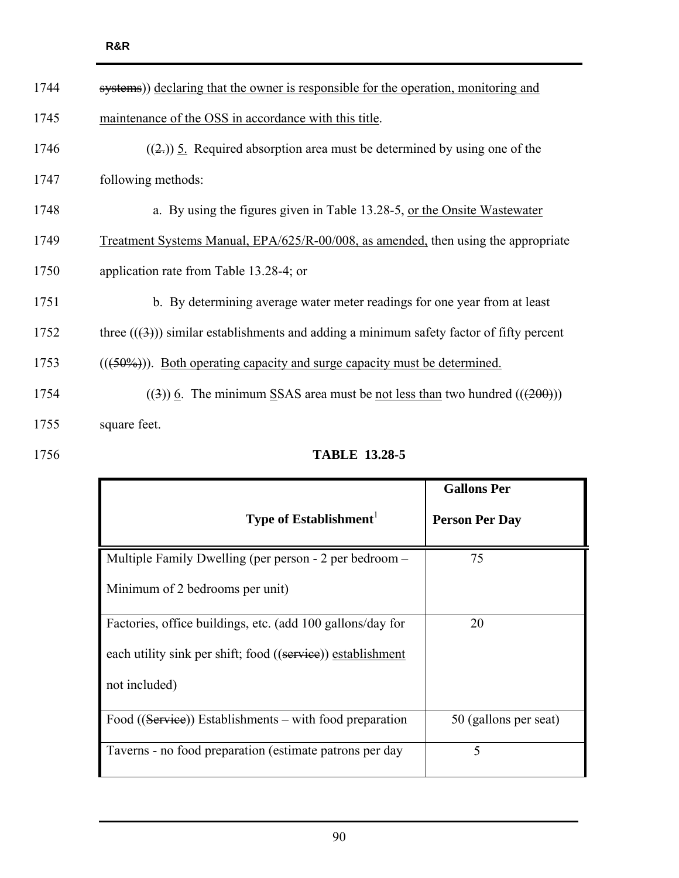| 1744 | systems)) declaring that the owner is responsible for the operation, monitoring and      |  |  |
|------|------------------------------------------------------------------------------------------|--|--|
| 1745 | maintenance of the OSS in accordance with this title.                                    |  |  |
| 1746 | $((2))$ 5. Required absorption area must be determined by using one of the               |  |  |
| 1747 | following methods:                                                                       |  |  |
| 1748 | a. By using the figures given in Table 13.28-5, or the Onsite Wastewater                 |  |  |
| 1749 | Treatment Systems Manual, EPA/625/R-00/008, as amended, then using the appropriate       |  |  |
| 1750 | application rate from Table 13.28-4; or                                                  |  |  |
| 1751 | b. By determining average water meter readings for one year from at least                |  |  |
| 1752 | three $((3))$ similar establishments and adding a minimum safety factor of fifty percent |  |  |
| 1753 | $((50\%))$ . Both operating capacity and surge capacity must be determined.              |  |  |
| 1754 | $((3))$ 6. The minimum SSAS area must be not less than two hundred $((200))$             |  |  |
| 1755 | square feet.                                                                             |  |  |
| 1756 | <b>TABLE 13.28-5</b>                                                                     |  |  |

|                                                                  | <b>Gallons Per</b>    |
|------------------------------------------------------------------|-----------------------|
| Type of Establishment $^1$                                       | <b>Person Per Day</b> |
| Multiple Family Dwelling (per person - 2 per bedroom -           | 75                    |
| Minimum of 2 bedrooms per unit)                                  |                       |
| Factories, office buildings, etc. (add 100 gallons/day for       | 20                    |
| each utility sink per shift; food ((service)) establishment      |                       |
| not included)                                                    |                       |
| Food $((\text{Service}))$ Establishments – with food preparation | 50 (gallons per seat) |
| Taverns - no food preparation (estimate patrons per day          | 5                     |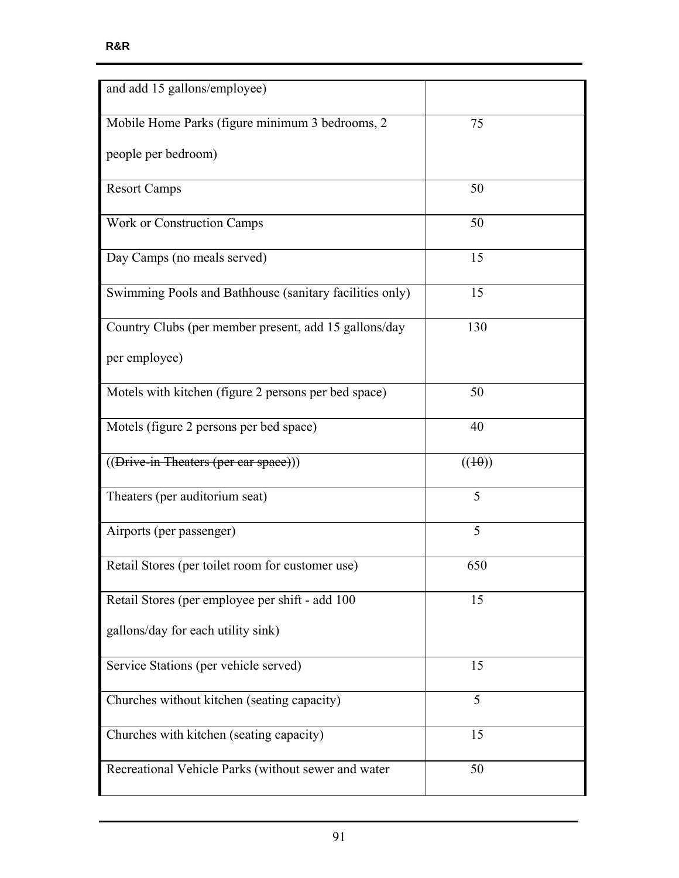| and add 15 gallons/employee)                            |        |
|---------------------------------------------------------|--------|
| Mobile Home Parks (figure minimum 3 bedrooms, 2         | 75     |
| people per bedroom)                                     |        |
| <b>Resort Camps</b>                                     | 50     |
| Work or Construction Camps                              | 50     |
| Day Camps (no meals served)                             | 15     |
| Swimming Pools and Bathhouse (sanitary facilities only) | 15     |
| Country Clubs (per member present, add 15 gallons/day   | 130    |
| per employee)                                           |        |
| Motels with kitchen (figure 2 persons per bed space)    | 50     |
| Motels (figure 2 persons per bed space)                 | 40     |
| ((Drive-in Theaters (per car space)))                   | ((10)) |
| Theaters (per auditorium seat)                          | 5      |
| Airports (per passenger)                                | 5      |
| Retail Stores (per toilet room for customer use)        | 650    |
| Retail Stores (per employee per shift - add 100)        | 15     |
| gallons/day for each utility sink)                      |        |
| Service Stations (per vehicle served)                   | 15     |
| Churches without kitchen (seating capacity)             | 5      |
| Churches with kitchen (seating capacity)                | 15     |
| Recreational Vehicle Parks (without sewer and water     | 50     |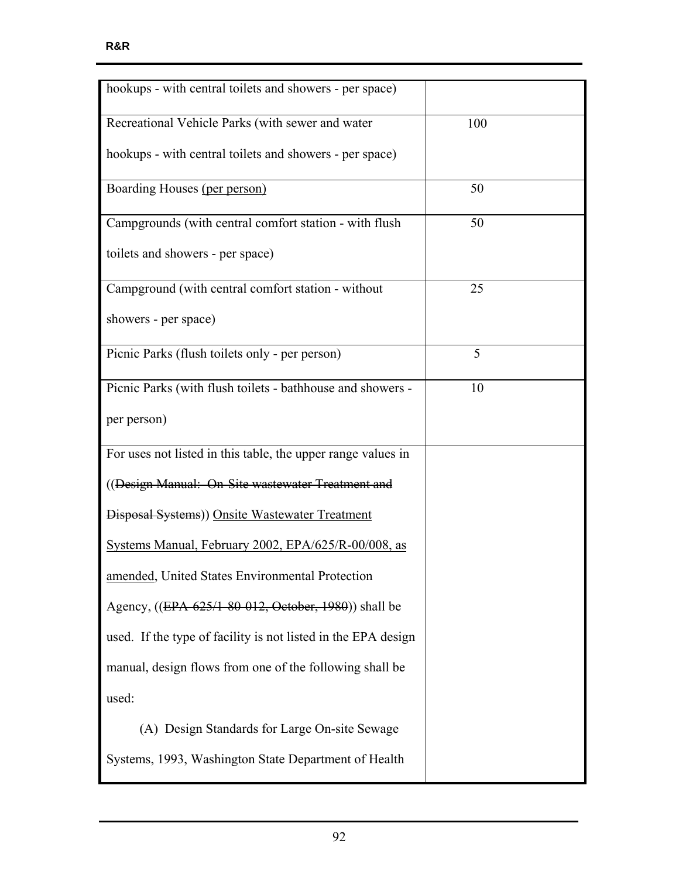| hookups - with central toilets and showers - per space)       |     |
|---------------------------------------------------------------|-----|
| Recreational Vehicle Parks (with sewer and water              | 100 |
| hookups - with central toilets and showers - per space)       |     |
| Boarding Houses (per person)                                  | 50  |
| Campgrounds (with central comfort station - with flush        | 50  |
| toilets and showers - per space)                              |     |
| Campground (with central comfort station - without            | 25  |
| showers - per space)                                          |     |
| Picnic Parks (flush toilets only - per person)                | 5   |
| Picnic Parks (with flush toilets - bathhouse and showers -    | 10  |
| per person)                                                   |     |
| For uses not listed in this table, the upper range values in  |     |
| ((Design Manual: On-Site wastewater Treatment and             |     |
| Disposal Systems)) Onsite Wastewater Treatment                |     |
| Systems Manual, February 2002, EPA/625/R-00/008, as           |     |
| amended, United States Environmental Protection               |     |
| Agency, ((EPA-625/1-80-012, October, 1980)) shall be          |     |
| used. If the type of facility is not listed in the EPA design |     |
| manual, design flows from one of the following shall be       |     |
| used:                                                         |     |
| (A) Design Standards for Large On-site Sewage                 |     |
| Systems, 1993, Washington State Department of Health          |     |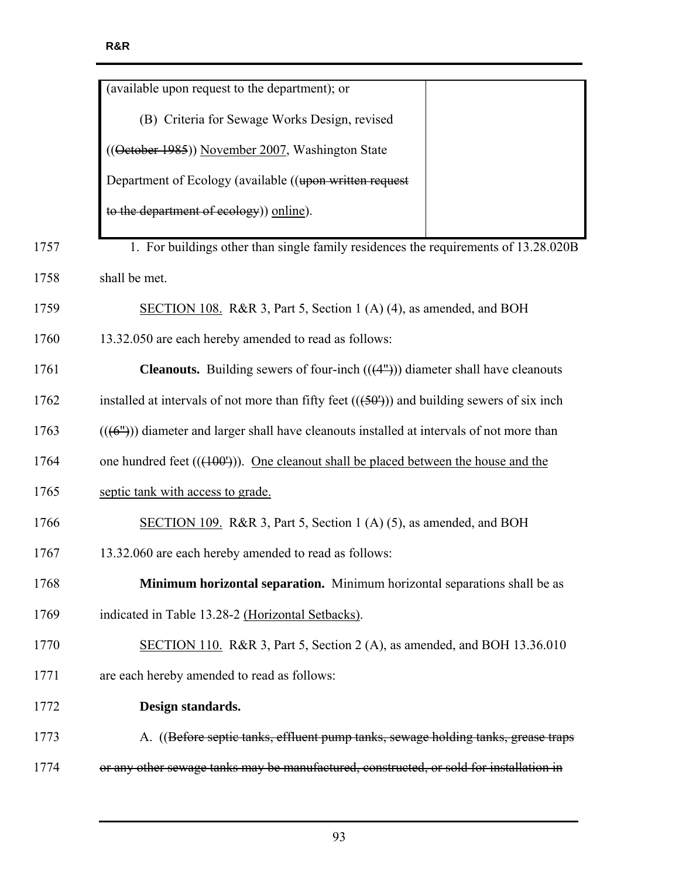|      | (available upon request to the department); or                                               |
|------|----------------------------------------------------------------------------------------------|
|      | (B) Criteria for Sewage Works Design, revised                                                |
|      | ((Oetober 1985)) November 2007, Washington State                                             |
|      | Department of Ecology (available ((upon written request                                      |
|      | to the department of ecology)) online).                                                      |
| 1757 | 1. For buildings other than single family residences the requirements of 13.28.020B          |
| 1758 | shall be met.                                                                                |
| 1759 | SECTION 108. R&R 3, Part 5, Section 1 (A) (4), as amended, and BOH                           |
| 1760 | 13.32.050 are each hereby amended to read as follows:                                        |
| 1761 | <b>Cleanouts.</b> Building sewers of four-inch $((4m))$ diameter shall have cleanouts        |
| 1762 | installed at intervals of not more than fifty feet $((50n))$ and building sewers of six inch |
| 1763 | $((6n))$ diameter and larger shall have cleanouts installed at intervals of not more than    |
| 1764 | one hundred feet $((100'))$ . One cleanout shall be placed between the house and the         |
| 1765 | septic tank with access to grade.                                                            |
| 1766 | SECTION 109. R&R 3, Part 5, Section 1 (A) (5), as amended, and BOH                           |
| 1767 | 13.32.060 are each hereby amended to read as follows:                                        |
| 1768 | Minimum horizontal separation. Minimum horizontal separations shall be as                    |
| 1769 | indicated in Table 13.28-2 (Horizontal Setbacks).                                            |
| 1770 | SECTION 110. R&R 3, Part 5, Section 2 (A), as amended, and BOH 13.36.010                     |
| 1771 | are each hereby amended to read as follows:                                                  |
| 1772 | Design standards.                                                                            |
| 1773 | A. ((Before septic tanks, effluent pump tanks, sewage holding tanks, grease traps            |
| 1774 | or any other sewage tanks may be manufactured, constructed, or sold for installation in      |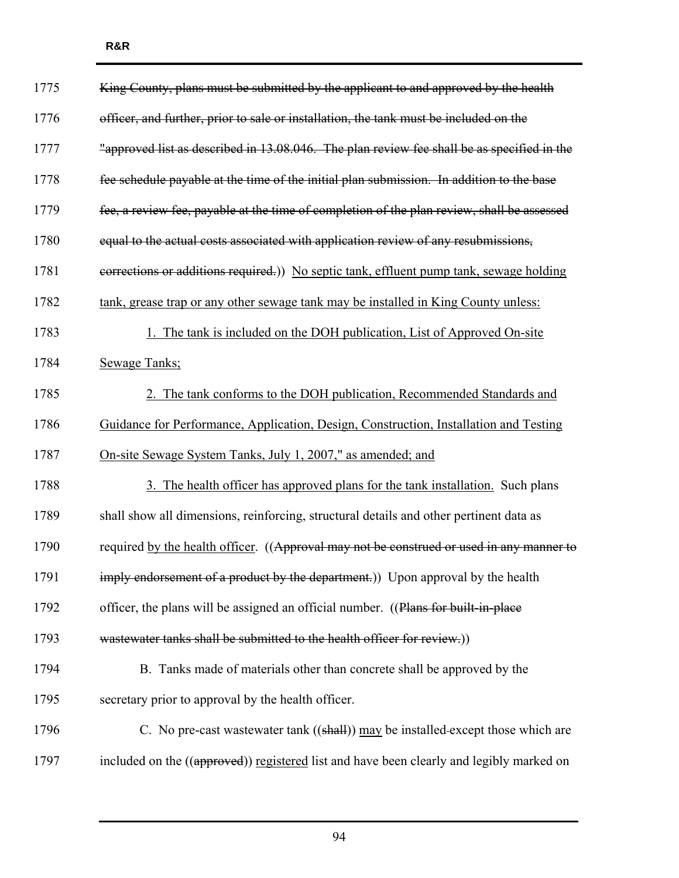| 1775 | King County, plans must be submitted by the applicant to and approved by the health        |
|------|--------------------------------------------------------------------------------------------|
| 1776 | officer, and further, prior to sale or installation, the tank must be included on the      |
| 1777 | "approved list as described in 13.08.046. The plan review fee shall be as specified in the |
| 1778 | fee schedule payable at the time of the initial plan submission. In addition to the base   |
| 1779 | fee, a review fee, payable at the time of completion of the plan review, shall be assessed |
| 1780 | equal to the actual costs associated with application review of any resubmissions,         |
| 1781 | eorrections or additions required.) No septic tank, effluent pump tank, sewage holding     |
| 1782 | tank, grease trap or any other sewage tank may be installed in King County unless:         |
| 1783 | 1. The tank is included on the DOH publication, List of Approved On-site                   |
| 1784 | Sewage Tanks;                                                                              |
| 1785 | 2. The tank conforms to the DOH publication, Recommended Standards and                     |
| 1786 | Guidance for Performance, Application, Design, Construction, Installation and Testing      |
| 1787 | <u>On-site Sewage System Tanks, July 1, 2007," as amended; and</u>                         |
| 1788 | 3. The health officer has approved plans for the tank installation. Such plans             |
| 1789 | shall show all dimensions, reinforcing, structural details and other pertinent data as     |
| 1790 | required by the health officer. ((Approval may not be construed or used in any manner to   |
| 1791 | imply endorsement of a product by the department.)) Upon approval by the health            |
| 1792 | officer, the plans will be assigned an official number. ((Plans for built-in-place         |
| 1793 | wastewater tanks shall be submitted to the health officer for review.)                     |
| 1794 | B. Tanks made of materials other than concrete shall be approved by the                    |
| 1795 | secretary prior to approval by the health officer.                                         |
| 1796 | C. No pre-cast wastewater tank $((shall))$ may be installed-except those which are         |
| 1797 | included on the ((approved)) registered list and have been clearly and legibly marked on   |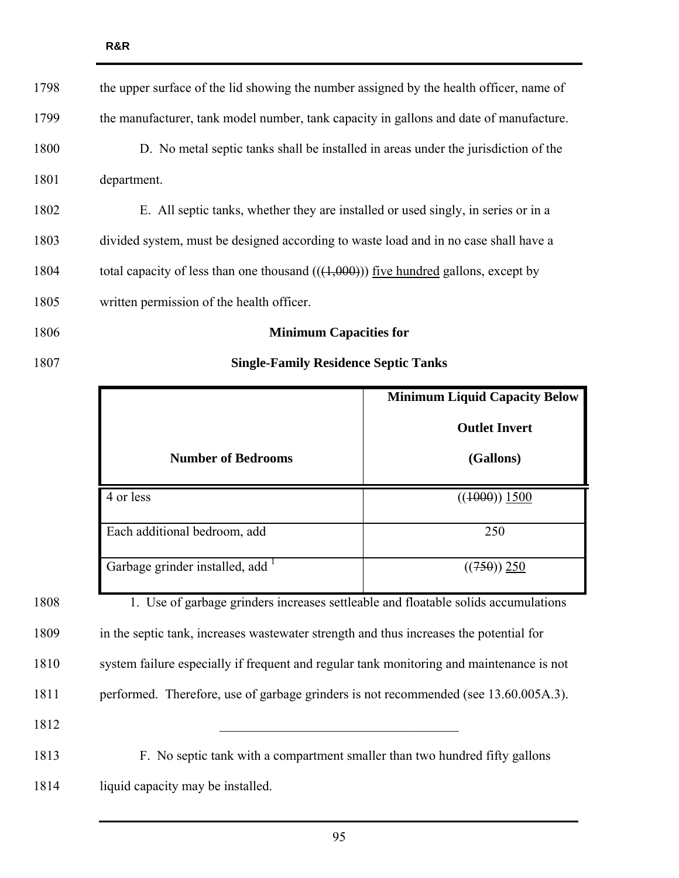| 1798 | the upper surface of the lid showing the number assigned by the health officer, name of |
|------|-----------------------------------------------------------------------------------------|
| 1799 | the manufacturer, tank model number, tank capacity in gallons and date of manufacture.  |
| 1800 | D. No metal septic tanks shall be installed in areas under the jurisdiction of the      |
| 1801 | department.                                                                             |
| 1802 | E. All septic tanks, whether they are installed or used singly, in series or in a       |
| 1803 | divided system, must be designed according to waste load and in no case shall have a    |
| 1804 | total capacity of less than one thousand $((4,000))$ five hundred gallons, except by    |
| 1805 | written permission of the health officer.                                               |
| 1806 | <b>Minimum Capacities for</b>                                                           |

## 1807 **Single-Family Residence Septic Tanks**

|                                | <b>Minimum Liquid Capacity Below</b> |
|--------------------------------|--------------------------------------|
| <b>Number of Bedrooms</b>      | <b>Outlet Invert</b><br>(Gallons)    |
| 4 or less                      | $((1000))$ 1500                      |
| Each additional bedroom, add   | 250                                  |
| Garbage grinder installed, add | $((750))$ 250                        |

1808 1. Use of garbage grinders increases settleable and floatable solids accumulations 1809 in the septic tank, increases wastewater strength and thus increases the potential for 1810 system failure especially if frequent and regular tank monitoring and maintenance is not 1811 performed. Therefore, use of garbage grinders is not recommended (see 13.60.005A.3). 1812 \_\_\_\_\_\_\_\_\_\_\_\_\_\_\_\_\_\_\_\_\_\_\_\_\_\_\_\_\_\_\_\_\_\_\_\_ 1813 F. No septic tank with a compartment smaller than two hundred fifty gallons

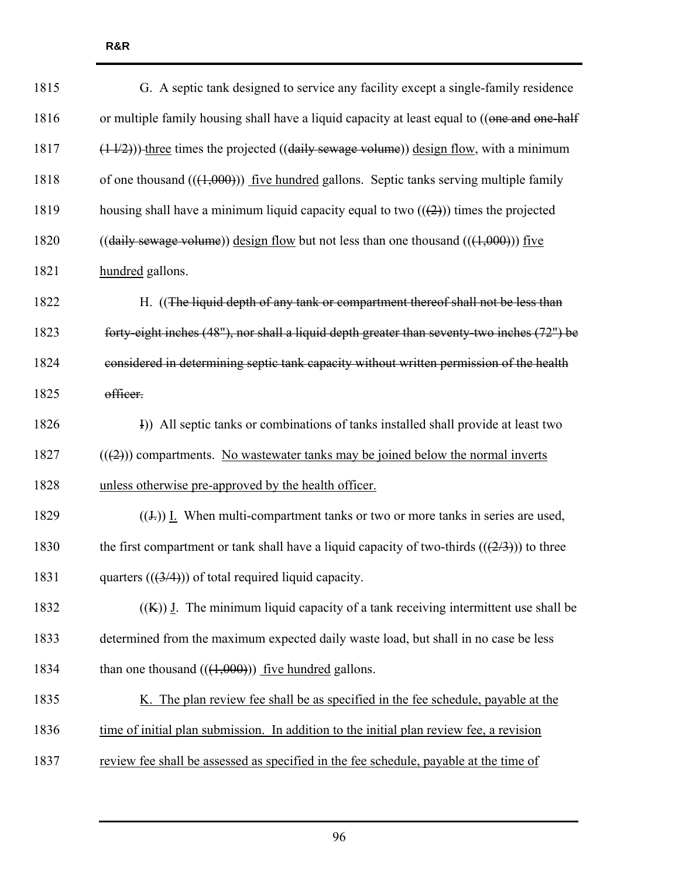| 1815 | G. A septic tank designed to service any facility except a single-family residence                  |
|------|-----------------------------------------------------------------------------------------------------|
| 1816 | or multiple family housing shall have a liquid capacity at least equal to ((one and one-half        |
| 1817 | $(11/2))$ ) three times the projected ((daily sewage volume)) design flow, with a minimum           |
| 1818 | of one thousand $(((1,000)))$ five hundred gallons. Septic tanks serving multiple family            |
| 1819 | housing shall have a minimum liquid capacity equal to two $((2))$ times the projected               |
| 1820 | $((\text{daily sewage volume}))$ design flow but not less than one thousand $((\text{4,000}))$ five |
| 1821 | hundred gallons.                                                                                    |
| 1822 | H. ((The liquid depth of any tank or compartment thereof shall not be less than                     |
| 1823 | forty-eight inches (48"), nor shall a liquid depth greater than seventy-two inches (72") be         |
| 1824 | considered in determining septic tank capacity without written permission of the health             |
| 1825 | officer.                                                                                            |
| 1826 | I)) All septic tanks or combinations of tanks installed shall provide at least two                  |
| 1827 | $((2))$ compartments. No wastewater tanks may be joined below the normal inverts                    |
| 1828 | unless otherwise pre-approved by the health officer.                                                |
| 1829 | $((\pm))$ I. When multi-compartment tanks or two or more tanks in series are used,                  |
| 1830 | the first compartment or tank shall have a liquid capacity of two-thirds $((2/3))$ to three         |
| 1831 | quarters $((3/4))$ of total required liquid capacity.                                               |
| 1832 | $((K))$ J. The minimum liquid capacity of a tank receiving intermittent use shall be                |
| 1833 | determined from the maximum expected daily waste load, but shall in no case be less                 |
| 1834 | than one thousand $((1,000))$ five hundred gallons.                                                 |
| 1835 | K. The plan review fee shall be as specified in the fee schedule, payable at the                    |
| 1836 | time of initial plan submission. In addition to the initial plan review fee, a revision             |
| 1837 | review fee shall be assessed as specified in the fee schedule, payable at the time of               |
|      |                                                                                                     |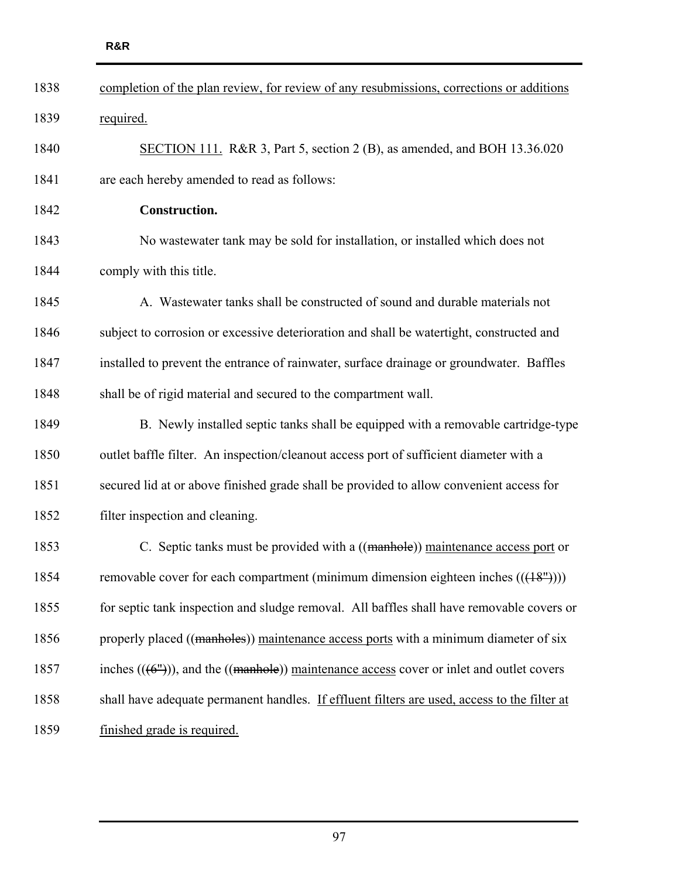| 1838 | completion of the plan review, for review of any resubmissions, corrections or additions                  |
|------|-----------------------------------------------------------------------------------------------------------|
| 1839 | required.                                                                                                 |
| 1840 | SECTION 111. R&R 3, Part 5, section 2 (B), as amended, and BOH 13.36.020                                  |
| 1841 | are each hereby amended to read as follows:                                                               |
| 1842 | Construction.                                                                                             |
| 1843 | No was tewater tank may be sold for installation, or installed which does not                             |
| 1844 | comply with this title.                                                                                   |
| 1845 | A. Wastewater tanks shall be constructed of sound and durable materials not                               |
| 1846 | subject to corrosion or excessive deterioration and shall be watertight, constructed and                  |
| 1847 | installed to prevent the entrance of rainwater, surface drainage or groundwater. Baffles                  |
| 1848 | shall be of rigid material and secured to the compartment wall.                                           |
| 1849 | B. Newly installed septic tanks shall be equipped with a removable cartridge-type                         |
| 1850 | outlet baffle filter. An inspection/cleanout access port of sufficient diameter with a                    |
| 1851 | secured lid at or above finished grade shall be provided to allow convenient access for                   |
| 1852 | filter inspection and cleaning.                                                                           |
| 1853 | C. Septic tanks must be provided with a ((manhole)) maintenance access port or                            |
| 1854 | removable cover for each compartment (minimum dimension eighteen inches $((+8m))$ )                       |
| 1855 | for septic tank inspection and sludge removal. All baffles shall have removable covers or                 |
| 1856 | properly placed ((manholes)) maintenance access ports with a minimum diameter of six                      |
| 1857 | inches $((6^{\prime\prime}))$ , and the $((manhole))$ maintenance access cover or inlet and outlet covers |
| 1858 | shall have adequate permanent handles. If effluent filters are used, access to the filter at              |
| 1859 | finished grade is required.                                                                               |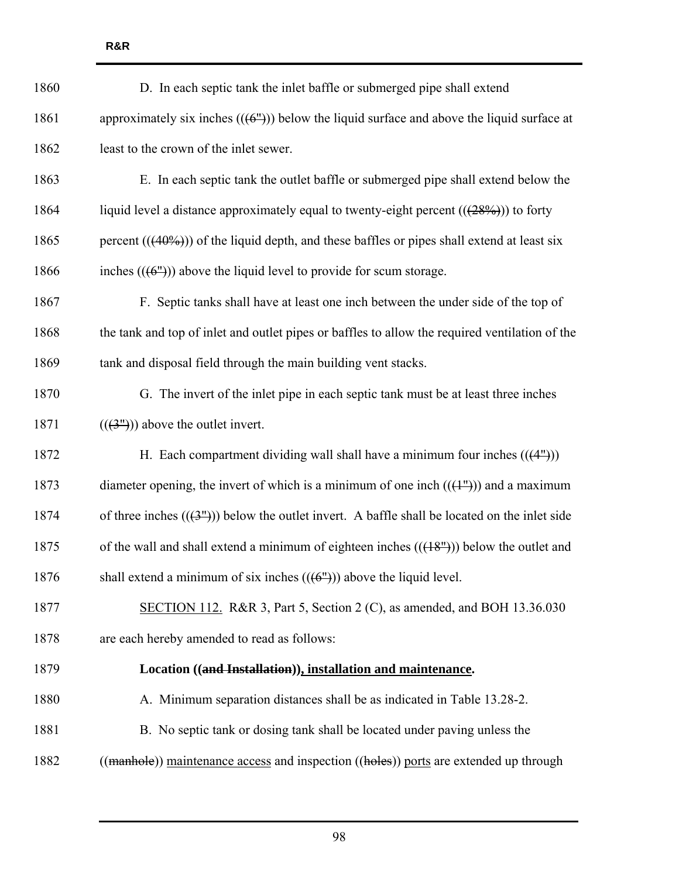| 1860 | D. In each septic tank the inlet baffle or submerged pipe shall extend                                      |
|------|-------------------------------------------------------------------------------------------------------------|
| 1861 | approximately six inches $((6^{\prime\prime}))$ below the liquid surface and above the liquid surface at    |
| 1862 | least to the crown of the inlet sewer.                                                                      |
| 1863 | E. In each septic tank the outlet baffle or submerged pipe shall extend below the                           |
| 1864 | liquid level a distance approximately equal to twenty-eight percent $((28\%))$ to forty                     |
| 1865 | percent $(((40\%))$ of the liquid depth, and these baffles or pipes shall extend at least six               |
| 1866 | inches $((6^{\prime\prime}))$ above the liquid level to provide for scum storage.                           |
| 1867 | F. Septic tanks shall have at least one inch between the under side of the top of                           |
| 1868 | the tank and top of inlet and outlet pipes or baffles to allow the required ventilation of the              |
| 1869 | tank and disposal field through the main building vent stacks.                                              |
| 1870 | G. The invert of the inlet pipe in each septic tank must be at least three inches                           |
| 1871 | $((3n))$ above the outlet invert.                                                                           |
| 1872 | H. Each compartment dividing wall shall have a minimum four inches $((4^{\prime\prime}))$                   |
| 1873 | diameter opening, the invert of which is a minimum of one inch $((+^{\infty}))$ and a maximum               |
| 1874 | of three inches $((3^{\prime\prime}))$ below the outlet invert. A baffle shall be located on the inlet side |
| 1875 | of the wall and shall extend a minimum of eighteen inches $((18m))$ below the outlet and                    |
| 1876 | shall extend a minimum of six inches $((6^{\circ}))$ above the liquid level.                                |
| 1877 | SECTION 112. R&R 3, Part 5, Section 2 (C), as amended, and BOH $13.36.030$                                  |
| 1878 | are each hereby amended to read as follows:                                                                 |
| 1879 | Location ((and Installation)), installation and maintenance.                                                |
| 1880 | A. Minimum separation distances shall be as indicated in Table 13.28-2.                                     |
| 1881 | B. No septic tank or dosing tank shall be located under paving unless the                                   |
| 1882 | ((manhole)) maintenance access and inspection ((holes)) ports are extended up through                       |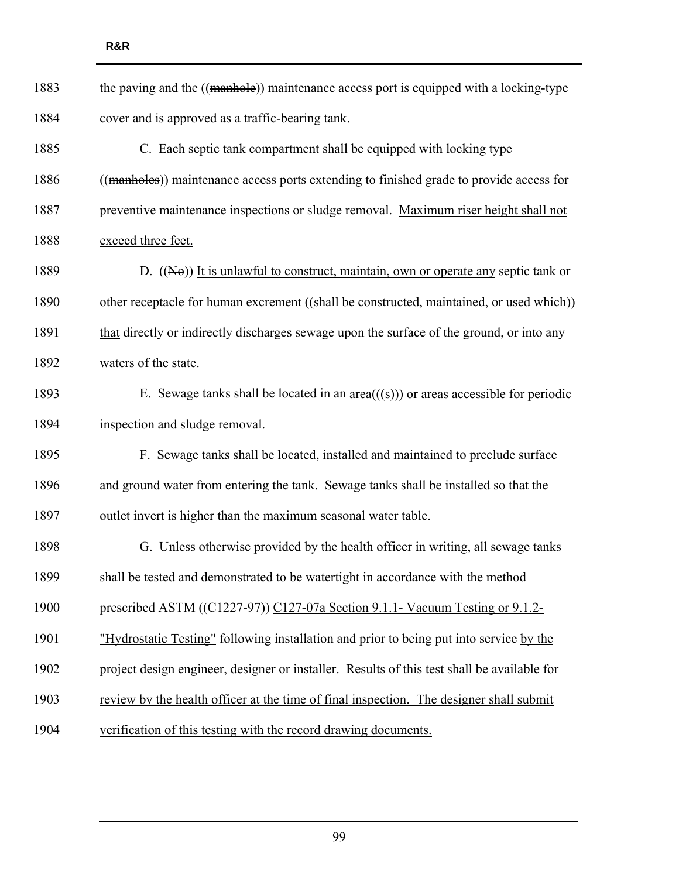| 1883 | the paving and the ((manhole)) maintenance access port is equipped with a locking-type                |
|------|-------------------------------------------------------------------------------------------------------|
| 1884 | cover and is approved as a traffic-bearing tank.                                                      |
| 1885 | C. Each septic tank compartment shall be equipped with locking type                                   |
| 1886 | ((manholes)) maintenance access ports extending to finished grade to provide access for               |
| 1887 | preventive maintenance inspections or sludge removal. Maximum riser height shall not                  |
| 1888 | exceed three feet.                                                                                    |
| 1889 | D. $((N\Theta))$ It is unlawful to construct, maintain, own or operate any septic tank or             |
| 1890 | other receptacle for human excrement ((shall be constructed, maintained, or used which))              |
| 1891 | that directly or indirectly discharges sewage upon the surface of the ground, or into any             |
| 1892 | waters of the state.                                                                                  |
| 1893 | E. Sewage tanks shall be located in <u>an</u> area( $(\text{(*)})$ ) or areas accessible for periodic |
| 1894 | inspection and sludge removal.                                                                        |
| 1895 | F. Sewage tanks shall be located, installed and maintained to preclude surface                        |
| 1896 | and ground water from entering the tank. Sewage tanks shall be installed so that the                  |
| 1897 | outlet invert is higher than the maximum seasonal water table.                                        |
| 1898 | G. Unless otherwise provided by the health officer in writing, all sewage tanks                       |
| 1899 | shall be tested and demonstrated to be watertight in accordance with the method                       |
| 1900 | prescribed ASTM ((C1227-97)) C127-07a Section 9.1.1- Vacuum Testing or 9.1.2-                         |
| 1901 | "Hydrostatic Testing" following installation and prior to being put into service by the               |
| 1902 | project design engineer, designer or installer. Results of this test shall be available for           |
| 1903 | review by the health officer at the time of final inspection. The designer shall submit               |
| 1904 | verification of this testing with the record drawing documents.                                       |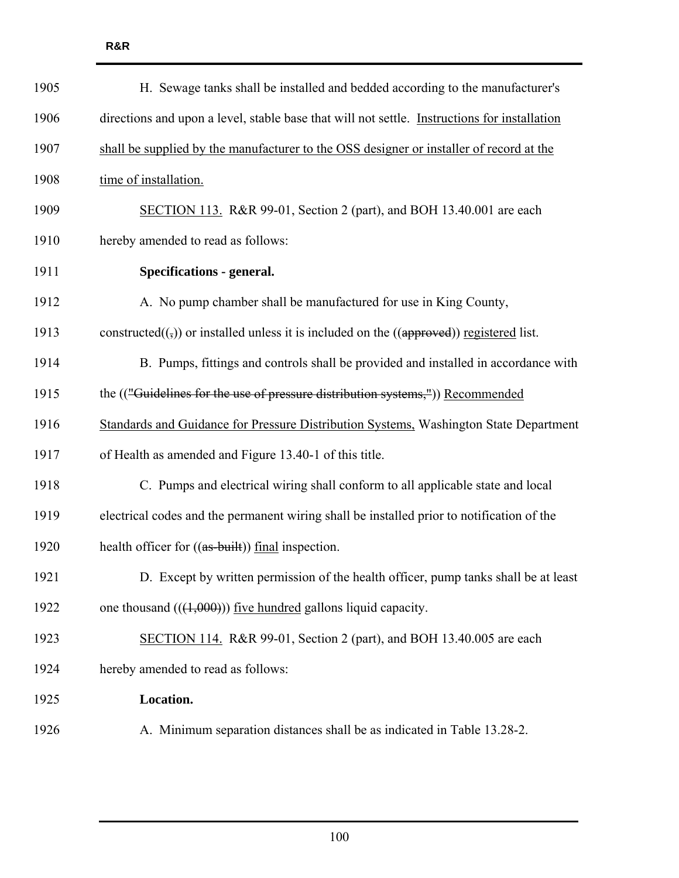| 1905 | H. Sewage tanks shall be installed and bedded according to the manufacturer's                        |
|------|------------------------------------------------------------------------------------------------------|
| 1906 | directions and upon a level, stable base that will not settle. Instructions for installation         |
| 1907 | shall be supplied by the manufacturer to the OSS designer or installer of record at the              |
| 1908 | time of installation.                                                                                |
| 1909 | SECTION 113. R&R 99-01, Section 2 (part), and BOH 13.40.001 are each                                 |
| 1910 | hereby amended to read as follows:                                                                   |
| 1911 | <b>Specifications - general.</b>                                                                     |
| 1912 | A. No pump chamber shall be manufactured for use in King County,                                     |
| 1913 | constructed $((,))$ or installed unless it is included on the $((\text{apperved}))$ registered list. |
| 1914 | B. Pumps, fittings and controls shall be provided and installed in accordance with                   |
| 1915 | the (("Guidelines for the use of pressure distribution systems,")) Recommended                       |
| 1916 | Standards and Guidance for Pressure Distribution Systems, Washington State Department                |
| 1917 | of Health as amended and Figure 13.40-1 of this title.                                               |
| 1918 | C. Pumps and electrical wiring shall conform to all applicable state and local                       |
| 1919 | electrical codes and the permanent wiring shall be installed prior to notification of the            |
| 1920 | health officer for ((as-built)) final inspection.                                                    |
| 1921 | D. Except by written permission of the health officer, pump tanks shall be at least                  |
| 1922 | one thousand $(((1,000)))$ five hundred gallons liquid capacity.                                     |
| 1923 | SECTION 114. R&R 99-01, Section 2 (part), and BOH 13.40.005 are each                                 |
| 1924 | hereby amended to read as follows:                                                                   |
| 1925 | Location.                                                                                            |
| 1926 | A. Minimum separation distances shall be as indicated in Table 13.28-2.                              |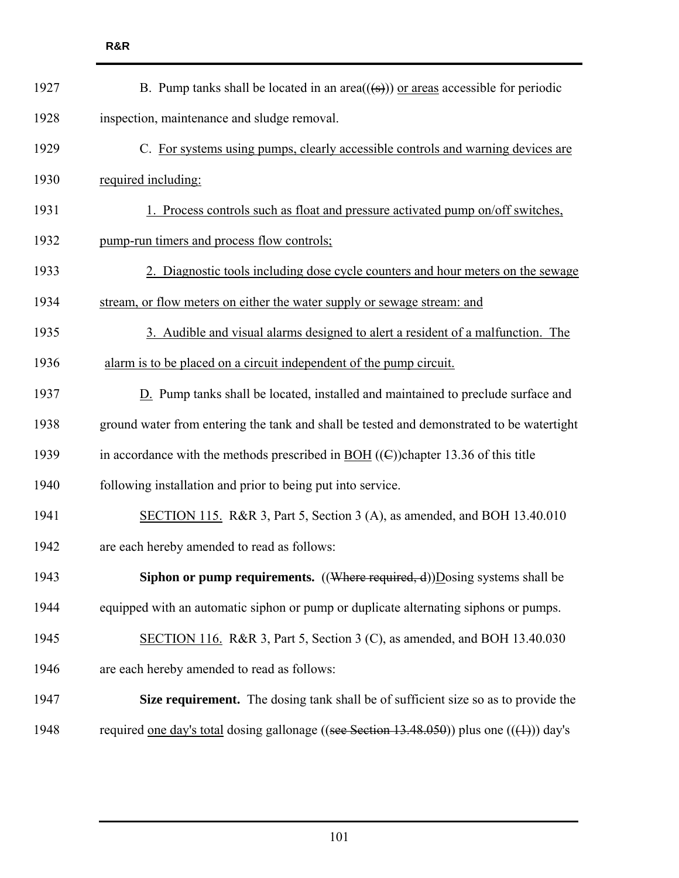| B. Pump tanks shall be located in an area( $(\frac{1}{(s)})$ ) or areas accessible for periodic       |
|-------------------------------------------------------------------------------------------------------|
| inspection, maintenance and sludge removal.                                                           |
| C. For systems using pumps, clearly accessible controls and warning devices are                       |
| required including:                                                                                   |
| 1. Process controls such as float and pressure activated pump on/off switches,                        |
| pump-run timers and process flow controls;                                                            |
| 2. Diagnostic tools including dose cycle counters and hour meters on the sewage                       |
| stream, or flow meters on either the water supply or sewage stream: and                               |
| 3. Audible and visual alarms designed to alert a resident of a malfunction. The                       |
| alarm is to be placed on a circuit independent of the pump circuit.                                   |
| D. Pump tanks shall be located, installed and maintained to preclude surface and                      |
| ground water from entering the tank and shall be tested and demonstrated to be watertight             |
| in accordance with the methods prescribed in $\underline{BOH}$ ((E))chapter 13.36 of this title       |
| following installation and prior to being put into service.                                           |
| SECTION 115. R&R 3, Part 5, Section 3 (A), as amended, and BOH 13.40.010                              |
| are each hereby amended to read as follows:                                                           |
| <b>Siphon or pump requirements.</b> $((\text{Where required}, d))$ Dosing systems shall be            |
| equipped with an automatic siphon or pump or duplicate alternating siphons or pumps.                  |
| SECTION 116. R&R 3, Part 5, Section 3 (C), as amended, and BOH 13.40.030                              |
| are each hereby amended to read as follows:                                                           |
| Size requirement. The dosing tank shall be of sufficient size so as to provide the                    |
| required <u>one day's total</u> dosing gallonage ((see Section 13.48.050)) plus one (( $(1)$ )) day's |
|                                                                                                       |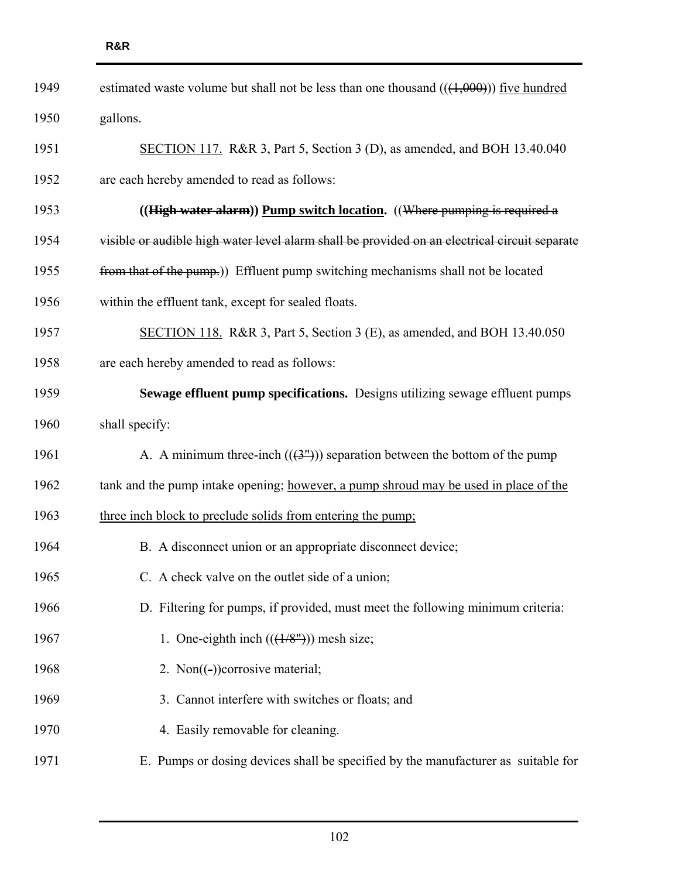| 1949 | estimated waste volume but shall not be less than one thousand $((1,000))$ five hundred       |
|------|-----------------------------------------------------------------------------------------------|
| 1950 | gallons.                                                                                      |
| 1951 | SECTION 117. R&R 3, Part 5, Section 3 (D), as amended, and BOH 13.40.040                      |
| 1952 | are each hereby amended to read as follows:                                                   |
| 1953 | ((High water alarm)) Pump switch location. ((Where pumping is required a                      |
| 1954 | visible or audible high water level alarm shall be provided on an electrical circuit separate |
| 1955 | from that of the pump.)) Effluent pump switching mechanisms shall not be located              |
| 1956 | within the effluent tank, except for sealed floats.                                           |
| 1957 | SECTION 118. R&R 3, Part 5, Section 3 (E), as amended, and BOH 13.40.050                      |
| 1958 | are each hereby amended to read as follows:                                                   |
| 1959 | Sewage effluent pump specifications. Designs utilizing sewage effluent pumps                  |
| 1960 | shall specify:                                                                                |
| 1961 | A. A minimum three-inch $((3^{\prime\prime}))$ separation between the bottom of the pump      |
| 1962 | tank and the pump intake opening; however, a pump shroud may be used in place of the          |
| 1963 | three inch block to preclude solids from entering the pump;                                   |
| 1964 | B. A disconnect union or an appropriate disconnect device;                                    |
| 1965 | C. A check valve on the outlet side of a union;                                               |
| 1966 | D. Filtering for pumps, if provided, must meet the following minimum criteria:                |
| 1967 | 1. One-eighth inch $((1/8m))$ mesh size;                                                      |
| 1968 | 2. Non $((-)$ ) corrosive material;                                                           |
| 1969 | 3. Cannot interfere with switches or floats; and                                              |
| 1970 | 4. Easily removable for cleaning.                                                             |
| 1971 | E. Pumps or dosing devices shall be specified by the manufacturer as suitable for             |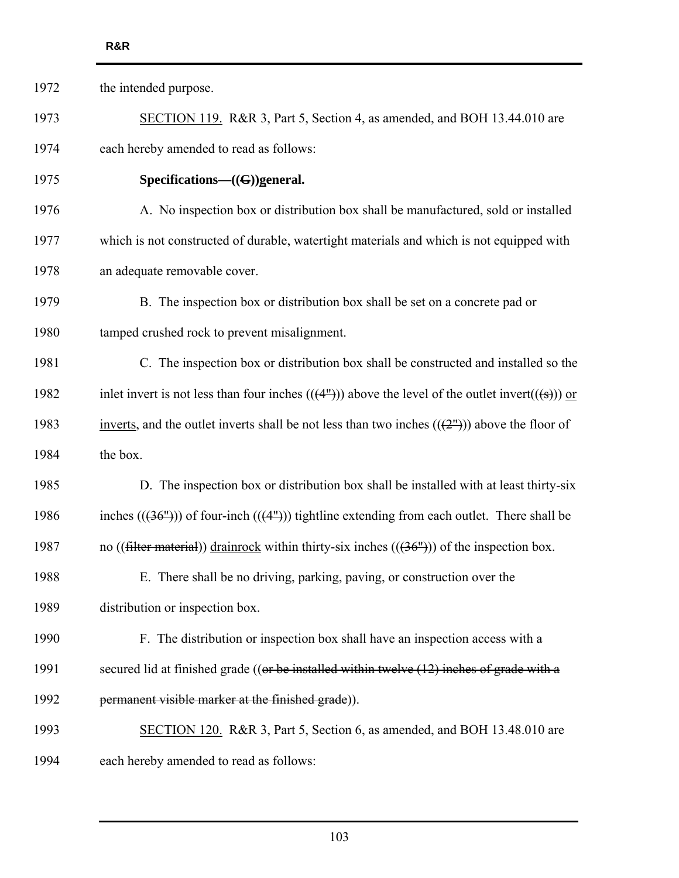| 1972 | the intended purpose.                                                                                                 |
|------|-----------------------------------------------------------------------------------------------------------------------|
| 1973 | SECTION 119. R&R 3, Part 5, Section 4, as amended, and BOH 13.44.010 are                                              |
| 1974 | each hereby amended to read as follows:                                                                               |
| 1975 | Specifications- $((G))$ general.                                                                                      |
| 1976 | A. No inspection box or distribution box shall be manufactured, sold or installed                                     |
| 1977 | which is not constructed of durable, watertight materials and which is not equipped with                              |
| 1978 | an adequate removable cover.                                                                                          |
| 1979 | B. The inspection box or distribution box shall be set on a concrete pad or                                           |
| 1980 | tamped crushed rock to prevent misalignment.                                                                          |
| 1981 | C. The inspection box or distribution box shall be constructed and installed so the                                   |
| 1982 | inlet invert is not less than four inches $((4^{\prime\prime}))$ above the level of the outlet invert $((4\cdot))$ or |
| 1983 | inverts, and the outlet inverts shall be not less than two inches $((2^{\prime\prime}))$ above the floor of           |
| 1984 | the box.                                                                                                              |
| 1985 | D. The inspection box or distribution box shall be installed with at least thirty-six                                 |
| 1986 | inches $((36''))$ of four-inch $((4''))$ tightline extending from each outlet. There shall be                         |
| 1987 | no ((filter material)) drainrock within thirty-six inches $((36''))$ of the inspection box.                           |
| 1988 | E. There shall be no driving, parking, paving, or construction over the                                               |
| 1989 | distribution or inspection box.                                                                                       |
| 1990 | F. The distribution or inspection box shall have an inspection access with a                                          |
| 1991 | secured lid at finished grade (( $or be$ installed within twelve $(12)$ inches of grade with a                        |
| 1992 | permanent visible marker at the finished grade)).                                                                     |
| 1993 | SECTION 120. R&R 3, Part 5, Section 6, as amended, and BOH 13.48.010 are                                              |
| 1994 | each hereby amended to read as follows:                                                                               |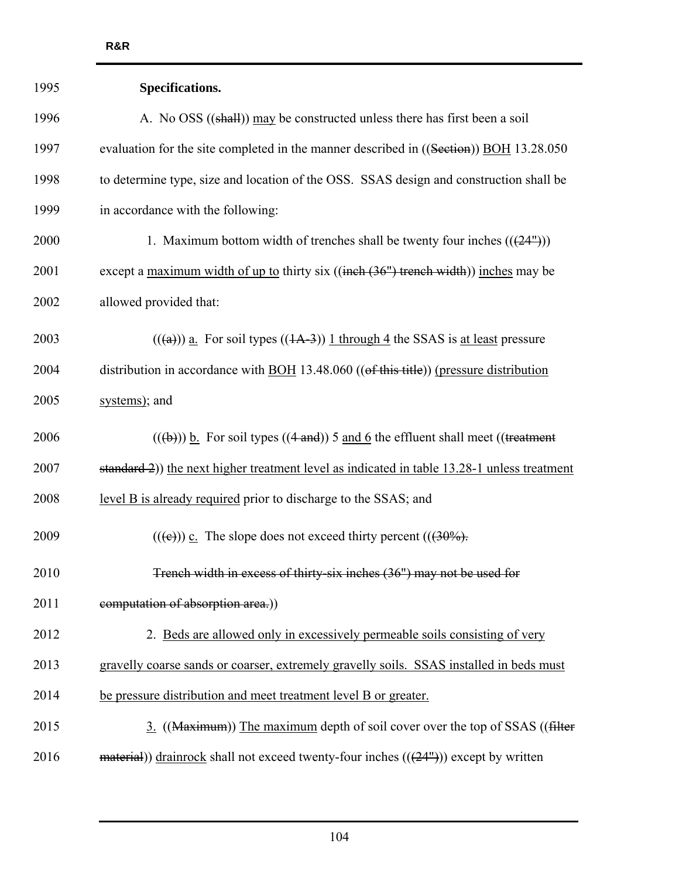| 1995 | Specifications.                                                                                               |
|------|---------------------------------------------------------------------------------------------------------------|
| 1996 | A. No OSS ((shall)) may be constructed unless there has first been a soil                                     |
| 1997 | evaluation for the site completed in the manner described in ((Section)) BOH 13.28.050                        |
| 1998 | to determine type, size and location of the OSS. SSAS design and construction shall be                        |
| 1999 | in accordance with the following:                                                                             |
| 2000 | 1. Maximum bottom width of trenches shall be twenty four inches $(((24m))$                                    |
| 2001 | except a <u>maximum width of up to</u> thirty six ((inch (36") trench width)) inches may be                   |
| 2002 | allowed provided that:                                                                                        |
| 2003 | $((a))$ a. For soil types $((1A-3))$ 1 through 4 the SSAS is at least pressure                                |
| 2004 | distribution in accordance with $\underline{BOH}$ 13.48.060 (( $\theta$ f this title)) (pressure distribution |
| 2005 | systems); and                                                                                                 |
| 2006 | $((a + b))$ b. For soil types $((4 \text{ and}))$ 5 and 6 the effluent shall meet ((treatment                 |
| 2007 | standard 2)) the next higher treatment level as indicated in table 13.28-1 unless treatment                   |
| 2008 | level B is already required prior to discharge to the SSAS; and                                               |
| 2009 | $((\epsilon))$ c. The slope does not exceed thirty percent $((30\%)$ .                                        |
| 2010 | Trench width in excess of thirty-six inches (36") may not be used for                                         |
| 2011 | computation of absorption area.))                                                                             |
| 2012 | 2. Beds are allowed only in excessively permeable soils consisting of very                                    |
| 2013 | gravelly coarse sands or coarser, extremely gravelly soils. SSAS installed in beds must                       |
| 2014 | be pressure distribution and meet treatment level B or greater.                                               |
| 2015 | 3. ((Maximum)) The maximum depth of soil cover over the top of SSAS ((filter                                  |
| 2016 | $\frac{1}{2}$ material)) drainrock shall not exceed twenty-four inches $((24^{\circ}))$ except by written     |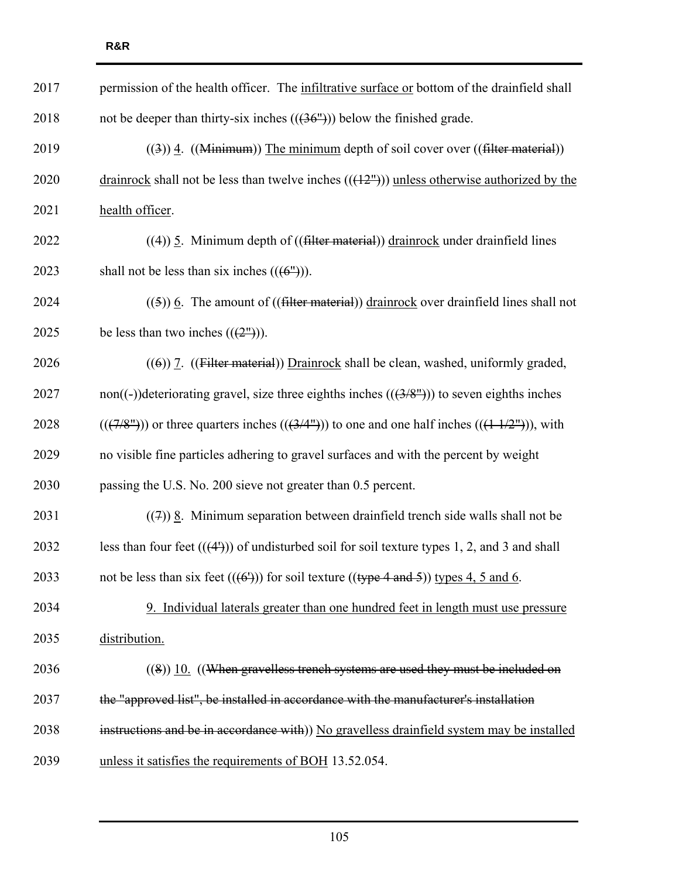| 2017 | permission of the health officer. The infiltrative surface or bottom of the drainfield shall                            |
|------|-------------------------------------------------------------------------------------------------------------------------|
| 2018 | not be deeper than thirty-six inches $((36''))$ below the finished grade.                                               |
| 2019 | $((3))$ 4. ((Minimum)) The minimum depth of soil cover over ((filter material))                                         |
| 2020 | drainrock shall not be less than twelve inches $((12m))$ unless otherwise authorized by the                             |
| 2021 | health officer.                                                                                                         |
| 2022 | $((4))$ 5. Minimum depth of $(($ filter material $))$ drainrock under drainfield lines                                  |
| 2023 | shall not be less than six inches $((6^{\circ}))$ .                                                                     |
| 2024 | $(5)$ ) 6. The amount of ((filter material)) drainrock over drainfield lines shall not                                  |
| 2025 | be less than two inches $((2^{\prime\prime}))$ .                                                                        |
| 2026 | $((6))$ 7. ((Filter material)) Drainrock shall be clean, washed, uniformly graded,                                      |
| 2027 | non((-))deteriorating gravel, size three eighths inches $((3/8''))$ to seven eighths inches                             |
| 2028 | $((\frac{7}{8^n}))$ or three quarters inches $((\frac{3}{4^n}))$ to one and one half inches $((\frac{11}{2^n}))$ , with |
| 2029 | no visible fine particles adhering to gravel surfaces and with the percent by weight                                    |
| 2030 | passing the U.S. No. 200 sieve not greater than 0.5 percent.                                                            |
| 2031 | $((7))$ 8. Minimum separation between drainfield trench side walls shall not be                                         |
| 2032 | less than four feet $((44))$ of undisturbed soil for soil texture types 1, 2, and 3 and shall                           |
| 2033 | not be less than six feet $((6))$ for soil texture $((\text{type } 4 \text{ and } 5))$ types 4, 5 and 6.                |
| 2034 | 9. Individual laterals greater than one hundred feet in length must use pressure                                        |
| 2035 | distribution.                                                                                                           |
| 2036 | $((8))$ 10. ((When gravelless trench systems are used they must be included on                                          |
| 2037 | the "approved list", be installed in accordance with the manufacturer's installation                                    |
| 2038 | instructions and be in accordance with)) No gravelless drainfield system may be installed                               |
| 2039 | unless it satisfies the requirements of BOH 13.52.054.                                                                  |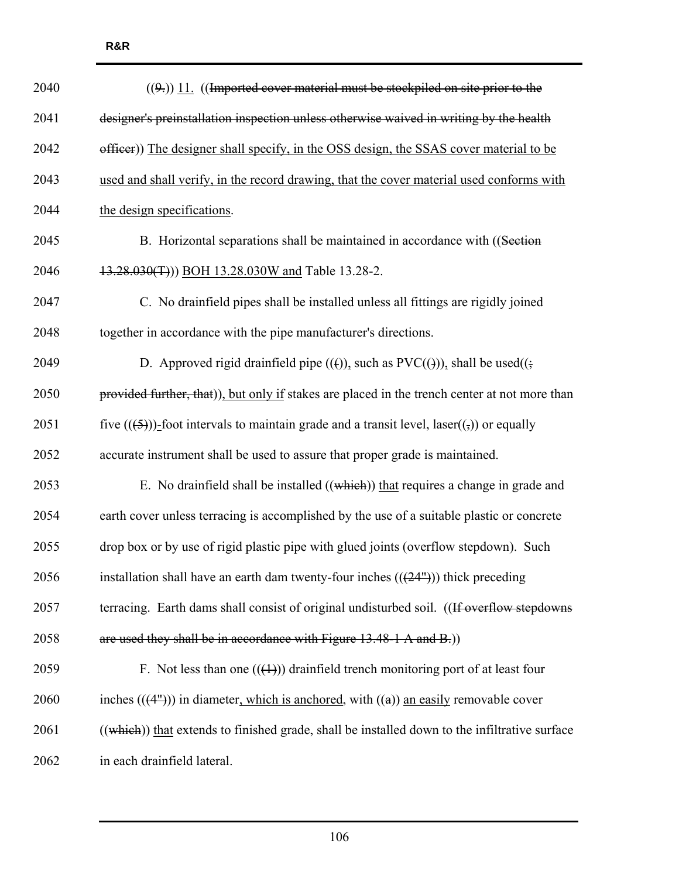| 2040 | $((9))$ 11. ((Imported cover material must be stockpiled on site prior to the                        |
|------|------------------------------------------------------------------------------------------------------|
| 2041 | designer's preinstallation inspection unless otherwise waived in writing by the health               |
| 2042 | officer)) The designer shall specify, in the OSS design, the SSAS cover material to be               |
| 2043 | used and shall verify, in the record drawing, that the cover material used conforms with             |
| 2044 | the design specifications.                                                                           |
| 2045 | B. Horizontal separations shall be maintained in accordance with ((Section                           |
| 2046 | 13.28.030(T))) BOH 13.28.030W and Table 13.28-2.                                                     |
| 2047 | C. No drainfield pipes shall be installed unless all fittings are rigidly joined                     |
| 2048 | together in accordance with the pipe manufacturer's directions.                                      |
| 2049 | D. Approved rigid drainfield pipe $(())$ , such as PVC $(())$ , shall be used $((\frac{1}{2})$       |
| 2050 | provided further, that)), but only if stakes are placed in the trench center at not more than        |
| 2051 | five $((5))$ -foot intervals to maintain grade and a transit level, laser $((5))$ or equally         |
| 2052 | accurate instrument shall be used to assure that proper grade is maintained.                         |
| 2053 | E. No drainfield shall be installed ((which)) that requires a change in grade and                    |
| 2054 | earth cover unless terracing is accomplished by the use of a suitable plastic or concrete            |
| 2055 | drop box or by use of rigid plastic pipe with glued joints (overflow stepdown). Such                 |
| 2056 | installation shall have an earth dam twenty-four inches $((24m))$ thick preceding                    |
| 2057 | terracing. Earth dams shall consist of original undisturbed soil. ((If overflow stepdowns            |
| 2058 | are used they shall be in accordance with Figure 13.48-1 A and B.)                                   |
| 2059 | F. Not less than one $((+))$ drainfield trench monitoring port of at least four                      |
| 2060 | inches $((4^{\prime\prime}))$ in diameter, which is anchored, with $((a))$ an easily removable cover |
| 2061 | $((which))$ that extends to finished grade, shall be installed down to the infiltrative surface      |
| 2062 | in each drainfield lateral.                                                                          |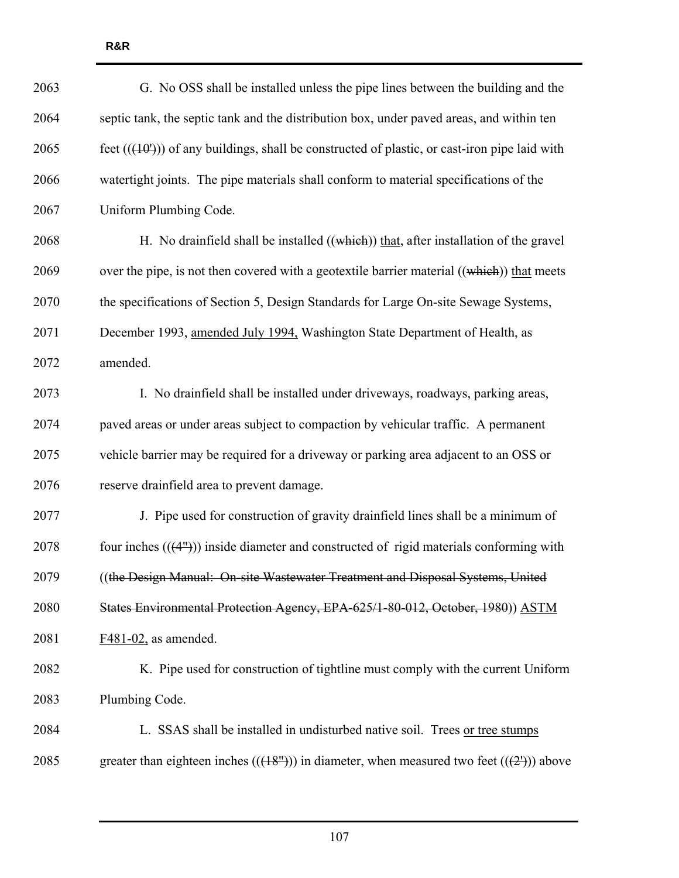| 2063 | G. No OSS shall be installed unless the pipe lines between the building and the              |
|------|----------------------------------------------------------------------------------------------|
| 2064 | septic tank, the septic tank and the distribution box, under paved areas, and within ten     |
| 2065 | feet $((10))$ of any buildings, shall be constructed of plastic, or cast-iron pipe laid with |
| 2066 | watertight joints. The pipe materials shall conform to material specifications of the        |
| 2067 | Uniform Plumbing Code.                                                                       |
| 2068 | H. No drainfield shall be installed $((which))$ that, after installation of the gravel       |
| 2069 | over the pipe, is not then covered with a geotextile barrier material ((which)) that meets   |
| 2070 | the specifications of Section 5, Design Standards for Large On-site Sewage Systems,          |
| 2071 | December 1993, amended July 1994, Washington State Department of Health, as                  |
| 2072 | amended.                                                                                     |
| 2073 | I. No drainfield shall be installed under driveways, roadways, parking areas,                |
| 2074 | paved areas or under areas subject to compaction by vehicular traffic. A permanent           |
| 2075 | vehicle barrier may be required for a driveway or parking area adjacent to an OSS or         |
| 2076 | reserve drainfield area to prevent damage.                                                   |
| 2077 | J. Pipe used for construction of gravity drainfield lines shall be a minimum of              |
| 2078 | four inches $((4m))$ inside diameter and constructed of rigid materials conforming with      |
| 2079 | ((the Design Manual: On-site Wastewater Treatment and Disposal Systems, United               |
| 2080 | States Environmental Protection Agency, EPA-625/1-80-012, October, 1980)) ASTM               |
| 2081 | $F481-02$ , as amended.                                                                      |
| 2082 | K. Pipe used for construction of tightline must comply with the current Uniform              |
| 2083 | Plumbing Code.                                                                               |
| 2084 | L. SSAS shall be installed in undisturbed native soil. Trees or tree stumps                  |
| 2085 | greater than eighteen inches $((18m))$ in diameter, when measured two feet $((2n))$ above    |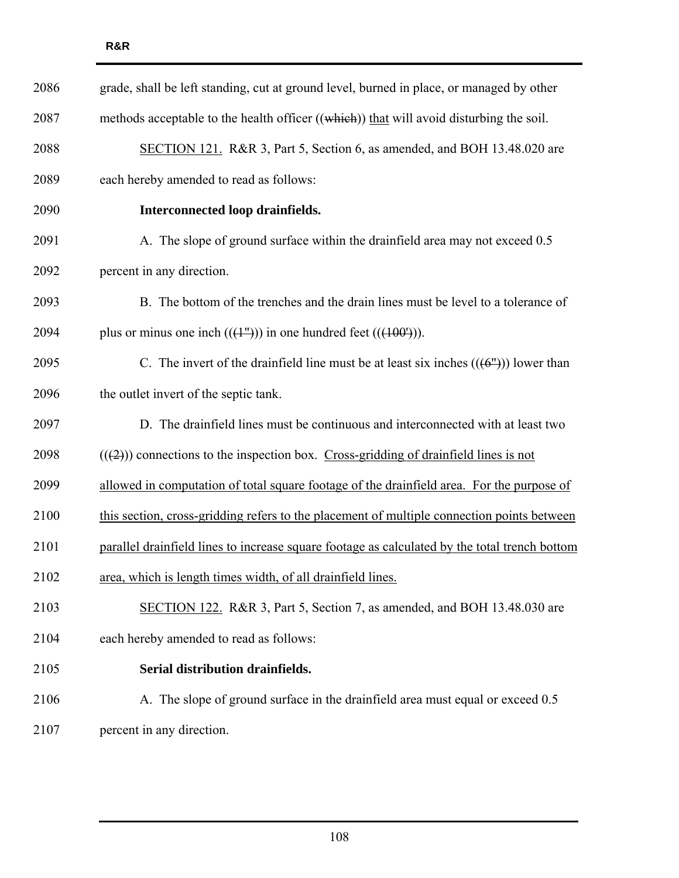| 2086 | grade, shall be left standing, cut at ground level, burned in place, or managed by other           |
|------|----------------------------------------------------------------------------------------------------|
| 2087 | methods acceptable to the health officer ((which)) that will avoid disturbing the soil.            |
| 2088 | SECTION 121. R&R 3, Part 5, Section 6, as amended, and BOH 13.48.020 are                           |
| 2089 | each hereby amended to read as follows:                                                            |
| 2090 | Interconnected loop drainfields.                                                                   |
| 2091 | A. The slope of ground surface within the drainfield area may not exceed 0.5                       |
| 2092 | percent in any direction.                                                                          |
| 2093 | B. The bottom of the trenches and the drain lines must be level to a tolerance of                  |
| 2094 | plus or minus one inch $((+1))$ in one hundred feet $((+100))$ .                                   |
| 2095 | C. The invert of the drainfield line must be at least six inches $((6^{\prime\prime}))$ lower than |
| 2096 | the outlet invert of the septic tank.                                                              |
| 2097 | D. The drainfield lines must be continuous and interconnected with at least two                    |
| 2098 | $((2))$ connections to the inspection box. Cross-gridding of drainfield lines is not               |
| 2099 | allowed in computation of total square footage of the drainfield area. For the purpose of          |
| 2100 | this section, cross-gridding refers to the placement of multiple connection points between         |
| 2101 | parallel drainfield lines to increase square footage as calculated by the total trench bottom      |
| 2102 | area, which is length times width, of all drainfield lines.                                        |
| 2103 | SECTION 122. R&R 3, Part 5, Section 7, as amended, and BOH 13.48.030 are                           |
| 2104 | each hereby amended to read as follows:                                                            |
| 2105 | Serial distribution drainfields.                                                                   |
| 2106 | A. The slope of ground surface in the drainfield area must equal or exceed 0.5                     |
| 2107 | percent in any direction.                                                                          |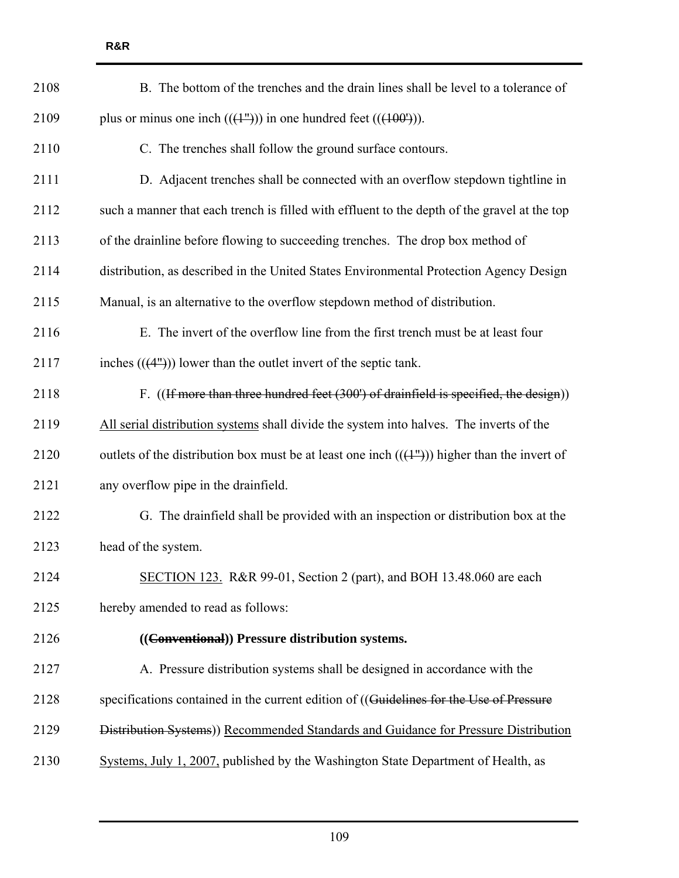| 2108 | B. The bottom of the trenches and the drain lines shall be level to a tolerance of                         |
|------|------------------------------------------------------------------------------------------------------------|
| 2109 | plus or minus one inch $((1^{\prime\prime\prime}))$ in one hundred feet $((100^{\prime\prime}))$ .         |
| 2110 | C. The trenches shall follow the ground surface contours.                                                  |
| 2111 | D. Adjacent trenches shall be connected with an overflow stepdown tightline in                             |
| 2112 | such a manner that each trench is filled with effluent to the depth of the gravel at the top               |
| 2113 | of the drainline before flowing to succeeding trenches. The drop box method of                             |
| 2114 | distribution, as described in the United States Environmental Protection Agency Design                     |
| 2115 | Manual, is an alternative to the overflow stepdown method of distribution.                                 |
| 2116 | E. The invert of the overflow line from the first trench must be at least four                             |
| 2117 | inches $((4^{\prime\prime}))$ lower than the outlet invert of the septic tank.                             |
| 2118 | F. ((If more than three hundred feet (300') of drainfield is specified, the design))                       |
| 2119 | All serial distribution systems shall divide the system into halves. The inverts of the                    |
| 2120 | outlets of the distribution box must be at least one inch $((+^{\prime\prime}))$ higher than the invert of |
| 2121 | any overflow pipe in the drainfield.                                                                       |
| 2122 | G. The drainfield shall be provided with an inspection or distribution box at the                          |
| 2123 | head of the system.                                                                                        |
| 2124 | SECTION 123. R&R 99-01, Section 2 (part), and BOH 13.48.060 are each                                       |
| 2125 | hereby amended to read as follows:                                                                         |
| 2126 | ((Conventional)) Pressure distribution systems.                                                            |
| 2127 | A. Pressure distribution systems shall be designed in accordance with the                                  |
| 2128 | specifications contained in the current edition of ((Guidelines for the Use of Pressure                    |
| 2129 | Distribution Systems)) Recommended Standards and Guidance for Pressure Distribution                        |
| 2130 | Systems, July 1, 2007, published by the Washington State Department of Health, as                          |

**R&R**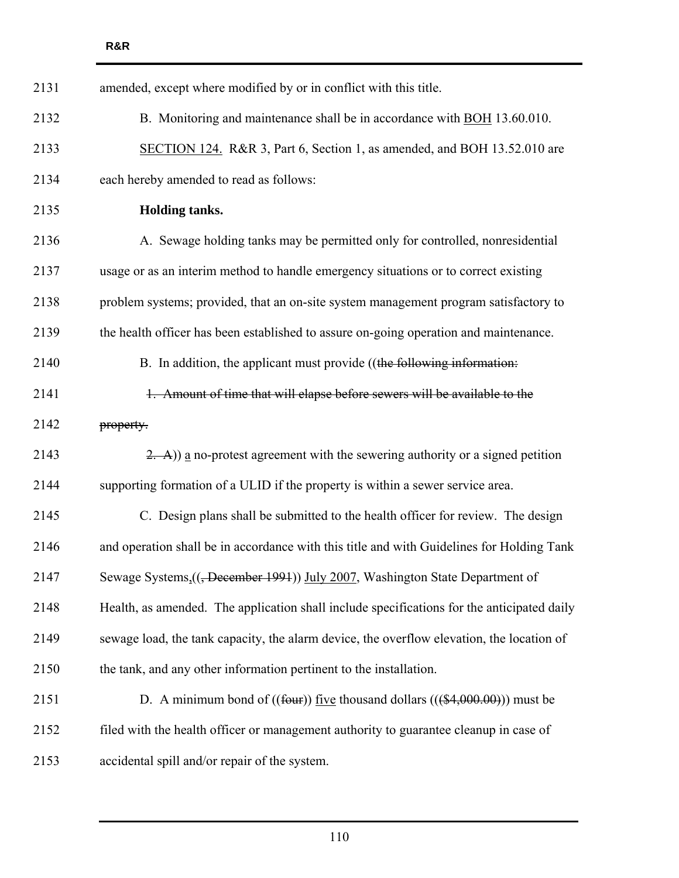| 2131 | amended, except where modified by or in conflict with this title.                                      |
|------|--------------------------------------------------------------------------------------------------------|
| 2132 | B. Monitoring and maintenance shall be in accordance with <b>BOH</b> 13.60.010.                        |
| 2133 | SECTION 124. R&R 3, Part 6, Section 1, as amended, and BOH 13.52.010 are                               |
| 2134 | each hereby amended to read as follows:                                                                |
| 2135 | Holding tanks.                                                                                         |
| 2136 | A. Sewage holding tanks may be permitted only for controlled, nonresidential                           |
| 2137 | usage or as an interim method to handle emergency situations or to correct existing                    |
| 2138 | problem systems; provided, that an on-site system management program satisfactory to                   |
| 2139 | the health officer has been established to assure on-going operation and maintenance.                  |
| 2140 | B. In addition, the applicant must provide ((the following information:                                |
| 2141 | 1. Amount of time that will elapse before sewers will be available to the                              |
| 2142 | property.                                                                                              |
| 2143 | $(2, -A)$ ) a no-protest agreement with the sewering authority or a signed petition                    |
| 2144 | supporting formation of a ULID if the property is within a sewer service area.                         |
| 2145 | C. Design plans shall be submitted to the health officer for review. The design                        |
| 2146 | and operation shall be in accordance with this title and with Guidelines for Holding Tank              |
| 2147 | Sewage Systems <sub>1</sub> (( <del>, December 1991</del> )) July 2007, Washington State Department of |
| 2148 | Health, as amended. The application shall include specifications for the anticipated daily             |
| 2149 | sewage load, the tank capacity, the alarm device, the overflow elevation, the location of              |
| 2150 | the tank, and any other information pertinent to the installation.                                     |
| 2151 | D. A minimum bond of $((four))$ five thousand dollars $(((4,000.00)))$ must be                         |
| 2152 | filed with the health officer or management authority to guarantee cleanup in case of                  |
| 2153 | accidental spill and/or repair of the system.                                                          |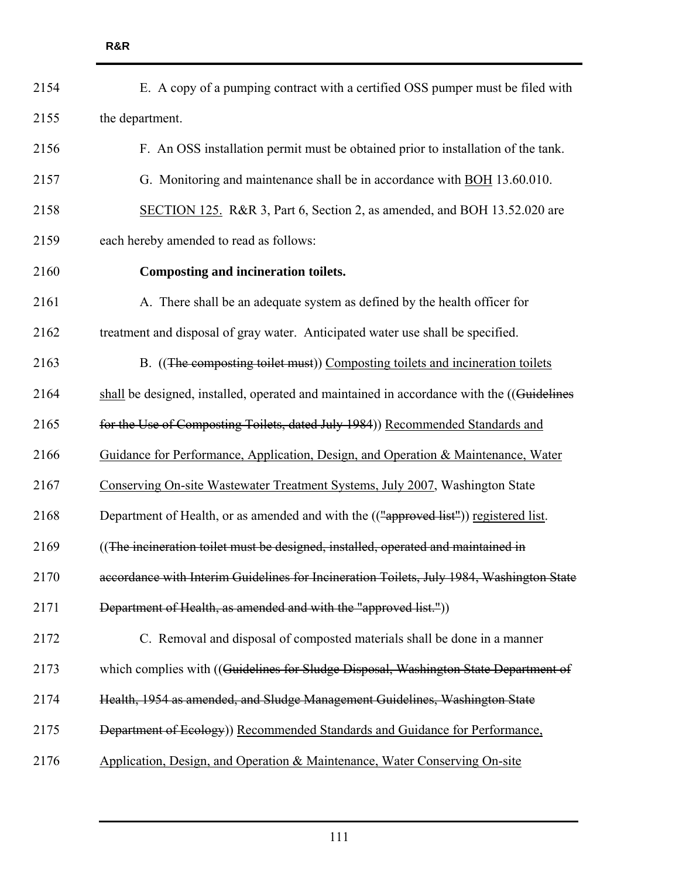| 2154 | E. A copy of a pumping contract with a certified OSS pumper must be filed with            |
|------|-------------------------------------------------------------------------------------------|
| 2155 | the department.                                                                           |
| 2156 | F. An OSS installation permit must be obtained prior to installation of the tank.         |
| 2157 | G. Monitoring and maintenance shall be in accordance with BOH 13.60.010.                  |
| 2158 | SECTION 125. R&R 3, Part 6, Section 2, as amended, and BOH 13.52.020 are                  |
| 2159 | each hereby amended to read as follows:                                                   |
| 2160 | <b>Composting and incineration toilets.</b>                                               |
| 2161 | A. There shall be an adequate system as defined by the health officer for                 |
| 2162 | treatment and disposal of gray water. Anticipated water use shall be specified.           |
| 2163 | B. ((The composting toilet must)) Composting toilets and incineration toilets             |
| 2164 | shall be designed, installed, operated and maintained in accordance with the ((Guidelines |
| 2165 | for the Use of Composting Toilets, dated July 1984)) Recommended Standards and            |
| 2166 | Guidance for Performance, Application, Design, and Operation & Maintenance, Water         |
| 2167 | Conserving On-site Wastewater Treatment Systems, July 2007, Washington State              |
| 2168 | Department of Health, or as amended and with the (("approved list")) registered list.     |
| 2169 | ((The incineration toilet must be designed, installed, operated and maintained in         |
| 2170 | accordance with Interim Guidelines for Incineration Toilets, July 1984, Washington State  |
| 2171 | Department of Health, as amended and with the "approved list."))                          |
| 2172 | C. Removal and disposal of composted materials shall be done in a manner                  |
| 2173 | which complies with ((Guidelines for Sludge Disposal, Washington State Department of      |
| 2174 | Health, 1954 as amended, and Sludge Management Guidelines, Washington State               |
| 2175 | Department of Ecology)) Recommended Standards and Guidance for Performance,               |
| 2176 | Application, Design, and Operation & Maintenance, Water Conserving On-site                |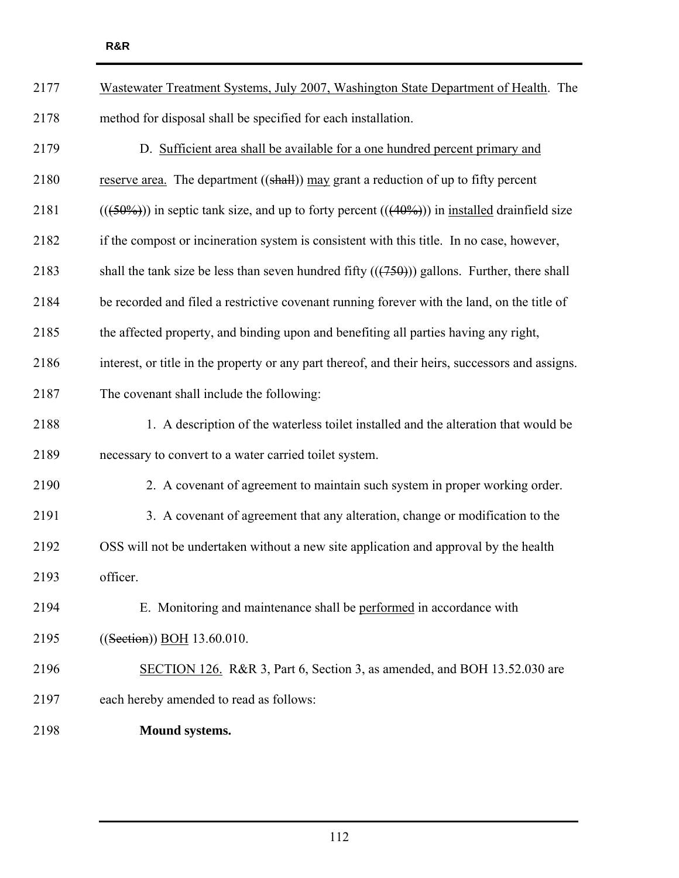| 2177 | Wastewater Treatment Systems, July 2007, Washington State Department of Health. The                       |
|------|-----------------------------------------------------------------------------------------------------------|
| 2178 | method for disposal shall be specified for each installation.                                             |
| 2179 | D. Sufficient area shall be available for a one hundred percent primary and                               |
| 2180 | reserve area. The department $((shall))$ may grant a reduction of up to fifty percent                     |
| 2181 | $(((50\%))$ in septic tank size, and up to forty percent $(((40\%)))$ in <u>installed</u> drainfield size |
| 2182 | if the compost or incineration system is consistent with this title. In no case, however,                 |
| 2183 | shall the tank size be less than seven hundred fifty $((750))$ gallons. Further, there shall              |
| 2184 | be recorded and filed a restrictive covenant running forever with the land, on the title of               |
| 2185 | the affected property, and binding upon and benefiting all parties having any right,                      |
| 2186 | interest, or title in the property or any part thereof, and their heirs, successors and assigns.          |
| 2187 | The covenant shall include the following:                                                                 |
| 2188 | 1. A description of the waterless toilet installed and the alteration that would be                       |
| 2189 | necessary to convert to a water carried toilet system.                                                    |
| 2190 | 2. A covenant of agreement to maintain such system in proper working order.                               |
| 2191 | 3. A covenant of agreement that any alteration, change or modification to the                             |
| 2192 | OSS will not be undertaken without a new site application and approval by the health                      |
| 2193 | officer.                                                                                                  |
| 2194 | E. Monitoring and maintenance shall be performed in accordance with                                       |
| 2195 | ((Section) BOH 13.60.010.                                                                                 |
| 2196 | SECTION 126. R&R 3, Part 6, Section 3, as amended, and BOH 13.52.030 are                                  |
| 2197 | each hereby amended to read as follows:                                                                   |
|      |                                                                                                           |

2198 **Mound systems.**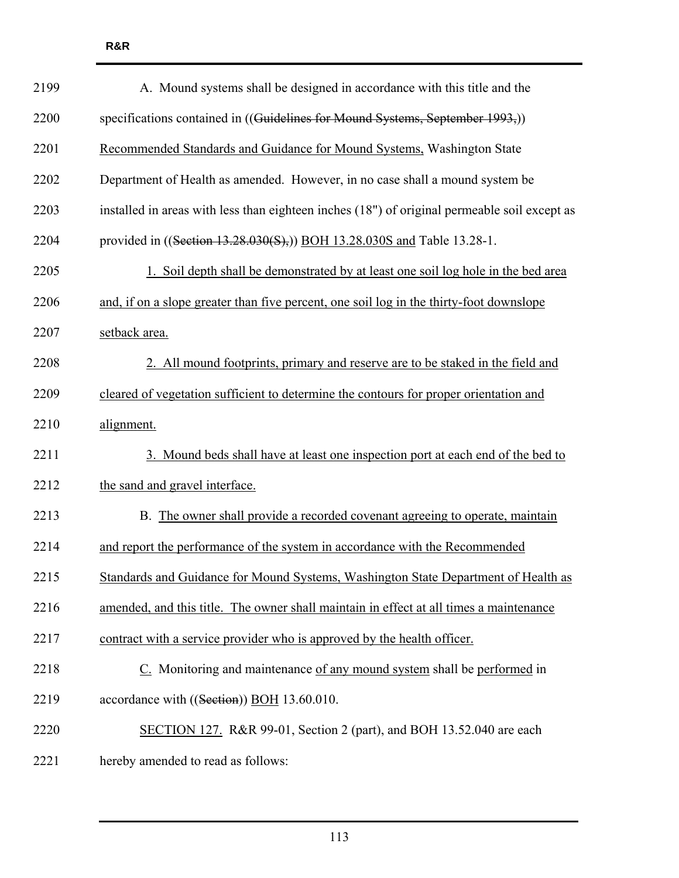| 2199 | A. Mound systems shall be designed in accordance with this title and the                     |
|------|----------------------------------------------------------------------------------------------|
| 2200 | specifications contained in ((Guidelines for Mound Systems, September 1993,))                |
| 2201 | Recommended Standards and Guidance for Mound Systems, Washington State                       |
| 2202 | Department of Health as amended. However, in no case shall a mound system be                 |
| 2203 | installed in areas with less than eighteen inches (18") of original permeable soil except as |
| 2204 | provided in ((Section 13.28.030(S),)) BOH 13.28.030S and Table 13.28-1.                      |
| 2205 | 1. Soil depth shall be demonstrated by at least one soil log hole in the bed area            |
| 2206 | and, if on a slope greater than five percent, one soil log in the thirty-foot downslope      |
| 2207 | setback area.                                                                                |
| 2208 | 2. All mound footprints, primary and reserve are to be staked in the field and               |
| 2209 | cleared of vegetation sufficient to determine the contours for proper orientation and        |
| 2210 | alignment.                                                                                   |
| 2211 | 3. Mound beds shall have at least one inspection port at each end of the bed to              |
| 2212 | the sand and gravel interface.                                                               |
| 2213 | B. The owner shall provide a recorded covenant agreeing to operate, maintain                 |
| 2214 | and report the performance of the system in accordance with the Recommended                  |
| 2215 | Standards and Guidance for Mound Systems, Washington State Department of Health as           |
| 2216 | amended, and this title. The owner shall maintain in effect at all times a maintenance       |
| 2217 | contract with a service provider who is approved by the health officer.                      |
| 2218 | C. Monitoring and maintenance of any mound system shall be performed in                      |
| 2219 | accordance with ((Section)) BOH 13.60.010.                                                   |
| 2220 | SECTION 127. R&R 99-01, Section 2 (part), and BOH 13.52.040 are each                         |
| 2221 | hereby amended to read as follows:                                                           |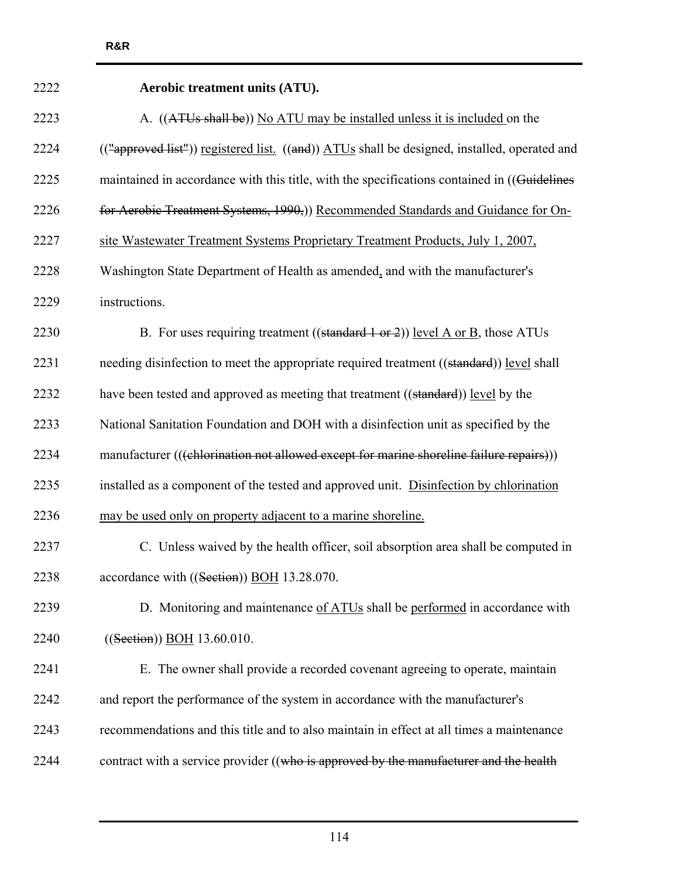| 2222 | ACTODIC TEATHEIR QUITS $(AIO)$ .                                                             |
|------|----------------------------------------------------------------------------------------------|
| 2223 | A. ((ATUs shall be)) No ATU may be installed unless it is included on the                    |
| 2224 | (("approved list")) registered list. ((and)) ATUs shall be designed, installed, operated and |
| 2225 | maintained in accordance with this title, with the specifications contained in ((Guidelines  |
| 2226 | for Aerobic Treatment Systems, 1990,)) Recommended Standards and Guidance for On-            |
| 2227 | site Wastewater Treatment Systems Proprietary Treatment Products, July 1, 2007,              |
| 2228 | Washington State Department of Health as amended, and with the manufacturer's                |
| 2229 | instructions.                                                                                |
| 2230 | B. For uses requiring treatment ((standard 1 or 2)) level A or B, those ATUs                 |
| 2231 | needing disinfection to meet the appropriate required treatment ((standard)) level shall     |
| 2232 | have been tested and approved as meeting that treatment ((standard)) level by the            |
| 2233 | National Sanitation Foundation and DOH with a disinfection unit as specified by the          |
| 2234 | manufacturer (((chlorination not allowed except for marine shoreline failure repairs)))      |
| 2235 | installed as a component of the tested and approved unit. Disinfection by chlorination       |
| 2236 | may be used only on property adjacent to a marine shoreline.                                 |
| 2237 | C. Unless waived by the health officer, soil absorption area shall be computed in            |
| 2238 | accordance with ((Section)) BOH 13.28.070.                                                   |
| 2239 | D. Monitoring and maintenance of ATUs shall be performed in accordance with                  |
| 2240 | ((Section) BOH 13.60.010.                                                                    |
| 2241 | E. The owner shall provide a recorded covenant agreeing to operate, maintain                 |
| 2242 | and report the performance of the system in accordance with the manufacturer's               |
| 2243 | recommendations and this title and to also maintain in effect at all times a maintenance     |
| 2244 | contract with a service provider ((who is approved by the manufacturer and the health        |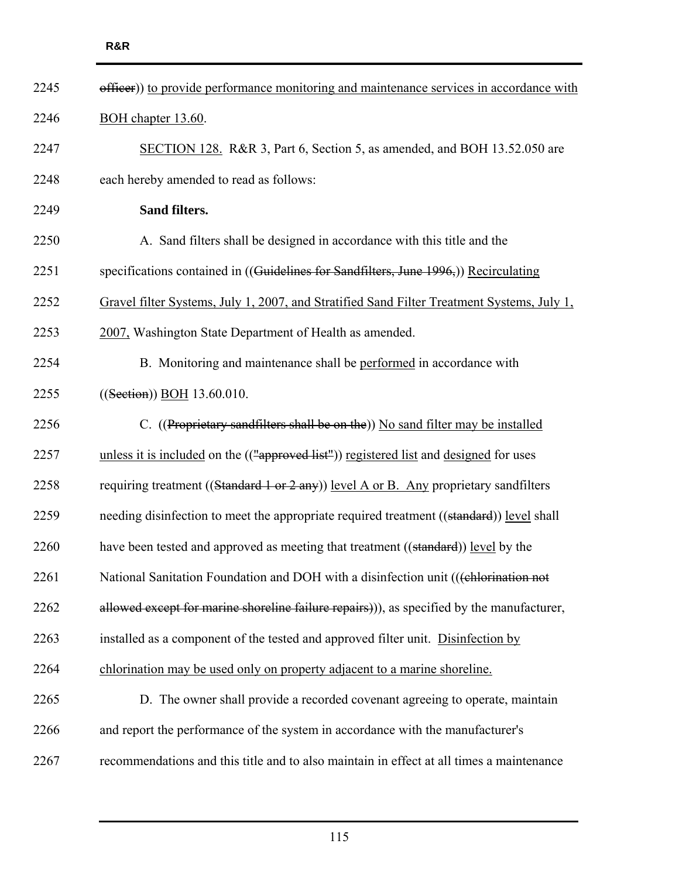| 2245<br>efficer)) to provide performance monitoring and maintenance services in accordance with    |  |
|----------------------------------------------------------------------------------------------------|--|
| 2246<br>BOH chapter 13.60.                                                                         |  |
| 2247<br>SECTION 128. R&R 3, Part 6, Section 5, as amended, and BOH 13.52.050 are                   |  |
| 2248<br>each hereby amended to read as follows:                                                    |  |
| Sand filters.<br>2249                                                                              |  |
| 2250<br>A. Sand filters shall be designed in accordance with this title and the                    |  |
| specifications contained in ((Guidelines for Sandfilters, June 1996,)) Recirculating<br>2251       |  |
| 2252<br>Gravel filter Systems, July 1, 2007, and Stratified Sand Filter Treatment Systems, July 1, |  |
| 2253<br>2007, Washington State Department of Health as amended.                                    |  |
| 2254<br>B. Monitoring and maintenance shall be performed in accordance with                        |  |
| 2255<br>((Section)) BOH 13.60.010.                                                                 |  |
| C. ((Proprietary sandfilters shall be on the)) No sand filter may be installed<br>2256             |  |
| 2257<br>unless it is included on the (("approved list")) registered list and designed for uses     |  |
| requiring treatment ((Standard 1 or 2 any)) level A or B. Any proprietary sandfilters<br>2258      |  |
| needing disinfection to meet the appropriate required treatment ((standard)) level shall<br>2259   |  |
| 2260<br>have been tested and approved as meeting that treatment ((standard)) level by the          |  |
| 2261<br>National Sanitation Foundation and DOH with a disinfection unit (((chlorination not        |  |
| allowed except for marine shoreline failure repairs)), as specified by the manufacturer,<br>2262   |  |
| 2263<br>installed as a component of the tested and approved filter unit. Disinfection by           |  |
| 2264<br>chlorination may be used only on property adjacent to a marine shoreline.                  |  |
| D. The owner shall provide a recorded covenant agreeing to operate, maintain<br>2265               |  |
| and report the performance of the system in accordance with the manufacturer's<br>2266             |  |
| recommendations and this title and to also maintain in effect at all times a maintenance<br>2267   |  |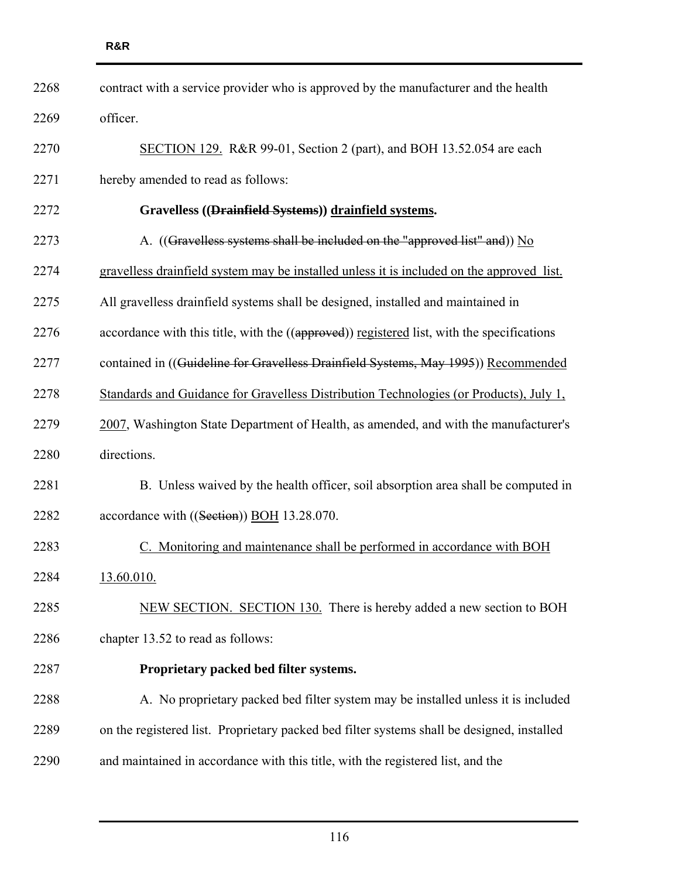| 2268 | contract with a service provider who is approved by the manufacturer and the health        |
|------|--------------------------------------------------------------------------------------------|
| 2269 | officer.                                                                                   |
| 2270 | SECTION 129. R&R 99-01, Section 2 (part), and BOH 13.52.054 are each                       |
| 2271 | hereby amended to read as follows:                                                         |
| 2272 | Gravelless ((Drainfield Systems)) drainfield systems.                                      |
| 2273 | A. ((Gravelless systems shall be included on the "approved list" and)) No                  |
| 2274 | gravelless drainfield system may be installed unless it is included on the approved list.  |
| 2275 | All gravelless drainfield systems shall be designed, installed and maintained in           |
| 2276 | accordance with this title, with the ((approved)) registered list, with the specifications |
| 2277 | contained in ((Guideline for Gravelless Drainfield Systems, May 1995)) Recommended         |
| 2278 | Standards and Guidance for Gravelless Distribution Technologies (or Products), July 1,     |
| 2279 | 2007, Washington State Department of Health, as amended, and with the manufacturer's       |
| 2280 | directions.                                                                                |
| 2281 | B. Unless waived by the health officer, soil absorption area shall be computed in          |
| 2282 | accordance with ((Section)) BOH 13.28.070.                                                 |
| 2283 | C. Monitoring and maintenance shall be performed in accordance with BOH                    |
| 2284 | 13.60.010.                                                                                 |
| 2285 | NEW SECTION. SECTION 130. There is hereby added a new section to BOH                       |
| 2286 | chapter 13.52 to read as follows:                                                          |
| 2287 | Proprietary packed bed filter systems.                                                     |
| 2288 | A. No proprietary packed bed filter system may be installed unless it is included          |
| 2289 | on the registered list. Proprietary packed bed filter systems shall be designed, installed |
| 2290 | and maintained in accordance with this title, with the registered list, and the            |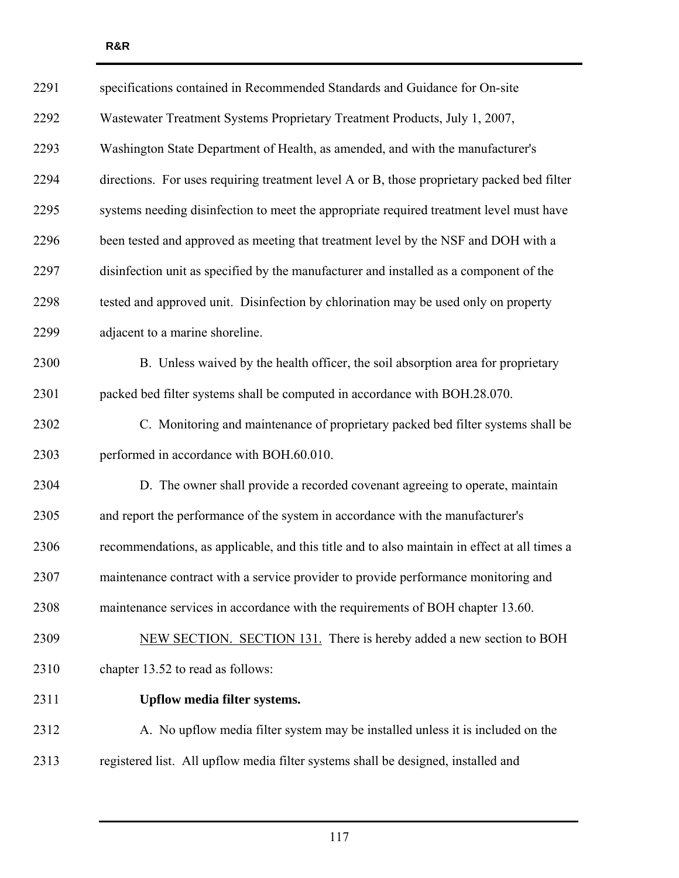| 2291 | specifications contained in Recommended Standards and Guidance for On-site                   |
|------|----------------------------------------------------------------------------------------------|
| 2292 | Wastewater Treatment Systems Proprietary Treatment Products, July 1, 2007,                   |
| 2293 | Washington State Department of Health, as amended, and with the manufacturer's               |
| 2294 | directions. For uses requiring treatment level A or B, those proprietary packed bed filter   |
| 2295 | systems needing disinfection to meet the appropriate required treatment level must have      |
| 2296 | been tested and approved as meeting that treatment level by the NSF and DOH with a           |
| 2297 | disinfection unit as specified by the manufacturer and installed as a component of the       |
| 2298 | tested and approved unit. Disinfection by chlorination may be used only on property          |
| 2299 | adjacent to a marine shoreline.                                                              |
| 2300 | B. Unless waived by the health officer, the soil absorption area for proprietary             |
| 2301 | packed bed filter systems shall be computed in accordance with BOH.28.070.                   |
| 2302 | C. Monitoring and maintenance of proprietary packed bed filter systems shall be              |
| 2303 | performed in accordance with BOH.60.010.                                                     |
| 2304 | D. The owner shall provide a recorded covenant agreeing to operate, maintain                 |
| 2305 | and report the performance of the system in accordance with the manufacturer's               |
| 2306 | recommendations, as applicable, and this title and to also maintain in effect at all times a |
| 2307 | maintenance contract with a service provider to provide performance monitoring and           |
| 2308 | maintenance services in accordance with the requirements of BOH chapter 13.60.               |
| 2309 | NEW SECTION. SECTION 131. There is hereby added a new section to BOH                         |
| 2310 | chapter 13.52 to read as follows:                                                            |
| 2311 | Upflow media filter systems.                                                                 |
| 2312 | A. No upflow media filter system may be installed unless it is included on the               |
| 2313 | registered list. All upflow media filter systems shall be designed, installed and            |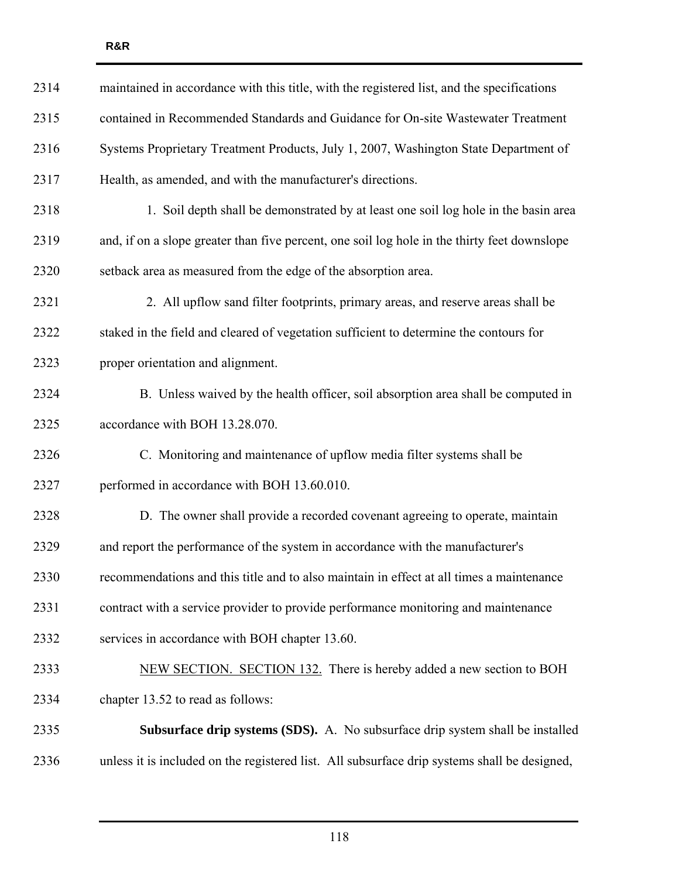| 2314 | maintained in accordance with this title, with the registered list, and the specifications   |
|------|----------------------------------------------------------------------------------------------|
| 2315 | contained in Recommended Standards and Guidance for On-site Wastewater Treatment             |
| 2316 | Systems Proprietary Treatment Products, July 1, 2007, Washington State Department of         |
| 2317 | Health, as amended, and with the manufacturer's directions.                                  |
| 2318 | 1. Soil depth shall be demonstrated by at least one soil log hole in the basin area          |
| 2319 | and, if on a slope greater than five percent, one soil log hole in the thirty feet downslope |
| 2320 | setback area as measured from the edge of the absorption area.                               |
| 2321 | 2. All upflow sand filter footprints, primary areas, and reserve areas shall be              |
| 2322 | staked in the field and cleared of vegetation sufficient to determine the contours for       |
| 2323 | proper orientation and alignment.                                                            |
| 2324 | B. Unless waived by the health officer, soil absorption area shall be computed in            |
| 2325 | accordance with BOH 13.28.070.                                                               |
| 2326 | C. Monitoring and maintenance of upflow media filter systems shall be                        |
| 2327 | performed in accordance with BOH 13.60.010.                                                  |
| 2328 | D. The owner shall provide a recorded covenant agreeing to operate, maintain                 |
| 2329 | and report the performance of the system in accordance with the manufacturer's               |
| 2330 | recommendations and this title and to also maintain in effect at all times a maintenance     |
| 2331 | contract with a service provider to provide performance monitoring and maintenance           |
| 2332 | services in accordance with BOH chapter 13.60.                                               |
| 2333 | NEW SECTION. SECTION 132. There is hereby added a new section to BOH                         |
| 2334 | chapter 13.52 to read as follows:                                                            |
| 2335 | <b>Subsurface drip systems (SDS).</b> A. No subsurface drip system shall be installed        |
| 2336 | unless it is included on the registered list. All subsurface drip systems shall be designed, |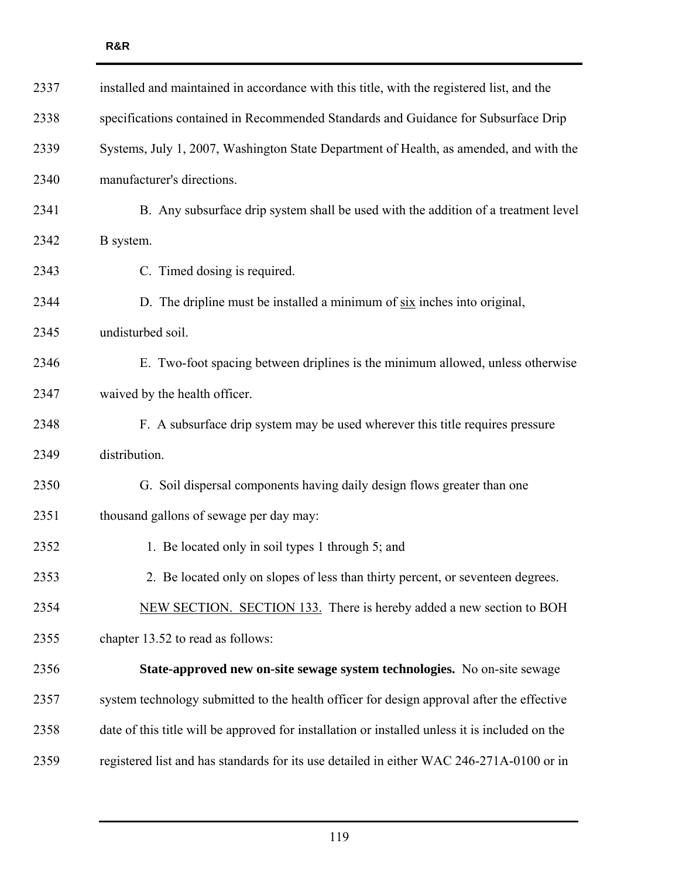| 2337 | installed and maintained in accordance with this title, with the registered list, and the      |
|------|------------------------------------------------------------------------------------------------|
| 2338 | specifications contained in Recommended Standards and Guidance for Subsurface Drip             |
| 2339 | Systems, July 1, 2007, Washington State Department of Health, as amended, and with the         |
| 2340 | manufacturer's directions.                                                                     |
| 2341 | B. Any subsurface drip system shall be used with the addition of a treatment level             |
| 2342 | B system.                                                                                      |
| 2343 | C. Timed dosing is required.                                                                   |
| 2344 | D. The dripline must be installed a minimum of $\frac{six}{dx}$ inches into original,          |
| 2345 | undisturbed soil.                                                                              |
| 2346 | E. Two-foot spacing between driplines is the minimum allowed, unless otherwise                 |
| 2347 | waived by the health officer.                                                                  |
| 2348 | F. A subsurface drip system may be used wherever this title requires pressure                  |
| 2349 | distribution.                                                                                  |
| 2350 | G. Soil dispersal components having daily design flows greater than one                        |
| 2351 | thousand gallons of sewage per day may:                                                        |
| 2352 | 1. Be located only in soil types 1 through 5; and                                              |
| 2353 | 2. Be located only on slopes of less than thirty percent, or seventeen degrees.                |
| 2354 | NEW SECTION. SECTION 133. There is hereby added a new section to BOH                           |
| 2355 | chapter 13.52 to read as follows:                                                              |
| 2356 | State-approved new on-site sewage system technologies. No on-site sewage                       |
| 2357 | system technology submitted to the health officer for design approval after the effective      |
| 2358 | date of this title will be approved for installation or installed unless it is included on the |
| 2359 | registered list and has standards for its use detailed in either WAC 246-271A-0100 or in       |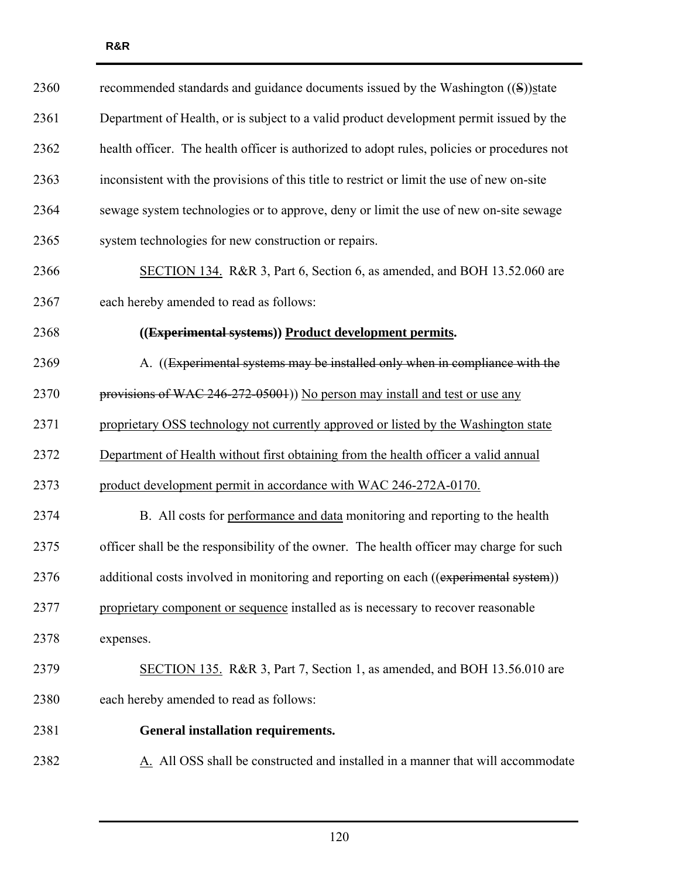| 2360 | recommended standards and guidance documents issued by the Washington ((S))state            |
|------|---------------------------------------------------------------------------------------------|
| 2361 | Department of Health, or is subject to a valid product development permit issued by the     |
| 2362 | health officer. The health officer is authorized to adopt rules, policies or procedures not |
| 2363 | inconsistent with the provisions of this title to restrict or limit the use of new on-site  |
| 2364 | sewage system technologies or to approve, deny or limit the use of new on-site sewage       |
| 2365 | system technologies for new construction or repairs.                                        |
| 2366 | SECTION 134. R&R 3, Part 6, Section 6, as amended, and BOH 13.52.060 are                    |
| 2367 | each hereby amended to read as follows:                                                     |
| 2368 | ((Experimental systems)) Product development permits.                                       |
| 2369 | A. ((Experimental systems may be installed only when in compliance with the                 |
| 2370 | provisions of WAC 246-272-05001)) No person may install and test or use any                 |
| 2371 | proprietary OSS technology not currently approved or listed by the Washington state         |
| 2372 | Department of Health without first obtaining from the health officer a valid annual         |
| 2373 | product development permit in accordance with WAC 246-272A-0170.                            |
| 2374 | B. All costs for performance and data monitoring and reporting to the health                |
| 2375 | officer shall be the responsibility of the owner. The health officer may charge for such    |
| 2376 | additional costs involved in monitoring and reporting on each ((experimental system))       |
| 2377 | proprietary component or sequence installed as is necessary to recover reasonable           |
| 2378 | expenses.                                                                                   |
| 2379 | SECTION 135. R&R 3, Part 7, Section 1, as amended, and BOH 13.56.010 are                    |
| 2380 | each hereby amended to read as follows:                                                     |
| 2381 | <b>General installation requirements.</b>                                                   |
| 2382 | A. All OSS shall be constructed and installed in a manner that will accommodate             |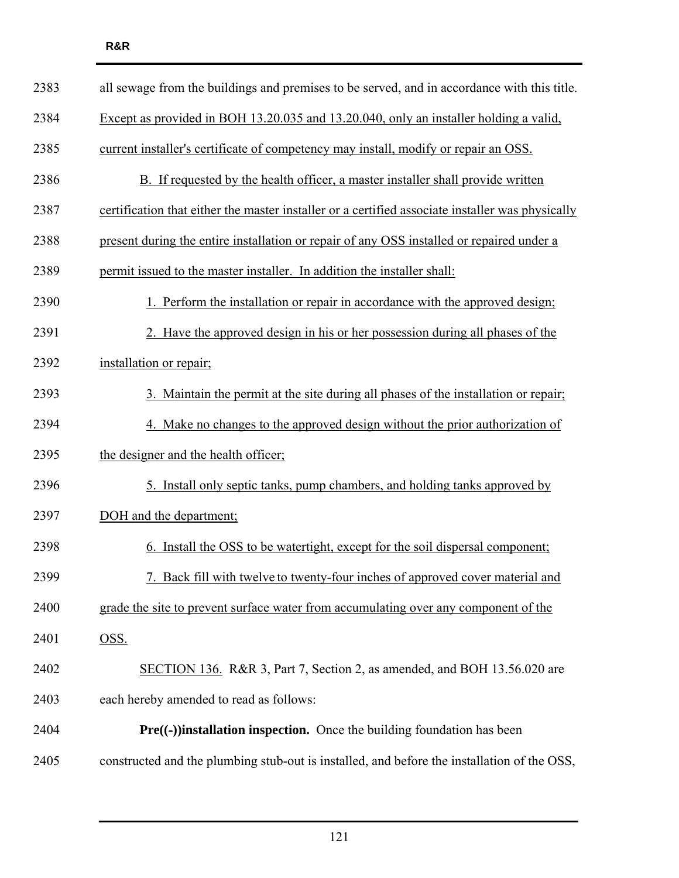| 2383 | all sewage from the buildings and premises to be served, and in accordance with this title.      |
|------|--------------------------------------------------------------------------------------------------|
| 2384 | Except as provided in BOH 13.20.035 and 13.20.040, only an installer holding a valid,            |
| 2385 | current installer's certificate of competency may install, modify or repair an OSS.              |
| 2386 | B. If requested by the health officer, a master installer shall provide written                  |
| 2387 | certification that either the master installer or a certified associate installer was physically |
| 2388 | present during the entire installation or repair of any OSS installed or repaired under a        |
| 2389 | permit issued to the master installer. In addition the installer shall:                          |
| 2390 | 1. Perform the installation or repair in accordance with the approved design;                    |
| 2391 | 2. Have the approved design in his or her possession during all phases of the                    |
| 2392 | installation or repair;                                                                          |
| 2393 | 3. Maintain the permit at the site during all phases of the installation or repair;              |
| 2394 | 4. Make no changes to the approved design without the prior authorization of                     |
| 2395 | the designer and the health officer;                                                             |
| 2396 | <u>5. Install only septic tanks, pump chambers, and holding tanks approved by</u>                |
| 2397 | DOH and the department;                                                                          |
| 2398 | 6. Install the OSS to be watertight, except for the soil dispersal component;                    |
| 2399 | Back fill with twelve to twenty-four inches of approved cover material and                       |
| 2400 | grade the site to prevent surface water from accumulating over any component of the              |
| 2401 | OSS.                                                                                             |
| 2402 | SECTION 136. R&R 3, Part 7, Section 2, as amended, and BOH 13.56.020 are                         |
| 2403 | each hereby amended to read as follows:                                                          |
| 2404 | $Pre((-) )$ installation inspection. Once the building foundation has been                       |
| 2405 | constructed and the plumbing stub-out is installed, and before the installation of the OSS,      |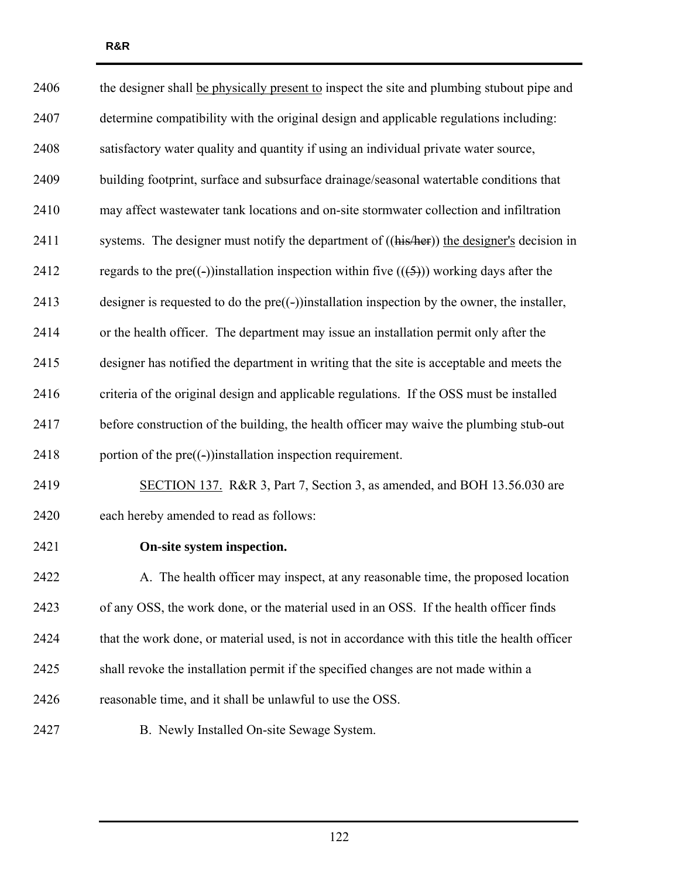| 2406 | the designer shall be physically present to inspect the site and plumbing stubout pipe and      |
|------|-------------------------------------------------------------------------------------------------|
| 2407 | determine compatibility with the original design and applicable regulations including:          |
| 2408 | satisfactory water quality and quantity if using an individual private water source,            |
| 2409 | building footprint, surface and subsurface drainage/seasonal watertable conditions that         |
| 2410 | may affect wastewater tank locations and on-site stormwater collection and infiltration         |
| 2411 | systems. The designer must notify the department of ((his/her)) the designer's decision in      |
| 2412 | regards to the pre((-))installation inspection within five $((5))$ working days after the       |
| 2413 | designer is requested to do the $pre((-))$ installation inspection by the owner, the installer, |
| 2414 | or the health officer. The department may issue an installation permit only after the           |
| 2415 | designer has notified the department in writing that the site is acceptable and meets the       |
| 2416 | criteria of the original design and applicable regulations. If the OSS must be installed        |
| 2417 | before construction of the building, the health officer may waive the plumbing stub-out         |
| 2418 | portion of the $pre((-))$ installation inspection requirement.                                  |
| 2419 | SECTION 137. R&R 3, Part 7, Section 3, as amended, and BOH 13.56.030 are                        |
| 2420 | each hereby amended to read as follows:                                                         |
| 2421 | On-site system inspection.                                                                      |
| 2422 | A. The health officer may inspect, at any reasonable time, the proposed location                |
| 2423 | of any OSS, the work done, or the material used in an OSS. If the health officer finds          |
| 2424 | that the work done, or material used, is not in accordance with this title the health officer   |
| 2425 | shall revoke the installation permit if the specified changes are not made within a             |
| 2426 | reasonable time, and it shall be unlawful to use the OSS.                                       |
| 2427 | B. Newly Installed On-site Sewage System.                                                       |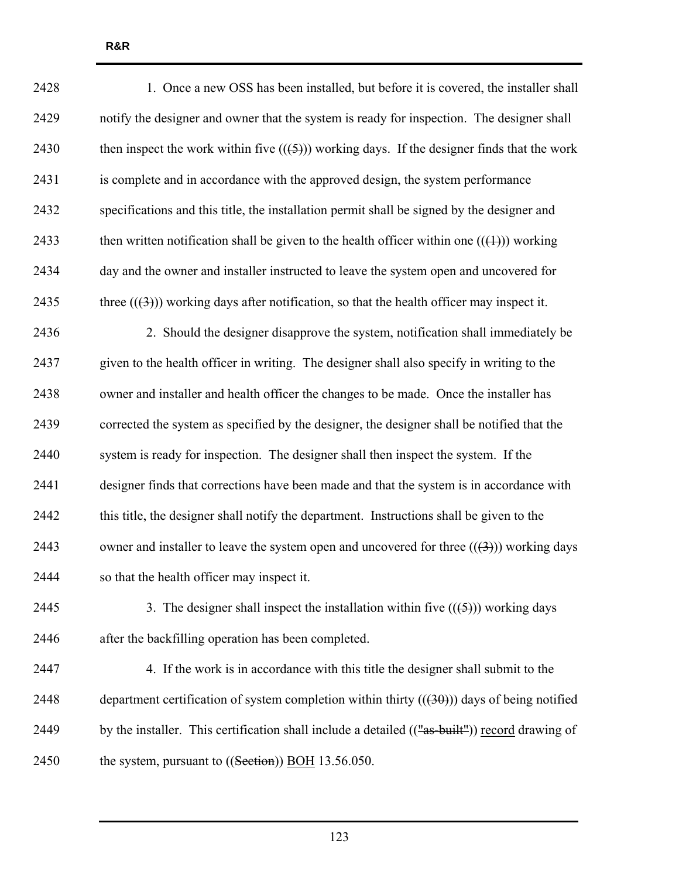| 2428 | 1. Once a new OSS has been installed, but before it is covered, the installer shall         |
|------|---------------------------------------------------------------------------------------------|
| 2429 | notify the designer and owner that the system is ready for inspection. The designer shall   |
| 2430 | then inspect the work within five $((5))$ working days. If the designer finds that the work |
| 2431 | is complete and in accordance with the approved design, the system performance              |
| 2432 | specifications and this title, the installation permit shall be signed by the designer and  |
| 2433 | then written notification shall be given to the health officer within one $((+))$ working   |
| 2434 | day and the owner and installer instructed to leave the system open and uncovered for       |
| 2435 | three $((3))$ working days after notification, so that the health officer may inspect it.   |
| 2436 | 2. Should the designer disapprove the system, notification shall immediately be             |
| 2437 | given to the health officer in writing. The designer shall also specify in writing to the   |
| 2438 | owner and installer and health officer the changes to be made. Once the installer has       |
| 2439 | corrected the system as specified by the designer, the designer shall be notified that the  |
| 2440 | system is ready for inspection. The designer shall then inspect the system. If the          |
| 2441 | designer finds that corrections have been made and that the system is in accordance with    |
| 2442 | this title, the designer shall notify the department. Instructions shall be given to the    |
| 2443 | owner and installer to leave the system open and uncovered for three $((3))$ working days   |
| 2444 | so that the health officer may inspect it.                                                  |
| 2445 | 3. The designer shall inspect the installation within five $((\frac{5}{2}))$ working days   |
| 2446 | after the backfilling operation has been completed.                                         |
| 2447 | 4. If the work is in accordance with this title the designer shall submit to the            |
| 2448 | department certification of system completion within thirty $((30))$ days of being notified |
|      |                                                                                             |

2450 the system, pursuant to ((Section)) BOH 13.56.050.

123

2449 by the installer. This certification shall include a detailed (("as-built")) record drawing of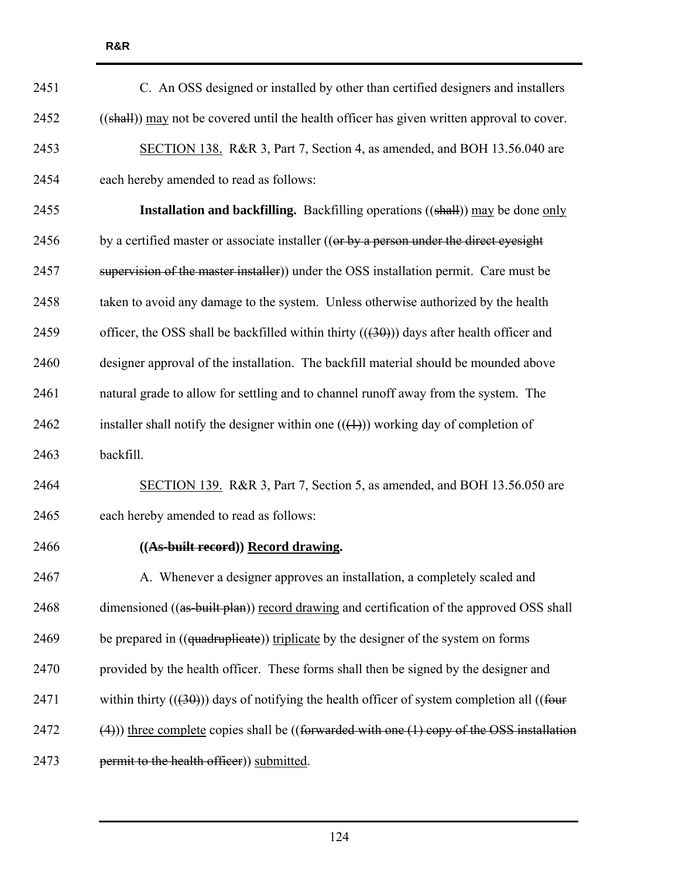| 2451 | C. An OSS designed or installed by other than certified designers and installers                      |
|------|-------------------------------------------------------------------------------------------------------|
| 2452 | ((shall)) may not be covered until the health officer has given written approval to cover.            |
| 2453 | SECTION 138. R&R 3, Part 7, Section 4, as amended, and BOH 13.56.040 are                              |
| 2454 | each hereby amended to read as follows:                                                               |
| 2455 | <b>Installation and backfilling.</b> Backfilling operations ((shall)) may be done only                |
| 2456 | by a certified master or associate installer ((or by a person under the direct eyesight               |
| 2457 | supervision of the master installer)) under the OSS installation permit. Care must be                 |
| 2458 | taken to avoid any damage to the system. Unless otherwise authorized by the health                    |
| 2459 | officer, the OSS shall be backfilled within thirty $((30))$ days after health officer and             |
| 2460 | designer approval of the installation. The backfill material should be mounded above                  |
| 2461 | natural grade to allow for settling and to channel runoff away from the system. The                   |
| 2462 | installer shall notify the designer within one $((+))$ working day of completion of                   |
| 2463 | backfill.                                                                                             |
| 2464 | SECTION 139. R&R 3, Part 7, Section 5, as amended, and BOH 13.56.050 are                              |
| 2465 | each hereby amended to read as follows:                                                               |
| 2466 | ((As-built record)) Record drawing.                                                                   |
| 2467 | A. Whenever a designer approves an installation, a completely scaled and                              |
| 2468 | dimensioned ((as-built plan)) record drawing and certification of the approved OSS shall              |
| 2469 | be prepared in ((quadruplicate)) triplicate by the designer of the system on forms                    |
| 2470 | provided by the health officer. These forms shall then be signed by the designer and                  |
| 2471 | within thirty $((30))$ days of notifying the health officer of system completion all $((fout + fout)$ |
| 2472 | $(4)$ )) three complete copies shall be ((forwarded with one $(1)$ copy of the OSS installation       |
| 2473 | permit to the health officer)) submitted.                                                             |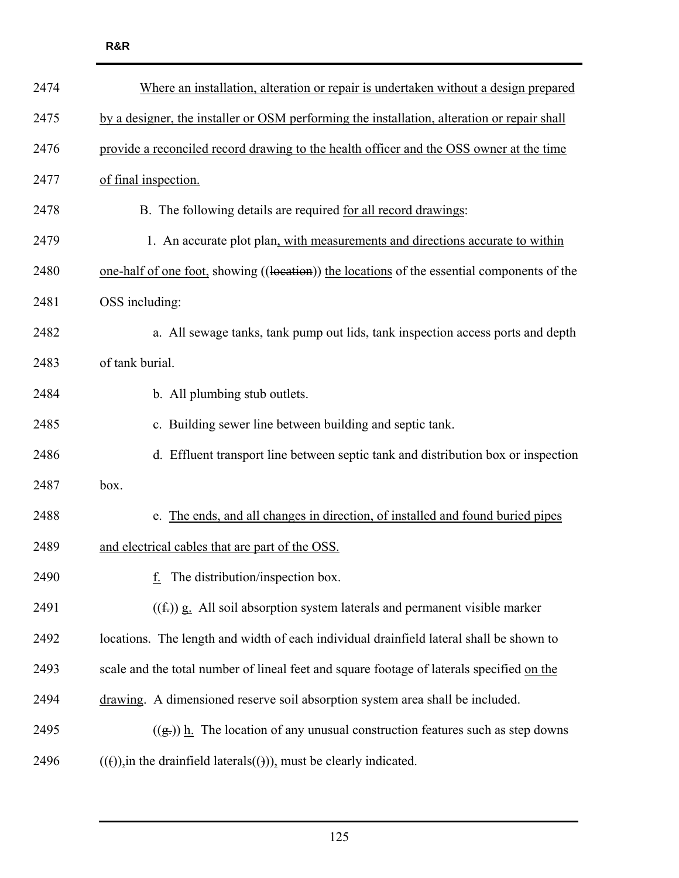| 2474 | Where an installation, alteration or repair is undertaken without a design prepared         |
|------|---------------------------------------------------------------------------------------------|
| 2475 | by a designer, the installer or OSM performing the installation, alteration or repair shall |
| 2476 | provide a reconciled record drawing to the health officer and the OSS owner at the time     |
| 2477 | of final inspection.                                                                        |
| 2478 | B. The following details are required for all record drawings:                              |
| 2479 | 1. An accurate plot plan, with measurements and directions accurate to within               |
| 2480 | one-half of one foot, showing ((location)) the locations of the essential components of the |
| 2481 | OSS including:                                                                              |
| 2482 | a. All sewage tanks, tank pump out lids, tank inspection access ports and depth             |
| 2483 | of tank burial.                                                                             |
| 2484 | b. All plumbing stub outlets.                                                               |
| 2485 | c. Building sewer line between building and septic tank.                                    |
| 2486 | d. Effluent transport line between septic tank and distribution box or inspection           |
| 2487 | box.                                                                                        |
| 2488 | e. The ends, and all changes in direction, of installed and found buried pipes              |
| 2489 | and electrical cables that are part of the OSS.                                             |
| 2490 | The distribution/inspection box.                                                            |
| 2491 | $((f))$ g. All soil absorption system laterals and permanent visible marker                 |
| 2492 | locations. The length and width of each individual drainfield lateral shall be shown to     |
| 2493 | scale and the total number of lineal feet and square footage of laterals specified on the   |
| 2494 | drawing. A dimensioned reserve soil absorption system area shall be included.               |
| 2495 | $((g))$ h. The location of any unusual construction features such as step downs             |
| 2496 | $((e))$ in the drainfield laterals $((e))$ , must be clearly indicated.                     |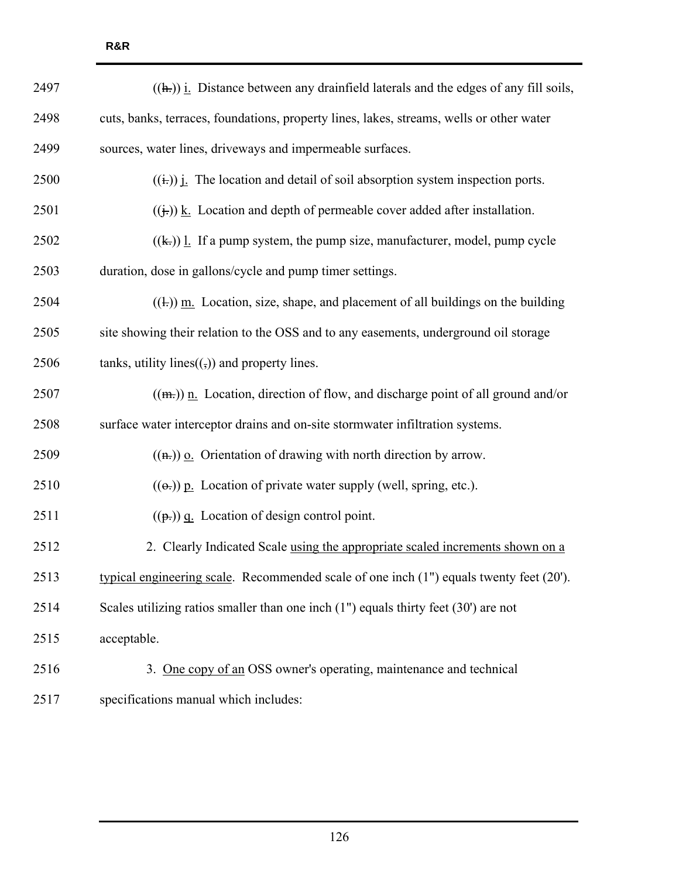| 2497 | $((h))$ <i>i</i> . Distance between any drainfield laterals and the edges of any fill soils,          |
|------|-------------------------------------------------------------------------------------------------------|
| 2498 | cuts, banks, terraces, foundations, property lines, lakes, streams, wells or other water              |
| 2499 | sources, water lines, driveways and impermeable surfaces.                                             |
| 2500 | $((\frac{1}{k}))$ $\frac{1}{k}$ . The location and detail of soil absorption system inspection ports. |
| 2501 | $((\frac{1}{k}))$ k. Location and depth of permeable cover added after installation.                  |
| 2502 | $((k))$ l. If a pump system, the pump size, manufacturer, model, pump cycle                           |
| 2503 | duration, dose in gallons/cycle and pump timer settings.                                              |
| 2504 | $((+))$ m. Location, size, shape, and placement of all buildings on the building                      |
| 2505 | site showing their relation to the OSS and to any easements, underground oil storage                  |
| 2506 | tanks, utility lines $((,))$ and property lines.                                                      |
| 2507 | $((m))$ n. Location, direction of flow, and discharge point of all ground and/or                      |
| 2508 | surface water interceptor drains and on-site stormwater infiltration systems.                         |
| 2509 | $((\mathbf{h})\mathbf{v})$ o. Orientation of drawing with north direction by arrow.                   |
| 2510 | $((\Theta))$ p. Location of private water supply (well, spring, etc.).                                |
| 2511 | $((\mathbf{p},))$ q. Location of design control point.                                                |
| 2512 | 2. Clearly Indicated Scale using the appropriate scaled increments shown on a                         |
| 2513 | typical engineering scale. Recommended scale of one inch (1") equals twenty feet (20').               |
| 2514 | Scales utilizing ratios smaller than one inch $(1")$ equals thirty feet $(30')$ are not               |
| 2515 | acceptable.                                                                                           |
| 2516 | 3. One copy of an OSS owner's operating, maintenance and technical                                    |
| 2517 | specifications manual which includes:                                                                 |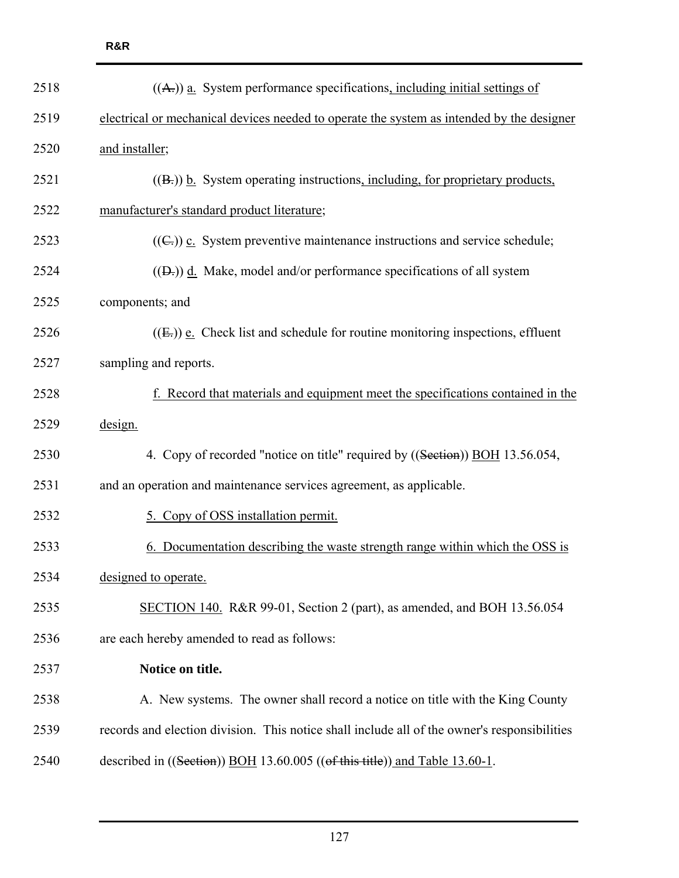| 2518 | $((A))$ a. System performance specifications, including initial settings of                  |
|------|----------------------------------------------------------------------------------------------|
| 2519 | electrical or mechanical devices needed to operate the system as intended by the designer    |
| 2520 | and installer;                                                                               |
| 2521 | $((B))$ b. System operating instructions, including, for proprietary products,               |
| 2522 | manufacturer's standard product literature;                                                  |
| 2523 | $((\mathbb{C}))$ c. System preventive maintenance instructions and service schedule;         |
| 2524 | $((D))$ d. Make, model and/or performance specifications of all system                       |
| 2525 | components; and                                                                              |
| 2526 | $((E))$ e. Check list and schedule for routine monitoring inspections, effluent              |
| 2527 | sampling and reports.                                                                        |
| 2528 | Record that materials and equipment meet the specifications contained in the                 |
| 2529 | design.                                                                                      |
| 2530 | 4. Copy of recorded "notice on title" required by ((Section)) BOH 13.56.054,                 |
| 2531 | and an operation and maintenance services agreement, as applicable.                          |
| 2532 | 5. Copy of OSS installation permit.                                                          |
| 2533 | Documentation describing the waste strength range within which the OSS is                    |
| 2534 | designed to operate.                                                                         |
| 2535 | SECTION 140. R&R 99-01, Section 2 (part), as amended, and BOH 13.56.054                      |
| 2536 | are each hereby amended to read as follows:                                                  |
| 2537 | Notice on title.                                                                             |
| 2538 | A. New systems. The owner shall record a notice on title with the King County                |
| 2539 | records and election division. This notice shall include all of the owner's responsibilities |
| 2540 | described in $((Section))$ BOH 13.60.005 $((of this title))$ and Table 13.60-1.              |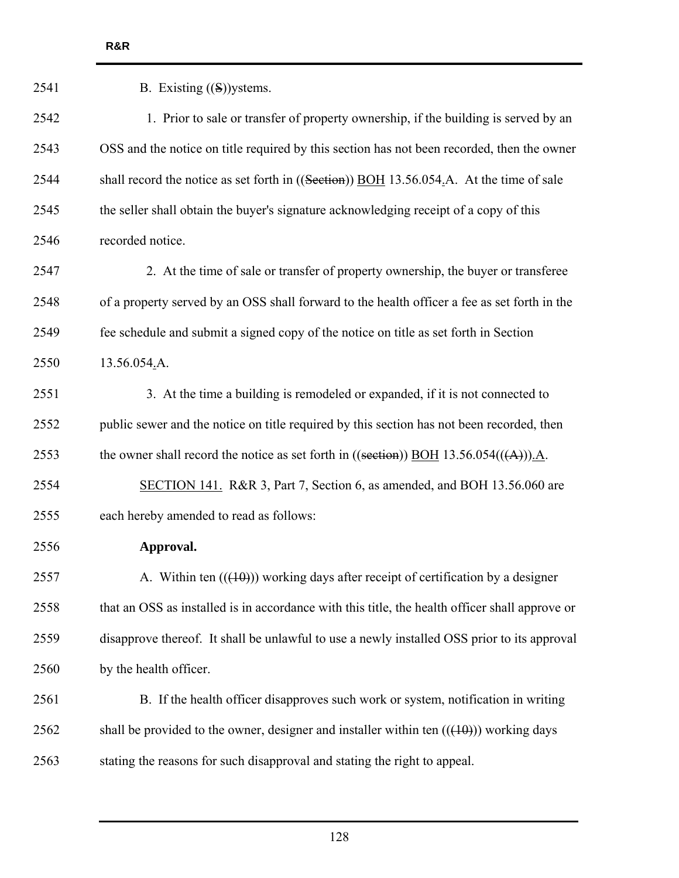| 2541 | B. Existing $((S))$ ystems.                                                                    |
|------|------------------------------------------------------------------------------------------------|
| 2542 | 1. Prior to sale or transfer of property ownership, if the building is served by an            |
| 2543 | OSS and the notice on title required by this section has not been recorded, then the owner     |
| 2544 | shall record the notice as set forth in $((Section))$ BOH 13.56.054.A. At the time of sale     |
| 2545 | the seller shall obtain the buyer's signature acknowledging receipt of a copy of this          |
| 2546 | recorded notice.                                                                               |
| 2547 | 2. At the time of sale or transfer of property ownership, the buyer or transferee              |
| 2548 | of a property served by an OSS shall forward to the health officer a fee as set forth in the   |
| 2549 | fee schedule and submit a signed copy of the notice on title as set forth in Section           |
| 2550 | 13.56.054.A.                                                                                   |
| 2551 | 3. At the time a building is remodeled or expanded, if it is not connected to                  |
| 2552 | public sewer and the notice on title required by this section has not been recorded, then      |
| 2553 | the owner shall record the notice as set forth in ((section)) BOH 13.56.054(( $(A)$ )).A.      |
| 2554 | SECTION 141. R&R 3, Part 7, Section 6, as amended, and BOH 13.56.060 are                       |
| 2555 | each hereby amended to read as follows:                                                        |
| 2556 | Approval.                                                                                      |
| 2557 | A. Within ten $((10))$ working days after receipt of certification by a designer               |
| 2558 | that an OSS as installed is in accordance with this title, the health officer shall approve or |
| 2559 | disapprove thereof. It shall be unlawful to use a newly installed OSS prior to its approval    |
| 2560 | by the health officer.                                                                         |
| 2561 | B. If the health officer disapproves such work or system, notification in writing              |
| 2562 | shall be provided to the owner, designer and installer within ten $((+10))$ working days       |
| 2563 | stating the reasons for such disapproval and stating the right to appeal.                      |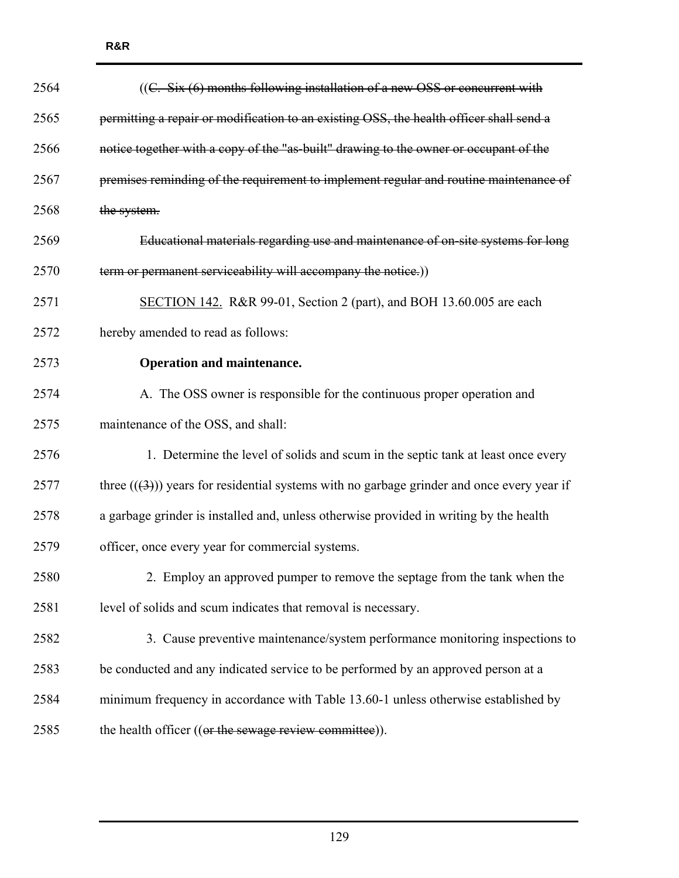| 2564 | ((C. Six (6) months following installation of a new OSS or concurrent with                 |
|------|--------------------------------------------------------------------------------------------|
| 2565 | permitting a repair or modification to an existing OSS, the health officer shall send a    |
| 2566 | notice together with a copy of the "as-built" drawing to the owner or occupant of the      |
| 2567 | premises reminding of the requirement to implement regular and routine maintenance of      |
| 2568 | the system.                                                                                |
| 2569 | Educational materials regarding use and maintenance of on-site systems for long            |
| 2570 | term or permanent serviceability will accompany the notice.)                               |
| 2571 | SECTION 142. R&R 99-01, Section 2 (part), and BOH 13.60.005 are each                       |
| 2572 | hereby amended to read as follows:                                                         |
| 2573 | <b>Operation and maintenance.</b>                                                          |
| 2574 | A. The OSS owner is responsible for the continuous proper operation and                    |
| 2575 | maintenance of the OSS, and shall:                                                         |
| 2576 | 1. Determine the level of solids and scum in the septic tank at least once every           |
| 2577 | three $((3))$ years for residential systems with no garbage grinder and once every year if |
| 2578 | a garbage grinder is installed and, unless otherwise provided in writing by the health     |
| 2579 | officer, once every year for commercial systems.                                           |
| 2580 | 2. Employ an approved pumper to remove the septage from the tank when the                  |
| 2581 | level of solids and scum indicates that removal is necessary.                              |
| 2582 | 3. Cause preventive maintenance/system performance monitoring inspections to               |
| 2583 | be conducted and any indicated service to be performed by an approved person at a          |
| 2584 | minimum frequency in accordance with Table 13.60-1 unless otherwise established by         |
| 2585 | the health officer ((or the sewage review committee)).                                     |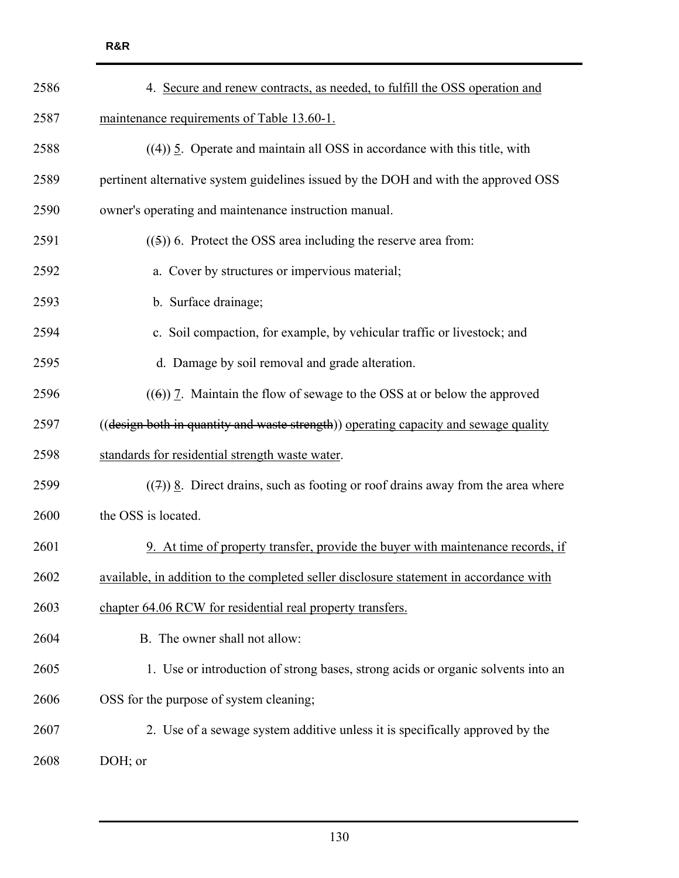| 2586 | 4. Secure and renew contracts, as needed, to fulfill the OSS operation and             |
|------|----------------------------------------------------------------------------------------|
| 2587 | maintenance requirements of Table 13.60-1.                                             |
| 2588 | $((4))$ 5. Operate and maintain all OSS in accordance with this title, with            |
| 2589 | pertinent alternative system guidelines issued by the DOH and with the approved OSS    |
| 2590 | owner's operating and maintenance instruction manual.                                  |
| 2591 | $((5))$ 6. Protect the OSS area including the reserve area from:                       |
| 2592 | a. Cover by structures or impervious material;                                         |
| 2593 | b. Surface drainage;                                                                   |
| 2594 | c. Soil compaction, for example, by vehicular traffic or livestock; and                |
| 2595 | d. Damage by soil removal and grade alteration.                                        |
| 2596 | $(6)$ ) 7. Maintain the flow of sewage to the OSS at or below the approved             |
| 2597 | ((design both in quantity and waste strength)) operating capacity and sewage quality   |
| 2598 | standards for residential strength waste water.                                        |
| 2599 | $((7))$ 8. Direct drains, such as footing or roof drains away from the area where      |
| 2600 | the OSS is located.                                                                    |
| 2601 | 9. At time of property transfer, provide the buyer with maintenance records, if        |
| 2602 | available, in addition to the completed seller disclosure statement in accordance with |
| 2603 | chapter 64.06 RCW for residential real property transfers.                             |
| 2604 | B. The owner shall not allow:                                                          |
| 2605 | 1. Use or introduction of strong bases, strong acids or organic solvents into an       |
| 2606 | OSS for the purpose of system cleaning;                                                |
| 2607 | 2. Use of a sewage system additive unless it is specifically approved by the           |
| 2608 | DOH; or                                                                                |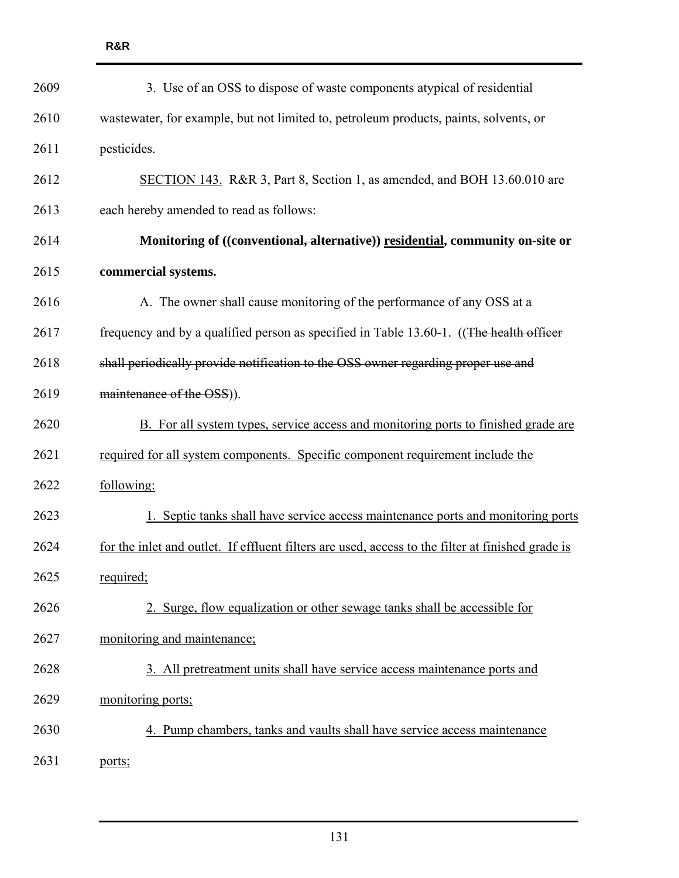| 2609 | 3. Use of an OSS to dispose of waste components atypical of residential                           |
|------|---------------------------------------------------------------------------------------------------|
| 2610 | wastewater, for example, but not limited to, petroleum products, paints, solvents, or             |
| 2611 | pesticides.                                                                                       |
| 2612 | SECTION 143. R&R 3, Part 8, Section 1, as amended, and BOH 13.60.010 are                          |
| 2613 | each hereby amended to read as follows:                                                           |
| 2614 | Monitoring of ((conventional, alternative)) residential, community on-site or                     |
| 2615 | commercial systems.                                                                               |
| 2616 | A. The owner shall cause monitoring of the performance of any OSS at a                            |
| 2617 | frequency and by a qualified person as specified in Table 13.60-1. ((The health officer           |
| 2618 | shall periodically provide notification to the OSS owner regarding proper use and                 |
| 2619 | maintenance of the OSS)).                                                                         |
| 2620 | B. For all system types, service access and monitoring ports to finished grade are                |
| 2621 | required for all system components. Specific component requirement include the                    |
| 2622 | following:                                                                                        |
| 2623 | 1. Septic tanks shall have service access maintenance ports and monitoring ports                  |
| 2624 | for the inlet and outlet. If effluent filters are used, access to the filter at finished grade is |
| 2625 | required;                                                                                         |
| 2626 | 2. Surge, flow equalization or other sewage tanks shall be accessible for                         |
| 2627 | monitoring and maintenance;                                                                       |
| 2628 | 3. All pretreatment units shall have service access maintenance ports and                         |
| 2629 | monitoring ports;                                                                                 |
| 2630 | 4. Pump chambers, tanks and vaults shall have service access maintenance                          |
| 2631 | ports;                                                                                            |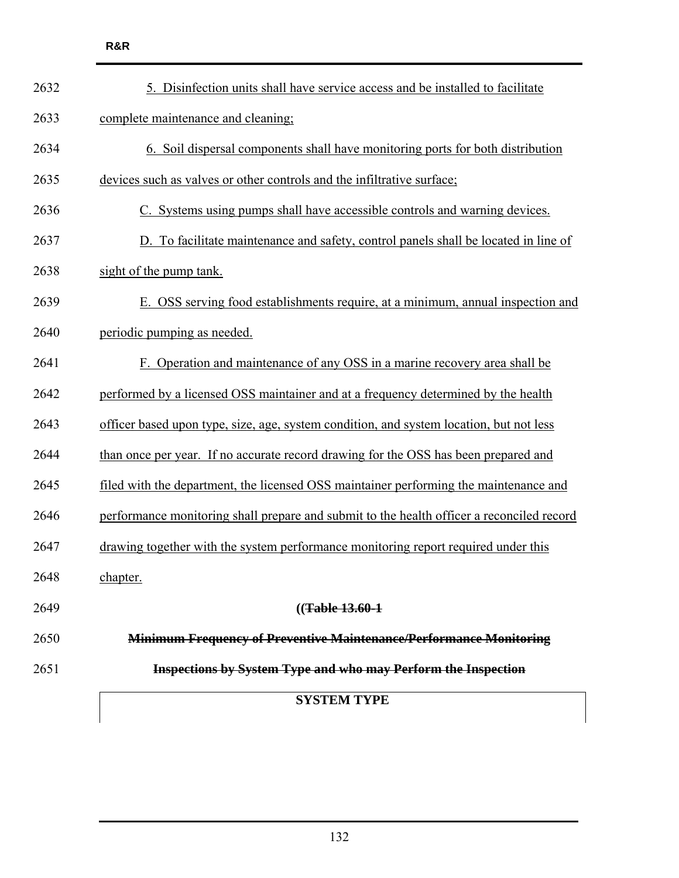|      | <b>SYSTEM TYPE</b>                                                                        |
|------|-------------------------------------------------------------------------------------------|
| 2651 | <b>Inspections by System Type and who may Perform the Inspection</b>                      |
| 2650 | <b>Minimum Frequency of Preventive Maintenance/Performance Monitoring</b>                 |
| 2649 | $((Table 13.60-1)$                                                                        |
| 2648 | chapter.                                                                                  |
| 2647 | drawing together with the system performance monitoring report required under this        |
| 2646 | performance monitoring shall prepare and submit to the health officer a reconciled record |
| 2645 | filed with the department, the licensed OSS maintainer performing the maintenance and     |
| 2644 | than once per year. If no accurate record drawing for the OSS has been prepared and       |
| 2643 | officer based upon type, size, age, system condition, and system location, but not less   |
| 2642 | performed by a licensed OSS maintainer and at a frequency determined by the health        |
| 2641 | F. Operation and maintenance of any OSS in a marine recovery area shall be                |
| 2640 | periodic pumping as needed.                                                               |
| 2639 | E. OSS serving food establishments require, at a minimum, annual inspection and           |
| 2638 | sight of the pump tank.                                                                   |
| 2637 | D. To facilitate maintenance and safety, control panels shall be located in line of       |
| 2636 | C. Systems using pumps shall have accessible controls and warning devices.                |
| 2635 | devices such as valves or other controls and the infiltrative surface;                    |
| 2634 | 6. Soil dispersal components shall have monitoring ports for both distribution            |
| 2633 | complete maintenance and cleaning:                                                        |
| 2632 | 5. Disinfection units shall have service access and be installed to facilitate            |
|      |                                                                                           |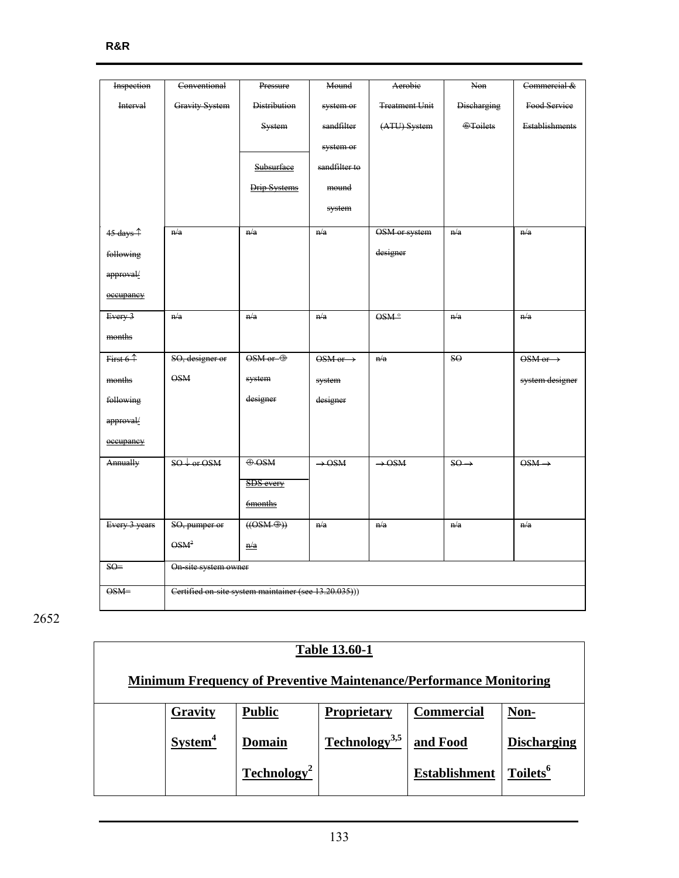| Inspection           | Conventional                                          | Pressure                    | Mound                         | Aerobie               | Non                | Commercial &                  |  |  |
|----------------------|-------------------------------------------------------|-----------------------------|-------------------------------|-----------------------|--------------------|-------------------------------|--|--|
| Interval             | <b>Gravity System</b>                                 | <b>Distribution</b>         | system or                     | <b>Treatment Unit</b> | <b>Discharging</b> | Food Service                  |  |  |
|                      |                                                       | System                      | sandfilter                    | (ATU) System          | <b>O</b> Toilets   | <b>Establishments</b>         |  |  |
|                      |                                                       |                             | system or                     |                       |                    |                               |  |  |
|                      |                                                       | Subsurface                  | sandfilter to                 |                       |                    |                               |  |  |
|                      |                                                       | Drip Systems                | mound                         |                       |                    |                               |  |  |
|                      |                                                       |                             | system                        |                       |                    |                               |  |  |
|                      |                                                       |                             |                               |                       |                    |                               |  |  |
| 45 days <sup>1</sup> | n/a                                                   | n/a                         | n/a                           | OSM or system         | n/a                | n/a                           |  |  |
| following            |                                                       |                             |                               | designer              |                    |                               |  |  |
| approval/            |                                                       |                             |                               |                       |                    |                               |  |  |
| occupancy            |                                                       |                             |                               |                       |                    |                               |  |  |
| Every 3              | n/a                                                   | n/a                         | n/a                           | $OSM^o$               | n/a                | n/a                           |  |  |
| months               |                                                       |                             |                               |                       |                    |                               |  |  |
| First $61$           | SO, designer or                                       | $OSM$ or $\Theta$           | $OSM \text{ or } \rightarrow$ | n/a                   | SO <sub>2</sub>    | $OSM \text{ or } \rightarrow$ |  |  |
| months               | <b>OSM</b>                                            | system                      | system                        |                       |                    | system designer               |  |  |
| following            |                                                       | designer                    | designer                      |                       |                    |                               |  |  |
| approval/            |                                                       |                             |                               |                       |                    |                               |  |  |
| occupancy            |                                                       |                             |                               |                       |                    |                               |  |  |
| Annually             | $SO \rightarrow \text{or } OSM$                       | $\bigoplus$ OSM             | $\rightarrow$ OSM             | $\rightarrow$ OSM     | $SO \rightarrow$   | $\overrightarrow{OSM}$        |  |  |
|                      |                                                       | <b>SDS</b> every            |                               |                       |                    |                               |  |  |
|                      |                                                       | 6months                     |                               |                       |                    |                               |  |  |
| Every 3 years        | SO, pumper or                                         | $((OSM \cdot \mathcal{D}))$ | n/a                           | n/a                   | n/a                | n/a                           |  |  |
|                      | OSM <sup>2</sup>                                      | $\frac{n}{a}$               |                               |                       |                    |                               |  |  |
| $SO =$               | On site system owner                                  |                             |                               |                       |                    |                               |  |  |
| $OSM =$              | Certified on-site system maintainer (see 13.20.035))) |                             |                               |                       |                    |                               |  |  |

|                     |                         | <b>Table 13.60-1</b>      |                                                                           |                      |
|---------------------|-------------------------|---------------------------|---------------------------------------------------------------------------|----------------------|
|                     |                         |                           | <b>Minimum Frequency of Preventive Maintenance/Performance Monitoring</b> |                      |
| Gravity             | <b>Public</b>           | <b>Proprietary</b>        | <b>Commercial</b>                                                         | Non-                 |
| System <sup>4</sup> | Domain                  | Technology <sup>3,5</sup> | and Food                                                                  | <b>Discharging</b>   |
|                     | Technology <sup>2</sup> |                           | <b>Establishment</b>                                                      | Toilets <sup>6</sup> |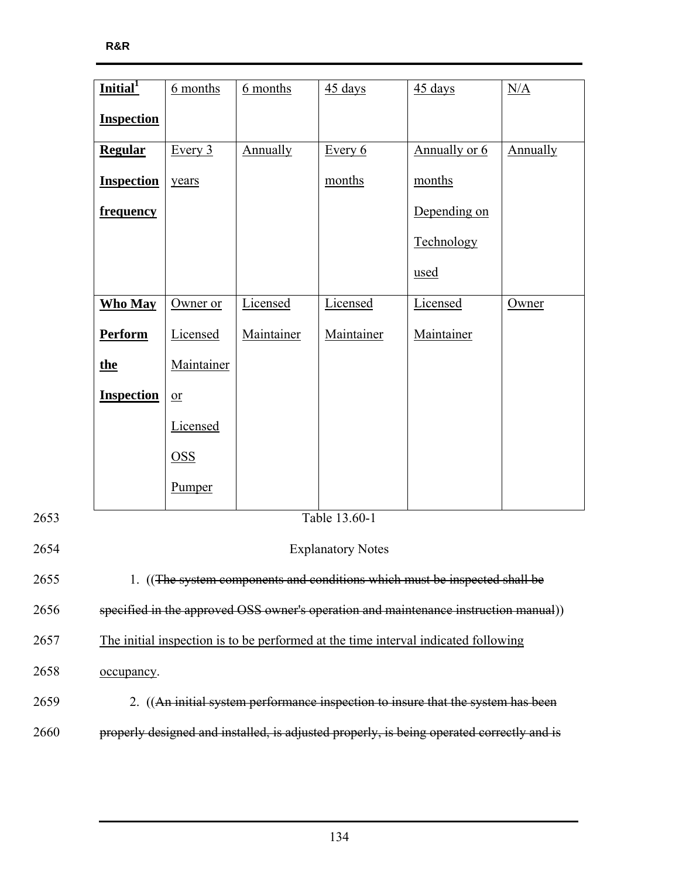|      | Initial <sup>1</sup> | <u>6</u> months                                                                    | 6 months   | $45 \text{ days}$        | $45 \text{ days}$                                                                         | N/A      |  |  |
|------|----------------------|------------------------------------------------------------------------------------|------------|--------------------------|-------------------------------------------------------------------------------------------|----------|--|--|
|      | <b>Inspection</b>    |                                                                                    |            |                          |                                                                                           |          |  |  |
|      | <b>Regular</b>       | Every $3$                                                                          | Annually   | Every $6$                | Annually or 6                                                                             | Annually |  |  |
|      | <b>Inspection</b>    | years                                                                              |            | months                   | months                                                                                    |          |  |  |
|      | frequency            |                                                                                    |            |                          | Depending on                                                                              |          |  |  |
|      |                      |                                                                                    |            |                          | Technology                                                                                |          |  |  |
|      |                      |                                                                                    |            |                          | used                                                                                      |          |  |  |
|      | <b>Who May</b>       | Owner or                                                                           | Licensed   | Licensed                 | Licensed                                                                                  | Owner    |  |  |
|      | <b>Perform</b>       | Licensed                                                                           | Maintainer | Maintainer               | Maintainer                                                                                |          |  |  |
|      | <u>the</u>           | Maintainer                                                                         |            |                          |                                                                                           |          |  |  |
|      | <b>Inspection</b>    | $\overline{\text{or}}$                                                             |            |                          |                                                                                           |          |  |  |
|      |                      | Licensed                                                                           |            |                          |                                                                                           |          |  |  |
|      |                      | $\overline{OSS}$                                                                   |            |                          |                                                                                           |          |  |  |
|      |                      | Pumper                                                                             |            |                          |                                                                                           |          |  |  |
| 2653 |                      |                                                                                    |            | Table 13.60-1            |                                                                                           |          |  |  |
| 2654 |                      |                                                                                    |            | <b>Explanatory Notes</b> |                                                                                           |          |  |  |
| 2655 |                      | 1. ((The system components and conditions which must be inspected shall be         |            |                          |                                                                                           |          |  |  |
| 2656 |                      |                                                                                    |            |                          | specified in the approved OSS owner's operation and maintenance instruction manual))      |          |  |  |
| 2657 |                      | The initial inspection is to be performed at the time interval indicated following |            |                          |                                                                                           |          |  |  |
| 2658 | occupancy.           |                                                                                    |            |                          |                                                                                           |          |  |  |
| 2659 |                      |                                                                                    |            |                          | 2. ((An initial system performance inspection to insure that the system has been          |          |  |  |
| 2660 |                      |                                                                                    |            |                          | properly designed and installed, is adjusted properly, is being operated correctly and is |          |  |  |
|      |                      |                                                                                    |            |                          |                                                                                           |          |  |  |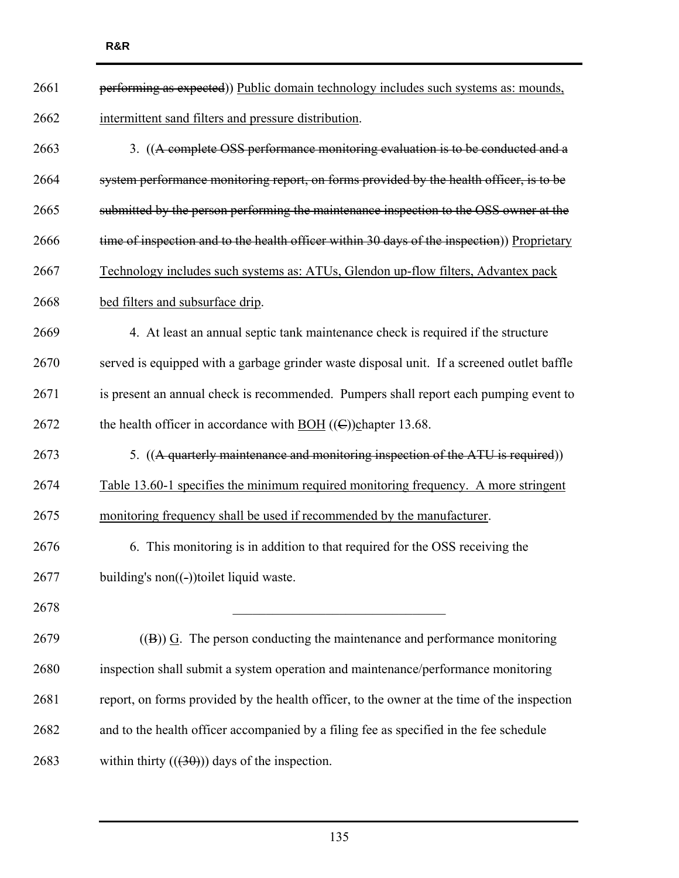| 2661 | performing as expected)) Public domain technology includes such systems as: mounds,         |
|------|---------------------------------------------------------------------------------------------|
| 2662 | intermittent sand filters and pressure distribution.                                        |
| 2663 | 3. ((A complete OSS performance monitoring evaluation is to be conducted and a              |
| 2664 | system performance monitoring report, on forms provided by the health officer, is to be     |
| 2665 | submitted by the person performing the maintenance inspection to the OSS owner at the       |
| 2666 | time of inspection and to the health officer within 30 days of the inspection)) Proprietary |
| 2667 | Technology includes such systems as: ATUs, Glendon up-flow filters, Advantex pack           |
| 2668 | bed filters and subsurface drip.                                                            |
| 2669 | 4. At least an annual septic tank maintenance check is required if the structure            |
| 2670 | served is equipped with a garbage grinder waste disposal unit. If a screened outlet baffle  |
| 2671 | is present an annual check is recommended. Pumpers shall report each pumping event to       |
| 2672 | the health officer in accordance with $\underline{BOH}$ ((C))chapter 13.68.                 |
| 2673 | 5. ((A quarterly maintenance and monitoring inspection of the ATU is required))             |
| 2674 | Table 13.60-1 specifies the minimum required monitoring frequency. A more stringent         |
| 2675 | monitoring frequency shall be used if recommended by the manufacturer.                      |
| 2676 | 6. This monitoring is in addition to that required for the OSS receiving the                |
| 2677 | building's $non((-))$ toilet liquid waste.                                                  |
| 2678 |                                                                                             |
| 2679 | $(4)$ ) G. The person conducting the maintenance and performance monitoring                 |
| 2680 | inspection shall submit a system operation and maintenance/performance monitoring           |
| 2681 | report, on forms provided by the health officer, to the owner at the time of the inspection |
| 2682 | and to the health officer accompanied by a filing fee as specified in the fee schedule      |
| 2683 | within thirty $((30))$ days of the inspection.                                              |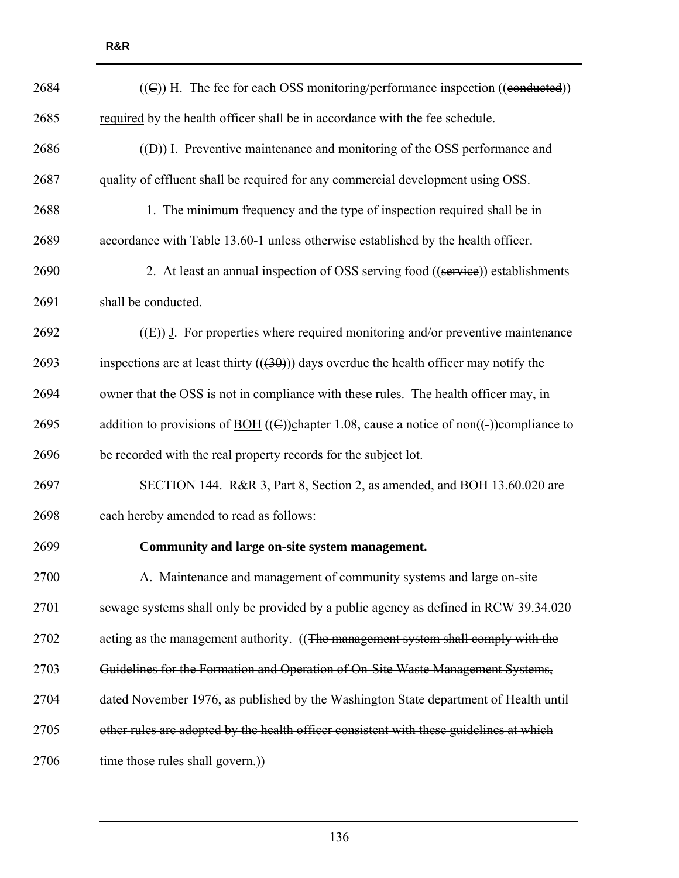| 2684 | $((\text{C}))$ H. The fee for each OSS monitoring/performance inspection ((conducted))                               |
|------|----------------------------------------------------------------------------------------------------------------------|
| 2685 | required by the health officer shall be in accordance with the fee schedule.                                         |
| 2686 | $(1)$ [. Preventive maintenance and monitoring of the OSS performance and                                            |
| 2687 | quality of effluent shall be required for any commercial development using OSS.                                      |
| 2688 | 1. The minimum frequency and the type of inspection required shall be in                                             |
| 2689 | accordance with Table 13.60-1 unless otherwise established by the health officer.                                    |
| 2690 | 2. At least an annual inspection of OSS serving food ((service)) establishments                                      |
| 2691 | shall be conducted.                                                                                                  |
| 2692 | $(1)$ [E)) I. For properties where required monitoring and/or preventive maintenance                                 |
| 2693 | inspections are at least thirty $((30))$ days overdue the health officer may notify the                              |
| 2694 | owner that the OSS is not in compliance with these rules. The health officer may, in                                 |
| 2695 | addition to provisions of <u>BOH</u> (( $\epsilon$ ))chapter 1.08, cause a notice of non( $\epsilon$ ))compliance to |
| 2696 | be recorded with the real property records for the subject lot.                                                      |
| 2697 | SECTION 144. R&R 3, Part 8, Section 2, as amended, and BOH 13.60.020 are                                             |
| 2698 | each hereby amended to read as follows:                                                                              |
| 2699 | Community and large on-site system management.                                                                       |
| 2700 | A. Maintenance and management of community systems and large on-site                                                 |
| 2701 | sewage systems shall only be provided by a public agency as defined in RCW 39.34.020                                 |
| 2702 | acting as the management authority. ((The management system shall comply with the                                    |
| 2703 | Guidelines for the Formation and Operation of On-Site Waste Management Systems,                                      |
| 2704 | dated November 1976, as published by the Washington State department of Health until                                 |
| 2705 | other rules are adopted by the health officer consistent with these guidelines at which                              |
| 2706 | time those rules shall govern.))                                                                                     |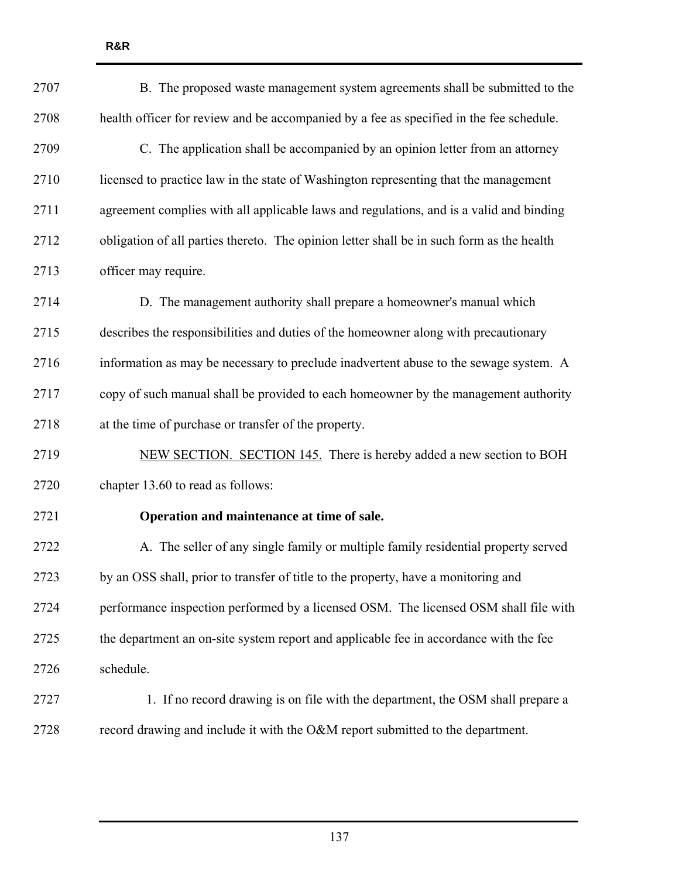2707 B. The proposed waste management system agreements shall be submitted to the 2708 health officer for review and be accompanied by a fee as specified in the fee schedule. 2709 C. The application shall be accompanied by an opinion letter from an attorney 2710 licensed to practice law in the state of Washington representing that the management 2711 agreement complies with all applicable laws and regulations, and is a valid and binding 2712 obligation of all parties thereto. The opinion letter shall be in such form as the health 2713 officer may require. 2714 D. The management authority shall prepare a homeowner's manual which 2715 describes the responsibilities and duties of the homeowner along with precautionary 2716 information as may be necessary to preclude inadvertent abuse to the sewage system. A 2717 copy of such manual shall be provided to each homeowner by the management authority 2718 at the time of purchase or transfer of the property. 2719 NEW SECTION. SECTION 145. There is hereby added a new section to BOH 2720 chapter 13.60 to read as follows: 2721 **Operation and maintenance at time of sale.**  2722 A. The seller of any single family or multiple family residential property served 2723 by an OSS shall, prior to transfer of title to the property, have a monitoring and 2724 performance inspection performed by a licensed OSM. The licensed OSM shall file with 2725 the department an on-site system report and applicable fee in accordance with the fee 2726 schedule. 2727 1. If no record drawing is on file with the department, the OSM shall prepare a 2728 record drawing and include it with the O&M report submitted to the department.

**R&R**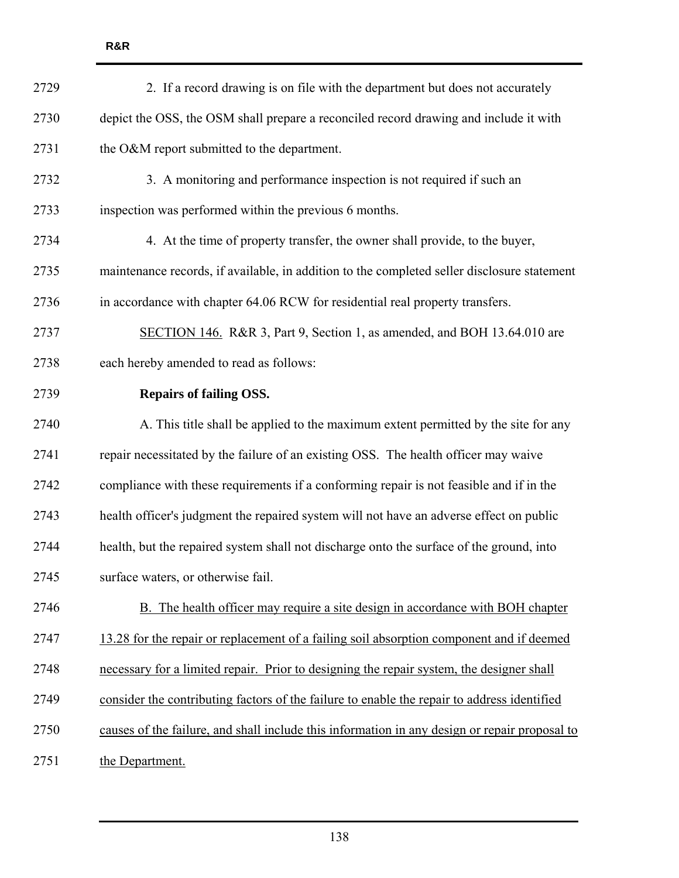| 2729 | 2. If a record drawing is on file with the department but does not accurately                 |
|------|-----------------------------------------------------------------------------------------------|
| 2730 | depict the OSS, the OSM shall prepare a reconciled record drawing and include it with         |
| 2731 | the O&M report submitted to the department.                                                   |
| 2732 | 3. A monitoring and performance inspection is not required if such an                         |
| 2733 | inspection was performed within the previous 6 months.                                        |
| 2734 | 4. At the time of property transfer, the owner shall provide, to the buyer,                   |
| 2735 | maintenance records, if available, in addition to the completed seller disclosure statement   |
| 2736 | in accordance with chapter 64.06 RCW for residential real property transfers.                 |
| 2737 | SECTION 146. R&R 3, Part 9, Section 1, as amended, and BOH 13.64.010 are                      |
| 2738 | each hereby amended to read as follows:                                                       |
| 2739 | <b>Repairs of failing OSS.</b>                                                                |
| 2740 | A. This title shall be applied to the maximum extent permitted by the site for any            |
| 2741 | repair necessitated by the failure of an existing OSS. The health officer may waive           |
| 2742 | compliance with these requirements if a conforming repair is not feasible and if in the       |
| 2743 | health officer's judgment the repaired system will not have an adverse effect on public       |
| 2744 | health, but the repaired system shall not discharge onto the surface of the ground, into      |
| 2745 | surface waters, or otherwise fail.                                                            |
| 2746 | B. The health officer may require a site design in accordance with BOH chapter                |
| 2747 | 13.28 for the repair or replacement of a failing soil absorption component and if deemed      |
| 2748 | necessary for a limited repair. Prior to designing the repair system, the designer shall      |
| 2749 | consider the contributing factors of the failure to enable the repair to address identified   |
| 2750 | causes of the failure, and shall include this information in any design or repair proposal to |
| 2751 | the Department.                                                                               |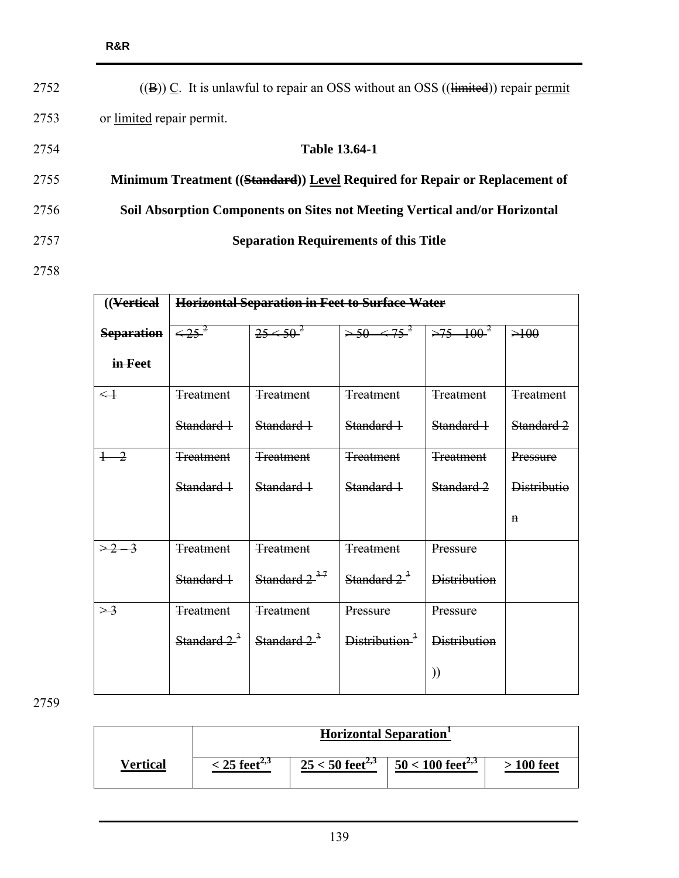| 2752 | $((\mathbf{B}))$ C. It is unlawful to repair an OSS without an OSS $((\mathbf{limited}))$ repair permit |
|------|---------------------------------------------------------------------------------------------------------|
| 2753 | or limited repair permit.                                                                               |
| 2754 | <b>Table 13.64-1</b>                                                                                    |
| 2755 | Minimum Treatment ((Standard)) Level Required for Repair or Replacement of                              |
| 2756 | Soil Absorption Components on Sites not Meeting Vertical and/or Horizontal                              |
| 2757 | <b>Separation Requirements of this Title</b>                                                            |
| 2758 |                                                                                                         |

| ((Vertical)             |                  | <b>Horizontal Separation in Feet to Surface Water</b> |                           |                     |                    |  |  |  |  |  |  |
|-------------------------|------------------|-------------------------------------------------------|---------------------------|---------------------|--------------------|--|--|--|--|--|--|
| <b>Separation</b>       | $\leq 25^{2}$    | $25 < 50^2$                                           | $> 50 - 575^2$            | $>75-100^{2}$       | >100               |  |  |  |  |  |  |
| in-Feet                 |                  |                                                       |                           |                     |                    |  |  |  |  |  |  |
| $\leftarrow \leftarrow$ | <b>Treatment</b> | <b>Treatment</b>                                      | <b>Treatment</b>          | <b>Treatment</b>    | <b>Treatment</b>   |  |  |  |  |  |  |
|                         | Standard 1       | Standard 1                                            | Standard 1                | Standard 1          | Standard 2         |  |  |  |  |  |  |
| $+ -2$                  | <b>Treatment</b> | <b>Treatment</b>                                      | <b>Treatment</b>          | <b>Treatment</b>    | Pressure           |  |  |  |  |  |  |
|                         | Standard 1       | Standard 1                                            | Standard 1                | Standard 2          | <b>Distributio</b> |  |  |  |  |  |  |
|                         |                  |                                                       |                           |                     | $\mathbf n$        |  |  |  |  |  |  |
| $\geq 2 \rightarrow$    | <b>Treatment</b> | <b>Treatment</b>                                      | <b>Treatment</b>          | Pressure            |                    |  |  |  |  |  |  |
|                         | Standard 1       | Standard $2^{37}$                                     | Standard $2^3$            | <b>Distribution</b> |                    |  |  |  |  |  |  |
| $\geq$ 3                | <b>Treatment</b> | <b>Treatment</b>                                      | Pressure                  | Pressure            |                    |  |  |  |  |  |  |
|                         | Standard $2^3$   | Standard $2^{\frac{3}{2}}$                            | Distribution <sup>3</sup> | <b>Distribution</b> |                    |  |  |  |  |  |  |
|                         |                  |                                                       |                           | ))                  |                    |  |  |  |  |  |  |

|          |                            | <b>Horizontal Separation</b>  |                                |            |
|----------|----------------------------|-------------------------------|--------------------------------|------------|
| Vertical | $<$ 25 feet <sup>2,3</sup> | $25 < 50$ feet <sup>2,3</sup> | $50 < 100$ feet <sup>2,3</sup> | > 100 feet |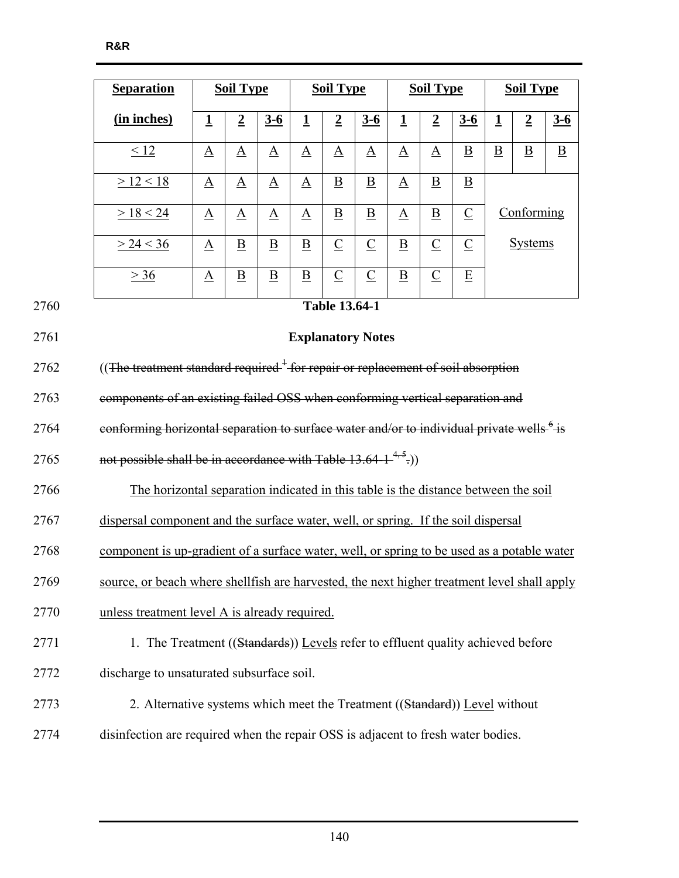|      | <b>Separation</b>                                                                                    | <b>Soil Type</b>         |                          |                          | <b>Soil Type</b>         |                          |                          | <b>Soil Type</b>            | <b>Soil Type</b>         |                          |                          |                          |                |
|------|------------------------------------------------------------------------------------------------------|--------------------------|--------------------------|--------------------------|--------------------------|--------------------------|--------------------------|-----------------------------|--------------------------|--------------------------|--------------------------|--------------------------|----------------|
|      | (in inches)                                                                                          | $\mathbf 1$              | $\overline{2}$           | $3 - 6$                  | $\overline{1}$           | $\overline{2}$           | $3-6$                    | $\mathbf 1$                 | $\overline{2}$           | $3 - 6$                  | $\overline{1}$           | $\overline{2}$           | $3-6$          |
|      | < 12                                                                                                 | $\underline{\mathbf{A}}$ | $\underline{A}$          | $\underline{A}$          | $\underline{A}$          | $\underline{A}$          | $\underline{A}$          | $\underline{A}$             | $\underline{A}$          | $\underline{\mathbf{B}}$ | $\underline{\mathbf{B}}$ | $\underline{\mathbf{B}}$ | $\overline{B}$ |
|      | >12 < 18                                                                                             | $\underline{A}$          | $\underline{A}$          | $\mathbf{\underline{A}}$ | $\Delta$                 | $\underline{B}$          | $\underline{\mathbf{B}}$ | $\underline{A}$             | $\underline{B}$          | $\underline{\mathbf{B}}$ |                          |                          |                |
|      | > 18 < 24                                                                                            | $\underline{A}$          | $\underline{\mathbf{A}}$ | $\underline{A}$          | $\underline{A}$          | $\underline{\mathbf{B}}$ | $\underline{\mathbf{B}}$ | $\underline{A}$             | $\underline{\mathbf{B}}$ | $\underline{C}$          |                          | Conforming               |                |
|      | > 24 < 36                                                                                            | $\underline{\mathbf{A}}$ | $\overline{B}$           | $\overline{B}$           | $\overline{B}$           | $\underline{C}$          | $\underline{C}$          | $\underline{\mathbf{B}}$    | $\underline{C}$          | $\underline{C}$          |                          | <b>Systems</b>           |                |
|      | $\geq 36$                                                                                            | $\underline{A}$          | $\underline{\mathbf{B}}$ | $\overline{B}$           | $\underline{\mathbf{B}}$ | $\underline{C}$          | $\underline{C}$          | $\underline{\underline{B}}$ | $\underline{C}$          | $\underline{\mathbf{E}}$ |                          |                          |                |
| 2760 |                                                                                                      |                          |                          |                          |                          | <b>Table 13.64-1</b>     |                          |                             |                          |                          |                          |                          |                |
| 2761 |                                                                                                      |                          |                          |                          |                          |                          | <b>Explanatory Notes</b> |                             |                          |                          |                          |                          |                |
| 2762 | ((The treatment standard required <sup>+</sup> for repair or replacement of soil absorption          |                          |                          |                          |                          |                          |                          |                             |                          |                          |                          |                          |                |
| 2763 | components of an existing failed OSS when conforming vertical separation and                         |                          |                          |                          |                          |                          |                          |                             |                          |                          |                          |                          |                |
| 2764 | eonforming horizontal separation to surface water and/or to individual private wells <sup>6</sup> is |                          |                          |                          |                          |                          |                          |                             |                          |                          |                          |                          |                |
| 2765 | not possible shall be in accordance with Table $13.64-1^{4,5}$ .)                                    |                          |                          |                          |                          |                          |                          |                             |                          |                          |                          |                          |                |
| 2766 | The horizontal separation indicated in this table is the distance between the soil                   |                          |                          |                          |                          |                          |                          |                             |                          |                          |                          |                          |                |
| 2767 | dispersal component and the surface water, well, or spring. If the soil dispersal                    |                          |                          |                          |                          |                          |                          |                             |                          |                          |                          |                          |                |
| 2768 | component is up-gradient of a surface water, well, or spring to be used as a potable water           |                          |                          |                          |                          |                          |                          |                             |                          |                          |                          |                          |                |
| 2769 | source, or beach where shell fish are harvested, the next higher treatment level shall apply         |                          |                          |                          |                          |                          |                          |                             |                          |                          |                          |                          |                |
| 2770 | unless treatment level A is already required.                                                        |                          |                          |                          |                          |                          |                          |                             |                          |                          |                          |                          |                |
| 2771 | 1. The Treatment ((Standards)) Levels refer to effluent quality achieved before                      |                          |                          |                          |                          |                          |                          |                             |                          |                          |                          |                          |                |
| 2772 | discharge to unsaturated subsurface soil.                                                            |                          |                          |                          |                          |                          |                          |                             |                          |                          |                          |                          |                |
| 2773 | 2. Alternative systems which meet the Treatment ((Standard)) Level without                           |                          |                          |                          |                          |                          |                          |                             |                          |                          |                          |                          |                |
| 2774 | disinfection are required when the repair OSS is adjacent to fresh water bodies.                     |                          |                          |                          |                          |                          |                          |                             |                          |                          |                          |                          |                |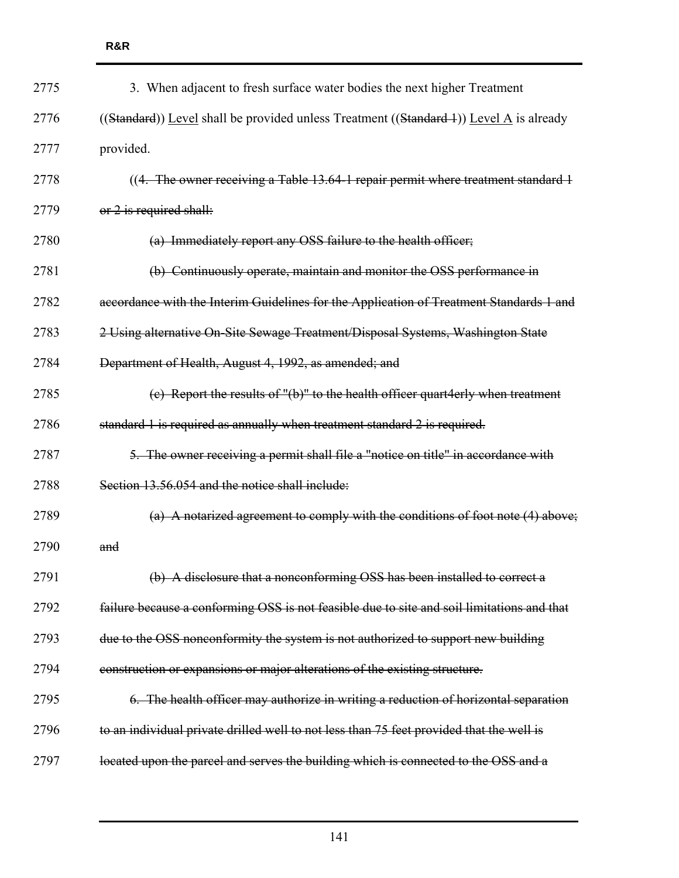| 2775 | 3. When adjacent to fresh surface water bodies the next higher Treatment                   |
|------|--------------------------------------------------------------------------------------------|
| 2776 | ((Standard)) Level shall be provided unless Treatment ((Standard 4)) Level A is already    |
| 2777 | provided.                                                                                  |
| 2778 | ((4. The owner receiving a Table 13.64-1 repair permit where treatment standard 1          |
| 2779 | or 2 is required shall:                                                                    |
| 2780 | (a) Immediately report any OSS failure to the health officer;                              |
| 2781 | (b) Continuously operate, maintain and monitor the OSS performance in                      |
| 2782 | accordance with the Interim Guidelines for the Application of Treatment Standards 1 and    |
| 2783 | 2 Using alternative On-Site Sewage Treatment/Disposal Systems, Washington State            |
| 2784 | Department of Health, August 4, 1992, as amended; and                                      |
| 2785 | (c) Report the results of "(b)" to the health officer quart4erly when treatment            |
| 2786 | standard 1 is required as annually when treatment standard 2 is required.                  |
| 2787 | 5. The owner receiving a permit shall file a "notice on title" in accordance with          |
| 2788 | Section 13.56.054 and the notice shall include:                                            |
| 2789 | (a) A notarized agreement to comply with the conditions of foot note $(4)$ above;          |
| 2790 | and                                                                                        |
| 2791 | (b) A disclosure that a nonconforming OSS has been installed to correct a                  |
| 2792 | failure because a conforming OSS is not feasible due to site and soil limitations and that |
| 2793 | due to the OSS nonconformity the system is not authorized to support new building          |
| 2794 | construction or expansions or major alterations of the existing structure.                 |
| 2795 | 6. The health officer may authorize in writing a reduction of horizontal separation        |
| 2796 | to an individual private drilled well to not less than 75 feet provided that the well is   |
| 2797 | located upon the parcel and serves the building which is connected to the OSS and a        |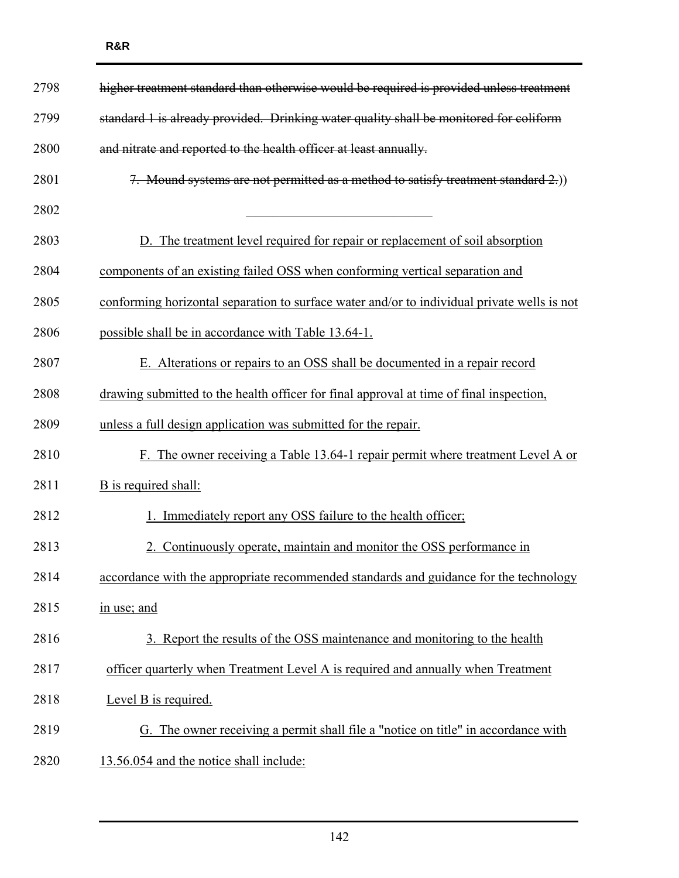| 2798 | higher treatment standard than otherwise would be required is provided unless treatment     |
|------|---------------------------------------------------------------------------------------------|
| 2799 | standard 1 is already provided. Drinking water quality shall be monitored for coliform      |
| 2800 | and nitrate and reported to the health officer at least annually.                           |
| 2801 | 7. Mound systems are not permitted as a method to satisfy treatment standard 2.)            |
| 2802 |                                                                                             |
| 2803 | D. The treatment level required for repair or replacement of soil absorption                |
| 2804 | components of an existing failed OSS when conforming vertical separation and                |
| 2805 | conforming horizontal separation to surface water and/or to individual private wells is not |
| 2806 | possible shall be in accordance with Table 13.64-1.                                         |
| 2807 | E. Alterations or repairs to an OSS shall be documented in a repair record                  |
| 2808 | drawing submitted to the health officer for final approval at time of final inspection,     |
| 2809 | unless a full design application was submitted for the repair.                              |
| 2810 | F. The owner receiving a Table 13.64-1 repair permit where treatment Level A or             |
| 2811 | B is required shall:                                                                        |
| 2812 | 1. Immediately report any OSS failure to the health officer.                                |
| 2813 | 2. Continuously operate, maintain and monitor the OSS performance in                        |
| 2814 | accordance with the appropriate recommended standards and guidance for the technology       |
| 2815 | in use; and                                                                                 |
| 2816 | 3. Report the results of the OSS maintenance and monitoring to the health                   |
| 2817 | officer quarterly when Treatment Level A is required and annually when Treatment            |
| 2818 | Level B is required.                                                                        |
| 2819 | G. The owner receiving a permit shall file a "notice on title" in accordance with           |
| 2820 | 13.56.054 and the notice shall include:                                                     |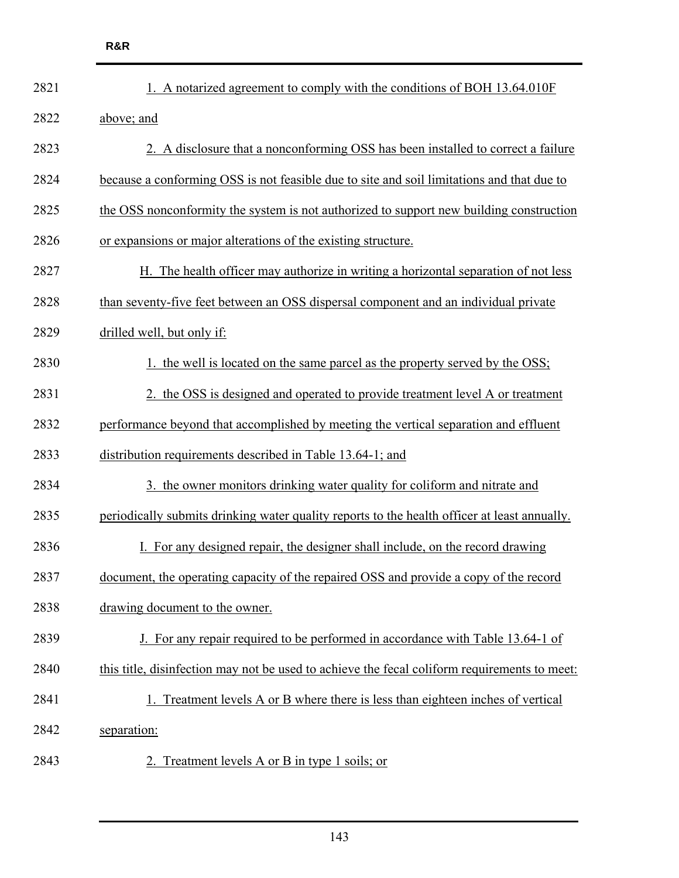| 2821 | 1. A notarized agreement to comply with the conditions of BOH 13.64.010F                     |
|------|----------------------------------------------------------------------------------------------|
| 2822 | above; and                                                                                   |
| 2823 | 2. A disclosure that a nonconforming OSS has been installed to correct a failure             |
| 2824 | because a conforming OSS is not feasible due to site and soil limitations and that due to    |
| 2825 | the OSS nonconformity the system is not authorized to support new building construction      |
| 2826 | or expansions or major alterations of the existing structure.                                |
| 2827 | H. The health officer may authorize in writing a horizontal separation of not less           |
| 2828 | than seventy-five feet between an OSS dispersal component and an individual private          |
| 2829 | drilled well, but only if:                                                                   |
| 2830 | 1. the well is located on the same parcel as the property served by the OSS;                 |
| 2831 | 2. the OSS is designed and operated to provide treatment level A or treatment                |
| 2832 | performance beyond that accomplished by meeting the vertical separation and effluent         |
| 2833 | distribution requirements described in Table 13.64-1; and                                    |
| 2834 | 3. the owner monitors drinking water quality for coliform and nitrate and                    |
| 2835 | periodically submits drinking water quality reports to the health officer at least annually. |
| 2836 | For any designed repair, the designer shall include, on the record drawing                   |
| 2837 | document, the operating capacity of the repaired OSS and provide a copy of the record        |
| 2838 | drawing document to the owner.                                                               |
| 2839 | J. For any repair required to be performed in accordance with Table 13.64-1 of               |
| 2840 | this title, disinfection may not be used to achieve the fecal coliform requirements to meet: |
| 2841 | 1. Treatment levels A or B where there is less than eighteen inches of vertical              |
| 2842 | separation:                                                                                  |
| 2843 | 2. Treatment levels A or B in type 1 soils; or                                               |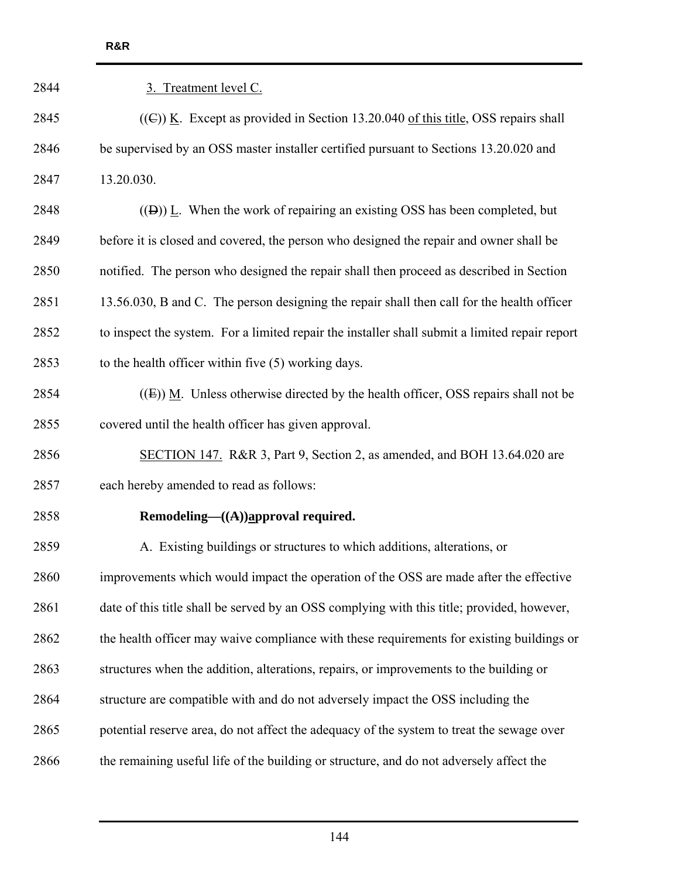| 3. Treatment level C.                                                                          |
|------------------------------------------------------------------------------------------------|
| $((\mathbb{C}))$ K. Except as provided in Section 13.20.040 of this title, OSS repairs shall   |
| be supervised by an OSS master installer certified pursuant to Sections 13.20.020 and          |
| 13.20.030.                                                                                     |
| $((\theta))$ L. When the work of repairing an existing OSS has been completed, but             |
| before it is closed and covered, the person who designed the repair and owner shall be         |
| notified. The person who designed the repair shall then proceed as described in Section        |
| 13.56.030, B and C. The person designing the repair shall then call for the health officer     |
| to inspect the system. For a limited repair the installer shall submit a limited repair report |
| to the health officer within five (5) working days.                                            |
| $((E))$ M. Unless otherwise directed by the health officer, OSS repairs shall not be           |
| covered until the health officer has given approval.                                           |
| SECTION 147. R&R 3, Part 9, Section 2, as amended, and BOH 13.64.020 are                       |
| each hereby amended to read as follows:                                                        |
| Remodeling— $((A))$ approval required.                                                         |
| A. Existing buildings or structures to which additions, alterations, or                        |
| improvements which would impact the operation of the OSS are made after the effective          |
| date of this title shall be served by an OSS complying with this title; provided, however,     |
| the health officer may waive compliance with these requirements for existing buildings or      |
| structures when the addition, alterations, repairs, or improvements to the building or         |
| structure are compatible with and do not adversely impact the OSS including the                |
| potential reserve area, do not affect the adequacy of the system to treat the sewage over      |
| the remaining useful life of the building or structure, and do not adversely affect the        |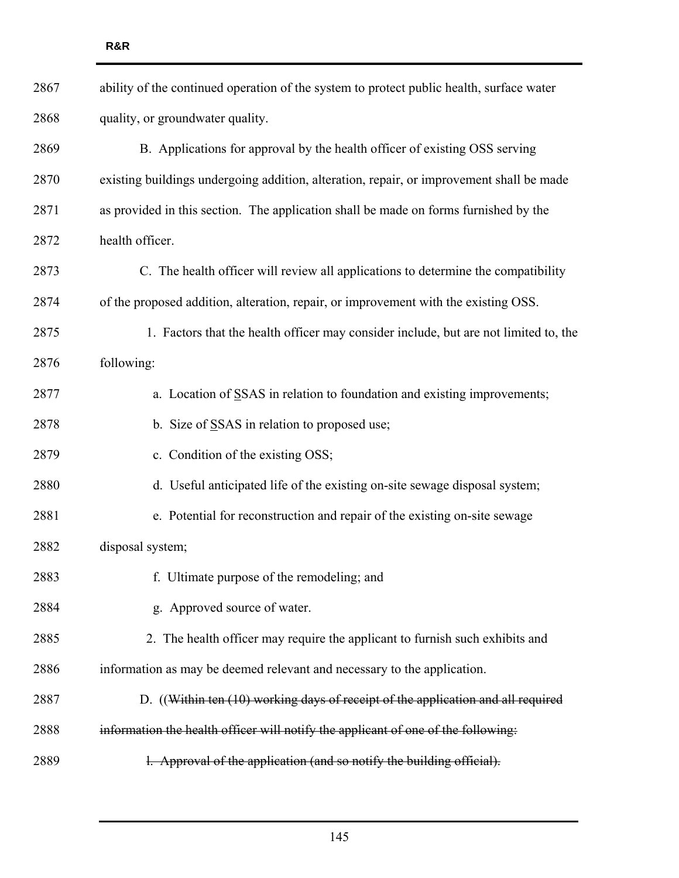| 2867 | ability of the continued operation of the system to protect public health, surface water |
|------|------------------------------------------------------------------------------------------|
| 2868 | quality, or groundwater quality.                                                         |
| 2869 | B. Applications for approval by the health officer of existing OSS serving               |
| 2870 | existing buildings undergoing addition, alteration, repair, or improvement shall be made |
| 2871 | as provided in this section. The application shall be made on forms furnished by the     |
| 2872 | health officer.                                                                          |
| 2873 | C. The health officer will review all applications to determine the compatibility        |
| 2874 | of the proposed addition, alteration, repair, or improvement with the existing OSS.      |
| 2875 | 1. Factors that the health officer may consider include, but are not limited to, the     |
| 2876 | following:                                                                               |
| 2877 | a. Location of SSAS in relation to foundation and existing improvements;                 |
| 2878 | b. Size of SSAS in relation to proposed use;                                             |
| 2879 | c. Condition of the existing OSS;                                                        |
| 2880 | d. Useful anticipated life of the existing on-site sewage disposal system;               |
| 2881 | e. Potential for reconstruction and repair of the existing on-site sewage                |
| 2882 | disposal system;                                                                         |
| 2883 | f. Ultimate purpose of the remodeling; and                                               |
| 2884 | g. Approved source of water.                                                             |
| 2885 | 2. The health officer may require the applicant to furnish such exhibits and             |
| 2886 | information as may be deemed relevant and necessary to the application.                  |
| 2887 | D. ((Within ten (10) working days of receipt of the application and all required         |
| 2888 | information the health officer will notify the applicant of one of the following:        |
| 2889 | 1. Approval of the application (and so notify the building official).                    |
|      |                                                                                          |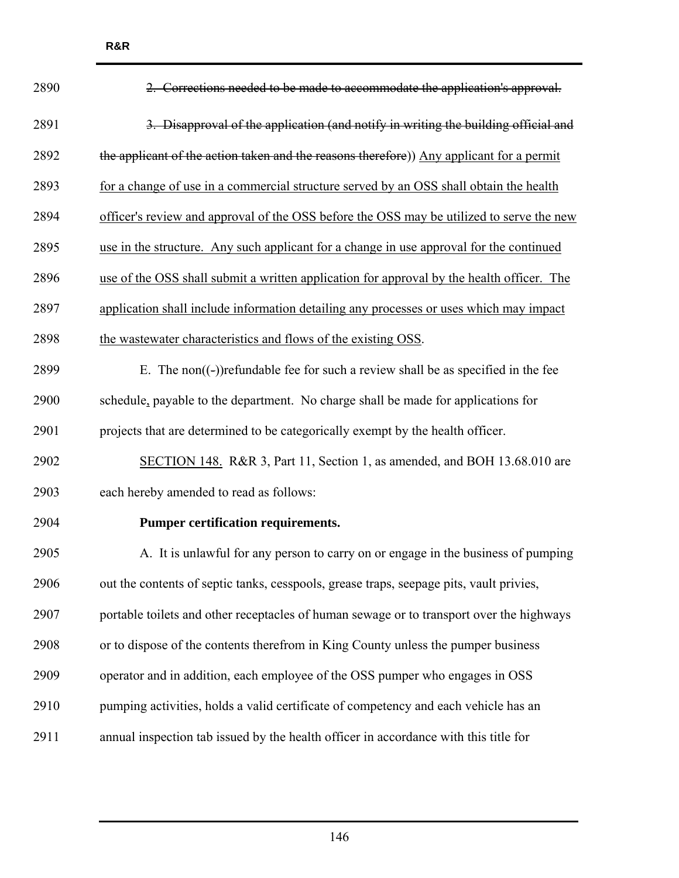2890 2. Corrections needed to be made to accommodate the application's approval. 2891 3. Disapproval of the application (and notify in writing the building official and 2892 the applicant of the action taken and the reasons therefore)) Any applicant for a permit 2893 for a change of use in a commercial structure served by an OSS shall obtain the health 2894 officer's review and approval of the OSS before the OSS may be utilized to serve the new 2895 use in the structure. Any such applicant for a change in use approval for the continued 2896 use of the OSS shall submit a written application for approval by the health officer. The 2897 application shall include information detailing any processes or uses which may impact 2898 the wastewater characteristics and flows of the existing OSS. 2899 E. The non( $(-)$ ) refundable fee for such a review shall be as specified in the fee 2900 schedule, payable to the department. No charge shall be made for applications for 2901 projects that are determined to be categorically exempt by the health officer. 2902 SECTION 148. R&R 3, Part 11, Section 1, as amended, and BOH 13.68.010 are 2903 each hereby amended to read as follows: 2904 **Pumper certification requirements.**  2905 A. It is unlawful for any person to carry on or engage in the business of pumping 2906 out the contents of septic tanks, cesspools, grease traps, seepage pits, vault privies, 2907 portable toilets and other receptacles of human sewage or to transport over the highways 2908 or to dispose of the contents therefrom in King County unless the pumper business 2909 operator and in addition, each employee of the OSS pumper who engages in OSS 2910 pumping activities, holds a valid certificate of competency and each vehicle has an 2911 annual inspection tab issued by the health officer in accordance with this title for

**R&R**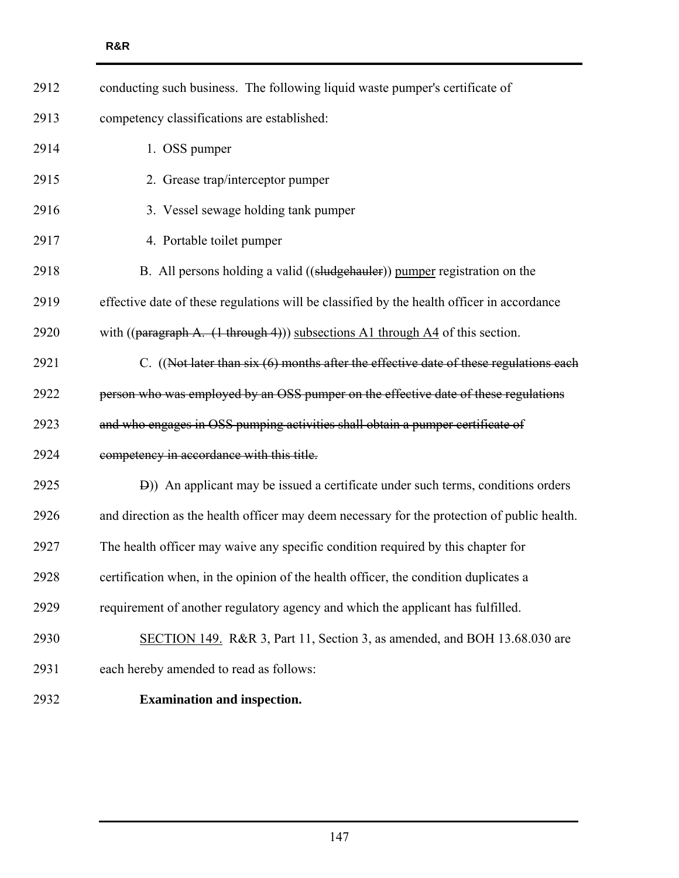| 2912 | conducting such business. The following liquid waste pumper's certificate of                      |
|------|---------------------------------------------------------------------------------------------------|
| 2913 | competency classifications are established:                                                       |
| 2914 | 1. OSS pumper                                                                                     |
| 2915 | 2. Grease trap/interceptor pumper                                                                 |
| 2916 | 3. Vessel sewage holding tank pumper                                                              |
| 2917 | 4. Portable toilet pumper                                                                         |
| 2918 | B. All persons holding a valid ((sludgehauler)) pumper registration on the                        |
| 2919 | effective date of these regulations will be classified by the health officer in accordance        |
| 2920 | with $((\text{paragraph A. } (1 \text{ through } 4)))$ subsections A1 through A4 of this section. |
| 2921 | C. $((Not later than six (6) months after the effective date of these regulations each$           |
| 2922 | person who was employed by an OSS pumper on the effective date of these regulations               |
| 2923 | and who engages in OSS pumping activities shall obtain a pumper certificate of                    |
| 2924 | competency in accordance with this title.                                                         |
| 2925 | D)) An applicant may be issued a certificate under such terms, conditions orders                  |
| 2926 | and direction as the health officer may deem necessary for the protection of public health.       |
| 2927 | The health officer may waive any specific condition required by this chapter for                  |
| 2928 | certification when, in the opinion of the health officer, the condition duplicates a              |
| 2929 | requirement of another regulatory agency and which the applicant has fulfilled.                   |
| 2930 | SECTION 149. R&R 3, Part 11, Section 3, as amended, and BOH 13.68.030 are                         |
| 2931 | each hereby amended to read as follows:                                                           |
| 2932 | <b>Examination and inspection.</b>                                                                |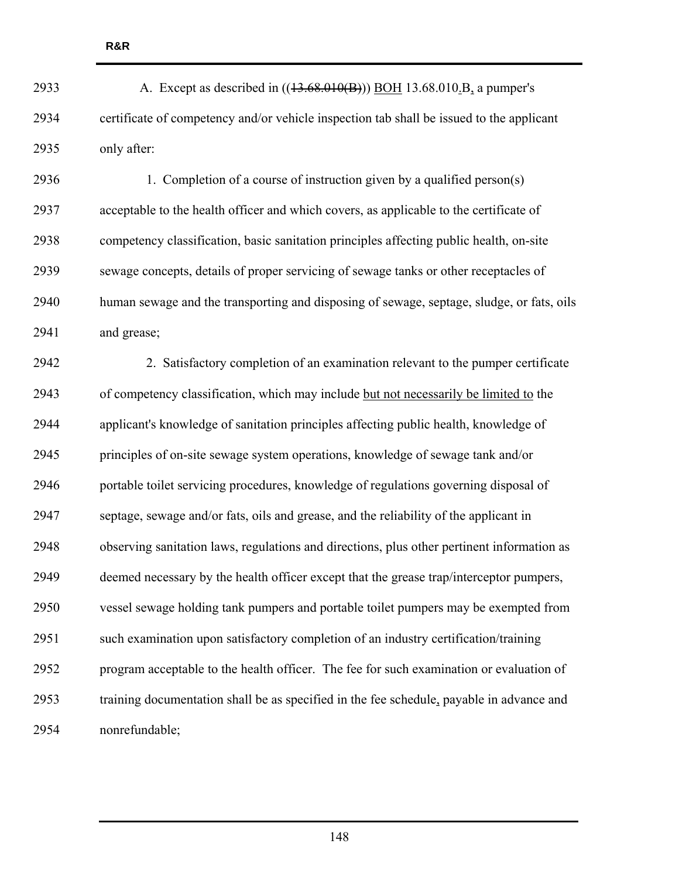2933 A. Except as described in ((43.68.010(B))) BOH 13.68.010.B, a pumper's 2934 certificate of competency and/or vehicle inspection tab shall be issued to the applicant 2935 only after:

2936 1. Completion of a course of instruction given by a qualified person(s) 2937 acceptable to the health officer and which covers, as applicable to the certificate of 2938 competency classification, basic sanitation principles affecting public health, on-site 2939 sewage concepts, details of proper servicing of sewage tanks or other receptacles of 2940 human sewage and the transporting and disposing of sewage, septage, sludge, or fats, oils 2941 and grease;

2942 2. Satisfactory completion of an examination relevant to the pumper certificate 2943 of competency classification, which may include but not necessarily be limited to the 2944 applicant's knowledge of sanitation principles affecting public health, knowledge of 2945 principles of on-site sewage system operations, knowledge of sewage tank and/or 2946 portable toilet servicing procedures, knowledge of regulations governing disposal of 2947 septage, sewage and/or fats, oils and grease, and the reliability of the applicant in 2948 observing sanitation laws, regulations and directions, plus other pertinent information as 2949 deemed necessary by the health officer except that the grease trap/interceptor pumpers, 2950 vessel sewage holding tank pumpers and portable toilet pumpers may be exempted from 2951 such examination upon satisfactory completion of an industry certification/training 2952 program acceptable to the health officer. The fee for such examination or evaluation of 2953 training documentation shall be as specified in the fee schedule, payable in advance and 2954 nonrefundable;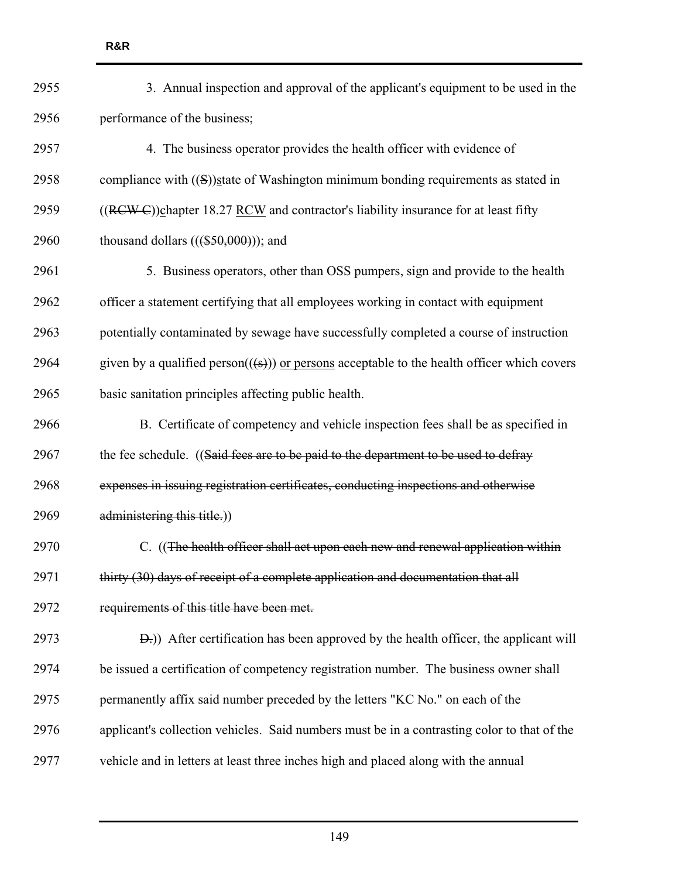| 2955 | 3. Annual inspection and approval of the applicant's equipment to be used in the                                     |
|------|----------------------------------------------------------------------------------------------------------------------|
| 2956 | performance of the business;                                                                                         |
| 2957 | 4. The business operator provides the health officer with evidence of                                                |
| 2958 | compliance with $((S))$ state of Washington minimum bonding requirements as stated in                                |
| 2959 | ((RCW C))chapter 18.27 RCW and contractor's liability insurance for at least fifty                                   |
| 2960 | thousand dollars $(((\$50,000))$ ; and                                                                               |
| 2961 | 5. Business operators, other than OSS pumpers, sign and provide to the health                                        |
| 2962 | officer a statement certifying that all employees working in contact with equipment                                  |
| 2963 | potentially contaminated by sewage have successfully completed a course of instruction                               |
| 2964 | given by a qualified person( $(\left(\frac{1}{5}\right))$ ) or persons acceptable to the health officer which covers |
| 2965 | basic sanitation principles affecting public health.                                                                 |
| 2966 | B. Certificate of competency and vehicle inspection fees shall be as specified in                                    |
| 2967 | the fee schedule. ((Said fees are to be paid to the department to be used to defray                                  |
| 2968 | expenses in issuing registration certificates, conducting inspections and otherwise                                  |
| 2969 | administering this title.))                                                                                          |
| 2970 | C. ((The health officer shall act upon each new and renewal application within                                       |
| 2971 | thirty (30) days of receipt of a complete application and documentation that all                                     |
| 2972 | requirements of this title have been met.                                                                            |
| 2973 | <b>D</b> .)) After certification has been approved by the health officer, the applicant will                         |
| 2974 | be issued a certification of competency registration number. The business owner shall                                |
| 2975 | permanently affix said number preceded by the letters "KC No." on each of the                                        |
| 2976 | applicant's collection vehicles. Said numbers must be in a contrasting color to that of the                          |
| 2977 | vehicle and in letters at least three inches high and placed along with the annual                                   |
|      |                                                                                                                      |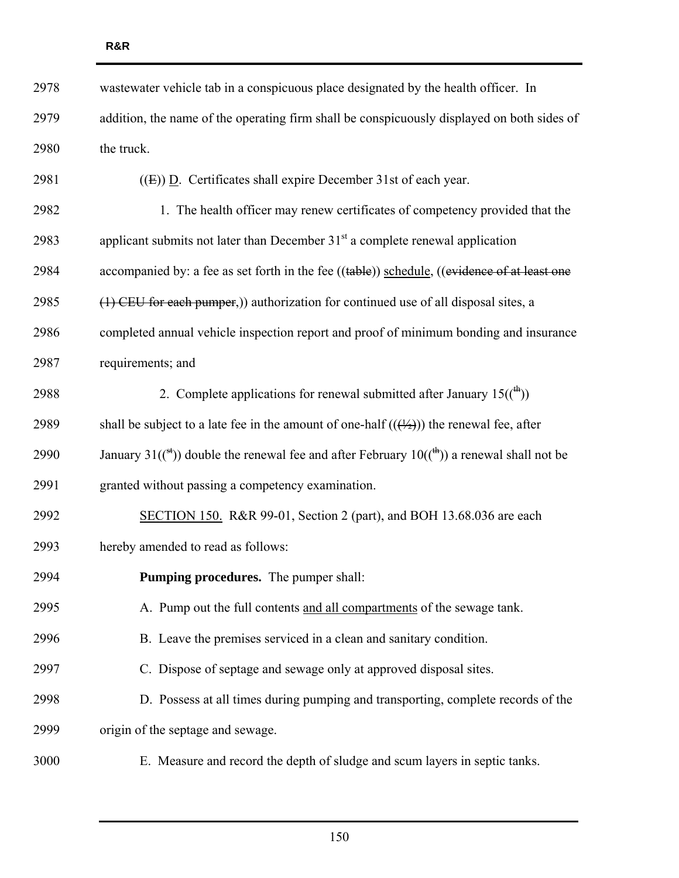| 2978 | wastewater vehicle tab in a conspicuous place designated by the health officer. In                                         |
|------|----------------------------------------------------------------------------------------------------------------------------|
| 2979 | addition, the name of the operating firm shall be conspicuously displayed on both sides of                                 |
| 2980 | the truck.                                                                                                                 |
| 2981 | $((E))$ D. Certificates shall expire December 31st of each year.                                                           |
| 2982 | 1. The health officer may renew certificates of competency provided that the                                               |
| 2983 | applicant submits not later than December $31st$ a complete renewal application                                            |
| 2984 | accompanied by: a fee as set forth in the fee ((table)) schedule, ((evidence of at least one                               |
| 2985 | (1) CEU for each pumper,)) authorization for continued use of all disposal sites, a                                        |
| 2986 | completed annual vehicle inspection report and proof of minimum bonding and insurance                                      |
| 2987 | requirements; and                                                                                                          |
| 2988 | 2. Complete applications for renewal submitted after January $15(\binom{4}{1})$                                            |
| 2989 | shall be subject to a late fee in the amount of one-half $((\frac{1}{2}))$ the renewal fee, after                          |
| 2990 | January 31( $({}^{\text{st}})$ ) double the renewal fee and after February 10( $({}^{\text{th}})$ ) a renewal shall not be |
| 2991 | granted without passing a competency examination.                                                                          |
| 2992 | SECTION 150. R&R 99-01, Section 2 (part), and BOH 13.68.036 are each                                                       |
| 2993 | hereby amended to read as follows:                                                                                         |
| 2994 | Pumping procedures. The pumper shall:                                                                                      |
| 2995 | A. Pump out the full contents and all compartments of the sewage tank.                                                     |
| 2996 | B. Leave the premises serviced in a clean and sanitary condition.                                                          |
| 2997 | C. Dispose of septage and sewage only at approved disposal sites.                                                          |
| 2998 | D. Possess at all times during pumping and transporting, complete records of the                                           |
| 2999 | origin of the septage and sewage.                                                                                          |
| 3000 | E. Measure and record the depth of sludge and scum layers in septic tanks.                                                 |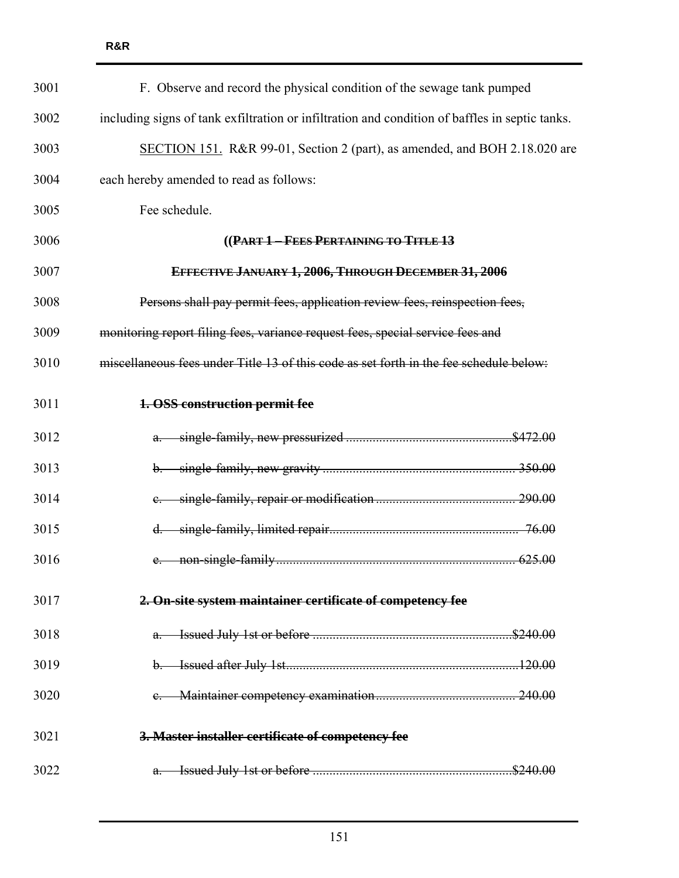| 3001 | F. Observe and record the physical condition of the sewage tank pumped                         |
|------|------------------------------------------------------------------------------------------------|
| 3002 | including signs of tank exfiltration or infiltration and condition of baffles in septic tanks. |
| 3003 | SECTION 151. R&R 99-01, Section 2 (part), as amended, and BOH 2.18.020 are                     |
| 3004 | each hereby amended to read as follows:                                                        |
| 3005 | Fee schedule.                                                                                  |
| 3006 | ((PART 1-FEES PERTAINING TO TITLE 13                                                           |
| 3007 | EFFECTIVE JANUARY 1, 2006, THROUGH DECEMBER 31, 2006                                           |
| 3008 | Persons shall pay permit fees, application review fees, reinspection fees,                     |
| 3009 | monitoring report filing fees, variance request fees, special service fees and                 |
| 3010 | miscellaneous fees under Title 13 of this code as set forth in the fee schedule below:         |
| 3011 | 1. OSS construction permit fee                                                                 |
| 3012 |                                                                                                |
| 3013 |                                                                                                |
| 3014 |                                                                                                |
| 3015 | d.                                                                                             |
| 3016 |                                                                                                |
| 3017 | 2. On-site system maintainer certificate of competency fee                                     |
| 3018 |                                                                                                |
| 3019 |                                                                                                |
| 3020 |                                                                                                |
| 3021 | 3. Master installer certificate of competency fee                                              |
| 3022 |                                                                                                |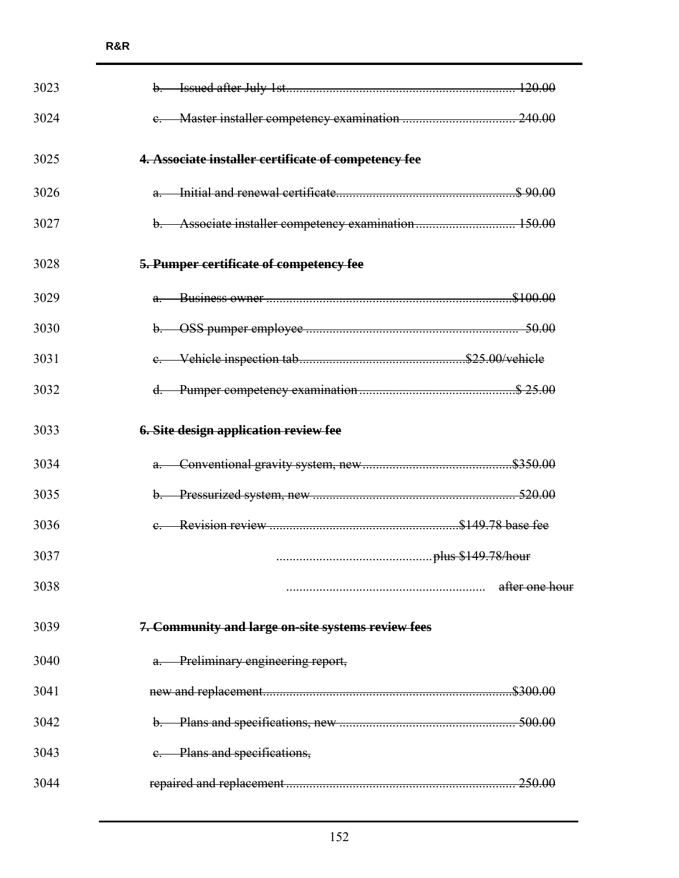| 3023 |                                                      |                |
|------|------------------------------------------------------|----------------|
| 3024 |                                                      |                |
| 3025 | 4. Associate installer certificate of competency fee |                |
| 3026 |                                                      |                |
| 3027 |                                                      |                |
| 3028 | 5. Pumper certificate of competency fee              |                |
| 3029 |                                                      |                |
| 3030 |                                                      |                |
| 3031 |                                                      |                |
| 3032 |                                                      |                |
| 3033 | <b>6. Site design application review fee</b>         |                |
| 3034 |                                                      |                |
| 3035 |                                                      |                |
| 3036 |                                                      |                |
| 3037 |                                                      |                |
| 3038 |                                                      | after one hour |
| 3039 | 7. Community and large on-site systems review fees   |                |
| 3040 | a. Preliminary engineering report,                   |                |
| 3041 |                                                      |                |
| 3042 |                                                      |                |
| 3043 | e. Plans and specifications,                         |                |
| 3044 |                                                      |                |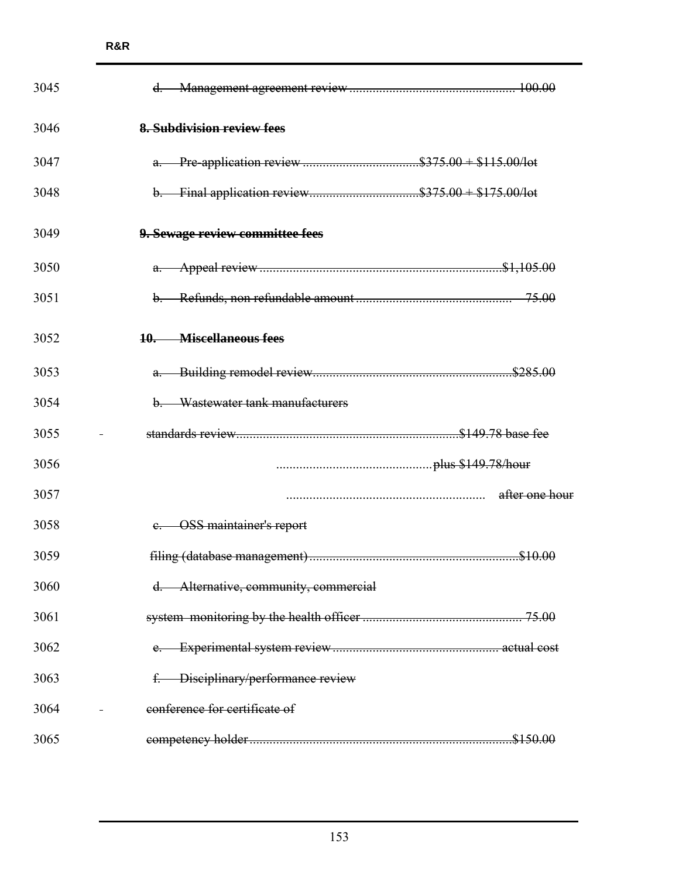| 3045 |                                       |                |
|------|---------------------------------------|----------------|
| 3046 | 8. Subdivision review fees            |                |
| 3047 |                                       |                |
| 3048 |                                       |                |
| 3049 | 9. Sewage review committee fees       |                |
| 3050 |                                       |                |
| 3051 |                                       |                |
| 3052 | 10. Miscellaneous fees                |                |
| 3053 |                                       |                |
| 3054 | b. Wastewater tank manufacturers      |                |
| 3055 |                                       |                |
| 3056 |                                       |                |
| 3057 |                                       | after one hour |
| 3058 | <b>OSS</b> maintainer's report        |                |
| 3059 |                                       |                |
| 3060 | d. Alternative, community, commercial |                |
| 3061 |                                       |                |
| 3062 |                                       |                |
| 3063 | f. Disciplinary/performance review    |                |
| 3064 | conference for certificate of         |                |
| 3065 |                                       |                |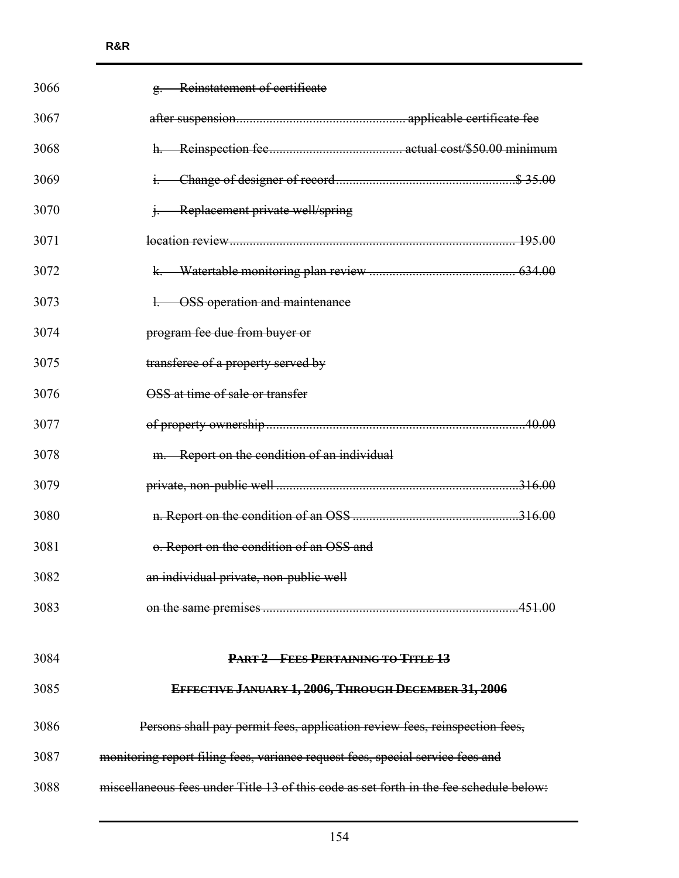| 3066 | g. Reinstatement of certificate                                                        |
|------|----------------------------------------------------------------------------------------|
| 3067 |                                                                                        |
| 3068 |                                                                                        |
| 3069 |                                                                                        |
| 3070 | <i>i.</i> Replacement private well/spring                                              |
| 3071 |                                                                                        |
| 3072 |                                                                                        |
| 3073 | 1. OSS operation and maintenance                                                       |
| 3074 | program fee due from buyer or                                                          |
| 3075 | transferee of a property served by                                                     |
| 3076 | OSS at time of sale or transfer                                                        |
| 3077 |                                                                                        |
| 3078 | m. Report on the condition of an individual                                            |
| 3079 |                                                                                        |
| 3080 |                                                                                        |
| 3081 | o. Report on the condition of an OSS and                                               |
| 3082 | an individual private, non-public well                                                 |
| 3083 |                                                                                        |
|      |                                                                                        |
| 3084 | PART 2 FEES PERTAINING TO TITLE 13                                                     |
| 3085 | EFFECTIVE JANUARY 1, 2006, THROUGH DECEMBER 31, 2006                                   |
| 3086 | Persons shall pay permit fees, application review fees, reinspection fees,             |
| 3087 | monitoring report filing fees, variance request fees, special service fees and         |
| 3088 | miscellaneous fees under Title 13 of this code as set forth in the fee schedule below: |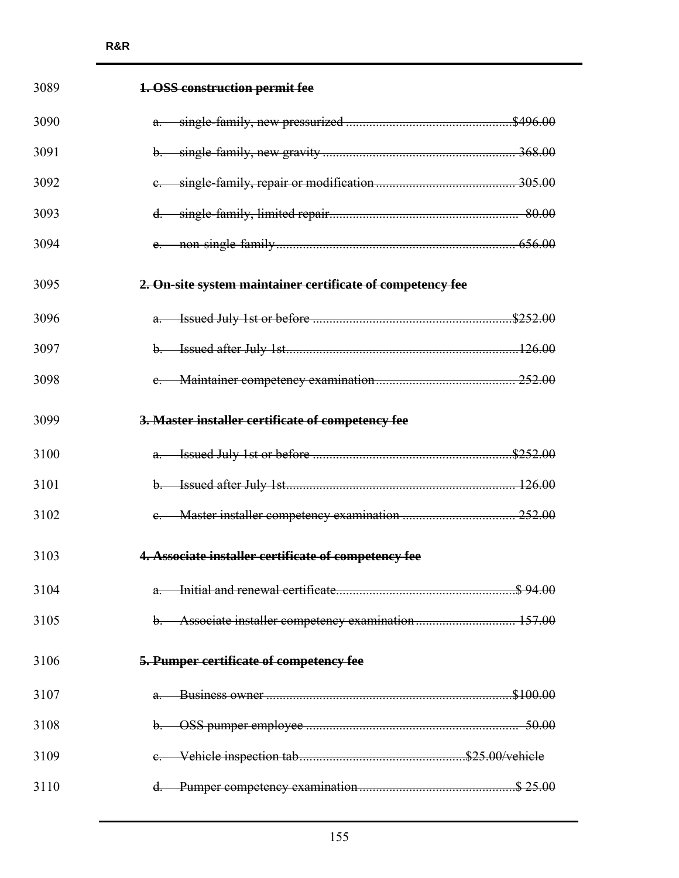| 3089 | 1. OSS construction permit fee                             |  |
|------|------------------------------------------------------------|--|
| 3090 |                                                            |  |
| 3091 |                                                            |  |
| 3092 |                                                            |  |
| 3093 |                                                            |  |
| 3094 |                                                            |  |
| 3095 | 2. On-site system maintainer certificate of competency fee |  |
| 3096 |                                                            |  |
| 3097 |                                                            |  |
| 3098 |                                                            |  |
| 3099 | 3. Master installer certificate of competency fee          |  |
| 3100 |                                                            |  |
| 3101 |                                                            |  |
| 3102 |                                                            |  |
| 3103 | 4. Associate installer certificate of competency fee       |  |
| 3104 |                                                            |  |
| 3105 | b. Associate installer competency examination 157.00       |  |
| 3106 | 5. Pumper certificate of competency fee                    |  |
| 3107 |                                                            |  |
| 3108 |                                                            |  |
| 3109 |                                                            |  |
| 3110 |                                                            |  |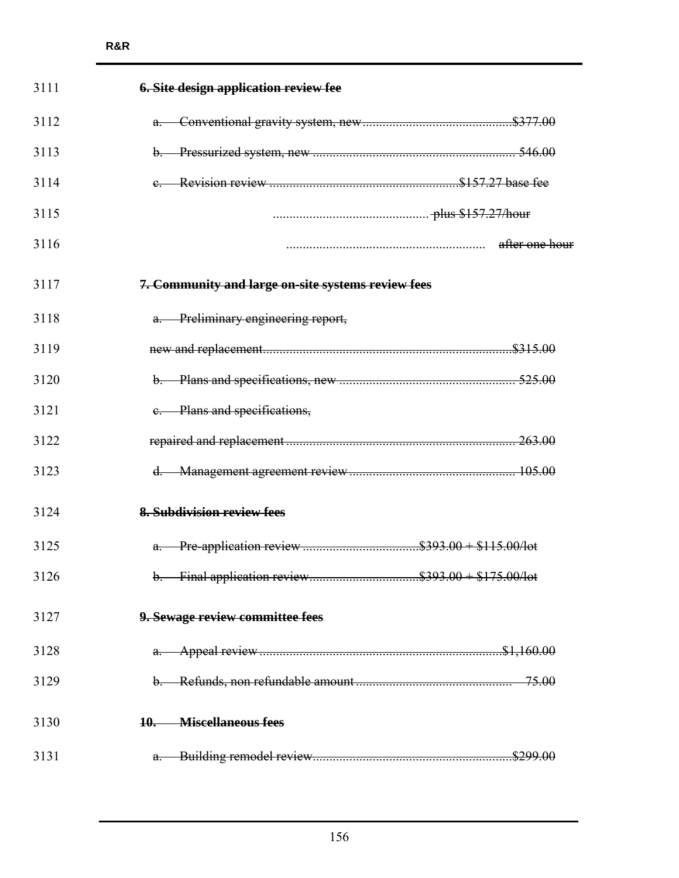| 3111 | <b>6. Site design application review fee</b>       |                |
|------|----------------------------------------------------|----------------|
| 3112 |                                                    |                |
| 3113 |                                                    |                |
| 3114 |                                                    |                |
| 3115 |                                                    |                |
| 3116 |                                                    | after one hour |
| 3117 | 7. Community and large on-site systems review fees |                |
| 3118 | a. Preliminary engineering report,                 |                |
| 3119 |                                                    |                |
| 3120 |                                                    |                |
| 3121 | e. Plans and specifications,                       |                |
| 3122 |                                                    |                |
| 3123 |                                                    |                |
| 3124 | 8. Subdivision review fees                         |                |
| 3125 |                                                    |                |
| 3126 |                                                    |                |
| 3127 | 9. Sewage review committee fees                    |                |
| 3128 |                                                    |                |
| 3129 |                                                    |                |
| 3130 | 10. Miscellaneous fees                             |                |
| 3131 |                                                    |                |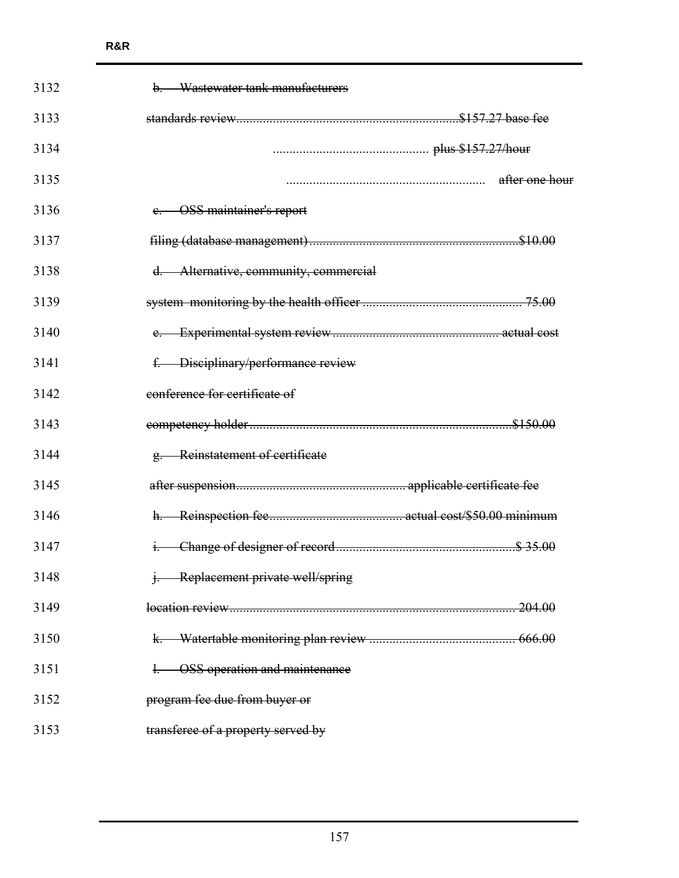| 3132 | Wastewater tank manufacturers<br>b.   |
|------|---------------------------------------|
| 3133 |                                       |
| 3134 |                                       |
| 3135 | after one hour                        |
| 3136 | e. OSS maintainer's report            |
| 3137 |                                       |
| 3138 | d. Alternative, community, commercial |
| 3139 |                                       |
| 3140 |                                       |
| 3141 | f. Disciplinary/performance review    |
| 3142 | conference for certificate of         |
| 3143 |                                       |
| 3144 | g. Reinstatement of certificate       |
| 3145 |                                       |
| 3146 |                                       |
| 3147 |                                       |
| 3148 | j. Replacement private well/spring    |
| 3149 | <u>. 204.00</u>                       |
| 3150 |                                       |
| 3151 | <b>OSS</b> operation and maintenance  |
| 3152 | program fee due from buyer or         |
| 3153 | transferee of a property served by    |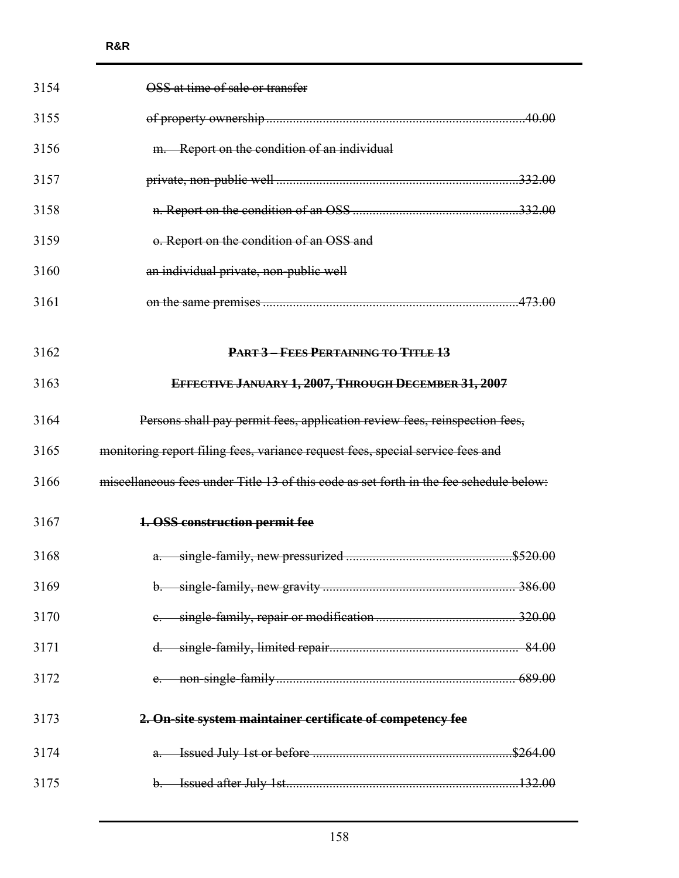| 3154 | OSS at time of sale or transfer                                                        |
|------|----------------------------------------------------------------------------------------|
| 3155 |                                                                                        |
| 3156 | m. Report on the condition of an individual                                            |
| 3157 |                                                                                        |
| 3158 |                                                                                        |
| 3159 | o. Report on the condition of an OSS and                                               |
| 3160 | an individual private, non-public well                                                 |
| 3161 |                                                                                        |
|      |                                                                                        |
| 3162 | <b>PART 3 - FEES PERTAINING TO TITLE 13</b>                                            |
| 3163 | EFFECTIVE JANUARY 1, 2007, THROUGH DECEMBER 31, 2007                                   |
| 3164 | Persons shall pay permit fees, application review fees, reinspection fees,             |
| 3165 | monitoring report filing fees, variance request fees, special service fees and         |
| 3166 | miseellaneous fees under Title 13 of this code as set forth in the fee schedule below. |
| 3167 | 1. OSS construction permit fee                                                         |
| 3168 |                                                                                        |
| 3169 |                                                                                        |
| 3170 |                                                                                        |
| 3171 |                                                                                        |
| 3172 |                                                                                        |
| 3173 | 2. On-site system maintainer certificate of competency fee                             |
| 3174 |                                                                                        |
| 3175 |                                                                                        |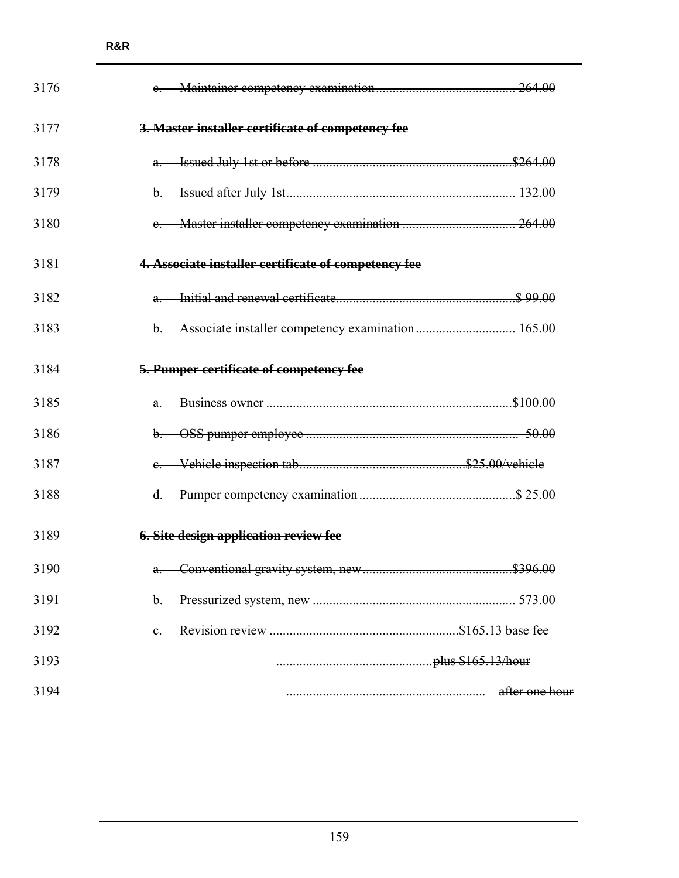| 3176 |                                                      |
|------|------------------------------------------------------|
| 3177 | 3. Master installer certificate of competency fee    |
| 3178 |                                                      |
| 3179 |                                                      |
| 3180 |                                                      |
| 3181 | 4. Associate installer certificate of competency fee |
| 3182 |                                                      |
| 3183 | b. Associate installer competency examination 165.00 |
| 3184 | 5. Pumper certificate of competency fee              |
| 3185 |                                                      |
| 3186 |                                                      |
| 3187 |                                                      |
| 3188 |                                                      |
| 3189 | <b>6. Site design application review fee</b>         |
| 3190 |                                                      |
| 3191 | $\theta$                                             |
| 3192 |                                                      |
| 3193 |                                                      |
| 3194 | after one hour                                       |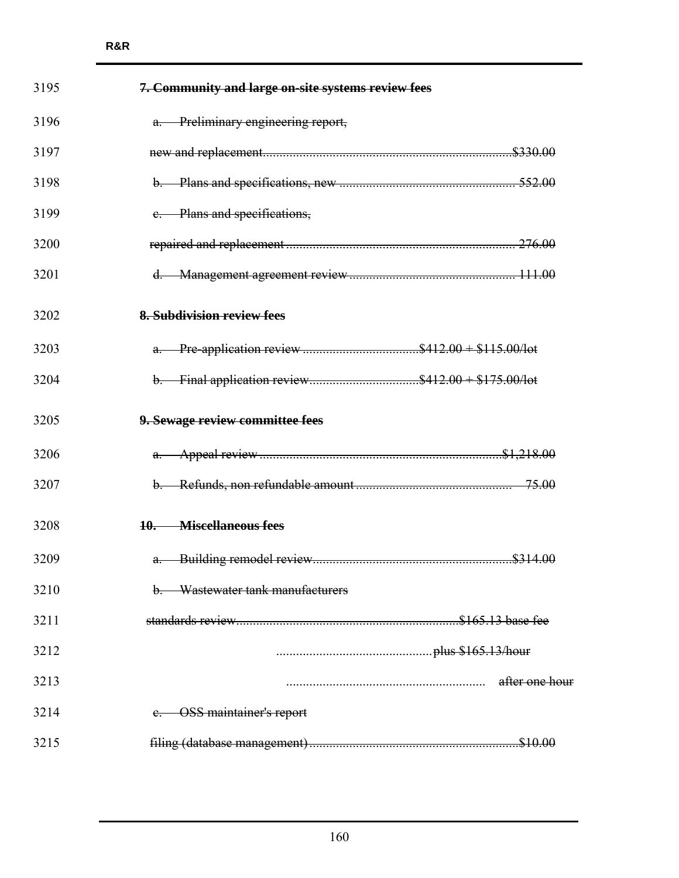| 3195 | 7. Community and large on-site systems review fees |                |
|------|----------------------------------------------------|----------------|
| 3196 | a. Preliminary engineering report,                 |                |
| 3197 |                                                    |                |
| 3198 |                                                    |                |
| 3199 | e. Plans and specifications,                       |                |
| 3200 |                                                    |                |
| 3201 |                                                    |                |
| 3202 | <b>8. Subdivision review fees</b>                  |                |
| 3203 | a. Pre-application review \$412.00 + \$115.00/lot  |                |
| 3204 |                                                    |                |
| 3205 | 9. Sewage review committee fees                    |                |
| 3206 |                                                    |                |
| 3207 |                                                    |                |
| 3208 | 10. Miscellaneous fees                             |                |
| 3209 |                                                    |                |
| 3210 | Wastewater tank manufacturers                      |                |
| 3211 |                                                    |                |
| 3212 |                                                    |                |
| 3213 |                                                    | after one hour |
| 3214 | <b>OSS</b> maintainer's report                     |                |
| 3215 |                                                    |                |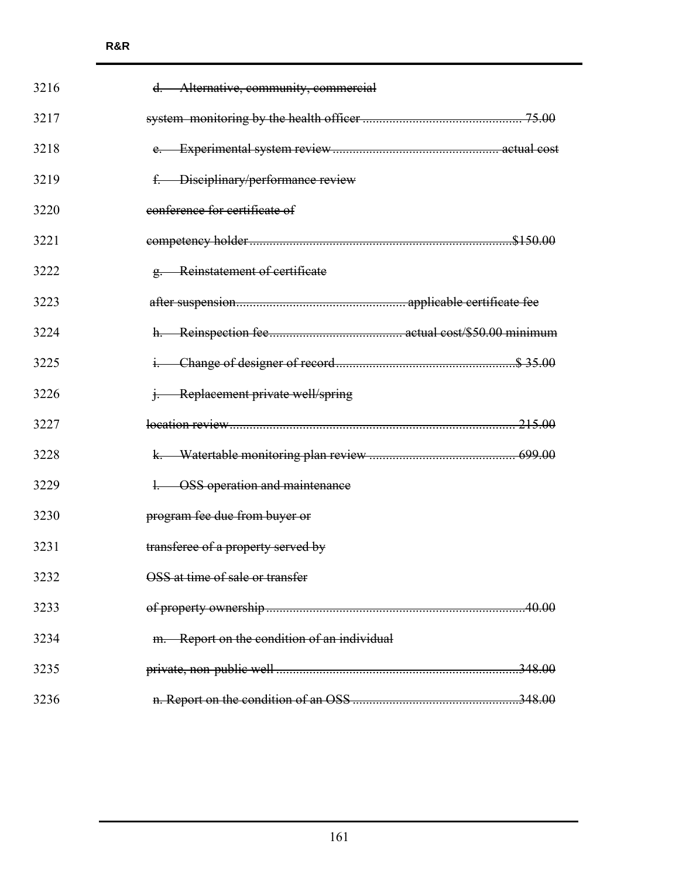| 3216 | d. Alternative, community, commercial       |  |
|------|---------------------------------------------|--|
| 3217 |                                             |  |
| 3218 |                                             |  |
| 3219 | f. Disciplinary/performance review          |  |
| 3220 | conference for certificate of               |  |
| 3221 |                                             |  |
| 3222 | g. Reinstatement of certificate             |  |
| 3223 |                                             |  |
| 3224 |                                             |  |
| 3225 |                                             |  |
| 3226 | <i>i.</i> Replacement private well/spring   |  |
| 3227 |                                             |  |
| 3228 |                                             |  |
| 3229 | 1. OSS operation and maintenance            |  |
| 3230 | program fee due from buyer or               |  |
| 3231 | transferee of a property served by          |  |
| 3232 | OSS at time of sale or transfer             |  |
| 3233 |                                             |  |
| 3234 | m. Report on the condition of an individual |  |
| 3235 |                                             |  |
| 3236 |                                             |  |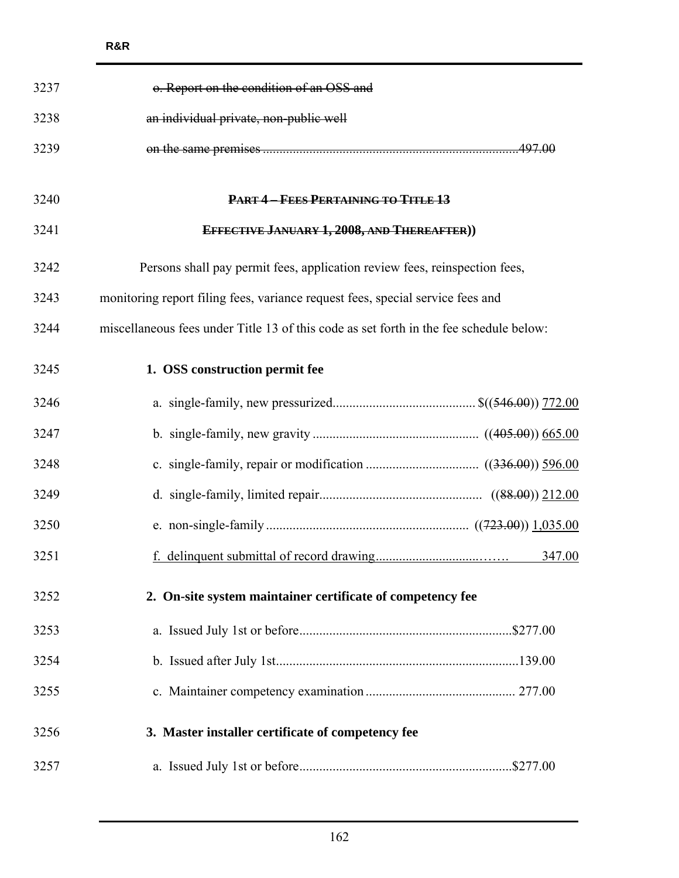| 3237 | o. Report on the condition of an OSS and                                               |        |
|------|----------------------------------------------------------------------------------------|--------|
| 3238 | an individual private, non-public well                                                 |        |
| 3239 |                                                                                        |        |
|      |                                                                                        |        |
| 3240 | PART 4-FEES PERTAINING TO TITLE 13                                                     |        |
| 3241 | EFFECTIVE JANUARY 1, 2008, AND THEREAFTER))                                            |        |
| 3242 | Persons shall pay permit fees, application review fees, reinspection fees,             |        |
| 3243 | monitoring report filing fees, variance request fees, special service fees and         |        |
| 3244 | miscellaneous fees under Title 13 of this code as set forth in the fee schedule below: |        |
| 3245 | 1. OSS construction permit fee                                                         |        |
| 3246 |                                                                                        |        |
| 3247 |                                                                                        |        |
| 3248 |                                                                                        |        |
| 3249 |                                                                                        |        |
| 3250 |                                                                                        |        |
| 3251 |                                                                                        | 347.00 |
| 3252 | 2. On-site system maintainer certificate of competency fee                             |        |
| 3253 |                                                                                        |        |
| 3254 |                                                                                        |        |
| 3255 |                                                                                        |        |
| 3256 | 3. Master installer certificate of competency fee                                      |        |
| 3257 |                                                                                        |        |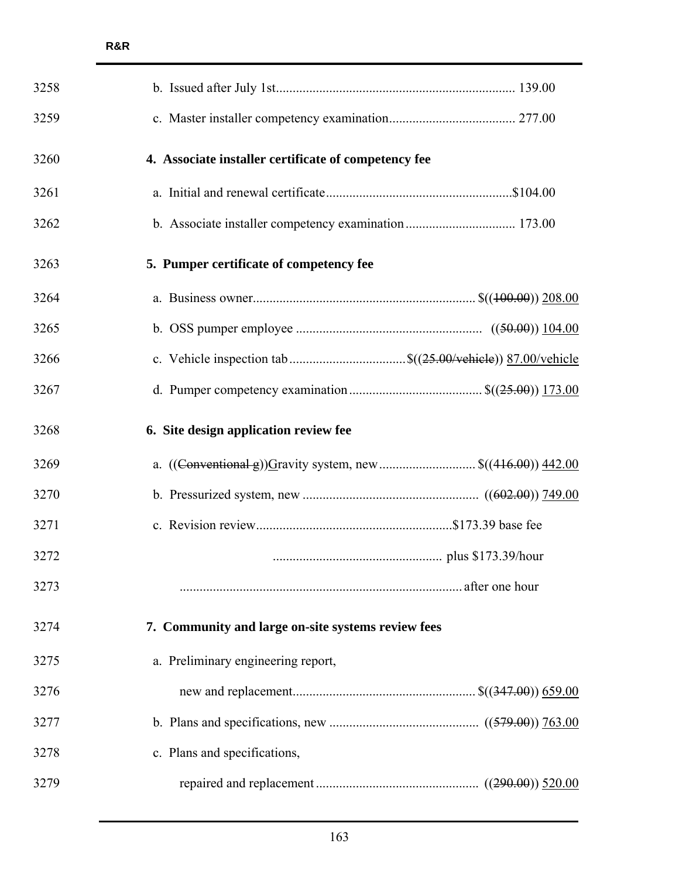| 3258 |                                                                           |  |
|------|---------------------------------------------------------------------------|--|
| 3259 |                                                                           |  |
| 3260 | 4. Associate installer certificate of competency fee                      |  |
| 3261 |                                                                           |  |
| 3262 |                                                                           |  |
| 3263 | 5. Pumper certificate of competency fee                                   |  |
| 3264 |                                                                           |  |
| 3265 |                                                                           |  |
| 3266 |                                                                           |  |
| 3267 |                                                                           |  |
| 3268 | 6. Site design application review fee                                     |  |
| 3269 | a. $((\text{Conventional-g}))$ Gravity system, new $\$((416.00))\ 442.00$ |  |
| 3270 |                                                                           |  |
| 3271 |                                                                           |  |
| 3272 |                                                                           |  |
| 3273 |                                                                           |  |
| 3274 | 7. Community and large on-site systems review fees                        |  |
| 3275 | a. Preliminary engineering report,                                        |  |
| 3276 |                                                                           |  |
| 3277 |                                                                           |  |
| 3278 | c. Plans and specifications,                                              |  |
| 3279 |                                                                           |  |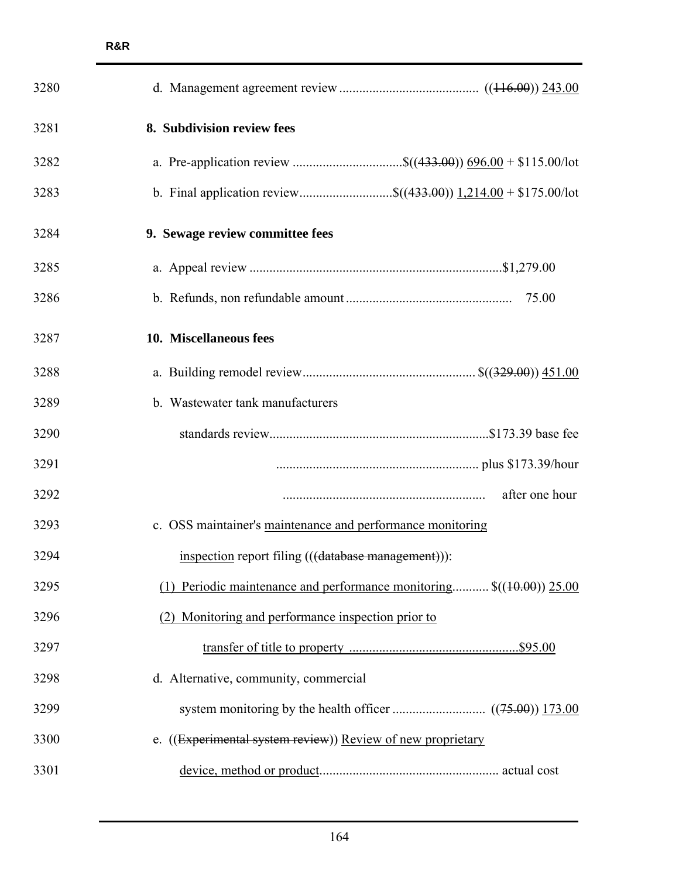| 3280 |                                                                         |
|------|-------------------------------------------------------------------------|
| 3281 | 8. Subdivision review fees                                              |
| 3282 |                                                                         |
| 3283 |                                                                         |
| 3284 | 9. Sewage review committee fees                                         |
| 3285 |                                                                         |
| 3286 |                                                                         |
| 3287 | 10. Miscellaneous fees                                                  |
| 3288 |                                                                         |
| 3289 | b. Wastewater tank manufacturers                                        |
| 3290 |                                                                         |
| 3291 |                                                                         |
| 3292 | after one hour                                                          |
| 3293 | c. OSS maintainer's maintenance and performance monitoring              |
| 3294 | inspection report filing (((database management))):                     |
| 3295 | (1) Periodic maintenance and performance monitoring $\$((10.00))$ 25.00 |
| 3296 | (2) Monitoring and performance inspection prior to                      |
| 3297 |                                                                         |
| 3298 | d. Alternative, community, commercial                                   |
| 3299 |                                                                         |
| 3300 | e. ((Experimental system review)) Review of new proprietary             |
| 3301 |                                                                         |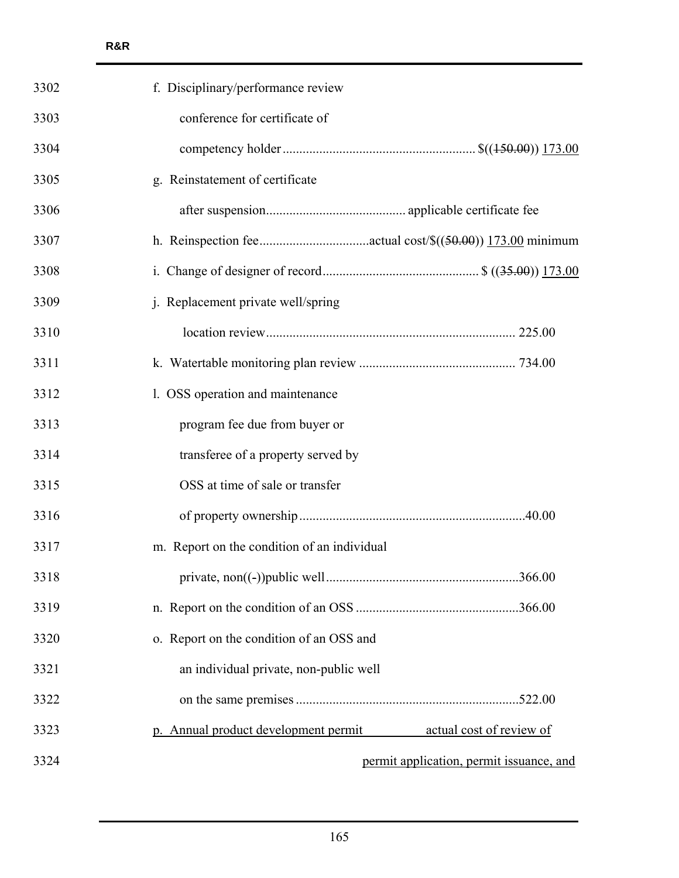| 3302 | f. Disciplinary/performance review                               |  |
|------|------------------------------------------------------------------|--|
| 3303 | conference for certificate of                                    |  |
| 3304 |                                                                  |  |
| 3305 | g. Reinstatement of certificate                                  |  |
| 3306 |                                                                  |  |
| 3307 |                                                                  |  |
| 3308 |                                                                  |  |
| 3309 | j. Replacement private well/spring                               |  |
| 3310 |                                                                  |  |
| 3311 |                                                                  |  |
| 3312 | 1. OSS operation and maintenance                                 |  |
| 3313 | program fee due from buyer or                                    |  |
| 3314 | transferee of a property served by                               |  |
| 3315 | OSS at time of sale or transfer                                  |  |
| 3316 |                                                                  |  |
| 3317 | m. Report on the condition of an individual                      |  |
| 3318 |                                                                  |  |
| 3319 |                                                                  |  |
| 3320 | o. Report on the condition of an OSS and                         |  |
| 3321 | an individual private, non-public well                           |  |
| 3322 |                                                                  |  |
| 3323 | p. Annual product development permit<br>actual cost of review of |  |
| 3324 | permit application, permit issuance, and                         |  |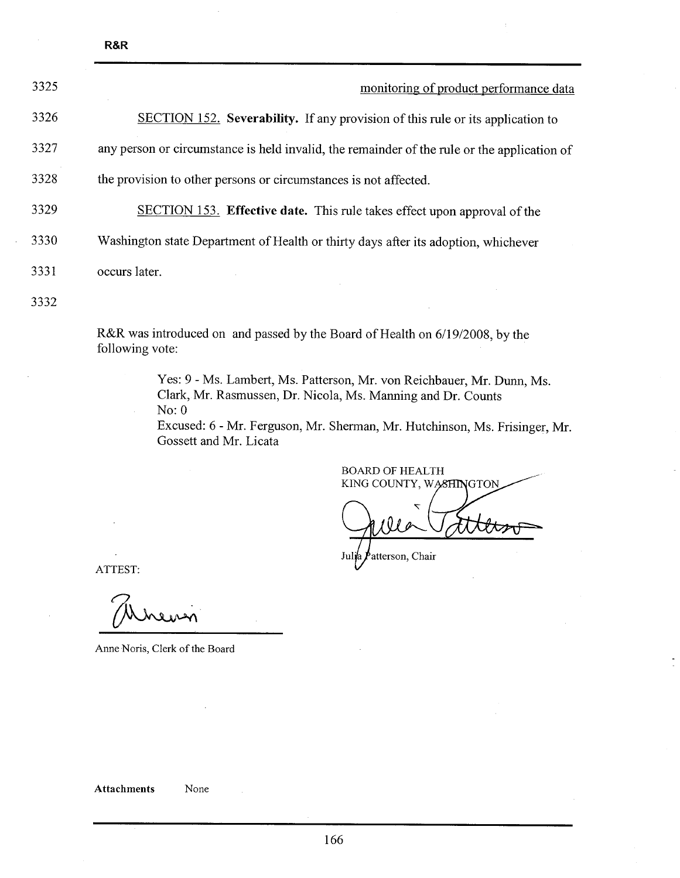| 3325 | monitoring of product performance data                                                      |
|------|---------------------------------------------------------------------------------------------|
| 3326 | <b>SECTION 152.</b> Severability. If any provision of this rule or its application to       |
| 3327 | any person or circumstance is held invalid, the remainder of the rule or the application of |
| 3328 | the provision to other persons or circumstances is not affected.                            |
| 3329 | <b>SECTION 153.</b> Effective date. This rule takes effect upon approval of the             |
| 3330 | Washington state Department of Health or thirty days after its adoption, whichever          |
| 3331 | occurs later.                                                                               |
| 3332 |                                                                                             |

R&R was introduced on and passed by the Board of Health on 6/19/2008, by the following vote:

> Yes: 9 - Ms. Lambert, Ms. Patterson, Mr. von Reichbauer, Mr. Dunn, Ms. Clark, Mr. Rasmussen, Dr. Nicola, Ms. Manning and Dr. Counts No: 0

Excused: 6 - Mr. Ferguson, Mr. Sherman, Mr. Hutchinson, Ms. Frisinger, Mr. Gossett and Mr. Licata

**BOARD OF HEALTH** KING COUNTY, WASHINGTON atterson, Chair Ju

ATTEST:

R&R

TEST:<br>Mureu

Anne Noris, Clerk of the Board

166